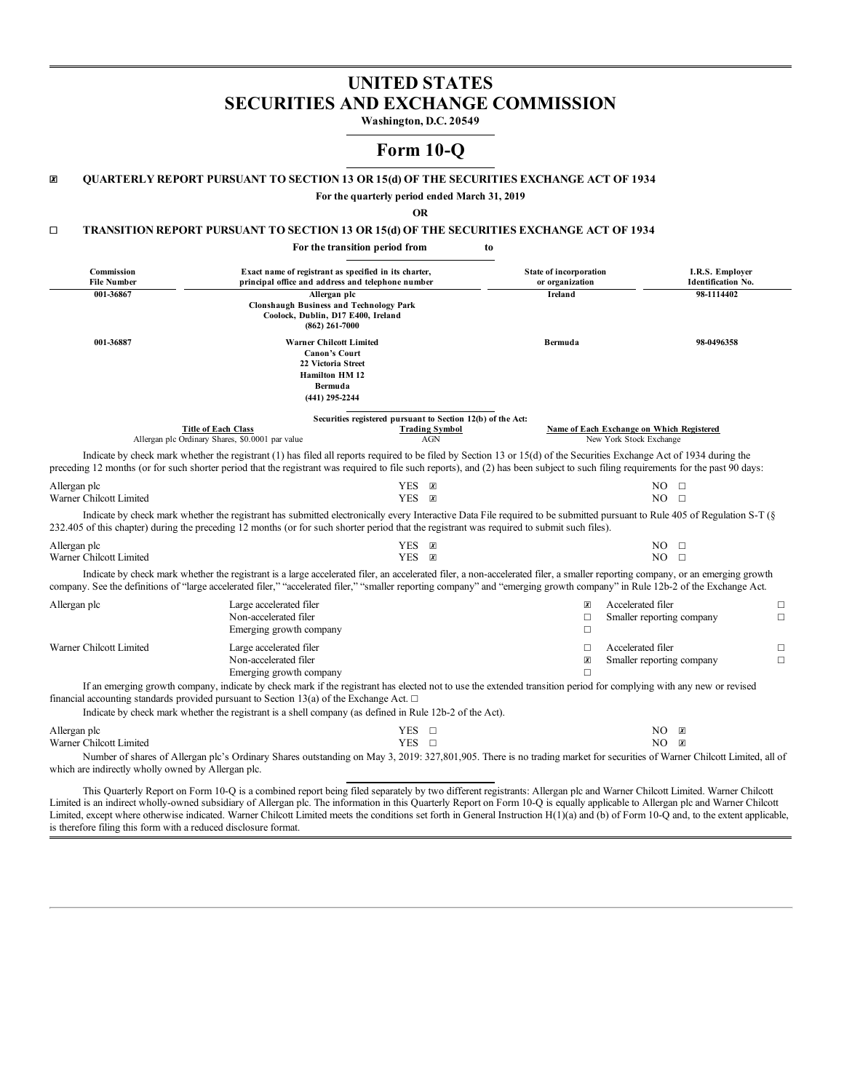# **UNITED STATES SECURITIES AND EXCHANGE COMMISSION**

**Washington, D.C. 20549**

# **Form 10-Q**

# ☒ **QUARTERLY REPORT PURSUANT TO SECTION 13 OR 15(d) OF THE SECURITIES EXCHANGE ACT OF 1934**

**For the quarterly period ended March 31, 2019**

**OR**

## ☐ **TRANSITION REPORT PURSUANT TO SECTION 13 OR 15(d) OF THE SECURITIES EXCHANGE ACT OF 1934**

**For the transition period from to**

| Commission<br><b>File Number</b>                   | Exact name of registrant as specified in its charter,<br>principal office and address and telephone number                                                                                                                                                                                                                                                    |                          |                                             |  | State of incorporation<br>or organization |                                                                      | I.R.S. Employer<br><b>Identification No.</b> |                  |  |
|----------------------------------------------------|---------------------------------------------------------------------------------------------------------------------------------------------------------------------------------------------------------------------------------------------------------------------------------------------------------------------------------------------------------------|--------------------------|---------------------------------------------|--|-------------------------------------------|----------------------------------------------------------------------|----------------------------------------------|------------------|--|
| 001-36867                                          | Allergan plc<br><b>Clonshaugh Business and Technology Park</b><br>Coolock, Dublin, D17 E400, Ireland<br>$(862)$ 261-7000                                                                                                                                                                                                                                      |                          |                                             |  | Ireland                                   |                                                                      | 98-1114402                                   |                  |  |
| 001-36887                                          | <b>Warner Chilcott Limited</b><br><b>Canon's Court</b><br>22 Victoria Street<br><b>Hamilton HM 12</b><br>Bermuda<br>(441) 295-2244                                                                                                                                                                                                                            |                          |                                             |  | Bermuda                                   |                                                                      | 98-0496358                                   |                  |  |
|                                                    | Securities registered pursuant to Section 12(b) of the Act:<br><b>Title of Each Class</b><br>Allergan plc Ordinary Shares, \$0.0001 par value                                                                                                                                                                                                                 |                          | <b>Trading Symbol</b><br><b>AGN</b>         |  |                                           | Name of Each Exchange on Which Registered<br>New York Stock Exchange |                                              |                  |  |
|                                                    | Indicate by check mark whether the registrant (1) has filed all reports required to be filed by Section 13 or 15(d) of the Securities Exchange Act of 1934 during the<br>preceding 12 months (or for such shorter period that the registrant was required to file such reports), and (2) has been subject to such filing requirements for the past 90 days:   |                          |                                             |  |                                           |                                                                      |                                              |                  |  |
| Allergan plc<br>Warner Chilcott Limited            |                                                                                                                                                                                                                                                                                                                                                               | <b>YES</b><br><b>YES</b> | $\boldsymbol{\chi}$<br>$\boxed{\textbf{X}}$ |  |                                           | $NO$ $\square$<br>NO <sub>□</sub>                                    |                                              |                  |  |
|                                                    | Indicate by check mark whether the registrant has submitted electronically every Interactive Data File required to be submitted pursuant to Rule 405 of Regulation S-T (§<br>232.405 of this chapter) during the preceding 12 months (or for such shorter period that the registrant was required to submit such files).                                      |                          |                                             |  |                                           |                                                                      |                                              |                  |  |
| Allergan plc<br>Warner Chilcott Limited            |                                                                                                                                                                                                                                                                                                                                                               | YES.<br><b>YES</b>       | $\overline{x}$<br>$\overline{x}$            |  |                                           | $NO$ $\square$<br>$NO$ $\Box$                                        |                                              |                  |  |
|                                                    | Indicate by check mark whether the registrant is a large accelerated filer, an accelerated filer, a non-accelerated filer, a smaller reporting company, or an emerging growth<br>company. See the definitions of "large accelerated filer," "accelerated filer," "smaller reporting company" and "emerging growth company" in Rule 12b-2 of the Exchange Act. |                          |                                             |  |                                           |                                                                      |                                              |                  |  |
| Allergan plc                                       | Large accelerated filer<br>Non-accelerated filer<br>Emerging growth company                                                                                                                                                                                                                                                                                   |                          |                                             |  | $\boxed{\mathbf{X}}$<br>□<br>$\Box$       | Accelerated filer<br>Smaller reporting company                       |                                              | $\Box$<br>$\Box$ |  |
| Warner Chilcott Limited                            | Large accelerated filer<br>Non-accelerated filer<br>Emerging growth company                                                                                                                                                                                                                                                                                   |                          |                                             |  | □<br>$\boxed{\textbf{X}}$<br>П            | Accelerated filer<br>Smaller reporting company                       |                                              | $\Box$<br>$\Box$ |  |
|                                                    | If an emerging growth company, indicate by check mark if the registrant has elected not to use the extended transition period for complying with any new or revised<br>financial accounting standards provided pursuant to Section 13(a) of the Exchange Act. $\Box$                                                                                          |                          |                                             |  |                                           |                                                                      |                                              |                  |  |
|                                                    | Indicate by check mark whether the registrant is a shell company (as defined in Rule 12b-2 of the Act).                                                                                                                                                                                                                                                       |                          |                                             |  |                                           |                                                                      |                                              |                  |  |
| Allergan plc                                       |                                                                                                                                                                                                                                                                                                                                                               | <b>YES</b>               | $\Box$                                      |  |                                           | NO.                                                                  | $\boxed{\mathbf{x}}$                         |                  |  |
| Warner Chilcott Limited                            |                                                                                                                                                                                                                                                                                                                                                               | $YES \quad \Box$         |                                             |  |                                           | NO.                                                                  | $\overline{x}$                               |                  |  |
| which are indirectly wholly owned by Allergan plc. | Number of shares of Allergan plc's Ordinary Shares outstanding on May 3, 2019: 327,801,905. There is no trading market for securities of Warner Chilcott Limited, all of                                                                                                                                                                                      |                          |                                             |  |                                           |                                                                      |                                              |                  |  |

This Quarterly Report on Form 10-Q is a combined report being filed separately by two different registrants: Allergan plc and Warner Chilcott Limited. Warner Chilcott Limited is an indirect wholly-owned subsidiary of Allergan plc. The information in this Quarterly Report on Form 10-Q is equally applicable to Allergan plc and Warner Chilcott Limited, except where otherwise indicated. Warner Chilcott Limited meets the conditions set forth in General Instruction H(1)(a) and (b) of Form 10-Q and, to the extent applicable, is therefore filing this form with a reduced disclosure format.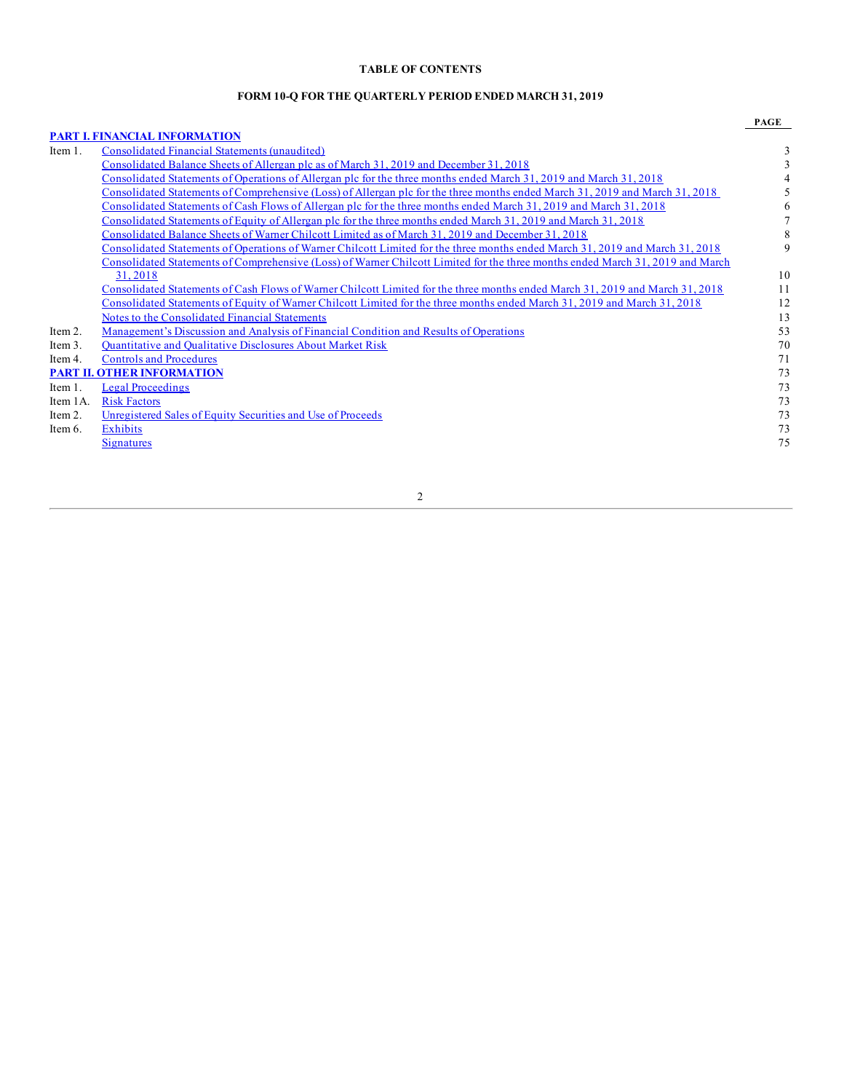# **TABLE OF CONTENTS**

# **FORM 10-Q FOR THE QUARTERLY PERIOD ENDED MARCH 31, 2019**

|          |                                                                                                                                           | <b>PAGE</b> |
|----------|-------------------------------------------------------------------------------------------------------------------------------------------|-------------|
| Item 1.  | <b>PART I. FINANCIAL INFORMATION</b><br><b>Consolidated Financial Statements (unaudited)</b>                                              | 3           |
|          | Consolidated Balance Sheets of Allergan plc as of March 31, 2019 and December 31, 2018                                                    |             |
|          | Consolidated Statements of Operations of Allergan plc for the three months ended March 31, 2019 and March 31, 2018                        |             |
|          | Consolidated Statements of Comprehensive (Loss) of Allergan plc for the three months ended March 31, 2019 and March 31, 2018              | 5           |
|          | Consolidated Statements of Cash Flows of Allergan plc for the three months ended March 31, 2019 and March 31, 2018                        | 6           |
|          | Consolidated Statements of Equity of Allergan plc for the three months ended March 31, 2019 and March 31, 2018                            |             |
|          | Consolidated Balance Sheets of Warner Chilcott Limited as of March 31, 2019 and December 31, 2018                                         | 8           |
|          | Consolidated Statements of Operations of Warner Chilcott Limited for the three months ended March 31, 2019 and March 31, 2018             | 9           |
|          |                                                                                                                                           |             |
|          | Consolidated Statements of Comprehensive (Loss) of Warner Chilcott Limited for the three months ended March 31, 2019 and March<br>31,2018 | 10          |
|          |                                                                                                                                           | 11          |
|          | Consolidated Statements of Cash Flows of Warner Chilcott Limited for the three months ended March 31, 2019 and March 31, 2018             |             |
|          | Consolidated Statements of Equity of Warner Chilcott Limited for the three months ended March 31, 2019 and March 31, 2018                 | 12          |
|          | Notes to the Consolidated Financial Statements                                                                                            | 13          |
| Item 2.  | Management's Discussion and Analysis of Financial Condition and Results of Operations                                                     | 53          |
| Item 3.  | <b>Quantitative and Qualitative Disclosures About Market Risk</b>                                                                         | 70          |
| Item 4.  | <b>Controls and Procedures</b>                                                                                                            | 71          |
|          | <b>PART II. OTHER INFORMATION</b>                                                                                                         | 73          |
| Item 1.  | <b>Legal Proceedings</b>                                                                                                                  | 73          |
| Item 1A. | <b>Risk Factors</b>                                                                                                                       | 73          |
| Item 2.  | Unregistered Sales of Equity Securities and Use of Proceeds                                                                               | 73          |
| Item 6.  | Exhibits                                                                                                                                  | 73          |
|          | Signatures                                                                                                                                | 75          |
|          |                                                                                                                                           |             |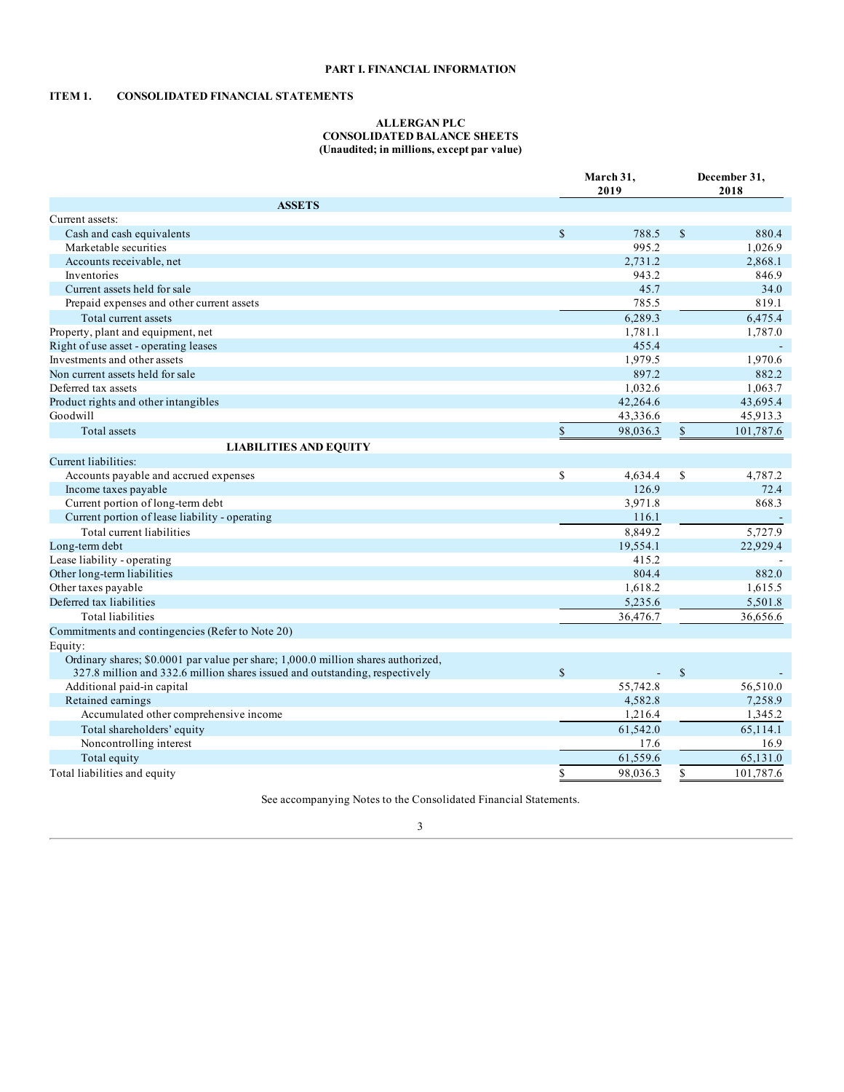# **PART I. FINANCIAL INFORMATION**

# <span id="page-2-0"></span>**ITEM 1. CONSOLIDATED FINANCIAL STATEMENTS**

## **ALLERGAN PLC CONSOLIDATED BALANCE SHEETS (Unaudited; in millions, except par value)**

|                                                                                   |              | March 31,<br>2019 |              | December 31,<br>2018 |  |  |  |
|-----------------------------------------------------------------------------------|--------------|-------------------|--------------|----------------------|--|--|--|
| <b>ASSETS</b>                                                                     |              |                   |              |                      |  |  |  |
| Current assets:                                                                   |              |                   |              |                      |  |  |  |
| Cash and cash equivalents                                                         | $\mathbb{S}$ | 788.5             | $\mathbb{S}$ | 880.4                |  |  |  |
| Marketable securities                                                             |              | 995.2             |              | 1,026.9              |  |  |  |
| Accounts receivable, net                                                          |              | 2,731.2           |              | 2,868.1              |  |  |  |
| Inventories                                                                       |              | 943.2             |              | 846.9                |  |  |  |
| Current assets held for sale                                                      |              | 45.7              |              | 34.0                 |  |  |  |
| Prepaid expenses and other current assets                                         |              | 785.5             |              | 819.1                |  |  |  |
| Total current assets                                                              |              | 6,289.3           |              | 6,475.4              |  |  |  |
| Property, plant and equipment, net                                                |              | 1,781.1           |              | 1,787.0              |  |  |  |
| Right of use asset - operating leases                                             |              | 455.4             |              |                      |  |  |  |
| Investments and other assets                                                      |              | 1,979.5           |              | 1,970.6              |  |  |  |
| Non current assets held for sale                                                  |              | 897.2             |              | 882.2                |  |  |  |
| Deferred tax assets                                                               |              | 1,032.6           |              | 1,063.7              |  |  |  |
| Product rights and other intangibles                                              |              | 42,264.6          |              | 43,695.4             |  |  |  |
| Goodwill                                                                          |              | 43,336.6          |              | 45,913.3             |  |  |  |
| <b>Total</b> assets                                                               | \$           | 98,036.3          | $\mathbb{S}$ | 101,787.6            |  |  |  |
| <b>LIABILITIES AND EQUITY</b>                                                     |              |                   |              |                      |  |  |  |
| Current liabilities:                                                              |              |                   |              |                      |  |  |  |
| Accounts payable and accrued expenses                                             | $\mathbf S$  | 4,634.4           | \$           | 4,787.2              |  |  |  |
| Income taxes payable                                                              |              | 126.9             |              | 72.4                 |  |  |  |
| Current portion of long-term debt                                                 |              | 3,971.8           |              | 868.3                |  |  |  |
| Current portion of lease liability - operating                                    |              | 116.1             |              |                      |  |  |  |
| Total current liabilities                                                         |              | 8,849.2           |              | 5,727.9              |  |  |  |
| Long-term debt                                                                    |              | 19,554.1          |              | 22,929.4             |  |  |  |
| Lease liability - operating                                                       |              | 415.2             |              |                      |  |  |  |
| Other long-term liabilities                                                       |              | 804.4             |              | 882.0                |  |  |  |
| Other taxes payable                                                               |              | 1,618.2           |              | 1,615.5              |  |  |  |
| Deferred tax liabilities                                                          |              | 5,235.6           |              | 5,501.8              |  |  |  |
| <b>Total liabilities</b>                                                          |              | 36,476.7          |              | 36,656.6             |  |  |  |
| Commitments and contingencies (Refer to Note 20)                                  |              |                   |              |                      |  |  |  |
| Equity:                                                                           |              |                   |              |                      |  |  |  |
| Ordinary shares; \$0.0001 par value per share; 1,000.0 million shares authorized, |              |                   |              |                      |  |  |  |
| 327.8 million and 332.6 million shares issued and outstanding, respectively       | $\mathbb{S}$ |                   | $\mathbb{S}$ |                      |  |  |  |
| Additional paid-in capital                                                        |              | 55,742.8          |              | 56,510.0             |  |  |  |
| Retained earnings                                                                 |              | 4,582.8           |              | 7,258.9              |  |  |  |
| Accumulated other comprehensive income                                            |              | 1,216.4           |              | 1,345.2              |  |  |  |
| Total shareholders' equity                                                        |              | 61,542.0          |              | 65,114.1             |  |  |  |
| Noncontrolling interest                                                           |              | 17.6              |              | 16.9                 |  |  |  |
| Total equity                                                                      |              | 61,559.6          |              | 65,131.0             |  |  |  |
| Total liabilities and equity                                                      | \$           | 98,036.3          | \$           | 101,787.6            |  |  |  |

See accompanying Notes to the Consolidated Financial Statements.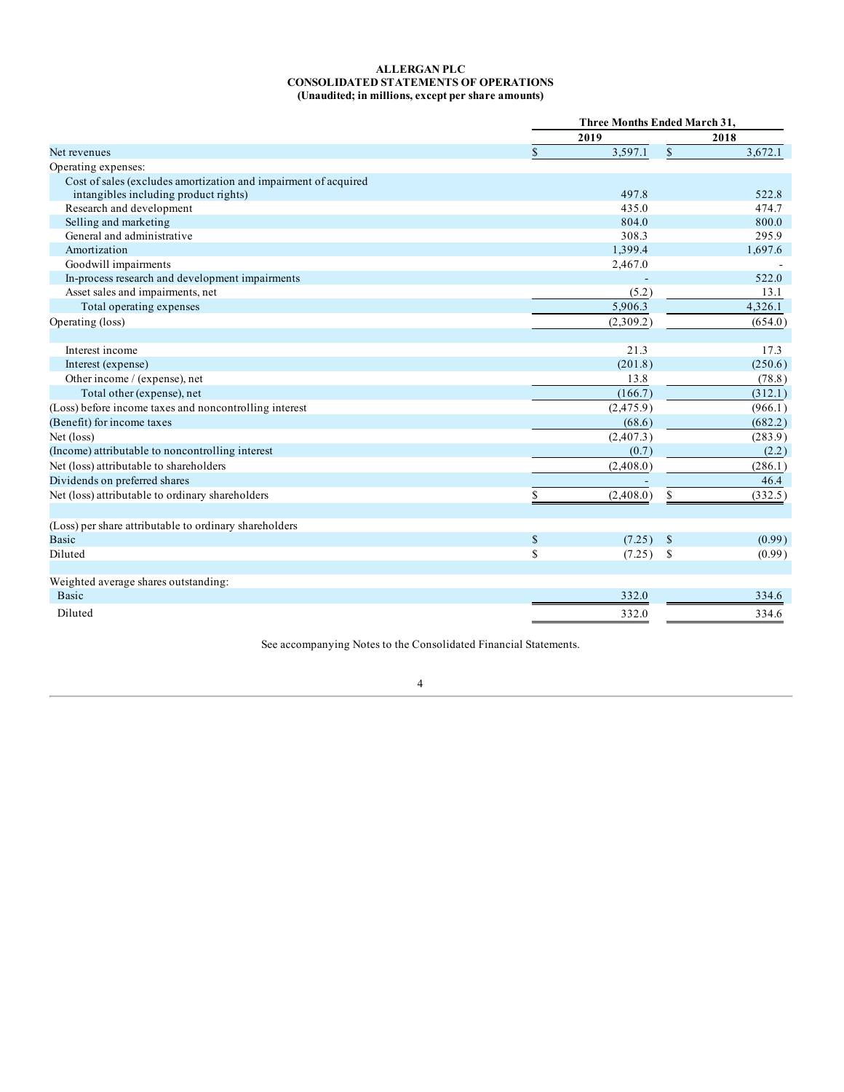## **ALLERGAN PLC CONSOLIDATED STATEMENTS OF OPERATIONS (Unaudited; in millions, except per share amounts)**

<span id="page-3-0"></span>

|                                                                 | Three Months Ended March 31, |           |               |         |  |
|-----------------------------------------------------------------|------------------------------|-----------|---------------|---------|--|
|                                                                 |                              | 2019      |               | 2018    |  |
| Net revenues                                                    | \$                           | 3,597.1   | \$            | 3,672.1 |  |
| Operating expenses:                                             |                              |           |               |         |  |
| Cost of sales (excludes amortization and impairment of acquired |                              |           |               |         |  |
| intangibles including product rights)                           |                              | 497.8     |               | 522.8   |  |
| Research and development                                        |                              | 435.0     |               | 474.7   |  |
| Selling and marketing                                           |                              | 804.0     |               | 800.0   |  |
| General and administrative                                      |                              | 308.3     |               | 295.9   |  |
| Amortization                                                    |                              | 1.399.4   |               | 1,697.6 |  |
| Goodwill impairments                                            |                              | 2,467.0   |               |         |  |
| In-process research and development impairments                 |                              |           |               | 522.0   |  |
| Asset sales and impairments, net                                |                              | (5.2)     |               | 13.1    |  |
| Total operating expenses                                        |                              | 5,906.3   |               | 4,326.1 |  |
| Operating (loss)                                                |                              | (2,309.2) |               | (654.0) |  |
| Interest income                                                 |                              | 21.3      |               | 17.3    |  |
| Interest (expense)                                              |                              | (201.8)   |               | (250.6) |  |
| Other income / (expense), net                                   |                              | 13.8      |               | (78.8)  |  |
| Total other (expense), net                                      |                              | (166.7)   |               | (312.1) |  |
| (Loss) before income taxes and noncontrolling interest          |                              | (2,475.9) |               | (966.1) |  |
| (Benefit) for income taxes                                      |                              | (68.6)    |               | (682.2) |  |
| Net (loss)                                                      |                              | (2,407.3) |               | (283.9) |  |
| (Income) attributable to noncontrolling interest                |                              | (0.7)     |               | (2.2)   |  |
| Net (loss) attributable to shareholders                         |                              | (2,408.0) |               | (286.1) |  |
| Dividends on preferred shares                                   |                              |           |               | 46.4    |  |
|                                                                 |                              |           |               |         |  |
| Net (loss) attributable to ordinary shareholders                | \$                           | (2,408.0) | S             | (332.5) |  |
| (Loss) per share attributable to ordinary shareholders          |                              |           |               |         |  |
| <b>Basic</b>                                                    | $\mathbb{S}$                 | (7.25)    | <sup>\$</sup> | (0.99)  |  |
| Diluted                                                         | \$                           | (7.25)    | -S            | (0.99)  |  |
| Weighted average shares outstanding:                            |                              |           |               |         |  |
| <b>Basic</b>                                                    |                              | 332.0     |               | 334.6   |  |
| Diluted                                                         |                              | 332.0     |               | 334.6   |  |
|                                                                 |                              |           |               |         |  |

See accompanying Notes to the Consolidated Financial Statements.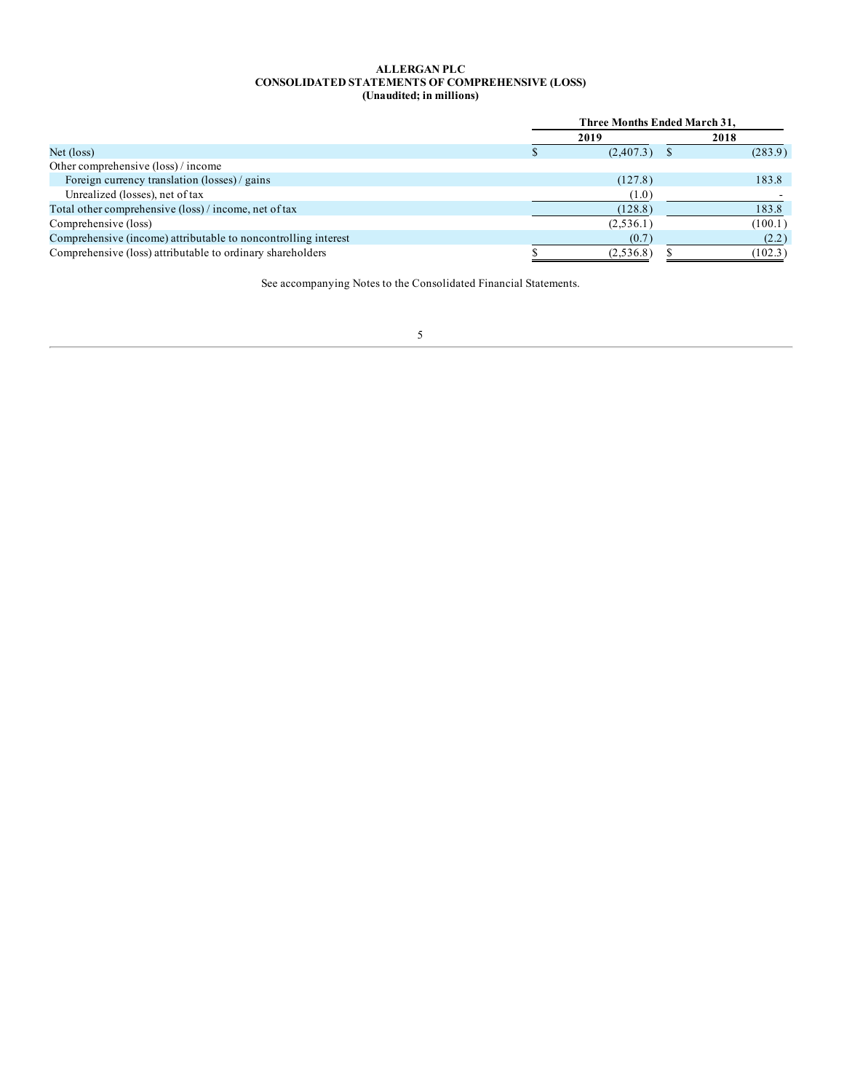#### **ALLERGAN PLC CONSOLIDATED STATEMENTS OF COMPREHENSIVE (LOSS) (Unaudited; in millions)**

<span id="page-4-0"></span>

|                                                                | Three Months Ended March 31, |  |         |  |  |  |
|----------------------------------------------------------------|------------------------------|--|---------|--|--|--|
|                                                                | 2019                         |  | 2018    |  |  |  |
| Net (loss)                                                     | (2,407.3)                    |  | (283.9) |  |  |  |
| Other comprehensive (loss) / income                            |                              |  |         |  |  |  |
| Foreign currency translation (losses) / gains                  | (127.8)                      |  | 183.8   |  |  |  |
| Unrealized (losses), net of tax                                | (1.0)                        |  |         |  |  |  |
| Total other comprehensive (loss) / income, net of tax          | (128.8)                      |  | 183.8   |  |  |  |
| Comprehensive (loss)                                           | (2,536.1)                    |  | (100.1) |  |  |  |
| Comprehensive (income) attributable to noncontrolling interest | (0.7)                        |  | (2.2)   |  |  |  |
| Comprehensive (loss) attributable to ordinary shareholders     | (2,536.8)                    |  | (102.3) |  |  |  |

See accompanying Notes to the Consolidated Financial Statements.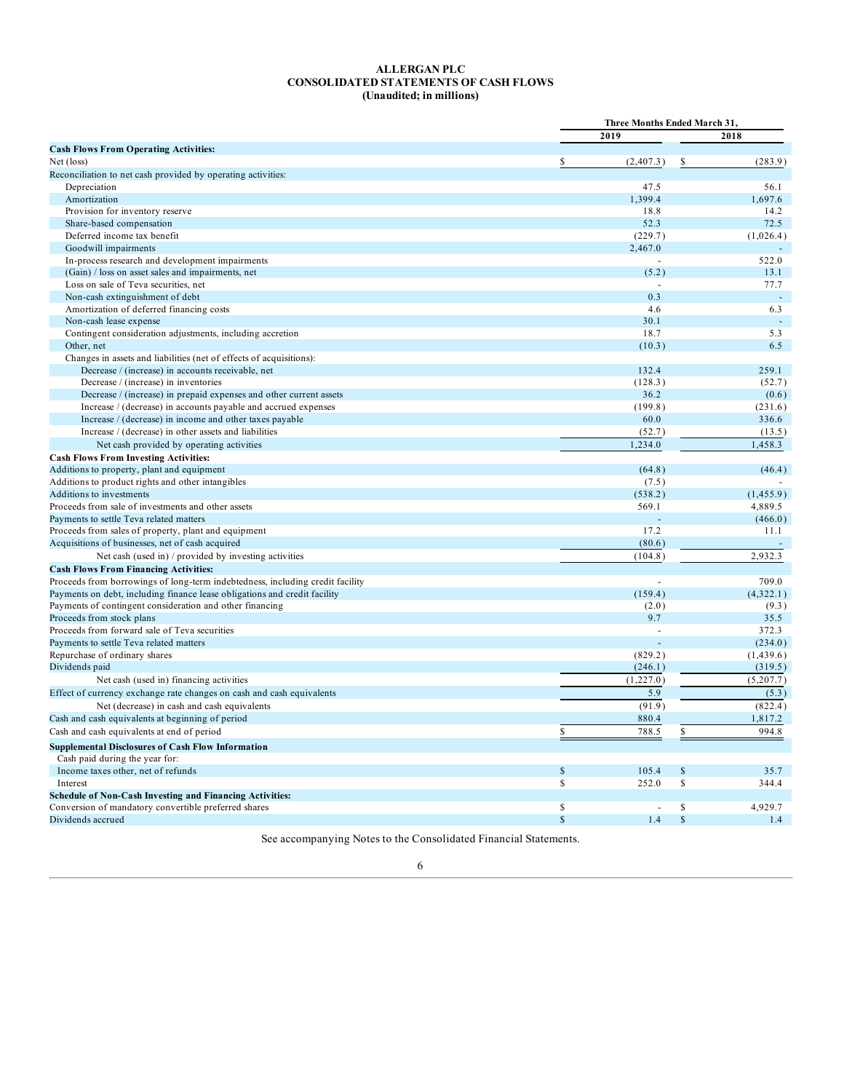## **ALLERGAN PLC CONSOLIDATED STATEMENTS OF CASH FLOWS (Unaudited; in millions)**

<span id="page-5-0"></span>

|                                                                               |             | Three Months Ended March 31, |              |            |
|-------------------------------------------------------------------------------|-------------|------------------------------|--------------|------------|
|                                                                               | 2019        |                              |              | 2018       |
| <b>Cash Flows From Operating Activities:</b>                                  |             |                              |              |            |
| Net (loss)                                                                    | \$          | (2,407.3)                    | \$           | (283.9)    |
| Reconciliation to net cash provided by operating activities:                  |             |                              |              |            |
| Depreciation                                                                  |             | 47.5                         |              | 56.1       |
| Amortization                                                                  |             | 1,399.4                      |              | 1,697.6    |
| Provision for inventory reserve                                               |             | 18.8                         |              | 14.2       |
| Share-based compensation                                                      |             | 52.3                         |              | 72.5       |
| Deferred income tax benefit                                                   |             | (229.7)                      |              | (1,026.4)  |
| Goodwill impairments                                                          |             | 2,467.0                      |              |            |
| In-process research and development impairments                               |             |                              |              | 522.0      |
| (Gain) / loss on asset sales and impairments, net                             |             | (5.2)                        |              | 13.1       |
| Loss on sale of Teva securities, net                                          |             |                              |              | 77.7       |
| Non-cash extinguishment of debt                                               |             | 0.3                          |              | ÷.         |
| Amortization of deferred financing costs                                      |             | 4.6                          |              | 6.3        |
| Non-cash lease expense                                                        |             | 30.1                         |              |            |
| Contingent consideration adjustments, including accretion                     |             | 18.7                         |              | 5.3        |
| Other, net                                                                    |             | (10.3)                       |              | 6.5        |
| Changes in assets and liabilities (net of effects of acquisitions):           |             |                              |              |            |
| Decrease / (increase) in accounts receivable, net                             |             | 132.4                        |              | 259.1      |
| Decrease / (increase) in inventories                                          |             | (128.3)                      |              | (52.7)     |
| Decrease / (increase) in prepaid expenses and other current assets            |             | 36.2                         |              | (0.6)      |
| Increase / (decrease) in accounts payable and accrued expenses                |             | (199.8)                      |              | (231.6)    |
| Increase / (decrease) in income and other taxes payable                       |             | 60.0                         |              | 336.6      |
| Increase / (decrease) in other assets and liabilities                         |             | (52.7)                       |              | (13.5)     |
|                                                                               |             | 1,234.0                      |              |            |
| Net cash provided by operating activities                                     |             |                              |              | 1,458.3    |
| <b>Cash Flows From Investing Activities:</b>                                  |             |                              |              |            |
| Additions to property, plant and equipment                                    |             | (64.8)                       |              | (46.4)     |
| Additions to product rights and other intangibles                             |             | (7.5)                        |              |            |
| Additions to investments                                                      |             | (538.2)                      |              | (1, 455.9) |
| Proceeds from sale of investments and other assets                            |             | 569.1                        |              | 4,889.5    |
| Payments to settle Teva related matters                                       |             |                              |              | (466.0)    |
| Proceeds from sales of property, plant and equipment                          |             | 17.2                         |              | 11.1       |
| Acquisitions of businesses, net of cash acquired                              |             | (80.6)                       |              |            |
| Net cash (used in) / provided by investing activities                         |             | (104.8)                      |              | 2,932.3    |
| <b>Cash Flows From Financing Activities:</b>                                  |             |                              |              |            |
| Proceeds from borrowings of long-term indebtedness, including credit facility |             |                              |              | 709.0      |
| Payments on debt, including finance lease obligations and credit facility     |             | (159.4)                      |              | (4,322.1)  |
| Payments of contingent consideration and other financing                      |             | (2.0)                        |              | (9.3)      |
| Proceeds from stock plans                                                     |             | 9.7                          |              | 35.5       |
| Proceeds from forward sale of Teva securities                                 |             |                              |              | 372.3      |
| Payments to settle Teva related matters                                       |             |                              |              | (234.0)    |
| Repurchase of ordinary shares                                                 |             | (829.2)                      |              | (1,439.6)  |
| Dividends paid                                                                |             | (246.1)                      |              | (319.5)    |
| Net cash (used in) financing activities                                       |             | (1,227.0)                    |              | (5,207.7)  |
| Effect of currency exchange rate changes on cash and cash equivalents         |             | 5.9                          |              | (5.3)      |
| Net (decrease) in cash and cash equivalents                                   |             | (91.9)                       |              | (822.4)    |
| Cash and cash equivalents at beginning of period                              |             | 880.4                        |              | 1,817.2    |
|                                                                               |             |                              | S            | 994.8      |
| Cash and cash equivalents at end of period                                    |             | 788.5                        |              |            |
| <b>Supplemental Disclosures of Cash Flow Information</b>                      |             |                              |              |            |
| Cash paid during the year for:                                                |             |                              |              |            |
| Income taxes other, net of refunds                                            | \$          | 105.4                        | $\mathbb{S}$ | 35.7       |
| Interest                                                                      | \$          | 252.0                        | \$           | 344.4      |
| Schedule of Non-Cash Investing and Financing Activities:                      |             |                              |              |            |
| Conversion of mandatory convertible preferred shares                          | S           |                              | \$           | 4,929.7    |
| Dividends accrued                                                             | $\mathbf S$ | 1.4                          | $\mathsf S$  | 1.4        |

See accompanying Notes to the Consolidated Financial Statements.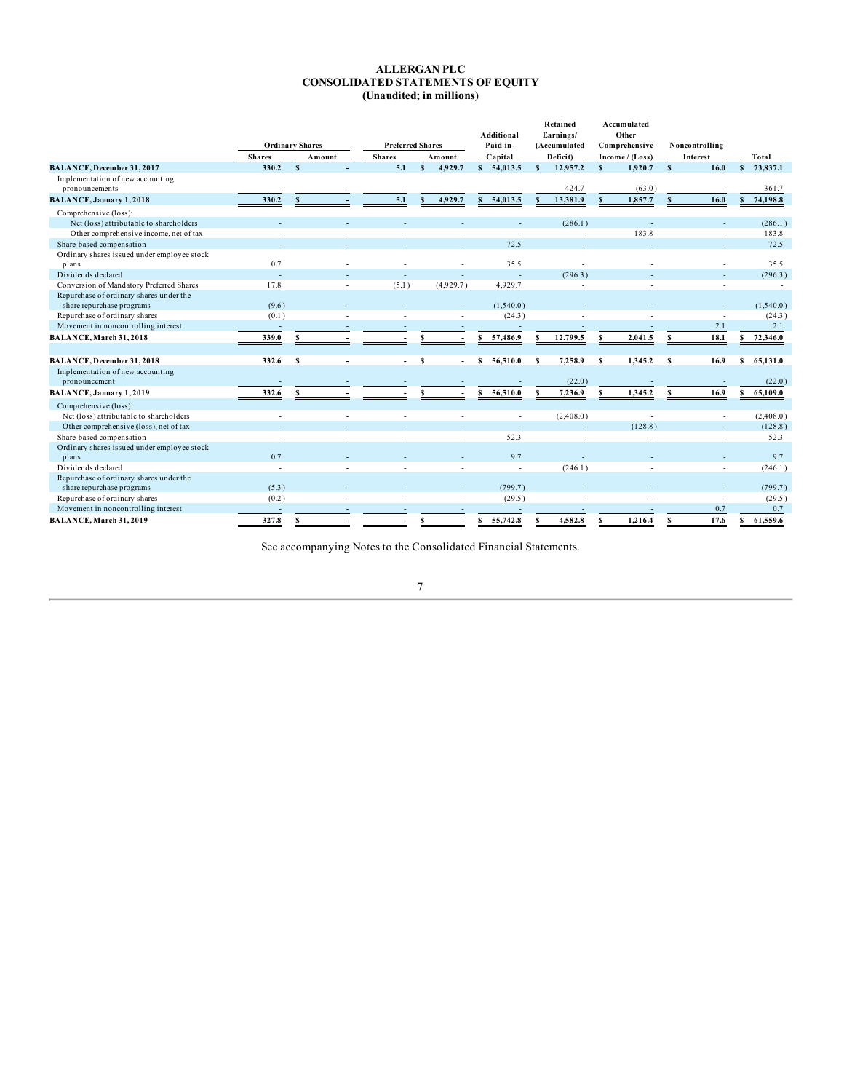## **ALLERGAN PLC CONSOLIDATED STATEMENTS OF EQUITY (Unaudited; in millions)**

<span id="page-6-0"></span>

|                                             |               |                        |                         |                         | Additional               | Retained<br>Earnings/    | Accumulated<br>Other    |                          |              |           |
|---------------------------------------------|---------------|------------------------|-------------------------|-------------------------|--------------------------|--------------------------|-------------------------|--------------------------|--------------|-----------|
|                                             |               | <b>Ordinary Shares</b> | <b>Preferred Shares</b> |                         | Paid-in-                 | (Accumulated             | Comprehensive           | Noncontrolling           |              |           |
|                                             | <b>Shares</b> | Amount                 | <b>Shares</b>           | Amount                  | Capital                  | Deficit)                 | Income / (Loss)         | Interest                 |              | Total     |
| BALANCE, December 31, 2017                  | 330.2         | $\mathbf{s}$           | 5.1                     | 4.929.7<br>$\mathbf{s}$ | $\mathbf{s}$<br>54,013.5 | 12.957.2<br>$\mathbf{s}$ | 1,920.7<br>$\mathbf{s}$ | $\mathbf{s}$<br>16.0     | $\mathbf{s}$ | 73,837.1  |
| Implementation of new accounting            |               |                        |                         |                         |                          |                          |                         |                          |              |           |
| pronouncements                              |               |                        |                         |                         |                          | 424.7                    | (63.0)                  |                          |              | 361.7     |
| <b>BALANCE, January 1, 2018</b>             | 330.2         | $\mathbf{s}$           | 5.1                     | 4,929.7<br>$\mathbf{s}$ | 54,013.5<br>s            | 13,381.9                 | 1,857.7                 | 16.0<br>S                | S.           | 74,198.8  |
| Comprehensive (loss):                       |               |                        |                         |                         |                          |                          |                         |                          |              |           |
| Net (loss) attributable to shareholders     |               |                        |                         |                         |                          | (286.1)                  |                         | $\overline{a}$           |              | (286.1)   |
| Other comprehensive income, net of tax      |               |                        |                         |                         |                          | $\overline{\phantom{a}}$ | 183.8                   | $\tilde{\phantom{a}}$    |              | 183.8     |
| Share-based compensation                    |               |                        |                         |                         | 72.5                     |                          |                         | $\blacksquare$           |              | 72.5      |
| Ordinary shares issued under employee stock |               |                        |                         |                         |                          |                          |                         |                          |              |           |
| plans                                       | 0.7           |                        |                         |                         | 35.5                     |                          |                         | $\overline{\phantom{a}}$ |              | 35.5      |
| Dividends declared                          |               |                        |                         |                         |                          | (296.3)                  |                         |                          |              | (296.3)   |
| Conversion of Mandatory Preferred Shares    | 17.8          |                        | (5.1)                   | (4.929.7)               | 4,929.7                  |                          |                         | $\ddot{\phantom{1}}$     |              |           |
| Repurchase of ordinary shares under the     |               |                        |                         |                         |                          |                          |                         |                          |              |           |
| share repurchase programs                   | (9.6)         |                        |                         |                         | (1,540.0)                |                          |                         |                          |              | (1,540.0) |
| Repurchase of ordinary shares               | (0.1)         |                        |                         |                         | (24.3)                   |                          |                         |                          |              | (24.3)    |
| Movement in noncontrolling interest         |               |                        |                         |                         |                          |                          |                         | 2.1                      |              | 2.1       |
| BALANCE, March 31, 2018                     | 339.0         | s                      |                         | s                       | 57,486.9<br>s            | 12,799.5<br>s            | 2,041.5<br>s            | 18.1<br>s                |              | 72,346.0  |
|                                             |               |                        |                         |                         |                          |                          |                         |                          |              |           |
| BALANCE, December 31, 2018                  | 332.6         | s                      |                         | s                       | 56,510.0<br>s            | 7,258.9<br>s             | s<br>1,345.2            | 16.9<br>s                | \$           | 65,131.0  |
| Implementation of new accounting            |               |                        |                         |                         |                          |                          |                         |                          |              |           |
| pronouncement                               |               |                        |                         |                         |                          | (22.0)                   |                         |                          |              | (22.0)    |
| BALANCE, January 1, 2019                    | 332.6         |                        |                         |                         | 56,510.0<br>s            | 7,236.9                  | 1,345.2                 | 16.9                     |              | 65,109.0  |
| Comprehensive (loss):                       |               |                        |                         |                         |                          |                          |                         |                          |              |           |
| Net (loss) attributable to shareholders     |               |                        |                         |                         |                          | (2,408.0)                |                         |                          |              | (2,408.0) |
| Other comprehensive (loss), net of tax      |               |                        |                         |                         |                          |                          | (128.8)                 |                          |              | (128.8)   |
| Share-based compensation                    |               |                        |                         |                         | 52.3                     |                          |                         | $\overline{\phantom{a}}$ |              | 52.3      |
| Ordinary shares issued under employee stock |               |                        |                         |                         |                          |                          |                         |                          |              |           |
| plans                                       | 0.7           |                        |                         |                         | 9.7                      |                          |                         |                          |              | 9.7       |
| Dividends declared                          |               |                        |                         |                         | $\sim$                   | (246.1)                  |                         | $\tilde{\phantom{a}}$    |              | (246.1)   |
| Repurchase of ordinary shares under the     |               |                        |                         |                         |                          |                          |                         |                          |              |           |
| share repurchase programs                   | (5.3)         |                        |                         |                         | (799.7)                  |                          |                         | $\overline{a}$           |              | (799.7)   |
| Repurchase of ordinary shares               | (0.2)         |                        |                         |                         | (29.5)                   |                          |                         | ä,                       |              | (29.5)    |
| Movement in noncontrolling interest         |               |                        |                         |                         |                          |                          |                         | 0.7                      |              | 0.7       |
| BALANCE, March 31, 2019                     | 327.8         |                        |                         |                         | 55,742.8<br>s            | 4,582.8                  | 1,216.4                 | 17.6                     |              | 61,559.6  |

See accompanying Notes to the Consolidated Financial Statements.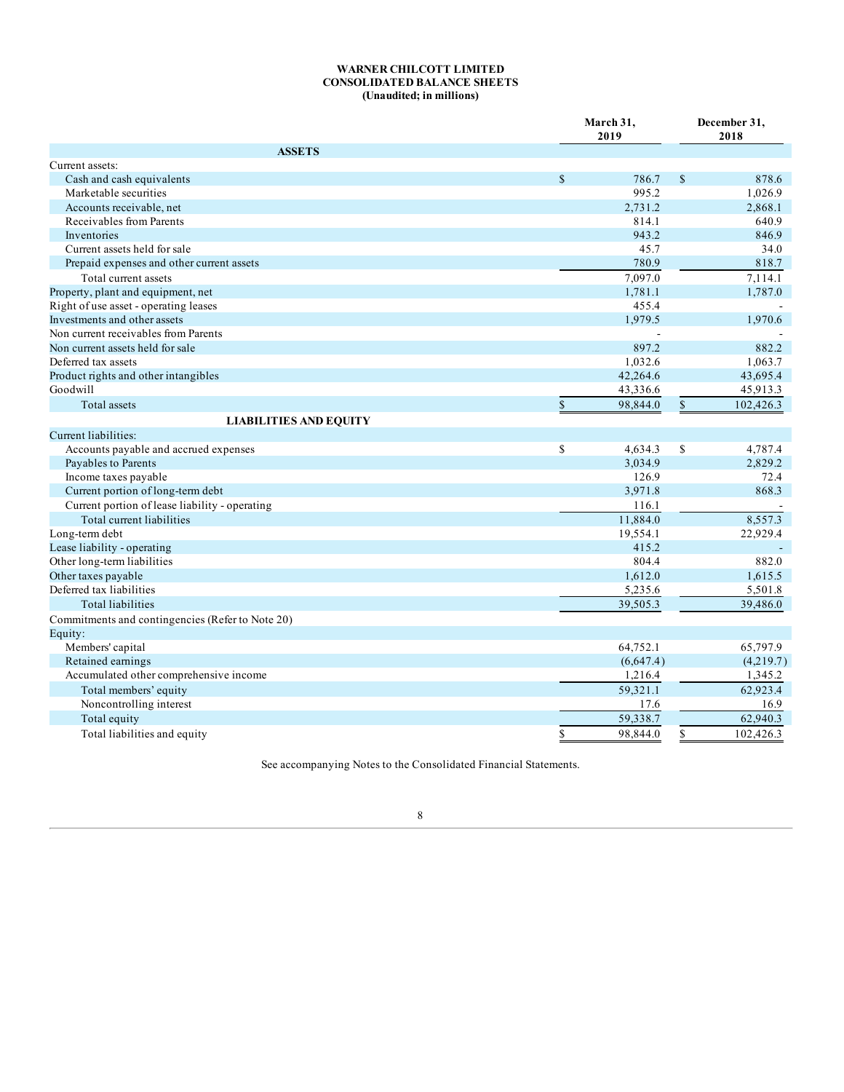#### **WARNER CHILCOTT LIMITED CONSOLIDATED BALANCE SHEETS (Unaudited; in millions)**

<span id="page-7-0"></span>

|                                                  |               | March 31,<br>2019 | December 31,<br>2018 |           |  |
|--------------------------------------------------|---------------|-------------------|----------------------|-----------|--|
| <b>ASSETS</b>                                    |               |                   |                      |           |  |
| Current assets:                                  |               |                   |                      |           |  |
| Cash and cash equivalents                        | $\mathbf S$   | 786.7             | $\mathcal{S}$        | 878.6     |  |
| Marketable securities                            |               | 995.2             |                      | 1,026.9   |  |
| Accounts receivable, net                         |               | 2,731.2           |                      | 2,868.1   |  |
| Receivables from Parents                         |               | 814.1             |                      | 640.9     |  |
| Inventories                                      |               | 943.2             |                      | 846.9     |  |
| Current assets held for sale                     |               | 45.7              |                      | 34.0      |  |
| Prepaid expenses and other current assets        |               | 780.9             |                      | 818.7     |  |
| Total current assets                             |               | 7,097.0           |                      | 7,114.1   |  |
| Property, plant and equipment, net               |               | 1,781.1           |                      | 1,787.0   |  |
| Right of use asset - operating leases            |               | 455.4             |                      |           |  |
| Investments and other assets                     |               | 1,979.5           |                      | 1,970.6   |  |
| Non current receivables from Parents             |               |                   |                      |           |  |
| Non current assets held for sale                 |               | 897.2             |                      | 882.2     |  |
| Deferred tax assets                              |               | 1,032.6           |                      | 1,063.7   |  |
| Product rights and other intangibles             |               | 42,264.6          |                      | 43,695.4  |  |
| Goodwill                                         |               | 43,336.6          |                      | 45,913.3  |  |
| Total assets                                     | $\mathsf{\$}$ | 98,844.0          | \$                   | 102,426.3 |  |
| <b>LIABILITIES AND EQUITY</b>                    |               |                   |                      |           |  |
| Current liabilities:                             |               |                   |                      |           |  |
| Accounts payable and accrued expenses            | \$            | 4,634.3           | \$                   | 4,787.4   |  |
| Payables to Parents                              |               | 3,034.9           |                      | 2,829.2   |  |
| Income taxes payable                             |               | 126.9             |                      | 72.4      |  |
| Current portion of long-term debt                |               | 3,971.8           |                      | 868.3     |  |
| Current portion of lease liability - operating   |               | 116.1             |                      |           |  |
| Total current liabilities                        |               | 11,884.0          |                      | 8,557.3   |  |
| Long-term debt                                   |               | 19,554.1          |                      | 22,929.4  |  |
| Lease liability - operating                      |               | 415.2             |                      |           |  |
| Other long-term liabilities                      |               | 804.4             |                      | 882.0     |  |
| Other taxes payable                              |               | 1,612.0           |                      | 1,615.5   |  |
| Deferred tax liabilities                         |               | 5,235.6           |                      | 5,501.8   |  |
| Total liabilities                                |               | 39,505.3          |                      | 39,486.0  |  |
| Commitments and contingencies (Refer to Note 20) |               |                   |                      |           |  |
| Equity:                                          |               |                   |                      |           |  |
| Members' capital                                 |               | 64,752.1          |                      | 65,797.9  |  |
| Retained earnings                                |               | (6,647.4)         |                      | (4,219.7) |  |
| Accumulated other comprehensive income           |               | 1,216.4           |                      | 1,345.2   |  |
| Total members' equity                            |               | 59,321.1          |                      | 62,923.4  |  |
| Noncontrolling interest                          |               | 17.6              |                      | 16.9      |  |
| Total equity                                     |               | 59,338.7          |                      | 62,940.3  |  |
| Total liabilities and equity                     | \$            | 98,844.0          | \$                   | 102,426.3 |  |

See accompanying Notes to the Consolidated Financial Statements.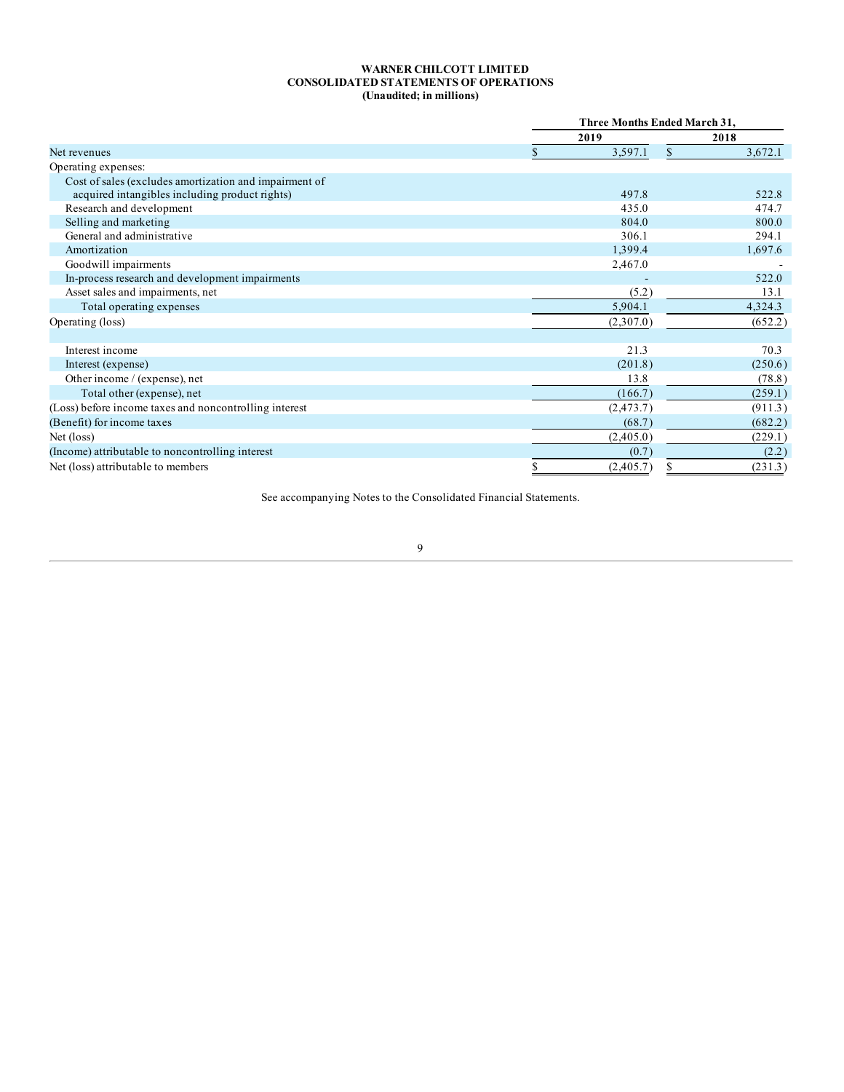## **WARNER CHILCOTT LIMITED CONSOLIDATED STATEMENTS OF OPERATIONS (Unaudited; in millions)**

<span id="page-8-0"></span>

|                                                        | Three Months Ended March 31, |     |         |
|--------------------------------------------------------|------------------------------|-----|---------|
|                                                        | 2019                         |     | 2018    |
| Net revenues                                           | 3,597.1                      | \$. | 3,672.1 |
| Operating expenses:                                    |                              |     |         |
| Cost of sales (excludes amortization and impairment of |                              |     |         |
| acquired intangibles including product rights)         | 497.8                        |     | 522.8   |
| Research and development                               | 435.0                        |     | 474.7   |
| Selling and marketing                                  | 804.0                        |     | 800.0   |
| General and administrative                             | 306.1                        |     | 294.1   |
| Amortization                                           | 1.399.4                      |     | 1,697.6 |
| Goodwill impairments                                   | 2,467.0                      |     |         |
| In-process research and development impairments        |                              |     | 522.0   |
| Asset sales and impairments, net                       | (5.2)                        |     | 13.1    |
| Total operating expenses                               | 5,904.1                      |     | 4,324.3 |
| Operating (loss)                                       | (2,307.0)                    |     | (652.2) |
| Interest income                                        | 21.3                         |     | 70.3    |
| Interest (expense)                                     | (201.8)                      |     | (250.6) |
| Other income / (expense), net                          | 13.8                         |     | (78.8)  |
| Total other (expense), net                             | (166.7)                      |     | (259.1) |
| (Loss) before income taxes and noncontrolling interest | (2, 473.7)                   |     | (911.3) |
| (Benefit) for income taxes                             | (68.7)                       |     | (682.2) |
| Net (loss)                                             | (2,405.0)                    |     | (229.1) |
| (Income) attributable to noncontrolling interest       | (0.7)                        |     | (2.2)   |
| Net (loss) attributable to members                     | \$<br>(2,405.7)              |     | (231.3) |

See accompanying Notes to the Consolidated Financial Statements.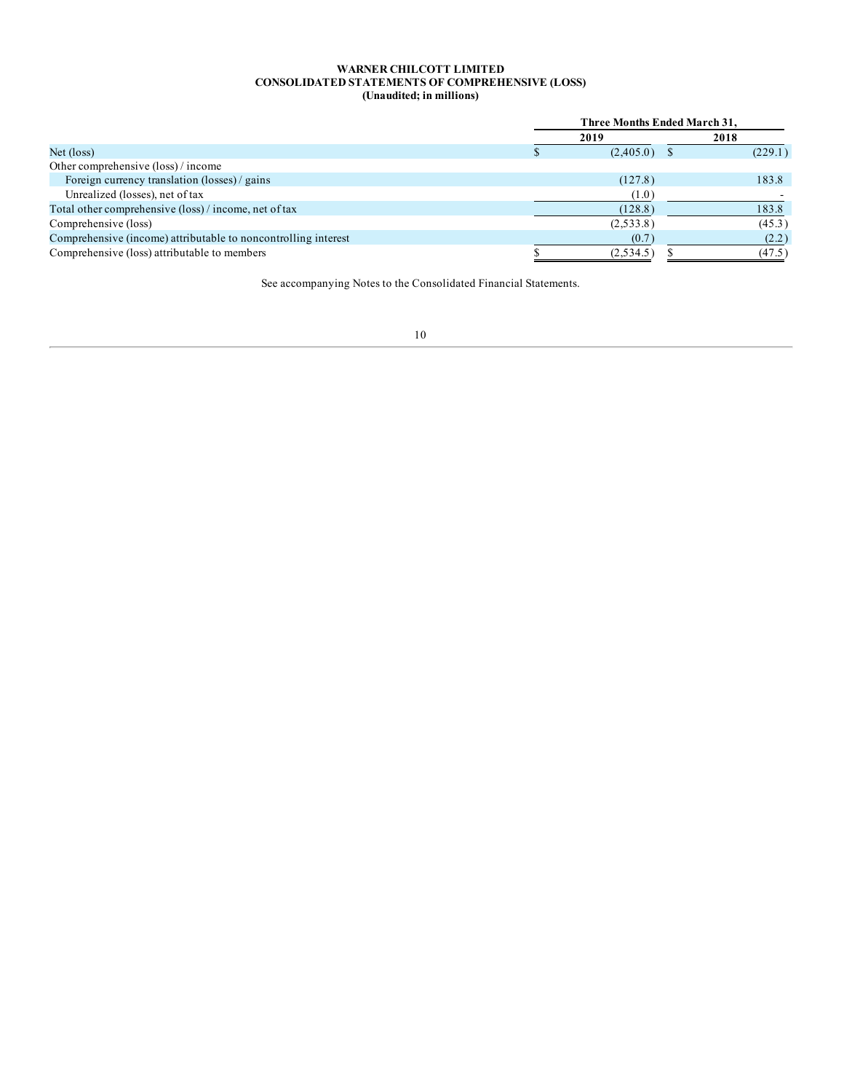#### **WARNER CHILCOTT LIMITED CONSOLIDATED STATEMENTS OF COMPREHENSIVE (LOSS) (Unaudited; in millions)**

<span id="page-9-0"></span>

|                                                                | Three Months Ended March 31, |  |         |  |
|----------------------------------------------------------------|------------------------------|--|---------|--|
|                                                                | 2019                         |  | 2018    |  |
| Net (loss)                                                     | (2,405.0)                    |  | (229.1) |  |
| Other comprehensive (loss) / income                            |                              |  |         |  |
| Foreign currency translation (losses) / gains                  | (127.8)                      |  | 183.8   |  |
| Unrealized (losses), net of tax                                | (1.0)                        |  |         |  |
| Total other comprehensive (loss) / income, net of tax          | (128.8)                      |  | 183.8   |  |
| Comprehensive (loss)                                           | (2,533.8)                    |  | (45.3)  |  |
| Comprehensive (income) attributable to noncontrolling interest | (0.7)                        |  | (2.2)   |  |
| Comprehensive (loss) attributable to members                   | (2,534.5)                    |  | (47.5)  |  |

See accompanying Notes to the Consolidated Financial Statements.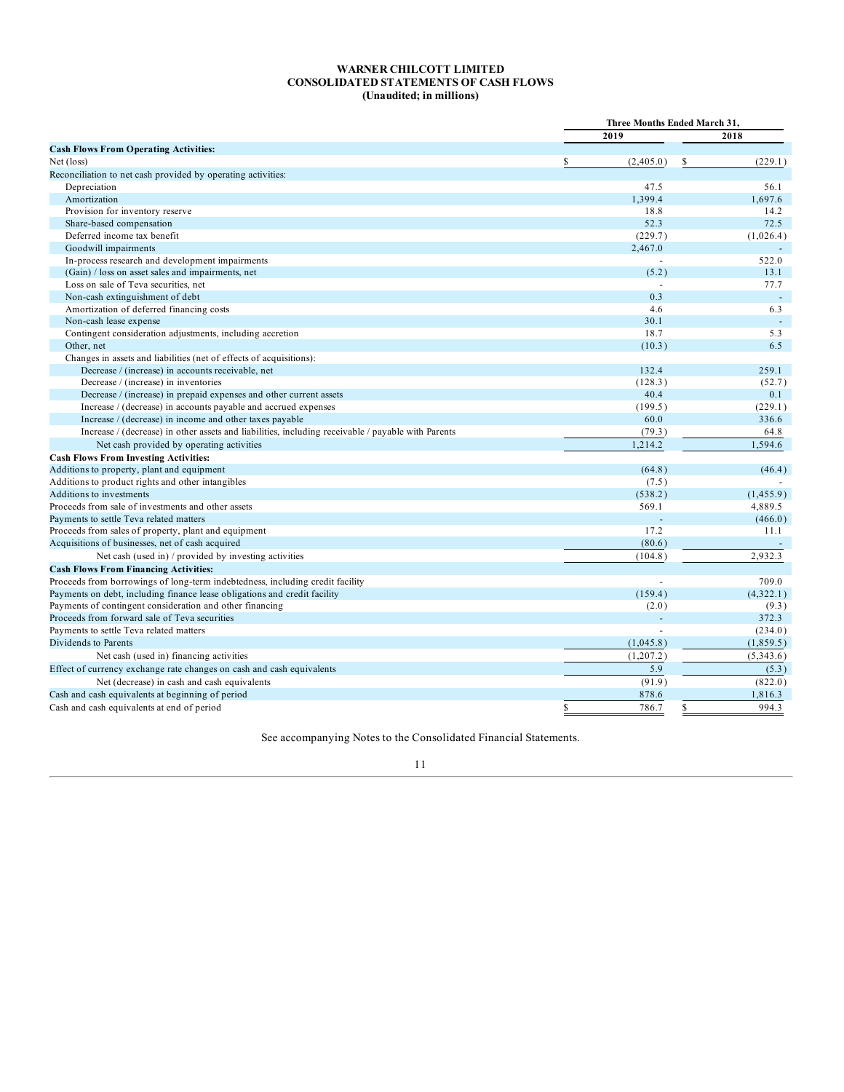## **WARNER CHILCOTT LIMITED CONSOLIDATED STATEMENTS OF CASH FLOWS (Unaudited; in millions)**

<span id="page-10-0"></span>

|                                                                                                    | Three Months Ended March 31, |    |            |  |
|----------------------------------------------------------------------------------------------------|------------------------------|----|------------|--|
|                                                                                                    | 2019                         |    | 2018       |  |
| <b>Cash Flows From Operating Activities:</b>                                                       |                              |    |            |  |
| Net (loss)                                                                                         | \$<br>(2,405.0)              | \$ | (229.1)    |  |
| Reconciliation to net cash provided by operating activities:                                       |                              |    |            |  |
| Depreciation                                                                                       | 47.5                         |    | 56.1       |  |
| Amortization                                                                                       | 1.399.4                      |    | 1.697.6    |  |
| Provision for inventory reserve                                                                    | 18.8                         |    | 14.2       |  |
| Share-based compensation                                                                           | 52.3                         |    | 72.5       |  |
| Deferred income tax benefit                                                                        | (229.7)                      |    | (1,026.4)  |  |
| Goodwill impairments                                                                               | 2,467.0                      |    |            |  |
| In-process research and development impairments                                                    |                              |    | 522.0      |  |
| (Gain) / loss on asset sales and impairments, net                                                  | (5.2)                        |    | 13.1       |  |
| Loss on sale of Teva securities, net                                                               |                              |    | 77.7       |  |
| Non-cash extinguishment of debt                                                                    | 0.3                          |    |            |  |
| Amortization of deferred financing costs                                                           | 4.6                          |    | 6.3        |  |
| Non-cash lease expense                                                                             | 30.1                         |    |            |  |
| Contingent consideration adjustments, including accretion                                          | 18.7                         |    | 5.3        |  |
| Other, net                                                                                         | (10.3)                       |    | 6.5        |  |
| Changes in assets and liabilities (net of effects of acquisitions):                                |                              |    |            |  |
| Decrease / (increase) in accounts receivable, net                                                  | 132.4                        |    | 259.1      |  |
| Decrease / (increase) in inventories                                                               | (128.3)                      |    | (52.7)     |  |
| Decrease / (increase) in prepaid expenses and other current assets                                 | 40.4                         |    | 0.1        |  |
| Increase / (decrease) in accounts payable and accrued expenses                                     | (199.5)                      |    | (229.1)    |  |
| Increase / (decrease) in income and other taxes payable                                            | 60.0                         |    | 336.6      |  |
| Increase / (decrease) in other assets and liabilities, including receivable / payable with Parents | (79.3)                       |    | 64.8       |  |
| Net cash provided by operating activities                                                          | 1,214.2                      |    | 1,594.6    |  |
| <b>Cash Flows From Investing Activities:</b>                                                       |                              |    |            |  |
| Additions to property, plant and equipment                                                         | (64.8)                       |    | (46.4)     |  |
| Additions to product rights and other intangibles                                                  | (7.5)                        |    |            |  |
| Additions to investments                                                                           | (538.2)                      |    | (1, 455.9) |  |
| Proceeds from sale of investments and other assets                                                 | 569.1                        |    | 4,889.5    |  |
| Payments to settle Teva related matters                                                            |                              |    | (466.0)    |  |
| Proceeds from sales of property, plant and equipment                                               | 17.2                         |    | 11.1       |  |
| Acquisitions of businesses, net of cash acquired                                                   | (80.6)                       |    |            |  |
| Net cash (used in) / provided by investing activities                                              | (104.8)                      |    | 2,932.3    |  |
| <b>Cash Flows From Financing Activities:</b>                                                       |                              |    |            |  |
| Proceeds from borrowings of long-term indebtedness, including credit facility                      |                              |    | 709.0      |  |
| Payments on debt, including finance lease obligations and credit facility                          | (159.4)                      |    | (4,322.1)  |  |
| Payments of contingent consideration and other financing                                           | (2.0)                        |    | (9.3)      |  |
| Proceeds from forward sale of Teva securities                                                      |                              |    | 372.3      |  |
| Payments to settle Teva related matters                                                            |                              |    | (234.0)    |  |
| Dividends to Parents                                                                               | (1,045.8)                    |    | (1,859.5)  |  |
| Net cash (used in) financing activities                                                            | (1, 207.2)                   |    | (5,343.6)  |  |
| Effect of currency exchange rate changes on cash and cash equivalents                              | 5.9                          |    | (5.3)      |  |
| Net (decrease) in cash and cash equivalents                                                        | (91.9)                       |    | (822.0)    |  |
| Cash and cash equivalents at beginning of period                                                   | 878.6                        |    | 1,816.3    |  |
| Cash and cash equivalents at end of period                                                         | \$<br>786.7                  | \$ | 994.3      |  |
|                                                                                                    |                              |    |            |  |

See accompanying Notes to the Consolidated Financial Statements.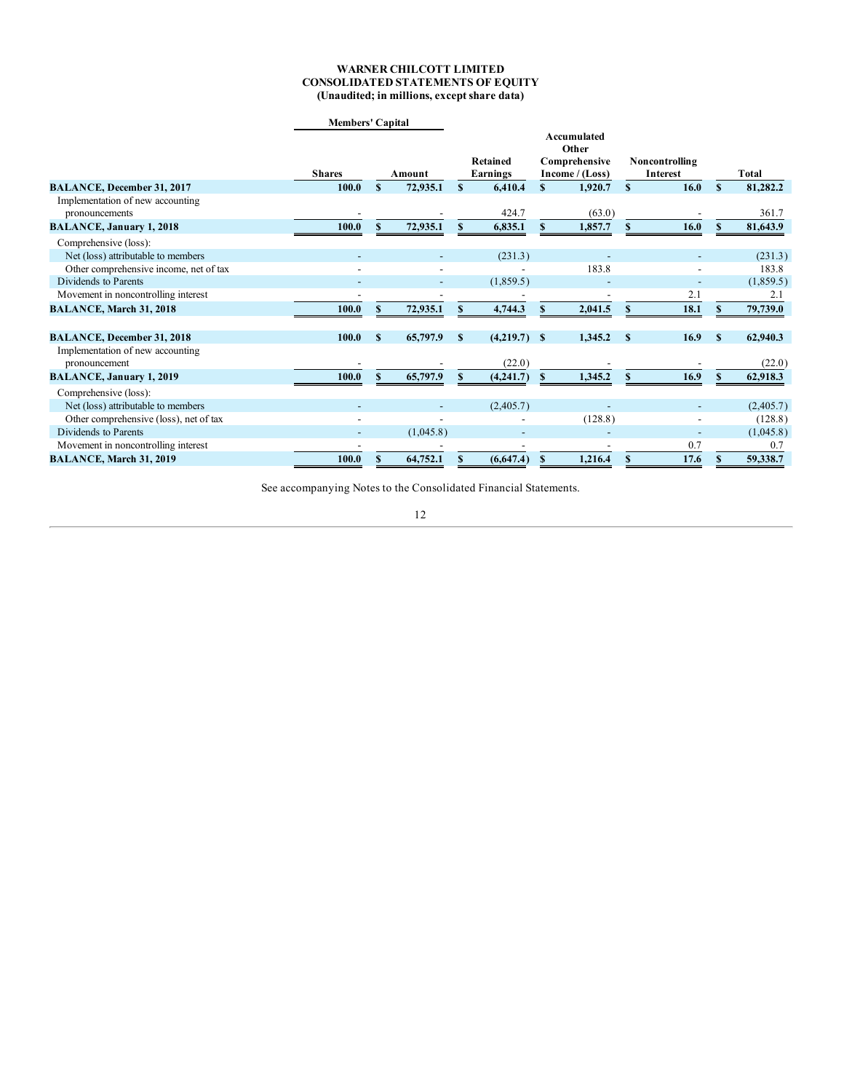## **WARNER CHILCOTT LIMITED CONSOLIDATED STATEMENTS OF EQUITY (Unaudited; in millions, except share data)**

<span id="page-11-0"></span>

|                                                    | <b>Members' Capital</b> |              |           |              |                             |              |                                                                 |              |                                   |              |           |
|----------------------------------------------------|-------------------------|--------------|-----------|--------------|-----------------------------|--------------|-----------------------------------------------------------------|--------------|-----------------------------------|--------------|-----------|
|                                                    | <b>Shares</b>           |              | Amount    |              | <b>Retained</b><br>Earnings |              | <b>Accumulated</b><br>Other<br>Comprehensive<br>Income / (Loss) |              | Noncontrolling<br><b>Interest</b> |              | Total     |
| <b>BALANCE, December 31, 2017</b>                  | 100.0                   | S.           | 72,935.1  | $\mathbf{s}$ | 6,410.4                     | $\mathbf{s}$ | 1,920.7                                                         | $\mathbf{s}$ | 16.0                              | S            | 81,282.2  |
| Implementation of new accounting<br>pronouncements |                         |              |           |              | 424.7                       |              | (63.0)                                                          |              |                                   |              | 361.7     |
| <b>BALANCE, January 1, 2018</b>                    | 100.0                   | S.           | 72,935.1  | $\mathbf{s}$ | 6,835.1                     | $\mathbf{s}$ | 1,857.7                                                         | \$           | 16.0                              | S            | 81,643.9  |
| Comprehensive (loss):                              |                         |              |           |              |                             |              |                                                                 |              |                                   |              |           |
| Net (loss) attributable to members                 |                         |              |           |              | (231.3)                     |              |                                                                 |              |                                   |              | (231.3)   |
| Other comprehensive income, net of tax             |                         |              |           |              |                             |              | 183.8                                                           |              |                                   |              | 183.8     |
| Dividends to Parents                               |                         |              |           |              | (1,859.5)                   |              |                                                                 |              |                                   |              | (1,859.5) |
| Movement in noncontrolling interest                |                         |              |           |              |                             |              |                                                                 |              | 2.1                               |              | 2.1       |
| BALANCE, March 31, 2018                            | 100.0                   | S.           | 72,935.1  | \$           | 4,744.3                     |              | 2,041.5                                                         | S.           | 18.1                              | S            | 79,739.0  |
| <b>BALANCE, December 31, 2018</b>                  | 100.0                   | $\mathbf{s}$ | 65,797.9  | $\mathbf{s}$ | (4,219.7)                   | - \$         | 1.345.2                                                         | \$           | 16.9                              | $\mathbf{s}$ | 62,940.3  |
| Implementation of new accounting<br>pronouncement  |                         |              |           |              | (22.0)                      |              |                                                                 |              |                                   |              | (22.0)    |
| <b>BALANCE, January 1, 2019</b>                    | 100.0                   | \$           | 65,797.9  |              | (4,241.7)                   | S            | 1,345.2                                                         |              | 16.9                              |              | 62,918.3  |
| Comprehensive (loss):                              |                         |              |           |              |                             |              |                                                                 |              |                                   |              |           |
| Net (loss) attributable to members                 |                         |              |           |              | (2,405.7)                   |              |                                                                 |              |                                   |              | (2,405.7) |
| Other comprehensive (loss), net of tax             |                         |              |           |              |                             |              | (128.8)                                                         |              |                                   |              | (128.8)   |
| Dividends to Parents                               |                         |              | (1,045.8) |              |                             |              |                                                                 |              |                                   |              | (1,045.8) |
| Movement in noncontrolling interest                |                         |              |           |              |                             |              |                                                                 |              | 0.7                               |              | 0.7       |
| BALANCE, March 31, 2019                            | 100.0                   | \$           | 64,752.1  |              | (6,647.4)                   |              | 1,216.4                                                         |              | 17.6                              |              | 59,338.7  |

See accompanying Notes to the Consolidated Financial Statements.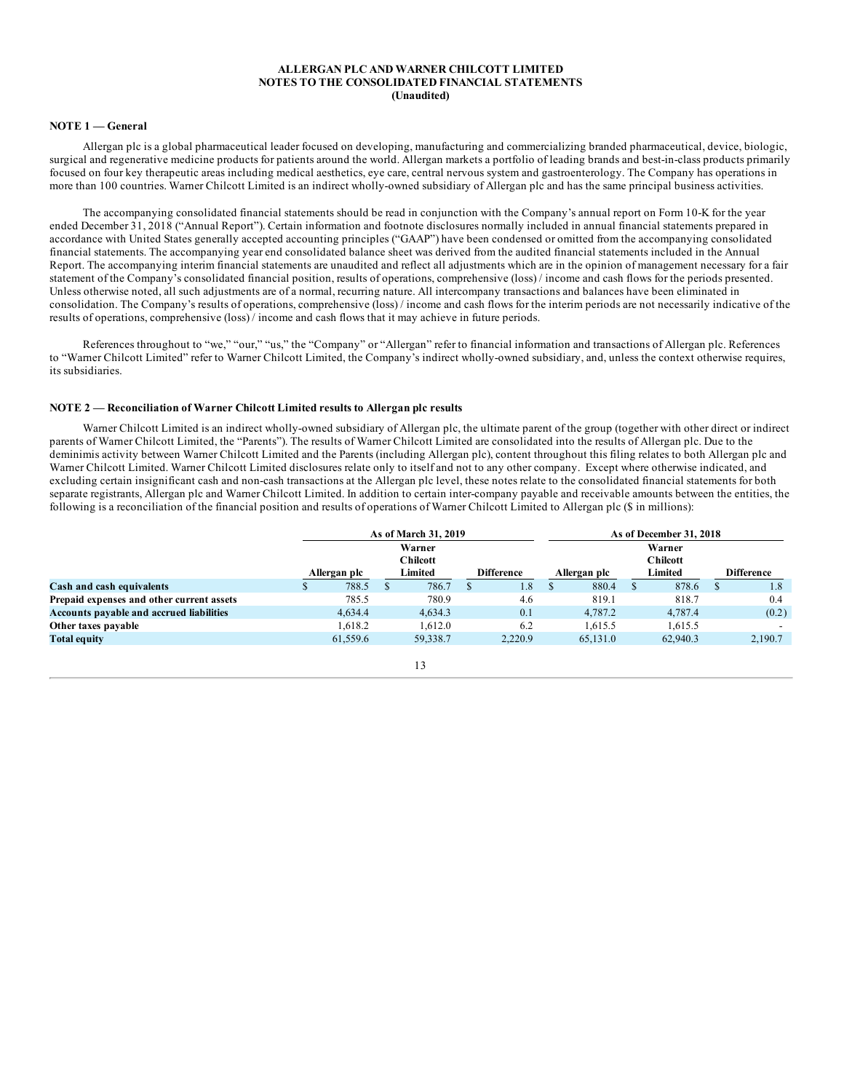#### **ALLERGAN PLC AND WARNER CHILCOTT LIMITED NOTES TO THE CONSOLIDATED FINANCIAL STATEMENTS (Unaudited)**

#### <span id="page-12-0"></span>**NOTE 1 — General**

Allergan plc is a global pharmaceutical leader focused on developing, manufacturing and commercializing branded pharmaceutical, device, biologic, surgical and regenerative medicine products for patients around the world. Allergan markets a portfolio of leading brands and best-in-class products primarily focused on four key therapeutic areas including medical aesthetics, eye care, central nervous system and gastroenterology. The Company has operations in more than 100 countries. Warner Chilcott Limited is an indirect wholly-owned subsidiary of Allergan plc and has the same principal business activities.

The accompanying consolidated financial statements should be read in conjunction with the Company's annual report on Form 10-K for the year ended December 31, 2018 ("Annual Report"). Certain information and footnote disclosures normally included in annual financial statements prepared in accordance with United States generally accepted accounting principles ("GAAP") have been condensed or omitted from the accompanying consolidated financial statements. The accompanying year end consolidated balance sheet was derived from the audited financial statements included in the Annual Report. The accompanying interim financial statements are unaudited and reflect all adjustments which are in the opinion of management necessary for a fair statement of the Company's consolidated financial position, results of operations, comprehensive (loss) / income and cash flows for the periods presented. Unless otherwise noted, all such adjustments are of a normal, recurring nature. All intercompany transactions and balances have been eliminated in consolidation. The Company's results of operations, comprehensive (loss) / income and cash flows for the interim periods are not necessarily indicative of the results of operations, comprehensive (loss) / income and cash flows that it may achieve in future periods.

References throughout to "we," "our," "us," the "Company" or "Allergan" refer to financial information and transactions of Allergan plc. References to "Warner Chilcott Limited" refer to Warner Chilcott Limited, the Company's indirect wholly-owned subsidiary, and, unless the context otherwise requires, its subsidiaries.

## **NOTE 2 — Reconciliation of Warner Chilcott Limited results to Allergan plc results**

Warner Chilcott Limited is an indirect wholly-owned subsidiary of Allergan plc, the ultimate parent of the group (together with other direct or indirect parents of Warner Chilcott Limited, the "Parents"). The results of Warner Chilcott Limited are consolidated into the results of Allergan plc. Due to the deminimis activity between Warner Chilcott Limited and the Parents (including Allergan plc), content throughout this filing relates to both Allergan plc and Warner Chilcott Limited. Warner Chilcott Limited disclosures relate only to itself and not to any other company. Except where otherwise indicated, and excluding certain insignificant cash and non-cash transactions at the Allergan plc level, these notes relate to the consolidated financial statements for both separate registrants, Allergan plc and Warner Chilcott Limited. In addition to certain inter-company payable and receivable amounts between the entities, the following is a reconciliation of the financial position and results of operations of Warner Chilcott Limited to Allergan plc (\$ in millions):

|                                           | As of March 31, 2019 |  |                               |  |                   | As of December 31, 2018 |              |  |                               |  |                   |  |
|-------------------------------------------|----------------------|--|-------------------------------|--|-------------------|-------------------------|--------------|--|-------------------------------|--|-------------------|--|
|                                           | Allergan plc         |  | Warner<br>Chilcott<br>Limited |  | <b>Difference</b> |                         | Allergan plc |  | Warner<br>Chilcott<br>Limited |  | <b>Difference</b> |  |
| Cash and cash equivalents                 | 788.5                |  | 786.7                         |  | 1.8               |                         | 880.4        |  | 878.6                         |  | 1.8               |  |
| Prepaid expenses and other current assets | 785.5                |  | 780.9                         |  | 4.6               |                         | 819.1        |  | 818.7                         |  | 0.4               |  |
| Accounts payable and accrued liabilities  | 4.634.4              |  | 4,634.3                       |  | 0.1               |                         | 4.787.2      |  | 4,787.4                       |  | (0.2)             |  |
| Other taxes payable                       | 1.618.2              |  | 1.612.0                       |  | 6.2               |                         | 1,615.5      |  | 1.615.5                       |  |                   |  |
| <b>Total equity</b>                       | 61.559.6             |  | 59,338.7                      |  | 2,220.9           |                         | 65,131.0     |  | 62,940.3                      |  | 2,190.7           |  |
|                                           |                      |  |                               |  |                   |                         |              |  |                               |  |                   |  |

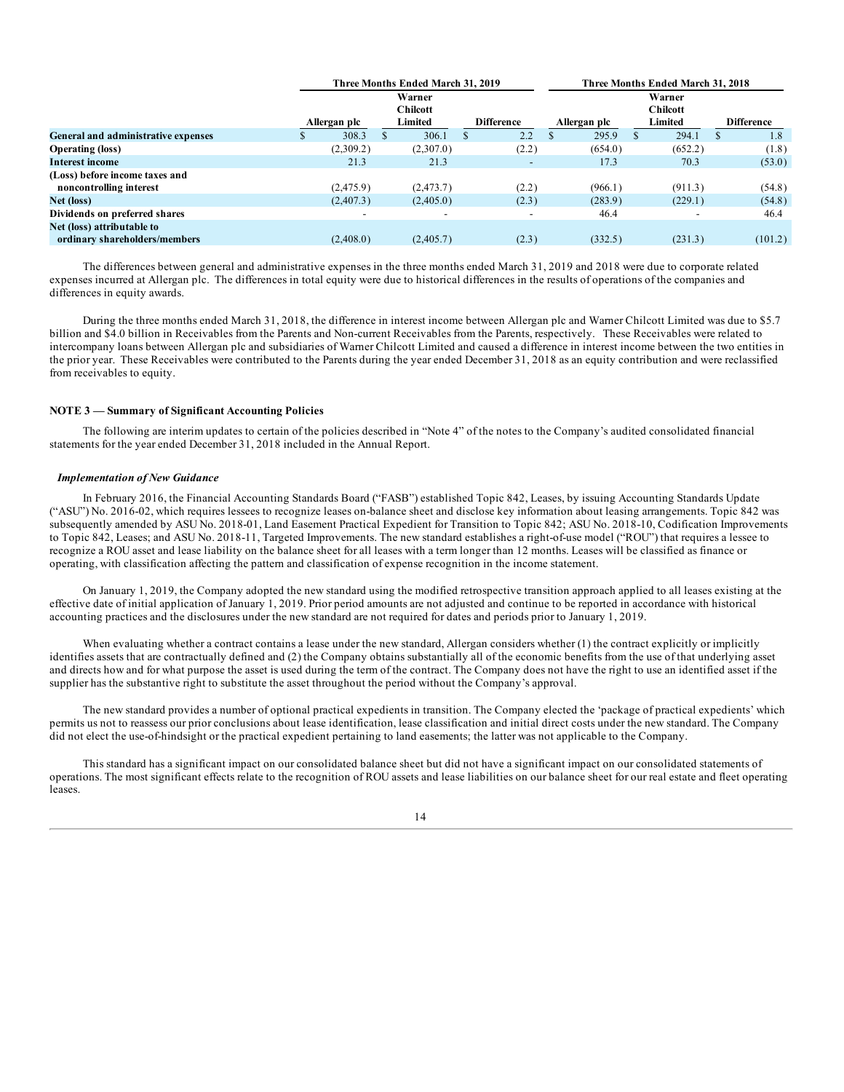|                                                             | Three Months Ended March 31, 2019 |              |  |                                      |  | Three Months Ended March 31, 2018 |              |   |                                      |  |                   |  |  |
|-------------------------------------------------------------|-----------------------------------|--------------|--|--------------------------------------|--|-----------------------------------|--------------|---|--------------------------------------|--|-------------------|--|--|
|                                                             |                                   | Allergan plc |  | Warner<br><b>Chilcott</b><br>Limited |  | <b>Difference</b>                 | Allergan plc |   | Warner<br><b>Chilcott</b><br>Limited |  | <b>Difference</b> |  |  |
| General and administrative expenses                         |                                   | 308.3        |  | 306.1                                |  | 2.2                               | 295.9        | æ | 294.1                                |  | 1.8               |  |  |
| <b>Operating (loss)</b>                                     |                                   | (2,309.2)    |  | (2,307.0)                            |  | (2.2)                             | (654.0)      |   | (652.2)                              |  | (1.8)             |  |  |
| <b>Interest income</b>                                      |                                   | 21.3         |  | 21.3                                 |  | $\overline{\phantom{a}}$          | 17.3         |   | 70.3                                 |  | (53.0)            |  |  |
| (Loss) before income taxes and<br>noncontrolling interest   |                                   | (2,475.9)    |  | (2, 473.7)                           |  | (2.2)                             | (966.1)      |   | (911.3)                              |  | (54.8)            |  |  |
| Net (loss)                                                  |                                   | (2,407.3)    |  | (2,405.0)                            |  | (2.3)                             | (283.9)      |   | (229.1)                              |  | (54.8)            |  |  |
| Dividends on preferred shares                               |                                   |              |  | $\overline{\phantom{0}}$             |  | $\overline{\phantom{a}}$          | 46.4         |   | $\overline{\phantom{0}}$             |  | 46.4              |  |  |
| Net (loss) attributable to<br>ordinary shareholders/members |                                   | (2,408.0)    |  | (2,405.7)                            |  | (2.3)                             | (332.5)      |   | (231.3)                              |  | (101.2)           |  |  |

The differences between general and administrative expenses in the three months ended March 31, 2019 and 2018 were due to corporate related expenses incurred at Allergan plc. The differences in total equity were due to historical differences in the results of operations of the companies and differences in equity awards.

During the three months ended March 31, 2018, the difference in interest income between Allergan plc and Warner Chilcott Limited was due to \$5.7 billion and \$4.0 billion in Receivables from the Parents and Non-current Receivables from the Parents, respectively. These Receivables were related to intercompany loans between Allergan plc and subsidiaries of Warner Chilcott Limited and caused a difference in interest income between the two entities in the prior year. These Receivables were contributed to the Parents during the year ended December 31, 2018 as an equity contribution and were reclassified from receivables to equity.

#### **NOTE 3 — Summary of Significant Accounting Policies**

The following are interim updates to certain of the policies described in "Note 4" of the notes to the Company's audited consolidated financial statements for the year ended December 31, 2018 included in the Annual Report.

#### *Implementation of New Guidance*

In February 2016, the Financial Accounting Standards Board ("FASB") established Topic 842, Leases, by issuing Accounting Standards Update ("ASU") No. 2016-02, which requires lessees to recognize leases on-balance sheet and disclose key information about leasing arrangements. Topic 842 was subsequently amended by ASU No. 2018-01, Land Easement Practical Expedient for Transition to Topic 842; ASU No. 2018-10, Codification Improvements to Topic 842, Leases; and ASU No. 2018-11, Targeted Improvements. The new standard establishes a right-of-use model ("ROU") that requires a lessee to recognize a ROU asset and lease liability on the balance sheet for all leases with a term longer than 12 months. Leases will be classified as finance or operating, with classification affecting the pattern and classification of expense recognition in the income statement.

On January 1, 2019, the Company adopted the new standard using the modified retrospective transition approach applied to all leases existing at the effective date of initial application of January 1, 2019. Prior period amounts are not adjusted and continue to be reported in accordance with historical accounting practices and the disclosures under the new standard are not required for dates and periods prior to January 1, 2019.

When evaluating whether a contract contains a lease under the new standard, Allergan considers whether (1) the contract explicitly or implicitly identifies assets that are contractually defined and (2) the Company obtains substantially all of the economic benefits from the use of that underlying asset and directs how and for what purpose the asset is used during the term of the contract. The Company does not have the right to use an identified asset if the supplier has the substantive right to substitute the asset throughout the period without the Company's approval.

The new standard provides a number of optional practical expedients in transition. The Company elected the 'package of practical expedients' which permits us not to reassess our prior conclusions about lease identification, lease classification and initial direct costs under the new standard. The Company did not elect the use-of-hindsight or the practical expedient pertaining to land easements; the latter was not applicable to the Company.

This standard has a significant impact on our consolidated balance sheet but did not have a significant impact on our consolidated statements of operations. The most significant effects relate to the recognition of ROU assets and lease liabilities on our balance sheet for our real estate and fleet operating leases.

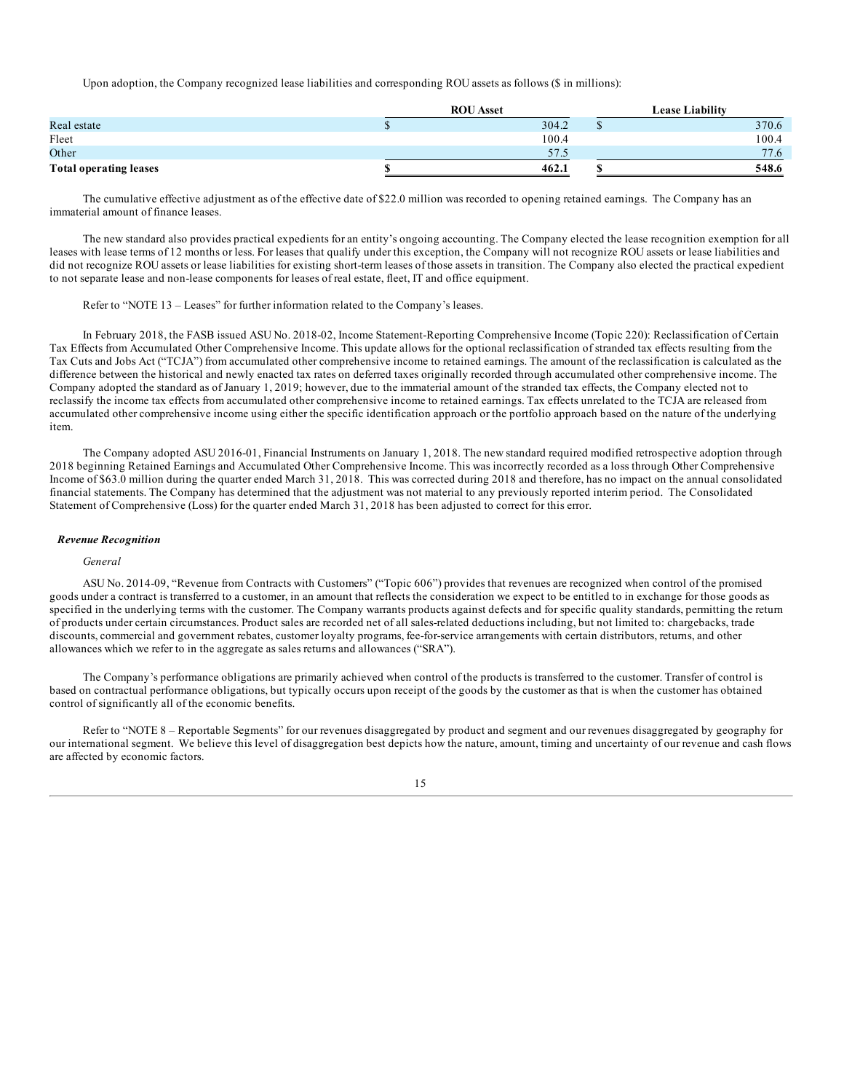Upon adoption, the Company recognized lease liabilities and corresponding ROU assets as follows (\$ in millions):

|                               | <b>ROU Asset</b> | <b>Lease Liability</b> |       |  |  |
|-------------------------------|------------------|------------------------|-------|--|--|
| Real estate                   | 304.2            |                        | 370.6 |  |  |
| Fleet                         | 100.4            |                        | 100.4 |  |  |
| Other                         | 57.5             |                        | 77.6  |  |  |
| <b>Total operating leases</b> | 462.1            |                        | 548.6 |  |  |

The cumulative effective adjustment as of the effective date of \$22.0 million was recorded to opening retained earnings. The Company has an immaterial amount of finance leases.

The new standard also provides practical expedients for an entity's ongoing accounting. The Company elected the lease recognition exemption for all leases with lease terms of 12 months or less. For leases that qualify under this exception, the Company will not recognize ROU assets or lease liabilities and did not recognize ROU assets or lease liabilities for existing short-term leases of those assets in transition. The Company also elected the practical expedient to not separate lease and non-lease components for leases of real estate, fleet, IT and office equipment.

Refer to "NOTE 13 – Leases" for further information related to the Company's leases.

In February 2018, the FASB issued ASU No. 2018-02, Income Statement-Reporting Comprehensive Income (Topic 220): Reclassification of Certain Tax Effects from Accumulated Other Comprehensive Income. This update allows for the optional reclassification of stranded tax effects resulting from the Tax Cuts and Jobs Act ("TCJA") from accumulated other comprehensive income to retained earnings. The amount of the reclassification is calculated as the difference between the historical and newly enacted tax rates on deferred taxes originally recorded through accumulated other comprehensive income. The Company adopted the standard as of January 1, 2019; however, due to the immaterial amount of the stranded tax effects, the Company elected not to reclassify the income tax effects from accumulated other comprehensive income to retained earnings. Tax effects unrelated to the TCJA are released from accumulated other comprehensive income using either the specific identification approach or the portfolio approach based on the nature of the underlying item.

The Company adopted ASU 2016-01, Financial Instruments on January 1, 2018. The new standard required modified retrospective adoption through 2018 beginning Retained Earnings and Accumulated Other Comprehensive Income. This was incorrectly recorded as a loss through Other Comprehensive Income of \$63.0 million during the quarter ended March 31, 2018. This was corrected during 2018 and therefore, has no impact on the annual consolidated financial statements. The Company has determined that the adjustment was not material to any previously reported interim period. The Consolidated Statement of Comprehensive (Loss) for the quarter ended March 31, 2018 has been adjusted to correct for this error.

#### *Revenue Recognition*

#### *General*

ASU No. 2014-09, "Revenue from Contracts with Customers" ("Topic 606") provides that revenues are recognized when control of the promised goods under a contract is transferred to a customer, in an amount that reflects the consideration we expect to be entitled to in exchange for those goods as specified in the underlying terms with the customer. The Company warrants products against defects and for specific quality standards, permitting the return of products under certain circumstances. Product sales are recorded net of all sales-related deductions including, but not limited to: chargebacks, trade discounts, commercial and government rebates, customer loyalty programs, fee-for-service arrangements with certain distributors, returns, and other allowances which we refer to in the aggregate as sales returns and allowances ("SRA").

The Company's performance obligations are primarily achieved when control of the products is transferred to the customer. Transfer of control is based on contractual performance obligations, but typically occurs upon receipt of the goods by the customer as that is when the customer has obtained control of significantly all of the economic benefits.

Refer to "NOTE 8 – Reportable Segments" for our revenues disaggregated by product and segment and our revenues disaggregated by geography for our international segment. We believe this level of disaggregation best depicts how the nature, amount, timing and uncertainty of our revenue and cash flows are affected by economic factors.

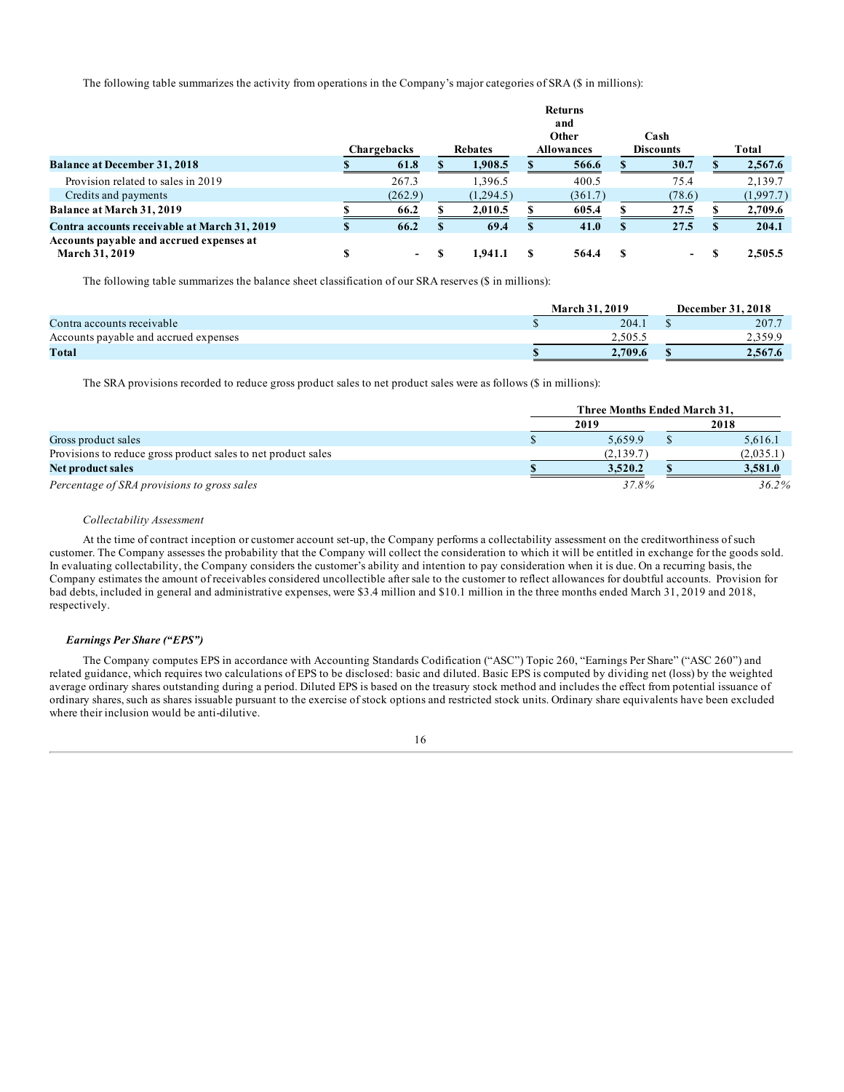The following table summarizes the activity from operations in the Company's major categories of SRA (\$ in millions):

|                                                                   |   |                |   |                | <b>Returns</b><br>and |     |                          |           |
|-------------------------------------------------------------------|---|----------------|---|----------------|-----------------------|-----|--------------------------|-----------|
|                                                                   |   | Chargebacks    |   | <b>Rebates</b> | Other<br>Allowances   |     | Cash<br><b>Discounts</b> | Total     |
| <b>Balance at December 31, 2018</b>                               |   | 61.8           |   | 1,908.5        | 566.6                 |     | 30.7                     | 2,567.6   |
| Provision related to sales in 2019                                |   | 267.3          |   | 1.396.5        | 400.5                 |     | 75.4                     | 2,139.7   |
| Credits and payments                                              |   | (262.9)        |   | (1,294.5)      | (361.7)               |     | (78.6)                   | (1,997.7) |
| Balance at March 31, 2019                                         |   | 66.2           |   | 2,010.5        | 605.4                 |     | 27.5                     | 2,709.6   |
| Contra accounts receivable at March 31, 2019                      | S | 66.2           | S | 69.4           | 41.0                  | \$  | 27.5                     | 204.1     |
| Accounts payable and accrued expenses at<br><b>March 31, 2019</b> |   | $\blacksquare$ |   | 1.941.1        | 564.4                 | \$. | $\overline{\phantom{0}}$ | 2,505.5   |

The following table summarizes the balance sheet classification of our SRA reserves (\$ in millions):

|                                       | March 31, 2019 | December 31, 2018 |
|---------------------------------------|----------------|-------------------|
| Contra accounts receivable            | 204.1          | 207.7             |
| Accounts payable and accrued expenses | 2.505.5        | 2,359.9           |
| Total                                 | 2.709.6        | 2,567.6           |

The SRA provisions recorded to reduce gross product sales to net product sales were as follows (\$ in millions):

|                                                               | Three Months Ended March 31. |  |           |  |  |  |  |  |
|---------------------------------------------------------------|------------------------------|--|-----------|--|--|--|--|--|
|                                                               | 2019                         |  | 2018      |  |  |  |  |  |
| Gross product sales                                           | 5.659.9                      |  | 5,616.1   |  |  |  |  |  |
| Provisions to reduce gross product sales to net product sales | (2,139.7)                    |  | (2,035.1) |  |  |  |  |  |
| <b>Net product sales</b>                                      | 3.520.2                      |  | 3,581.0   |  |  |  |  |  |
| Percentage of SRA provisions to gross sales                   | 37.8%                        |  | 36.2%     |  |  |  |  |  |

#### *Collectability Assessment*

At the time of contract inception or customer account set-up, the Company performs a collectability assessment on the creditworthiness of such customer. The Company assesses the probability that the Company will collect the consideration to which it will be entitled in exchange for the goods sold. In evaluating collectability, the Company considers the customer's ability and intention to pay consideration when it is due. On a recurring basis, the Company estimates the amount of receivables considered uncollectible after sale to the customer to reflect allowances for doubtful accounts. Provision for bad debts, included in general and administrative expenses, were \$3.4 million and \$10.1 million in the three months ended March 31, 2019 and 2018, respectively.

#### *Earnings Per Share ("EPS")*

The Company computes EPS in accordance with Accounting Standards Codification ("ASC") Topic 260, "Earnings Per Share" ("ASC 260") and related guidance, which requires two calculations of EPS to be disclosed: basic and diluted. Basic EPS is computed by dividing net (loss) by the weighted average ordinary shares outstanding during a period. Diluted EPS is based on the treasury stock method and includes the effect from potential issuance of ordinary shares, such as shares issuable pursuant to the exercise of stock options and restricted stock units. Ordinary share equivalents have been excluded where their inclusion would be anti-dilutive.

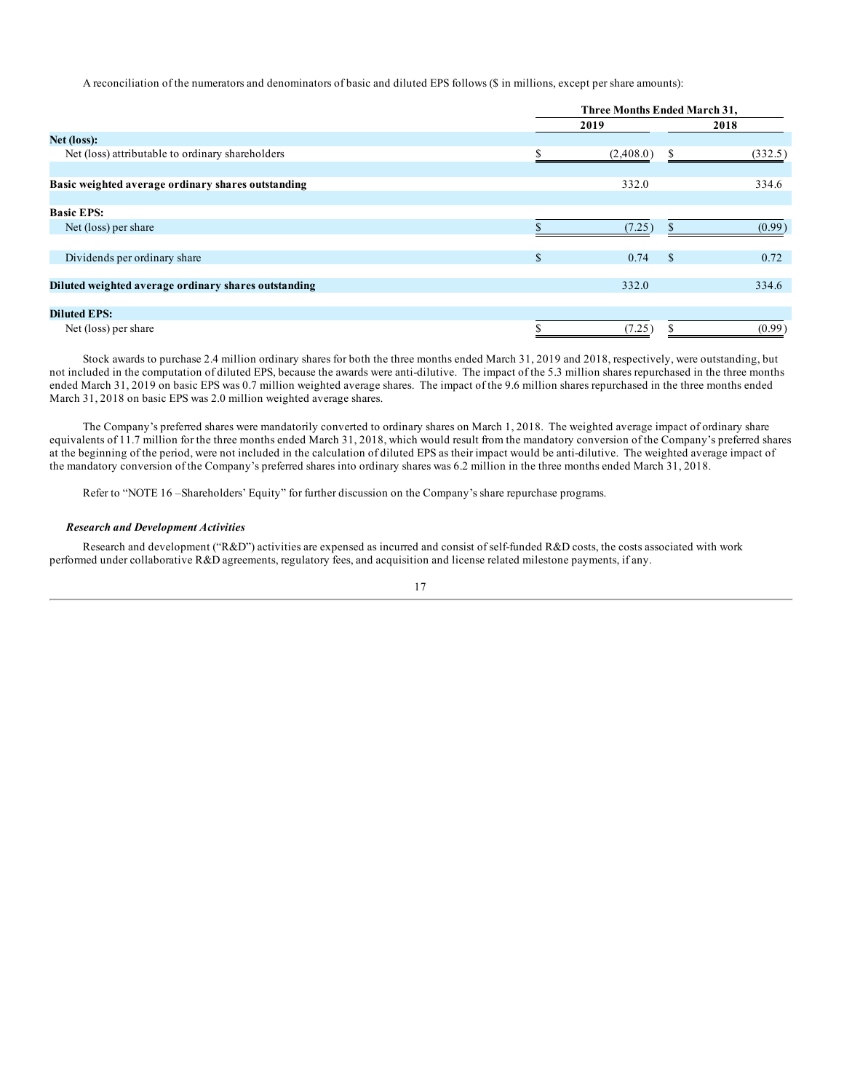A reconciliation of the numerators and denominators of basic and diluted EPS follows (\$ in millions, except per share amounts):

|                                                      |           | Three Months Ended March 31,  |
|------------------------------------------------------|-----------|-------------------------------|
|                                                      | 2019      | 2018                          |
| Net (loss):                                          |           |                               |
| Net (loss) attributable to ordinary shareholders     | (2,408.0) | (332.5)                       |
| Basic weighted average ordinary shares outstanding   | 332.0     | 334.6                         |
| <b>Basic EPS:</b>                                    |           |                               |
| Net (loss) per share                                 |           | (7.25)<br>(0.99)              |
| Dividends per ordinary share                         | \$.       | 0.72<br>0.74<br><sup>\$</sup> |
| Diluted weighted average ordinary shares outstanding | 332.0     | 334.6                         |
| <b>Diluted EPS:</b>                                  |           |                               |
| Net (loss) per share                                 |           | (0.99)<br>(7.25)              |

Stock awards to purchase 2.4 million ordinary shares for both the three months ended March 31, 2019 and 2018, respectively, were outstanding, but not included in the computation of diluted EPS, because the awards were anti-dilutive. The impact of the 5.3 million shares repurchased in the three months ended March 31, 2019 on basic EPS was 0.7 million weighted average shares. The impact of the 9.6 million shares repurchased in the three months ended March 31, 2018 on basic EPS was 2.0 million weighted average shares.

The Company's preferred shares were mandatorily converted to ordinary shares on March 1, 2018. The weighted average impact of ordinary share equivalents of 11.7 million for the three months ended March 31, 2018, which would result from the mandatory conversion of the Company's preferred shares at the beginning of the period, were not included in the calculation of diluted EPS as their impact would be anti-dilutive. The weighted average impact of the mandatory conversion of the Company's preferred shares into ordinary shares was 6.2 million in the three months ended March 31, 2018.

Refer to "NOTE 16 –Shareholders' Equity" for further discussion on the Company's share repurchase programs.

#### *Research and Development Activities*

Research and development ("R&D") activities are expensed as incurred and consist of self-funded R&D costs, the costs associated with work performed under collaborative R&D agreements, regulatory fees, and acquisition and license related milestone payments, if any.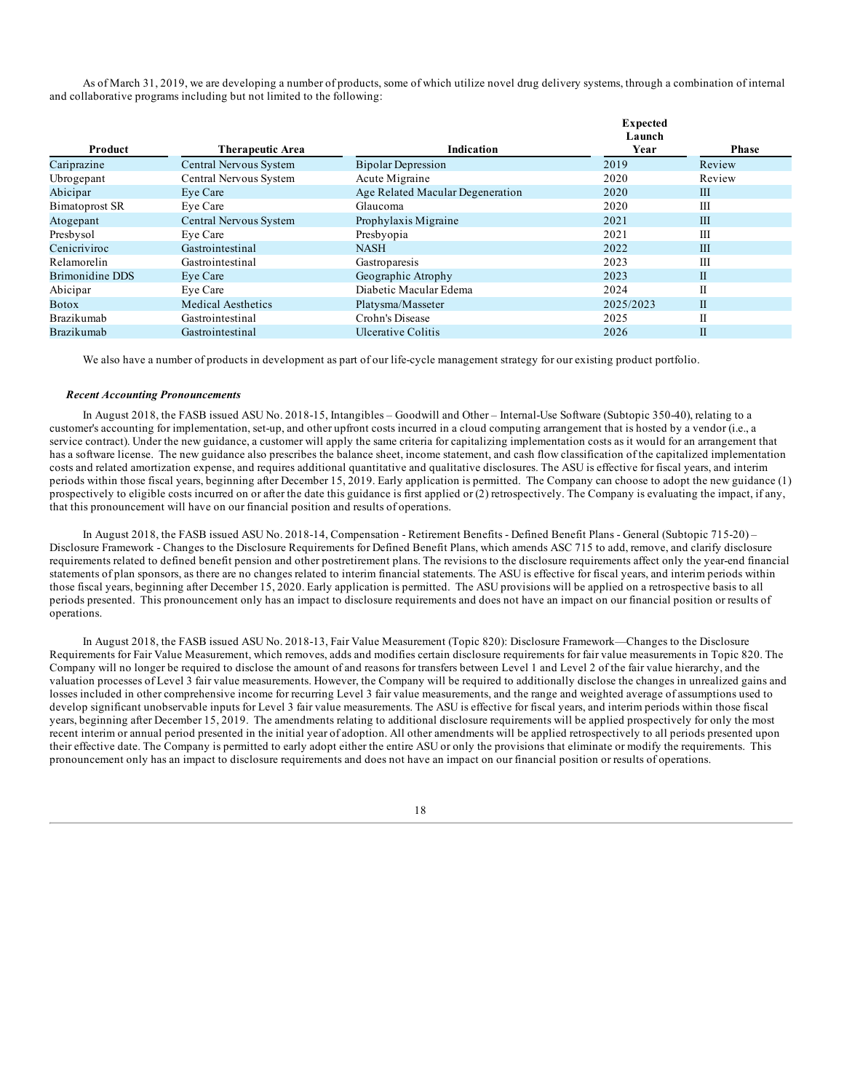As of March 31, 2019, we are developing a number of products, some of which utilize novel drug delivery systems, through a combination of internal and collaborative programs including but not limited to the following:

|                        |                           |                                  | <b>Expected</b><br>Launch |              |  |  |  |  |  |  |
|------------------------|---------------------------|----------------------------------|---------------------------|--------------|--|--|--|--|--|--|
| Product                | <b>Therapeutic Area</b>   | Indication                       | Year                      | <b>Phase</b> |  |  |  |  |  |  |
| Cariprazine            | Central Nervous System    | <b>Bipolar Depression</b>        | 2019                      | Review       |  |  |  |  |  |  |
| Ubrogepant             | Central Nervous System    | Acute Migraine                   | 2020                      | Review       |  |  |  |  |  |  |
| Abicipar               | Eye Care                  | Age Related Macular Degeneration | 2020                      | Ш            |  |  |  |  |  |  |
| Bimatoprost SR         | Eye Care                  | Glaucoma                         | 2020                      | Ш            |  |  |  |  |  |  |
| Atogepant              | Central Nervous System    | Prophylaxis Migraine             | 2021                      | Ш            |  |  |  |  |  |  |
| Presbysol              | Eye Care                  | Presbyopia                       | 2021                      | Ш            |  |  |  |  |  |  |
| Cenicriviroc           | Gastrointestinal          | <b>NASH</b>                      | 2022                      | Ш            |  |  |  |  |  |  |
| Relamorelin            | Gastrointestinal          | Gastroparesis                    | 2023                      | Ш            |  |  |  |  |  |  |
| <b>Brimonidine DDS</b> | Eye Care                  | Geographic Atrophy               | 2023                      | $\mathbf{I}$ |  |  |  |  |  |  |
| Abicipar               | Eye Care                  | Diabetic Macular Edema           | 2024                      | П            |  |  |  |  |  |  |
| <b>Botox</b>           | <b>Medical Aesthetics</b> | Platysma/Masseter                | 2025/2023                 | $\mathbf{I}$ |  |  |  |  |  |  |
| Brazikumab             | Gastrointestinal          | Crohn's Disease                  | 2025                      | П            |  |  |  |  |  |  |
| Brazikumab             | Gastrointestinal          | Ulcerative Colitis               | 2026                      | $\mathbf{I}$ |  |  |  |  |  |  |
|                        |                           |                                  |                           |              |  |  |  |  |  |  |

We also have a number of products in development as part of our life-cycle management strategy for our existing product portfolio.

#### *Recent Accounting Pronouncements*

In August 2018, the FASB issued ASU No. 2018-15, Intangibles – Goodwill and Other – Internal-Use Software (Subtopic 350-40), relating to a customer's accounting for implementation, set-up, and other upfront costs incurred in a cloud computing arrangement that is hosted by a vendor (i.e., a service contract). Under the new guidance, a customer will apply the same criteria for capitalizing implementation costs as it would for an arrangement that has a software license. The new guidance also prescribes the balance sheet, income statement, and cash flow classification of the capitalized implementation costs and related amortization expense, and requires additional quantitative and qualitative disclosures. The ASU is effective for fiscal years, and interim periods within those fiscal years, beginning after December 15, 2019. Early application is permitted. The Company can choose to adopt the new guidance (1) prospectively to eligible costs incurred on or after the date this guidance is first applied or (2) retrospectively. The Company is evaluating the impact, if any, that this pronouncement will have on our financial position and results of operations.

In August 2018, the FASB issued ASU No. 2018-14, Compensation - Retirement Benefits - Defined Benefit Plans - General (Subtopic 715-20) – Disclosure Framework - Changes to the Disclosure Requirements for Defined Benefit Plans, which amends ASC 715 to add, remove, and clarify disclosure requirements related to defined benefit pension and other postretirement plans. The revisions to the disclosure requirements affect only the year-end financial statements of plan sponsors, as there are no changes related to interim financial statements. The ASU is effective for fiscal years, and interim periods within those fiscal years, beginning after December 15, 2020. Early application is permitted. The ASU provisions will be applied on a retrospective basis to all periods presented. This pronouncement only has an impact to disclosure requirements and does not have an impact on our financial position or results of operations.

In August 2018, the FASB issued ASU No. 2018-13, Fair Value Measurement (Topic 820): Disclosure Framework—Changes to the Disclosure Requirements for Fair Value Measurement, which removes, adds and modifies certain disclosure requirements for fair value measurements in Topic 820. The Company will no longer be required to disclose the amount of and reasons for transfers between Level 1 and Level 2 of the fair value hierarchy, and the valuation processes of Level 3 fair value measurements. However, the Company will be required to additionally disclose the changes in unrealized gains and losses included in other comprehensive income for recurring Level 3 fair value measurements, and the range and weighted average of assumptions used to develop significant unobservable inputs for Level 3 fair value measurements. The ASU is effective for fiscal years, and interim periods within those fiscal years, beginning after December 15, 2019. The amendments relating to additional disclosure requirements will be applied prospectively for only the most recent interim or annual period presented in the initial year of adoption. All other amendments will be applied retrospectively to all periods presented upon their effective date. The Company is permitted to early adopt either the entire ASU or only the provisions that eliminate or modify the requirements. This pronouncement only has an impact to disclosure requirements and does not have an impact on our financial position or results of operations.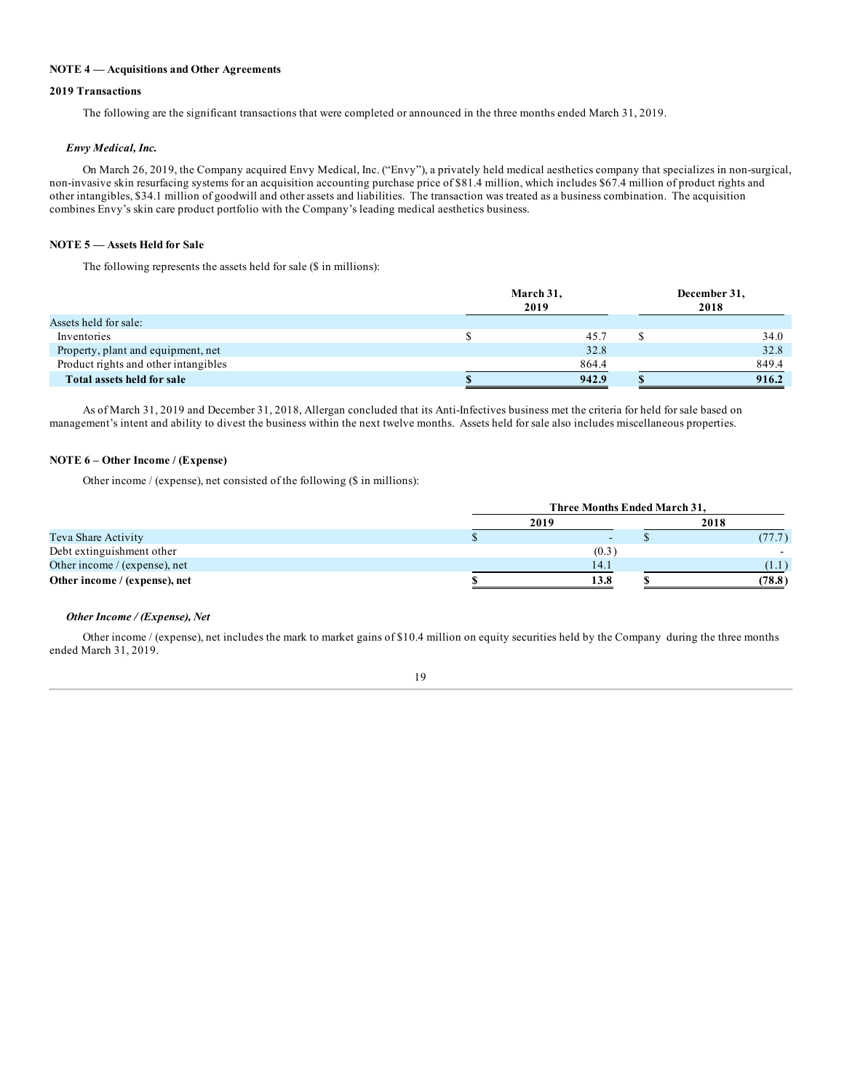# **NOTE 4 — Acquisitions and Other Agreements**

### **2019 Transactions**

The following are the significant transactions that were completed or announced in the three months ended March 31, 2019.

## *Envy Medical, Inc.*

On March 26, 2019, the Company acquired Envy Medical, Inc. ("Envy"), a privately held medical aesthetics company that specializes in non-surgical, non-invasive skin resurfacing systems for an acquisition accounting purchase price of \$81.4 million, which includes \$67.4 million of product rights and other intangibles, \$34.1 million of goodwill and other assets and liabilities. The transaction was treated as a business combination. The acquisition combines Envy's skin care product portfolio with the Company's leading medical aesthetics business.

## **NOTE 5 — Assets Held for Sale**

The following represents the assets held for sale (\$ in millions):

|                                      | March 31,<br>2019 | December 31,<br>2018 |  |  |  |
|--------------------------------------|-------------------|----------------------|--|--|--|
| Assets held for sale:                |                   |                      |  |  |  |
| Inventories                          | 45.7              | 34.0                 |  |  |  |
| Property, plant and equipment, net   | 32.8              | 32.8                 |  |  |  |
| Product rights and other intangibles | 864.4             | 849.4                |  |  |  |
| Total assets held for sale           | 942.9             | 916.2                |  |  |  |

As of March 31, 2019 and December 31, 2018, Allergan concluded that its Anti-Infectives business met the criteria for held for sale based on management's intent and ability to divest the business within the next twelve months. Assets held for sale also includes miscellaneous properties.

## **NOTE 6 – Other Income / (Expense)**

Other income / (expense), net consisted of the following (\$ in millions):

|                               | Three Months Ended March 31, |        |  |  |  |  |  |  |
|-------------------------------|------------------------------|--------|--|--|--|--|--|--|
|                               | 2019                         | 2018   |  |  |  |  |  |  |
| Teva Share Activity           |                              | (77.7) |  |  |  |  |  |  |
| Debt extinguishment other     | (0.3)                        |        |  |  |  |  |  |  |
| Other income / (expense), net | 14.1                         | (1.1)  |  |  |  |  |  |  |
| Other income / (expense), net | 13.8                         | (78.8) |  |  |  |  |  |  |

#### *Other Income / (Expense), Net*

Other income / (expense), net includes the mark to market gains of \$10.4 million on equity securities held by the Company during the three months ended March 31, 2019.

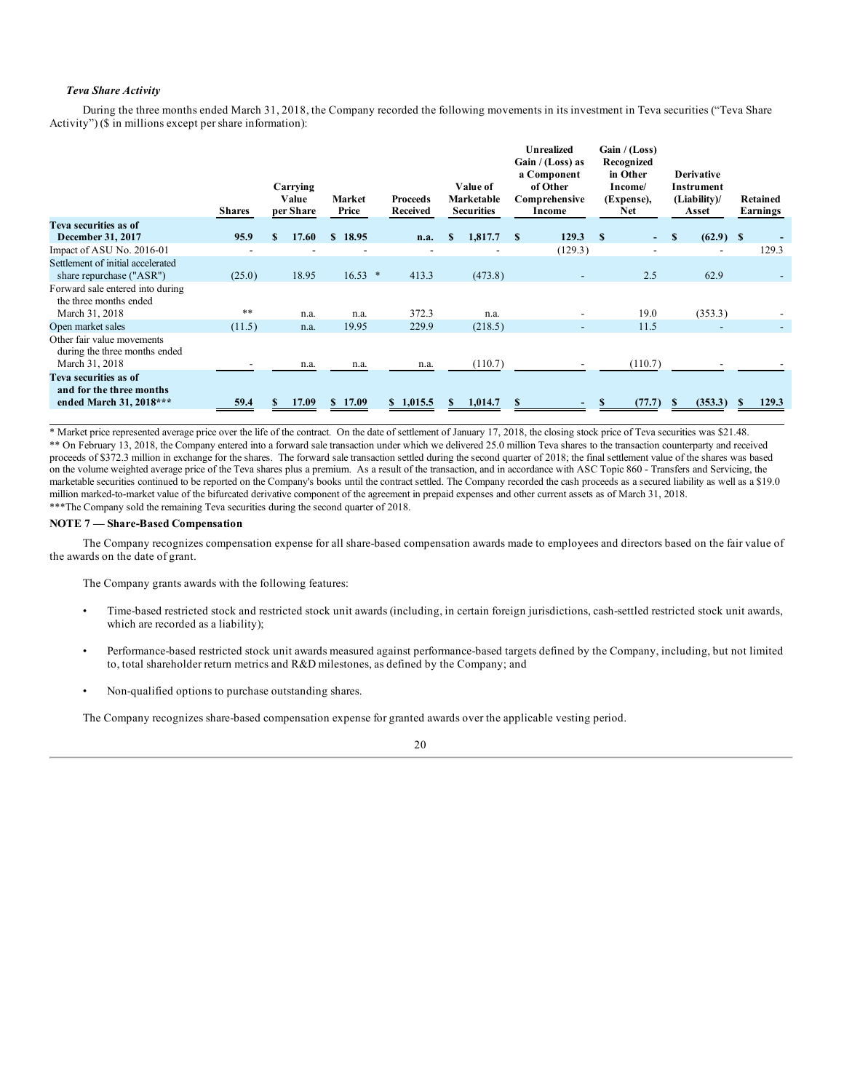## *Teva Share Activity*

During the three months ended March 31, 2018, the Company recorded the following movements in its investment in Teva securities ("Teva Share Activity") (\$ in millions except per share information):

|                                                                               | <b>Shares</b>            | Carrying<br>Value<br>per Share | <b>Market</b><br>Price | <b>Proceeds</b><br>Received | Value of<br>Marketable<br><b>Securities</b> |    | <b>Unrealized</b><br>$Gain / (Loss)$ as<br>a Component<br>of Other<br>Comprehensive<br>Income |      | Gain / (Loss)<br>Recognized<br>in Other<br>Income/<br>(Expense),<br><b>Net</b> |               | <b>Derivative</b><br>Instrument<br>(Liability)/<br>Asset | Retained<br>Earnings |
|-------------------------------------------------------------------------------|--------------------------|--------------------------------|------------------------|-----------------------------|---------------------------------------------|----|-----------------------------------------------------------------------------------------------|------|--------------------------------------------------------------------------------|---------------|----------------------------------------------------------|----------------------|
| Teva securities as of                                                         |                          |                                |                        |                             |                                             |    |                                                                                               |      |                                                                                |               |                                                          |                      |
| December 31, 2017                                                             | 95.9                     | 17.60                          | 18.95<br>$\mathbf{s}$  | n.a.                        | 1,817.7                                     | -S | 129.3                                                                                         | - \$ | $\sim$                                                                         | <sup>\$</sup> | $(62.9)$ \$                                              |                      |
| Impact of ASU No. 2016-01                                                     | $\overline{\phantom{a}}$ |                                |                        | $\overline{\phantom{0}}$    |                                             |    | (129.3)                                                                                       |      | $\overline{\phantom{0}}$                                                       |               |                                                          | 129.3                |
| Settlement of initial accelerated                                             |                          |                                |                        |                             |                                             |    |                                                                                               |      |                                                                                |               |                                                          |                      |
| share repurchase ("ASR")                                                      | (25.0)                   | 18.95                          | $16.53$ *              | 413.3                       | (473.8)                                     |    | $\overline{\phantom{a}}$                                                                      |      | 2.5                                                                            |               | 62.9                                                     |                      |
| Forward sale entered into during<br>the three months ended<br>March 31, 2018  | **                       | n.a.                           | n.a.                   | 372.3                       | n.a.                                        |    |                                                                                               |      | 19.0                                                                           |               | (353.3)                                                  |                      |
| Open market sales                                                             | (11.5)                   | n.a.                           | 19.95                  | 229.9                       | (218.5)                                     |    | ۰.                                                                                            |      | 11.5                                                                           |               |                                                          |                      |
| Other fair value movements<br>during the three months ended<br>March 31, 2018 |                          | n.a.                           | n.a.                   | n.a.                        | (110.7)                                     |    |                                                                                               |      | (110.7)                                                                        |               |                                                          |                      |
| Teva securities as of<br>and for the three months<br>ended March 31, 2018***  | 59.4                     | 17.09                          | \$17.09                | \$1,015.5                   | 1,014.7                                     | \$ |                                                                                               |      | (77.7)                                                                         |               | (353.3)                                                  | 129.3                |

\* Market price represented average price over the life of the contract. On the date of settlement of January 17, 2018, the closing stock price of Teva securities was \$21.48. \*\* On February 13, 2018, the Company entered into a forward sale transaction under which we delivered 25.0 million Teva shares to the transaction counterparty and received proceeds of \$372.3 million in exchange for the shares. The forward sale transaction settled during the second quarter of 2018; the final settlement value of the shares was based on the volume weighted average price of the Teva shares plus a premium. As a result of the transaction, and in accordance with ASC Topic 860 - Transfers and Servicing, the marketable securities continued to be reported on the Company's books until the contract settled. The Company recorded the cash proceeds as a secured liability as well as a \$19.0 million marked-to-market value of the bifurcated derivative component of the agreement in prepaid expenses and other current assets as of March 31, 2018. \*\*\*The Company sold the remaining Teva securities during the second quarter of 2018.

#### **NOTE 7 — Share-Based Compensation**

The Company recognizes compensation expense for all share-based compensation awards made to employees and directors based on the fair value of the awards on the date of grant.

The Company grants awards with the following features:

- Time-based restricted stock and restricted stock unit awards (including, in certain foreign jurisdictions, cash-settled restricted stock unit awards, which are recorded as a liability);
- Performance-based restricted stock unit awards measured against performance-based targets defined by the Company, including, but not limited to, total shareholder return metrics and R&D milestones, as defined by the Company; and
- Non-qualified options to purchase outstanding shares.

The Company recognizes share-based compensation expense for granted awards over the applicable vesting period.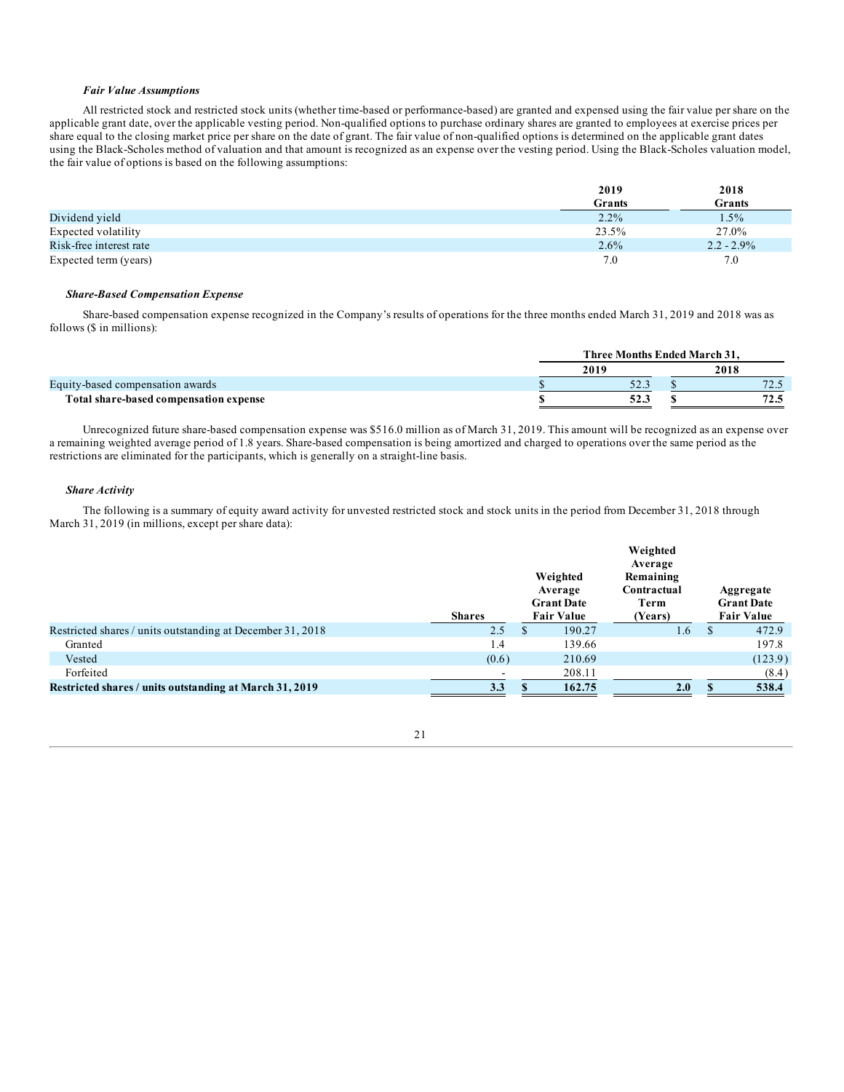#### *Fair Value Assumptions*

All restricted stock and restricted stock units (whether time-based or performance-based) are granted and expensed using the fair value per share on the applicable grant date, over the applicable vesting period. Non-qualified options to purchase ordinary shares are granted to employees at exercise prices per share equal to the closing market price per share on the date of grant. The fair value of non-qualified options is determined on the applicable grant dates using the Black-Scholes method of valuation and that amount is recognized as an expense over the vesting period. Using the Black-Scholes valuation model, the fair value of options is based on the following assumptions:

|                         | 2019          | 2018          |
|-------------------------|---------------|---------------|
|                         | <b>Grants</b> | Grants        |
| Dividend yield          | $2.2\%$       | $1.5\%$       |
| Expected volatility     | 23.5%         | 27.0%         |
| Risk-free interest rate | $2.6\%$       | $2.2 - 2.9\%$ |
| Expected term (years)   | 7.0           | 7.0           |

#### *Share-Based Compensation Expense*

Share-based compensation expense recognized in the Company's results of operations for the three months ended March 31, 2019 and 2018 was as follows (\$ in millions):

|                                        | <b>Three Months Ended March 31.</b> |  |                                   |
|----------------------------------------|-------------------------------------|--|-----------------------------------|
| Equity-based compensation awards       | 2019                                |  |                                   |
|                                        |                                     |  | $\overline{\phantom{a}}$<br>۔ ۔ ک |
| Total share-based compensation expense | 34.J                                |  | 73.<br>نہ کے ا                    |

Unrecognized future share-based compensation expense was \$516.0 million as of March 31, 2019. This amount will be recognized as an expense over a remaining weighted average period of 1.8 years. Share-based compensation is being amortized and charged to operations over the same period as the restrictions are eliminated for the participants, which is generally on a straight-line basis.

#### *Share Activity*

The following is a summary of equity award activity for unvested restricted stock and stock units in the period from December 31, 2018 through March 31, 2019 (in millions, except per share data):

|                                                            |               | Weighted                                                      |                                                        |                                                     |  |  |
|------------------------------------------------------------|---------------|---------------------------------------------------------------|--------------------------------------------------------|-----------------------------------------------------|--|--|
|                                                            | <b>Shares</b> | Weighted<br>Average<br><b>Grant Date</b><br><b>Fair Value</b> | Average<br>Remaining<br>Contractual<br>Term<br>(Years) | Aggregate<br><b>Grant Date</b><br><b>Fair Value</b> |  |  |
| Restricted shares / units outstanding at December 31, 2018 | 2.5           | 190.27                                                        | 1.6                                                    | 472.9                                               |  |  |
| Granted                                                    | 1.4           | 139.66                                                        |                                                        | 197.8                                               |  |  |
| Vested                                                     | (0.6)         | 210.69                                                        |                                                        | (123.9)                                             |  |  |
| Forfeited                                                  |               | 208.11                                                        |                                                        | (8.4)                                               |  |  |
| Restricted shares / units outstanding at March 31, 2019    | 3.3           | 162.75                                                        | 2.0                                                    | 538.4                                               |  |  |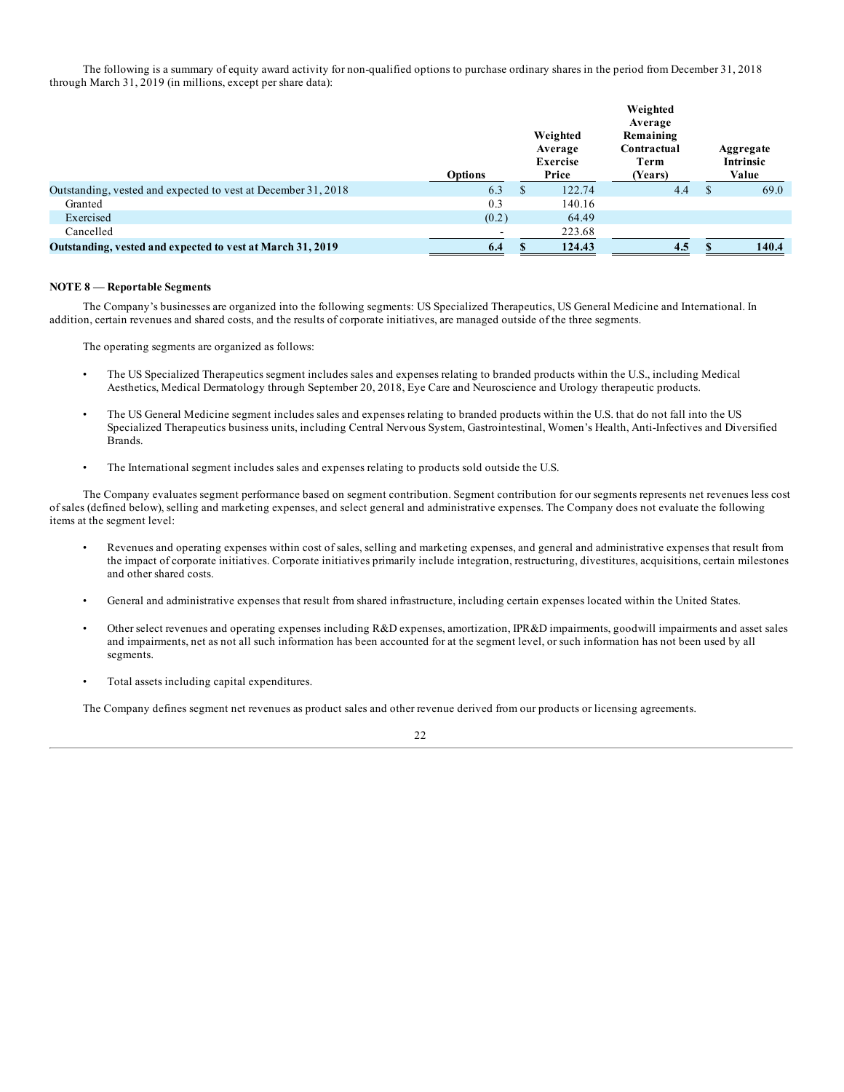The following is a summary of equity award activity for non-qualified options to purchase ordinary shares in the period from December 31, 2018 through March 31, 2019 (in millions, except per share data):

|                                                               | <b>Options</b> |   | Weighted<br>Average<br>Exercise<br>Price | Weighted<br>Average<br>Remaining<br>Contractual<br>Term<br>(Years) |     | Aggregate<br>Intrinsic<br>Value |
|---------------------------------------------------------------|----------------|---|------------------------------------------|--------------------------------------------------------------------|-----|---------------------------------|
| Outstanding, vested and expected to vest at December 31, 2018 | 6.3            | ъ | 122.74                                   | 4.4                                                                | аĐ. | 69.0                            |
| Granted                                                       | 0.3            |   | 140.16                                   |                                                                    |     |                                 |
| Exercised                                                     | (0.2)          |   | 64.49                                    |                                                                    |     |                                 |
| Cancelled                                                     |                |   | 223.68                                   |                                                                    |     |                                 |
| Outstanding, vested and expected to vest at March 31, 2019    | 6.4            |   | 124.43                                   | 4.5                                                                |     | 140.4                           |

#### **NOTE 8 — Reportable Segments**

The Company's businesses are organized into the following segments: US Specialized Therapeutics, US General Medicine and International. In addition, certain revenues and shared costs, and the results of corporate initiatives, are managed outside of the three segments.

The operating segments are organized as follows:

- The US Specialized Therapeutics segment includes sales and expenses relating to branded products within the U.S., including Medical Aesthetics, Medical Dermatology through September 20, 2018, Eye Care and Neuroscience and Urology therapeutic products.
- The US General Medicine segment includes sales and expenses relating to branded products within the U.S. that do not fall into the US Specialized Therapeutics business units, including Central Nervous System, Gastrointestinal, Women's Health, Anti-Infectives and Diversified Brands.
- The International segment includes sales and expenses relating to products sold outside the U.S.

The Company evaluates segment performance based on segment contribution. Segment contribution for our segments represents net revenues less cost of sales (defined below), selling and marketing expenses, and select general and administrative expenses. The Company does not evaluate the following items at the segment level:

- Revenues and operating expenses within cost of sales, selling and marketing expenses, and general and administrative expenses that result from the impact of corporate initiatives. Corporate initiatives primarily include integration, restructuring, divestitures, acquisitions, certain milestones and other shared costs.
- General and administrative expenses that result from shared infrastructure, including certain expenses located within the United States.
- Other select revenues and operating expenses including R&D expenses, amortization, IPR&D impairments, goodwill impairments and asset sales and impairments, net as not all such information has been accounted for at the segment level, or such information has not been used by all segments.
- Total assets including capital expenditures.

The Company defines segment net revenues as product sales and other revenue derived from our products or licensing agreements.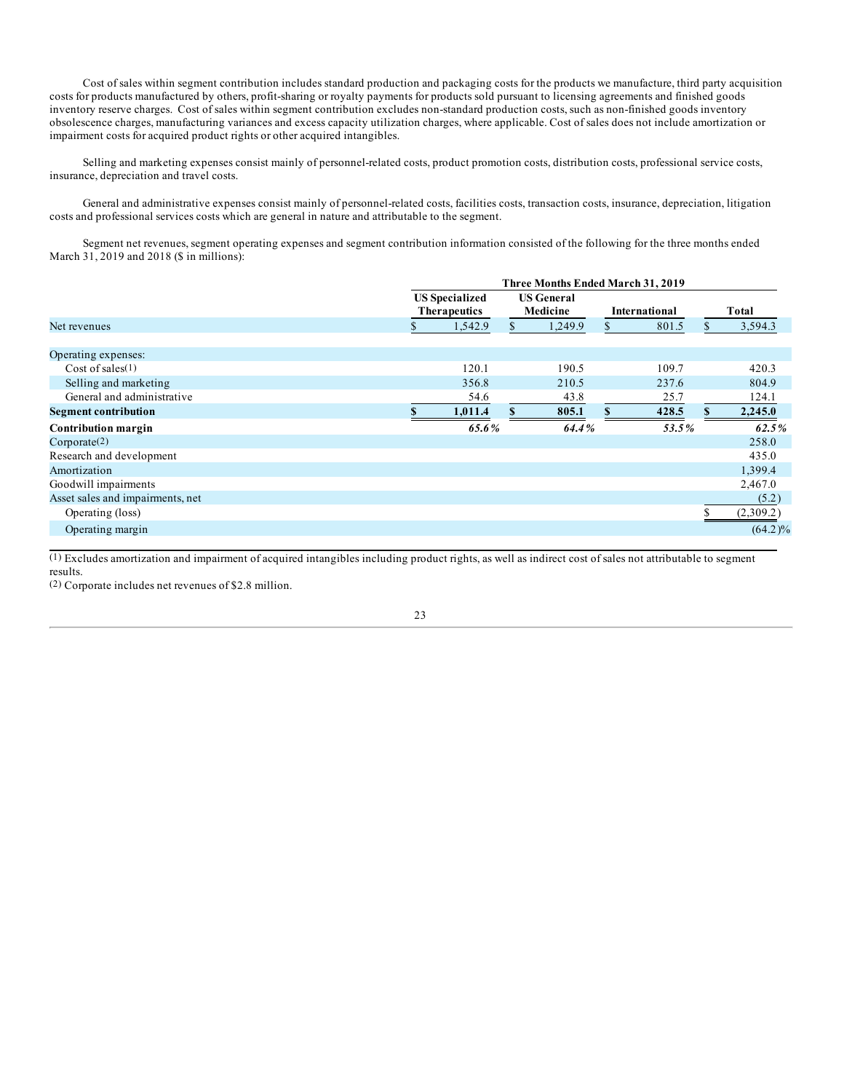Cost of sales within segment contribution includes standard production and packaging costs for the products we manufacture, third party acquisition costs for products manufactured by others, profit-sharing or royalty payments for products sold pursuant to licensing agreements and finished goods inventory reserve charges. Cost of sales within segment contribution excludes non-standard production costs, such as non-finished goods inventory obsolescence charges, manufacturing variances and excess capacity utilization charges, where applicable. Cost of sales does not include amortization or impairment costs for acquired product rights or other acquired intangibles.

Selling and marketing expenses consist mainly of personnel-related costs, product promotion costs, distribution costs, professional service costs, insurance, depreciation and travel costs.

General and administrative expenses consist mainly of personnel-related costs, facilities costs, transaction costs, insurance, depreciation, litigation costs and professional services costs which are general in nature and attributable to the segment.

Segment net revenues, segment operating expenses and segment contribution information consisted of the following for the three months ended March 31, 2019 and 2018 (\$ in millions):

|                                  |                                              | Three Months Ended March 31, 2019 |                               |  |               |  |            |  |
|----------------------------------|----------------------------------------------|-----------------------------------|-------------------------------|--|---------------|--|------------|--|
|                                  | <b>US Specialized</b><br><b>Therapeutics</b> |                                   | <b>US General</b><br>Medicine |  | International |  | Total      |  |
| Net revenues                     |                                              | 1,542.9                           | 1,249.9                       |  | 801.5         |  | 3,594.3    |  |
| Operating expenses:              |                                              |                                   |                               |  |               |  |            |  |
| Cost of sales $(1)$              |                                              | 120.1                             | 190.5                         |  | 109.7         |  | 420.3      |  |
| Selling and marketing            |                                              | 356.8                             | 210.5                         |  | 237.6         |  | 804.9      |  |
| General and administrative       |                                              | 54.6                              | 43.8                          |  | 25.7          |  | 124.1      |  |
| <b>Segment contribution</b>      |                                              | 1,011.4                           | 805.1                         |  | 428.5         |  | 2,245.0    |  |
| Contribution margin              |                                              | 65.6%                             | 64.4%                         |  | 53.5%         |  | 62.5%      |  |
| Coporate(2)                      |                                              |                                   |                               |  |               |  | 258.0      |  |
| Research and development         |                                              |                                   |                               |  |               |  | 435.0      |  |
| Amortization                     |                                              |                                   |                               |  |               |  | 1,399.4    |  |
| Goodwill impairments             |                                              |                                   |                               |  |               |  | 2,467.0    |  |
| Asset sales and impairments, net |                                              |                                   |                               |  |               |  | (5.2)      |  |
| Operating (loss)                 |                                              |                                   |                               |  |               |  | (2,309.2)  |  |
| Operating margin                 |                                              |                                   |                               |  |               |  | $(64.2)\%$ |  |

(1) Excludes amortization and impairment of acquired intangibles including product rights, as well as indirect cost of sales not attributable to segment results.

(2) Corporate includes net revenues of \$2.8 million.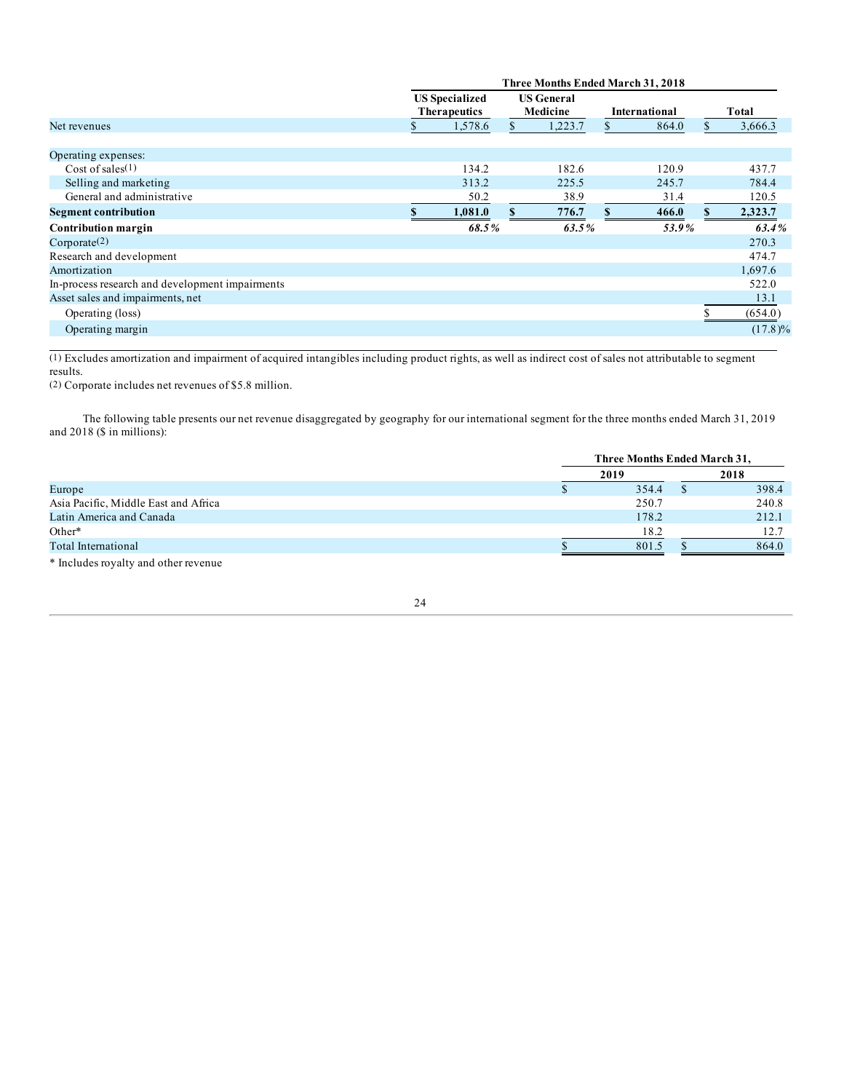|                                                 | Three Months Ended March 31, 2018 |                                              |    |                               |  |               |  |            |
|-------------------------------------------------|-----------------------------------|----------------------------------------------|----|-------------------------------|--|---------------|--|------------|
|                                                 |                                   | <b>US</b> Specialized<br><b>Therapeutics</b> |    | <b>US General</b><br>Medicine |  | International |  | Total      |
| Net revenues                                    |                                   | 1,578.6                                      | \$ | 1,223.7                       |  | 864.0         |  | 3,666.3    |
| Operating expenses:                             |                                   |                                              |    |                               |  |               |  |            |
| Cost of sales(1)                                |                                   | 134.2                                        |    | 182.6                         |  | 120.9         |  | 437.7      |
| Selling and marketing                           |                                   | 313.2                                        |    | 225.5                         |  | 245.7         |  | 784.4      |
| General and administrative                      |                                   | 50.2                                         |    | 38.9                          |  | 31.4          |  | 120.5      |
| <b>Segment contribution</b>                     |                                   | 1,081.0                                      |    | 776.7                         |  | 466.0         |  | 2,323.7    |
| Contribution margin                             |                                   | 68.5%                                        |    | 63.5%                         |  | 53.9%         |  | 63.4%      |
| Corporate(2)                                    |                                   |                                              |    |                               |  |               |  | 270.3      |
| Research and development                        |                                   |                                              |    |                               |  |               |  | 474.7      |
| Amortization                                    |                                   |                                              |    |                               |  |               |  | 1,697.6    |
| In-process research and development impairments |                                   |                                              |    |                               |  |               |  | 522.0      |
| Asset sales and impairments, net                |                                   |                                              |    |                               |  |               |  | 13.1       |
| Operating (loss)                                |                                   |                                              |    |                               |  |               |  | (654.0)    |
| Operating margin                                |                                   |                                              |    |                               |  |               |  | $(17.8)\%$ |

 $(1)$  Excludes amortization and impairment of acquired intangibles including product rights, as well as indirect cost of sales not attributable to segment results.

(2) Corporate includes net revenues of \$5.8 million.

The following table presents our net revenue disaggregated by geography for our international segment for the three months ended March 31, 2019 and 2018 (\$ in millions):

|                                      | Three Months Ended March 31,<br>2019<br>354.4<br>250.7 |  |       |  |
|--------------------------------------|--------------------------------------------------------|--|-------|--|
|                                      |                                                        |  | 2018  |  |
| Europe                               |                                                        |  | 398.4 |  |
| Asia Pacific, Middle East and Africa |                                                        |  | 240.8 |  |
| Latin America and Canada             | 178.2                                                  |  | 212.1 |  |
| Other*                               | 18.2                                                   |  | 12.7  |  |
| Total International                  | 801.5                                                  |  | 864.0 |  |
|                                      |                                                        |  |       |  |

\* Includes royalty and other revenue

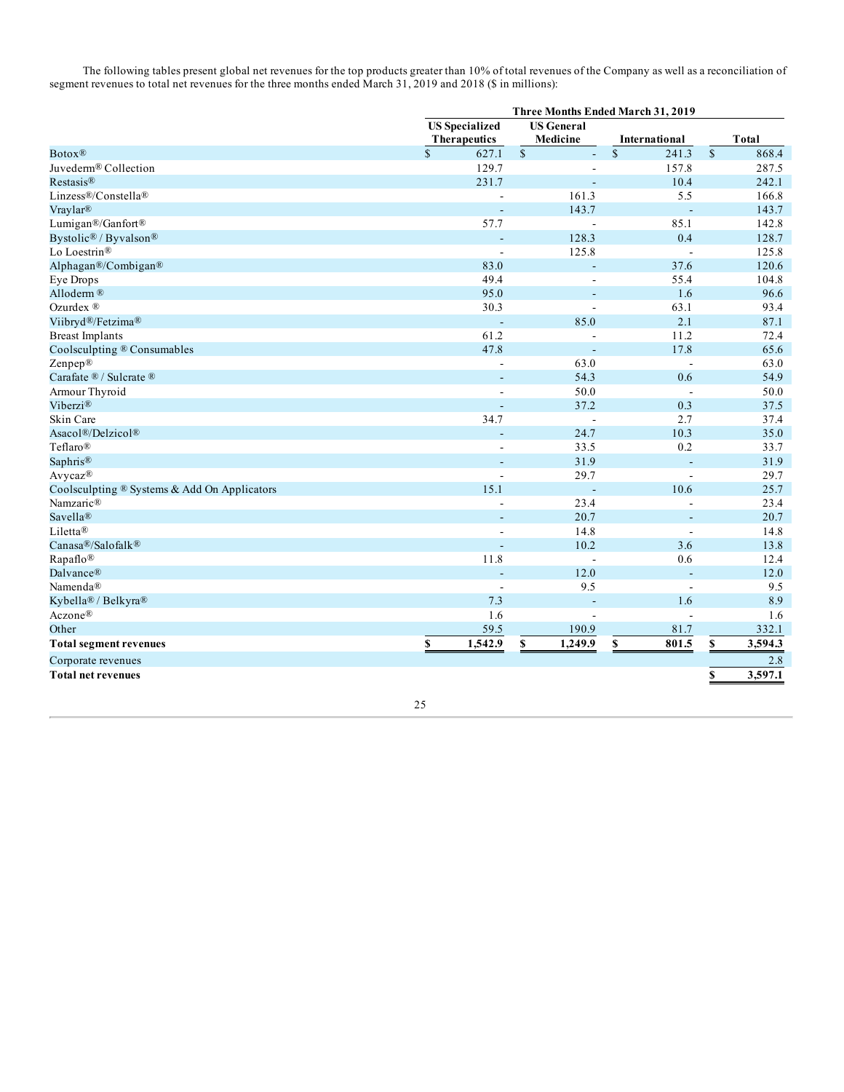The following tables present global net revenues for the top products greater than 10% of total revenues of the Company as well as a reconciliation of segment revenues to total net revenues for the three months ended March 31, 2019 and 2018 (\$ in millions):

|                                                          | Three Months Ended March 31, 2019 |                                |                          |              |         |  |  |
|----------------------------------------------------------|-----------------------------------|--------------------------------|--------------------------|--------------|---------|--|--|
|                                                          | <b>US</b> Specialized             | <b>US General</b>              |                          |              |         |  |  |
|                                                          | <b>Therapeutics</b>               | Medicine                       | International            |              | Total   |  |  |
| $\text{Botox}$ <sup>®</sup>                              | \$<br>627.1                       | $\mathbb{S}$<br>$\blacksquare$ | $\mathbb S$<br>241.3     | $\mathbb{S}$ | 868.4   |  |  |
| Juvederm <sup>®</sup> Collection                         | 129.7                             |                                | 157.8                    |              | 287.5   |  |  |
| Restasis®                                                | 231.7                             | $\overline{a}$                 | 10.4                     |              | 242.1   |  |  |
| Linzess®/Constella®                                      |                                   | 161.3                          | 5.5                      |              | 166.8   |  |  |
| Vraylar <sup>®</sup>                                     |                                   | 143.7                          | ÷.                       |              | 143.7   |  |  |
| Lumigan <sup>®</sup> /Ganfort <sup>®</sup>               | 57.7                              | $\overline{a}$                 | 85.1                     |              | 142.8   |  |  |
| Bystolic <sup>®</sup> / Byvalson <sup>®</sup>            | $\blacksquare$                    | 128.3                          | 0.4                      |              | 128.7   |  |  |
| Lo Loestrin®                                             | ÷.                                | 125.8                          | $\sim$                   |              | 125.8   |  |  |
| Alphagan <sup>®</sup> /Combigan <sup>®</sup>             | 83.0                              | $\overline{a}$                 | 37.6                     |              | 120.6   |  |  |
| Eye Drops                                                | 49.4                              | ä,                             | 55.4                     |              | 104.8   |  |  |
| Alloderm <sup>®</sup>                                    | 95.0                              |                                | 1.6                      |              | 96.6    |  |  |
| Ozurdex <sup>®</sup>                                     | 30.3                              | $\overline{a}$                 | 63.1                     |              | 93.4    |  |  |
| Viibryd <sup>®</sup> /Fetzima <sup>®</sup>               |                                   | 85.0                           | 2.1                      |              | 87.1    |  |  |
| <b>Breast Implants</b>                                   | 61.2                              |                                | 11.2                     |              | 72.4    |  |  |
| Coolsculpting ® Consumables                              | 47.8                              |                                | 17.8                     |              | 65.6    |  |  |
| Zenpep®                                                  | ÷,                                | 63.0                           | $\overline{a}$           |              | 63.0    |  |  |
| Carafate ® / Sulcrate ®                                  | $\overline{\phantom{a}}$          | 54.3                           | 0.6                      |              | 54.9    |  |  |
| Armour Thyroid                                           | ÷,                                | 50.0                           | $\overline{a}$           |              | 50.0    |  |  |
| Viberzi <sup>®</sup>                                     | ÷.                                | 37.2                           | 0.3                      |              | 37.5    |  |  |
| Skin Care                                                | 34.7                              | $\overline{a}$                 | 2.7                      |              | 37.4    |  |  |
| Asacol <sup>®</sup> /Delzicol <sup>®</sup>               |                                   | 24.7                           | 10.3                     |              | 35.0    |  |  |
| Teflaro®                                                 | ÷,                                | 33.5                           | 0.2                      |              | 33.7    |  |  |
| Saphris®                                                 |                                   | 31.9                           |                          |              | 31.9    |  |  |
| Avycaz®                                                  | $\overline{\phantom{a}}$          | 29.7                           | $\overline{\phantom{a}}$ |              | 29.7    |  |  |
| Coolsculpting $\mathcal{R}$ Systems & Add On Applicators | 15.1                              | ÷                              | 10.6                     |              | 25.7    |  |  |
| Namzaric®                                                | ÷,                                | 23.4                           | ÷,                       |              | 23.4    |  |  |
| Savella <sup>®</sup>                                     | $\equiv$                          | 20.7                           | ÷                        |              | 20.7    |  |  |
| Liletta®                                                 | ÷,                                | 14.8                           | $\sim$                   |              | 14.8    |  |  |
| Canasa®/Salofalk®                                        | $\overline{a}$                    | 10.2                           | 3.6                      |              | 13.8    |  |  |
| Rapaflo®                                                 | 11.8                              | $\overline{a}$                 | 0.6                      |              | 12.4    |  |  |
| Dalvance <sup>®</sup>                                    |                                   | 12.0                           |                          |              | 12.0    |  |  |
| Namenda®                                                 |                                   | 9.5                            |                          |              | 9.5     |  |  |
| Kybella® / Belkyra®                                      | 7.3                               | L.                             | 1.6                      |              | 8.9     |  |  |
| Aczone®                                                  | 1.6                               |                                |                          |              | 1.6     |  |  |
| Other                                                    | 59.5                              | 190.9                          | 81.7                     |              | 332.1   |  |  |
| <b>Total segment revenues</b>                            | \$<br>1,542.9                     | \$<br>1,249.9                  | \$<br>801.5              | \$           | 3,594.3 |  |  |
| Corporate revenues                                       |                                   |                                |                          |              | 2.8     |  |  |
| Total net revenues                                       |                                   |                                |                          | \$           | 3,597.1 |  |  |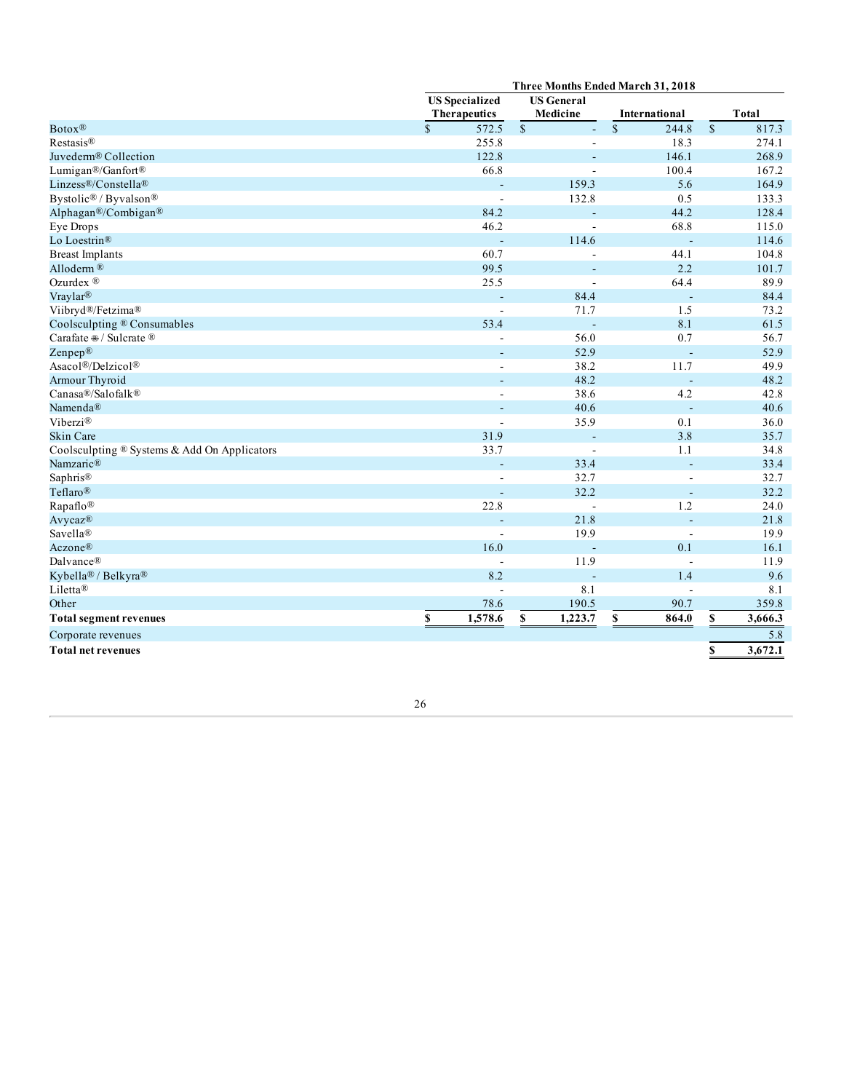|                                              |                          |                    | Three Months Ended March 31, 2018 |                       |
|----------------------------------------------|--------------------------|--------------------|-----------------------------------|-----------------------|
|                                              | <b>US</b> Specialized    | <b>US</b> General  |                                   |                       |
|                                              | <b>Therapeutics</b>      | Medicine           | International                     | Total                 |
| <b>Botox®</b>                                | $\mathbb S$<br>572.5     | $\mathbb{S}$<br>L. | $\mathbb{S}$<br>244.8             | $\mathbb{S}$<br>817.3 |
| Restasis®                                    | 255.8                    |                    | 18.3                              | 274.1                 |
| Juvederm <sup>®</sup> Collection             | 122.8                    |                    | 146.1                             | 268.9                 |
| Lumigan <sup>®</sup> /Ganfort <sup>®</sup>   | 66.8                     | $\overline{a}$     | 100.4                             | 167.2                 |
| Linzess <sup>®</sup> /Constella®             |                          | 159.3              | 5.6                               | 164.9                 |
| Bystolic®/Byvalson®                          | $\sim$                   | 132.8              | 0.5                               | 133.3                 |
| Alphagan®/Combigan®                          | 84.2                     |                    | 44.2                              | 128.4                 |
| Eye Drops                                    | 46.2                     |                    | 68.8                              | 115.0                 |
| Lo Loestrin®                                 |                          | 114.6              |                                   | 114.6                 |
| <b>Breast Implants</b>                       | 60.7                     |                    | 44.1                              | 104.8                 |
| Alloderm <sup>®</sup>                        | 99.5                     | ÷                  | 2.2                               | 101.7                 |
| Ozurdex $\mathbb{R}$                         | 25.5                     |                    | 64.4                              | 89.9                  |
| Vraylar <sup>®</sup>                         |                          | 84.4               |                                   | 84.4                  |
| Viibryd®/Fetzima®                            | $\overline{\phantom{a}}$ | 71.7               | 1.5                               | 73.2                  |
| Coolsculpting ® Consumables                  | 53.4                     |                    | 8.1                               | 61.5                  |
| Carafate ® / Sulcrate ®                      | $\sim$                   | 56.0               | 0.7                               | 56.7                  |
| Zenpep®                                      | ۳                        | 52.9               | $\omega$                          | 52.9                  |
| Asacol®/Delzicol®                            | $\overline{\phantom{a}}$ | 38.2               | 11.7                              | 49.9                  |
| Armour Thyroid                               |                          | 48.2               |                                   | 48.2                  |
| Canasa®/Salofalk®                            | ÷                        | 38.6               | 4.2                               | 42.8                  |
| Namenda®                                     | $\sim$                   | 40.6               | $\overline{a}$                    | 40.6                  |
| Viberzi®                                     |                          | 35.9               | 0.1                               | 36.0                  |
| Skin Care                                    | 31.9                     | $\overline{a}$     | 3.8                               | 35.7                  |
| Coolsculpting ® Systems & Add On Applicators | 33.7                     |                    | 1.1                               | 34.8                  |
| Namzaric®                                    |                          | 33.4               |                                   | 33.4                  |
| Saphris®                                     | $\overline{\phantom{a}}$ | 32.7               | $\blacksquare$                    | 32.7                  |
| Teflaro <sup>®</sup>                         |                          | 32.2               |                                   | 32.2                  |
| Rapaflo®                                     | 22.8                     | $\overline{a}$     | 1.2                               | 24.0                  |
| Avycaz®                                      | ÷                        | 21.8               | ÷                                 | 21.8                  |
| Savella®                                     | L,                       | 19.9               | $\overline{\phantom{a}}$          | 19.9                  |
| <b>Aczone®</b>                               | 16.0                     |                    | 0.1                               | 16.1                  |
| Dalvance <sup>®</sup>                        |                          | 11.9               |                                   | 11.9                  |
| Kybella® / Belkyra®                          | 8.2                      |                    | 1.4                               | 9.6                   |
| Liletta®                                     |                          | 8.1                |                                   | 8.1                   |
| Other                                        | 78.6                     | 190.5              | 90.7                              | 359.8                 |
| <b>Total segment revenues</b>                | 1,578.6<br>\$            | 1,223.7<br>\$      | \$<br>864.0                       | \$<br>3,666.3         |
| Corporate revenues                           |                          |                    |                                   | 5.8                   |
| <b>Total net revenues</b>                    |                          |                    |                                   | 3,672.1<br>\$         |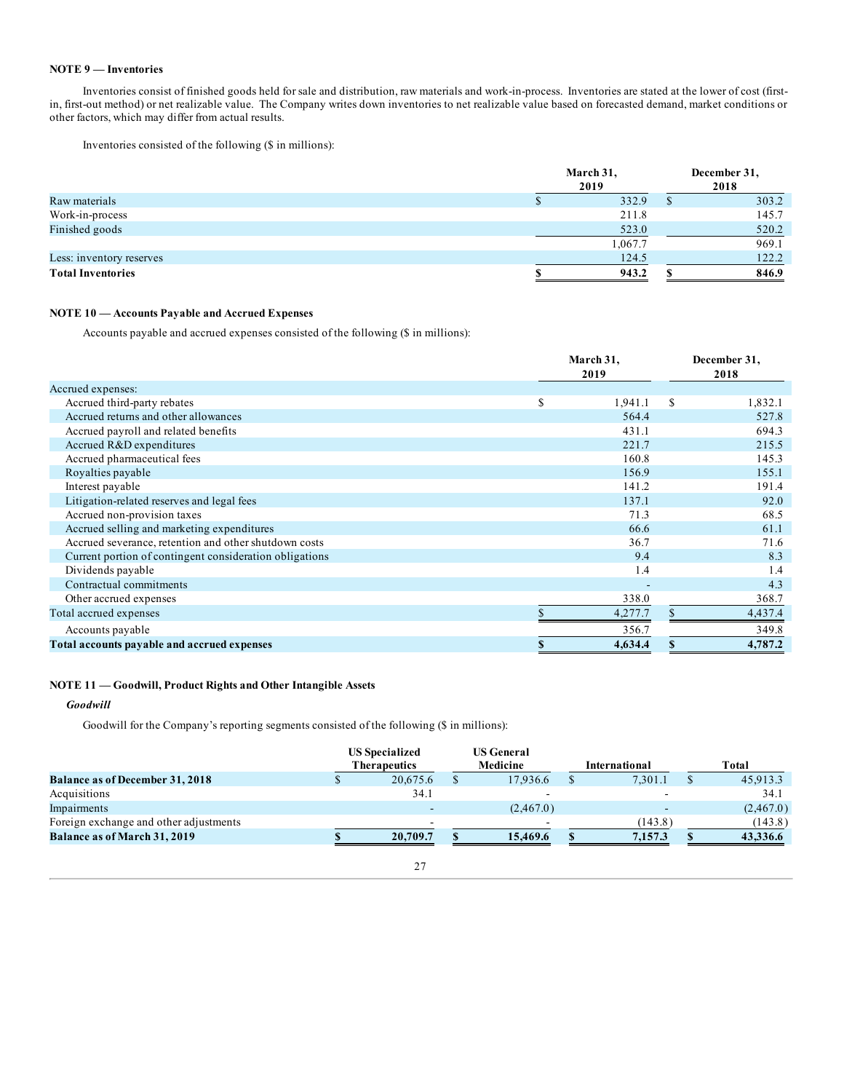## **NOTE 9 — Inventories**

Inventories consist of finished goods held for sale and distribution, raw materials and work-in-process. Inventories are stated at the lower of cost (firstin, first-out method) or net realizable value. The Company writes down inventories to net realizable value based on forecasted demand, market conditions or other factors, which may differ from actual results.

Inventories consisted of the following (\$ in millions):

|                          | March 31,<br>2019 | December 31,<br>2018 |       |
|--------------------------|-------------------|----------------------|-------|
| Raw materials            | 332.9             |                      | 303.2 |
| Work-in-process          | 211.8             |                      | 145.7 |
| Finished goods           | 523.0             |                      | 520.2 |
|                          | 1,067.7           |                      | 969.1 |
| Less: inventory reserves | 124.5             |                      | 122.2 |
| <b>Total Inventories</b> | 943.2             |                      | 846.9 |

# **NOTE 10 — Accounts Payable and Accrued Expenses**

Accounts payable and accrued expenses consisted of the following (\$ in millions):

|                                                         | March 31,<br>2019        |   | December 31,<br>2018 |
|---------------------------------------------------------|--------------------------|---|----------------------|
|                                                         |                          |   |                      |
| Accrued expenses:                                       |                          |   |                      |
| Accrued third-party rebates                             | \$<br>1,941.1            | S | 1,832.1              |
| Accrued returns and other allowances                    | 564.4                    |   | 527.8                |
| Accrued payroll and related benefits                    | 431.1                    |   | 694.3                |
| Accrued R&D expenditures                                | 221.7                    |   | 215.5                |
| Accrued pharmaceutical fees                             | 160.8                    |   | 145.3                |
| Royalties payable                                       | 156.9                    |   | 155.1                |
| Interest payable                                        | 141.2                    |   | 191.4                |
| Litigation-related reserves and legal fees              | 137.1                    |   | 92.0                 |
| Accrued non-provision taxes                             | 71.3                     |   | 68.5                 |
| Accrued selling and marketing expenditures              | 66.6                     |   | 61.1                 |
| Accrued severance, retention and other shutdown costs   | 36.7                     |   | 71.6                 |
| Current portion of contingent consideration obligations | 9.4                      |   | 8.3                  |
| Dividends payable                                       | 1.4                      |   | 1.4                  |
| Contractual commitments                                 | $\overline{\phantom{a}}$ |   | 4.3                  |
| Other accrued expenses                                  | 338.0                    |   | 368.7                |
| Total accrued expenses                                  | 4,277.7                  |   | 4,437.4              |
| Accounts payable                                        | 356.7                    |   | 349.8                |
| Total accounts payable and accrued expenses             | 4,634.4                  |   | 4,787.2              |

## **NOTE 11 — Goodwill, Product Rights and Other Intangible Assets**

# *Goodwill*

Goodwill for the Company's reporting segments consisted of the following (\$ in millions):

|                                        | <b>US Specialized</b><br><b>Therapeutics</b> | <b>US General</b><br>Medicine |           | <b>International</b> |         |  | Total     |
|----------------------------------------|----------------------------------------------|-------------------------------|-----------|----------------------|---------|--|-----------|
| <b>Balance as of December 31, 2018</b> | 20.675.6                                     |                               | 17.936.6  |                      | 7.301.1 |  | 45,913.3  |
| Acquisitions                           | 34.1                                         |                               |           |                      |         |  | 34.1      |
| Impairments                            |                                              |                               | (2,467.0) |                      |         |  | (2,467.0) |
| Foreign exchange and other adjustments |                                              |                               |           |                      | (143.8) |  | (143.8)   |
| <b>Balance as of March 31, 2019</b>    | 20,709.7                                     |                               | 15.469.6  |                      | 7,157.3 |  | 43,336.6  |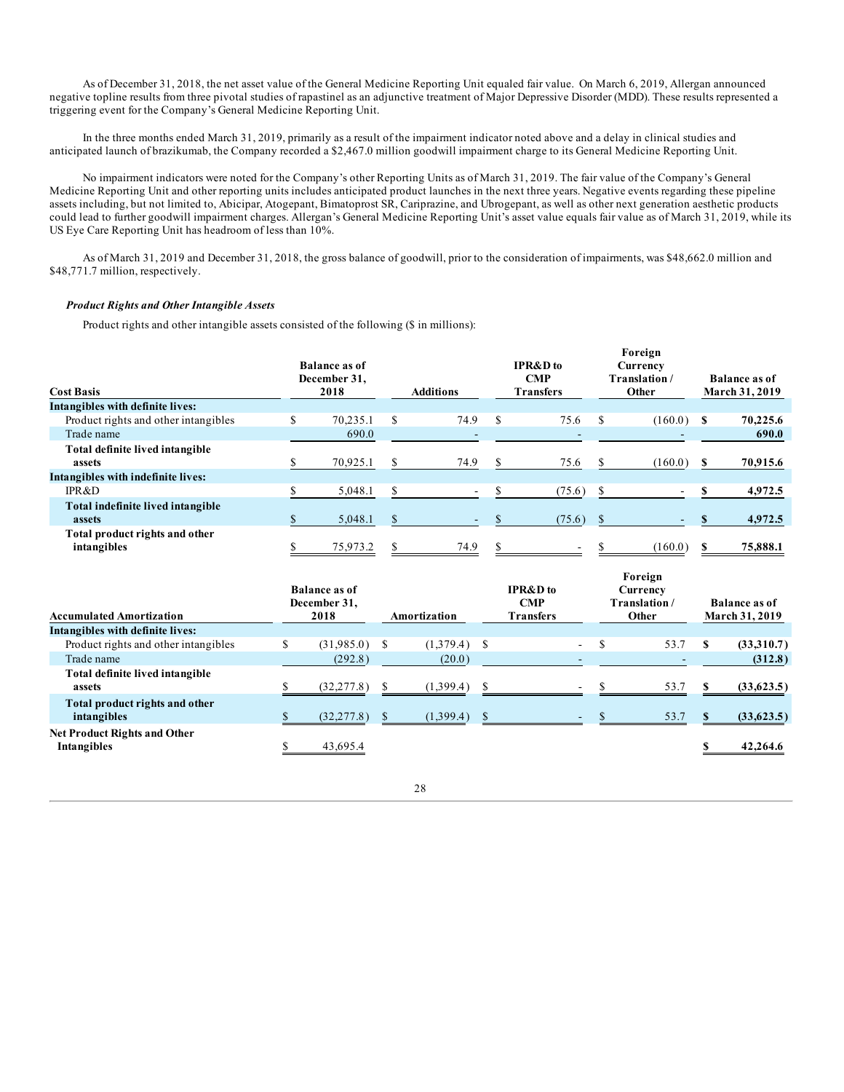As of December 31, 2018, the net asset value of the General Medicine Reporting Unit equaled fair value. On March 6, 2019, Allergan announced negative topline results from three pivotal studies of rapastinel as an adjunctive treatment of Major Depressive Disorder (MDD). These results represented a triggering event for the Company's General Medicine Reporting Unit.

In the three months ended March 31, 2019, primarily as a result of the impairment indicator noted above and a delay in clinical studies and anticipated launch of brazikumab, the Company recorded a \$2,467.0 million goodwill impairment charge to its General Medicine Reporting Unit.

No impairment indicators were noted for the Company's other Reporting Units as of March 31, 2019. The fair value of the Company's General Medicine Reporting Unit and other reporting units includes anticipated product launches in the next three years. Negative events regarding these pipeline assets including, but not limited to, Abicipar, Atogepant, Bimatoprost SR, Cariprazine, and Ubrogepant, as well as other next generation aesthetic products could lead to further goodwill impairment charges. Allergan's General Medicine Reporting Unit's asset value equals fair value as of March 31, 2019, while its US Eye Care Reporting Unit has headroom of less than 10%.

As of March 31, 2019 and December 31, 2018, the gross balance of goodwill, prior to the consideration of impairments, was \$48,662.0 million and \$48,771.7 million, respectively.

#### *Product Rights and Other Intangible Assets*

Product rights and other intangible assets consisted of the following (\$ in millions):

| <b>Cost Basis</b>                             | <b>Balance as of</b><br>December 31,<br>2018 | <b>Additions</b> |     | <b>IPR&amp;D</b> to<br>$\mathbf{CMP}$<br><b>Transfers</b> |               | Foreign<br>Currency<br>Translation/<br>Other |   | <b>Balance as of</b><br>March 31, 2019 |
|-----------------------------------------------|----------------------------------------------|------------------|-----|-----------------------------------------------------------|---------------|----------------------------------------------|---|----------------------------------------|
| Intangibles with definite lives:              |                                              |                  |     |                                                           |               |                                              |   |                                        |
| Product rights and other intangibles          | \$<br>70.235.1                               | \$<br>74.9       | S   | 75.6                                                      | -S            | (160.0)                                      | S | 70,225.6                               |
| Trade name                                    | 690.0                                        |                  |     |                                                           |               |                                              |   | 690.0                                  |
| Total definite lived intangible               |                                              |                  |     |                                                           |               |                                              |   |                                        |
| assets                                        | 70,925.1                                     | 74.9             | \$. | 75.6                                                      |               | (160.0)                                      |   | 70,915.6                               |
| Intangibles with indefinite lives:            |                                              |                  |     |                                                           |               |                                              |   |                                        |
| IPR&D                                         | 5,048.1                                      | \$<br>۰          |     | (75.6)                                                    | S.            |                                              |   | 4,972.5                                |
| Total indefinite lived intangible             |                                              |                  |     |                                                           |               |                                              |   |                                        |
| assets                                        | 5,048.1                                      | \$<br>۰          |     | (75.6)                                                    | <sup>\$</sup> |                                              |   | 4,972.5                                |
| Total product rights and other<br>intangibles | 75,973.2                                     | 74.9             | S   |                                                           |               | (160.0)                                      | S | 75,888.1                               |

| <b>Accumulated Amortization</b>                    | <b>Balance as of</b><br>December 31,<br>2018 |               | Amortization   |   | <b>IPR&amp;D</b> to<br><b>CMP</b><br><b>Transfers</b> | Foreign<br>Currency<br>Translation/<br>Other | <b>Balance as of</b><br>March 31, 2019 |
|----------------------------------------------------|----------------------------------------------|---------------|----------------|---|-------------------------------------------------------|----------------------------------------------|----------------------------------------|
| Intangibles with definite lives:                   |                                              |               |                |   |                                                       |                                              |                                        |
| Product rights and other intangibles               | (31,985.0)                                   | S             | $(1,379.4)$ \$ |   | $\overline{\phantom{a}}$                              | 53.7                                         | (33,310.7)                             |
| Trade name                                         | (292.8)                                      |               | (20.0)         |   |                                                       |                                              | (312.8)                                |
| Total definite lived intangible<br>assets          | (32, 277.8)                                  |               | (1,399.4)      | S |                                                       | 53.7                                         | (33,623.5)                             |
| Total product rights and other<br>intangibles      | (32, 277.8)                                  | <sup>\$</sup> | (1,399.4)      |   |                                                       | 53.7                                         | (33,623.5)                             |
| <b>Net Product Rights and Other</b><br>Intangibles | 43,695.4                                     |               |                |   |                                                       |                                              | 42,264.6                               |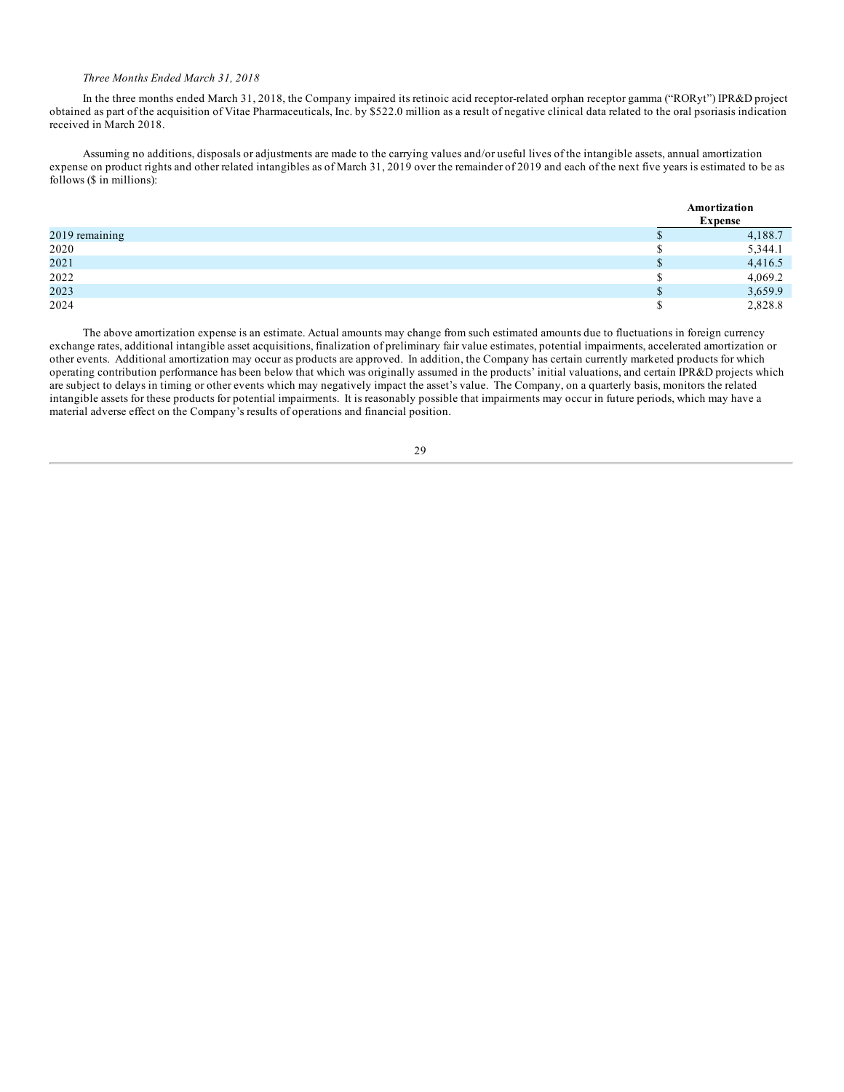## *Three Months Ended March 31, 2018*

In the three months ended March 31, 2018, the Company impaired its retinoic acid receptor-related orphan receptor gamma ("RORyt") IPR&D project obtained as part of the acquisition of Vitae Pharmaceuticals, Inc. by \$522.0 million as a result of negative clinical data related to the oral psoriasis indication received in March 2018.

Assuming no additions, disposals or adjustments are made to the carrying values and/or useful lives of the intangible assets, annual amortization expense on product rights and other related intangibles as of March 31, 2019 over the remainder of 2019 and each of the next five years is estimated to be as follows (\$ in millions):

|                | Amortization |
|----------------|--------------|
|                | Expense      |
| 2019 remaining | 4,188.7      |
| 2020           | 5,344.1      |
| 2021           | 4,416.5      |
| 2022           | 4,069.2      |
| 2023           | 3,659.9      |
| 2024           | 2,828.8      |

The above amortization expense is an estimate. Actual amounts may change from such estimated amounts due to fluctuations in foreign currency exchange rates, additional intangible asset acquisitions, finalization of preliminary fair value estimates, potential impairments, accelerated amortization or other events. Additional amortization may occur as products are approved. In addition, the Company has certain currently marketed products for which operating contribution performance has been below that which was originally assumed in the products' initial valuations, and certain IPR&D projects which are subject to delays in timing or other events which may negatively impact the asset's value. The Company, on a quarterly basis, monitors the related intangible assets for these products for potential impairments. It is reasonably possible that impairments may occur in future periods, which may have a material adverse effect on the Company's results of operations and financial position.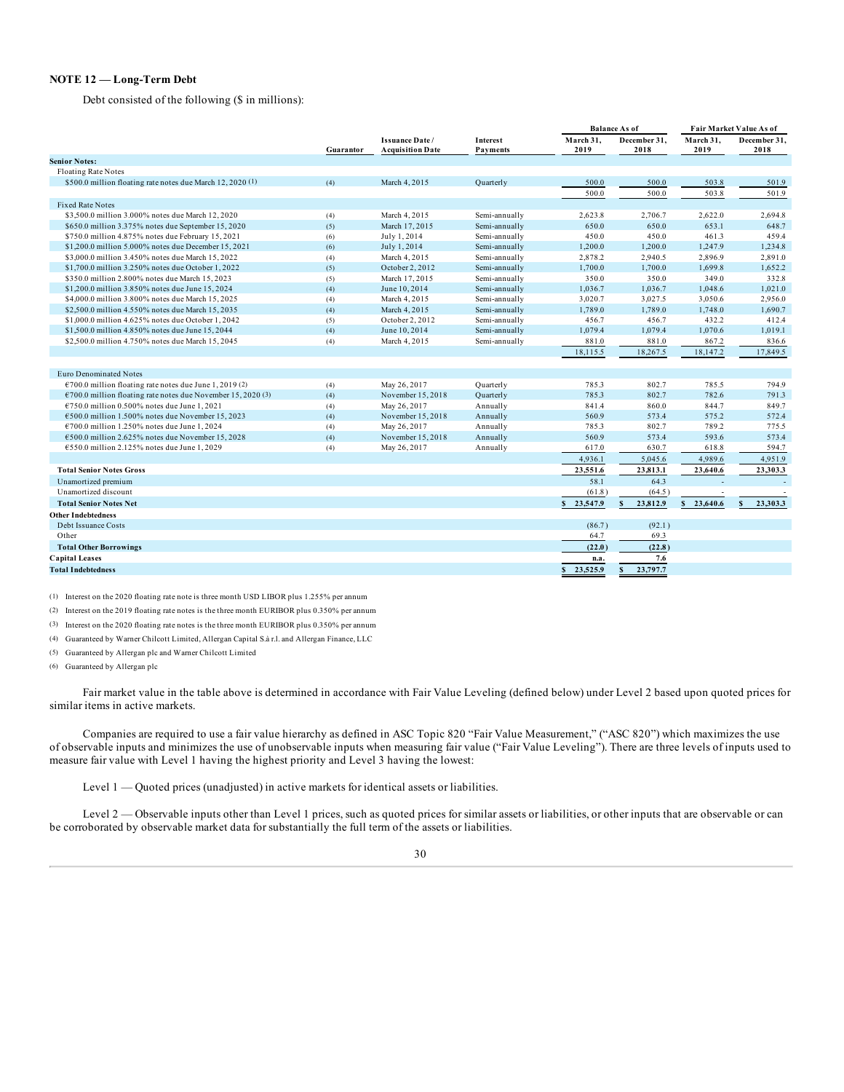## **NOTE 12 — Long-Term Debt**

Debt consisted of the following (\$ in millions):

|                                                                        |           |                       |               |                | <b>Balance As of</b> |               | Fair Market Value As of |
|------------------------------------------------------------------------|-----------|-----------------------|---------------|----------------|----------------------|---------------|-------------------------|
|                                                                        |           | <b>Issuance Date/</b> | Interest      | March 31,      | December 31,         | March 31,     | December 31,            |
|                                                                        | Guarantor | Acquisition Date      | Payments      | 2019           | 2018                 | 2019          | 2018                    |
| <b>Senior Notes:</b>                                                   |           |                       |               |                |                      |               |                         |
| <b>Floating Rate Notes</b>                                             |           |                       |               |                |                      |               |                         |
| \$500.0 million floating rate notes due March 12, 2020 (1)             | (4)       | March 4, 2015         | Quarterly     | 500.0          | 500.0                | 503.8         | 501.9                   |
|                                                                        |           |                       |               | 500.0          | 500.0                | 503.8         | 501.9                   |
| <b>Fixed Rate Notes</b>                                                |           |                       |               |                |                      |               |                         |
| \$3,500.0 million 3,000% notes due March 12, 2020                      | (4)       | March 4, 2015         | Semi-annually | 2,623.8        | 2,706.7              | 2,622.0       | 2,694.8                 |
| \$650.0 million 3.375% notes due September 15, 2020                    | (5)       | March 17, 2015        | Semi-annually | 650.0          | 650.0                | 653.1         | 648.7                   |
| \$750.0 million 4.875% notes due February 15, 2021                     | (6)       | July 1,2014           | Semi-annually | 450.0          | 450.0                | 461.3         | 459.4                   |
| \$1,200.0 million 5.000% notes due December 15, 2021                   | (6)       | July 1, 2014          | Semi-annually | 1,200.0        | 1,200.0              | 1,247.9       | 1,234.8                 |
| \$3,000.0 million 3.450% notes due March 15, 2022                      | (4)       | March 4, 2015         | Semi-annually | 2,878.2        | 2,940.5              | 2,896.9       | 2,891.0                 |
| \$1,700.0 million 3.250% notes due October 1, 2022                     | (5)       | October 2, 2012       | Semi-annually | 1,700.0        | 1,700.0              | 1,699.8       | 1,652.2                 |
| \$350.0 million 2.800% notes due March 15, 2023                        | (5)       | March 17, 2015        | Semi-annually | 350.0          | 350.0                | 349.0         | 332.8                   |
| \$1,200.0 million 3.850% notes due June 15, 2024                       | (4)       | June 10, 2014         | Semi-annually | 1,036.7        | 1,036.7              | 1,048.6       | 1,021.0                 |
| \$4,000.0 million 3.800% notes due March 15, 2025                      | (4)       | March 4, 2015         | Semi-annually | 3,020.7        | 3,027.5              | 3,050.6       | 2,956.0                 |
| \$2,500.0 million 4.550% notes due March 15, 2035                      | (4)       | March 4, 2015         | Semi-annually | 1,789.0        | 1,789.0              | 1,748.0       | 1,690.7                 |
| \$1,000.0 million 4.625% notes due October 1, 2042                     | (5)       | October 2, 2012       | Semi-annually | 456.7          | 456.7                | 432.2         | 412.4                   |
| \$1,500.0 million 4.850% notes due June 15,2044                        | (4)       | June 10, 2014         | Semi-annually | 1,079.4        | 1,079.4              | 1,070.6       | 1,019.1                 |
| \$2,500.0 million 4.750% notes due March 15, 2045                      | (4)       | March 4, 2015         | Semi-annually | 881.0          | 881.0                | 867.2         | 836.6                   |
|                                                                        |           |                       |               | 18,115.5       | 18,267.5             | 18,147.2      | 17,849.5                |
|                                                                        |           |                       |               |                |                      |               |                         |
| <b>Euro Denominated Notes</b>                                          |           |                       |               |                |                      |               |                         |
| $\epsilon$ 700.0 million floating rate notes due June 1, 2019 (2)      | (4)       | May 26, 2017          | Quarterly     | 785.3          | 802.7                | 785.5         | 794.9                   |
| $\epsilon$ 700.0 million floating rate notes due November 15, 2020 (3) | (4)       | November 15, 2018     | Quarterly     | 785.3          | 802.7                | 782.6         | 791.3                   |
| $\text{\textsterling}750.0$ million 0.500% notes due June 1, 2021      | (4)       | May 26, 2017          | Annually      | 841.4          | 860.0                | 844.7         | 849.7                   |
| $\epsilon$ 500.0 million 1.500% notes due November 15, 2023            | (4)       | November 15, 2018     | Annually      | 560.9          | 573.4                | 575.2         | 572.4                   |
| $\epsilon$ 700.0 million 1.250% notes due June 1,2024                  | (4)       | May 26, 2017          | Annually      | 785.3          | 802.7                | 789.2         | 775.5                   |
| €500.0 million 2.625% notes due November 15, 2028                      | (4)       | November 15, 2018     | Annually      | 560.9          | 573.4                | 593.6         | 573.4                   |
| €550.0 million 2.125% notes due June 1, 2029                           | (4)       | May 26, 2017          | Annually      | 617.0          | 630.7                | 618.8         | 594.7                   |
|                                                                        |           |                       |               | 4.936.1        | 5,045.6              | 4,989.6       | 4,951.9                 |
| <b>Total Senior Notes Gross</b>                                        |           |                       |               | 23,551.6       | 23,813.1             | 23,640.6      | 23,303.3                |
| Unamortized premium                                                    |           |                       |               | 58.1           | 64.3                 |               |                         |
| Unamortized discount                                                   |           |                       |               | (61.8)         | (64.5)               |               |                         |
| <b>Total Senior Notes Net</b>                                          |           |                       |               | 23,547.9       | 23,812.9<br>S        | 23,640.6<br>s | 23,303.3                |
| <b>Other Indebtedness</b>                                              |           |                       |               |                |                      |               |                         |
| Debt Issuance Costs                                                    |           |                       |               | (86.7)         | (92.1)               |               |                         |
| Other                                                                  |           |                       |               | 64.7           | 69.3                 |               |                         |
| <b>Total Other Borrowings</b>                                          |           |                       |               | (22.0)         | (22.8)               |               |                         |
|                                                                        |           |                       |               |                |                      |               |                         |
| <b>Capital Leases</b>                                                  |           |                       |               | n.a.           | 7.6                  |               |                         |
| <b>Total Indebtedness</b>                                              |           |                       |               | 23,525.9<br>S. | 23,797.7<br>S        |               |                         |

(1) Interest on the 2020 floating rate note is three month USD LIBOR plus 1.255% per annum

(2) Interest on the 2019 floating rate notes is the three month EURIBOR plus 0.350% per annum

(3) Interest on the 2020 floating rate notes is the three month EURIBOR plus 0.350% per annum

(4) Guaranteed by Warner Chilcott Limited, Allergan Capital S.à r.l. and Allergan Finance, LLC

(5) Guaranteed by Allergan plc and Warner Chilcott Limited

(6) Guaranteed by Allergan plc

Fair market value in the table above is determined in accordance with Fair Value Leveling (defined below) under Level 2 based upon quoted prices for similar items in active markets.

Companies are required to use a fair value hierarchy as defined in ASC Topic 820 "Fair Value Measurement," ("ASC 820") which maximizes the use of observable inputs and minimizes the use of unobservable inputs when measuring fair value ("Fair Value Leveling"). There are three levels of inputs used to measure fair value with Level 1 having the highest priority and Level 3 having the lowest:

Level 1 — Quoted prices (unadjusted) in active markets for identical assets or liabilities.

Level 2 — Observable inputs other than Level 1 prices, such as quoted prices for similar assets or liabilities, or other inputs that are observable or can be corroborated by observable market data for substantially the full term of the assets or liabilities.

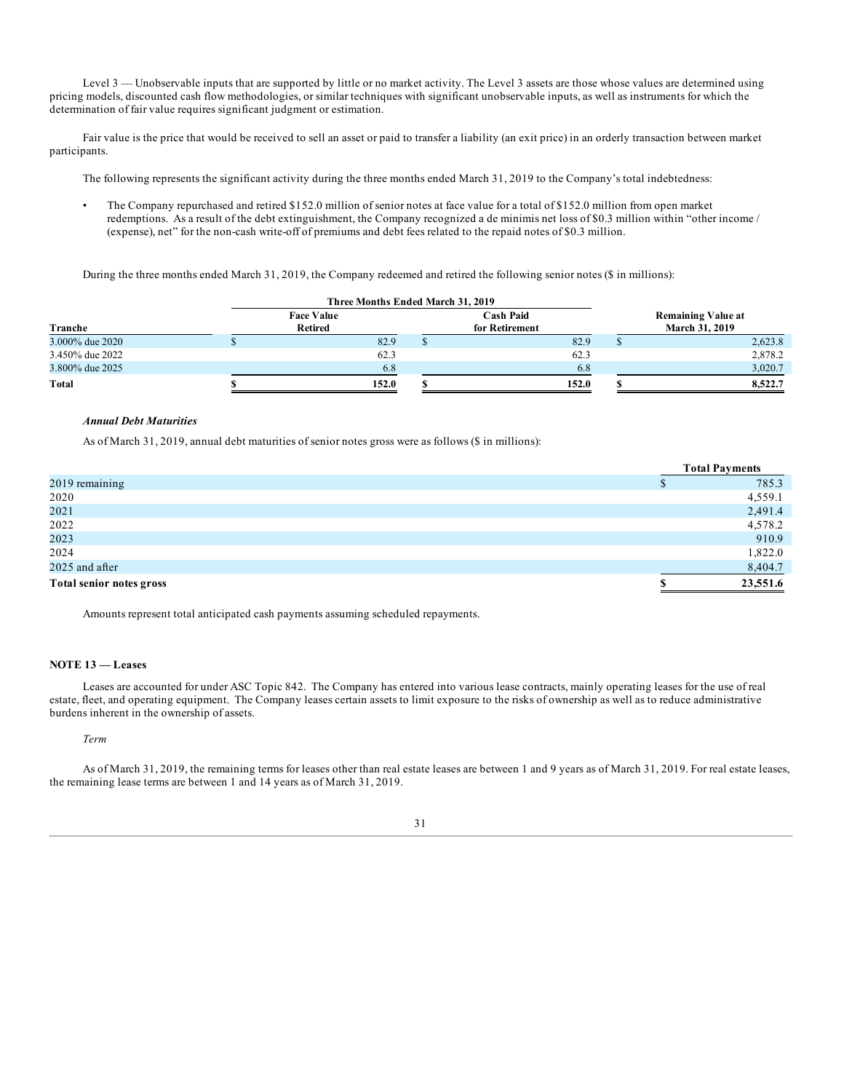Level 3 — Unobservable inputs that are supported by little or no market activity. The Level 3 assets are those whose values are determined using pricing models, discounted cash flow methodologies, or similar techniques with significant unobservable inputs, as well as instruments for which the determination of fair value requires significant judgment or estimation.

Fair value is the price that would be received to sell an asset or paid to transfer a liability (an exit price) in an orderly transaction between market participants.

The following represents the significant activity during the three months ended March 31, 2019 to the Company's total indebtedness:

• The Company repurchased and retired \$152.0 million of senior notes at face value for a total of \$152.0 million from open market redemptions. As a result of the debt extinguishment, the Company recognized a de minimis net loss of \$0.3 million within "other income / (expense), net" for the non-cash write-off of premiums and debt fees related to the repaid notes of \$0.3 million.

During the three months ended March 31, 2019, the Company redeemed and retired the following senior notes (\$ in millions):

|                 | Three Months Ended March 31, 2019   |                                    |                                             |
|-----------------|-------------------------------------|------------------------------------|---------------------------------------------|
| Tranche         | <b>Face Value</b><br><b>Retired</b> | <b>Cash Paid</b><br>for Retirement | <b>Remaining Value at</b><br>March 31, 2019 |
| 3.000% due 2020 | 82.9                                | 82.9                               | 2,623.8                                     |
| 3.450% due 2022 | 62.3                                | 62.3                               | 2,878.2                                     |
| 3.800% due 2025 | 6.8                                 | 6.8                                | 3,020.7                                     |
| Total           | 152.0                               | 152.0                              | 8,522.7                                     |

## *Annual Debt Maturities*

As of March 31, 2019, annual debt maturities of senior notes gross were as follows (\$ in millions):

|                          | <b>Total Payments</b> |
|--------------------------|-----------------------|
| 2019 remaining           | 785.3                 |
| 2020                     | 4,559.1               |
| 2021                     | 2,491.4               |
| 2022                     | 4,578.2               |
| 2023                     | 910.9                 |
| 2024                     | 1,822.0               |
| 2025 and after           | 8,404.7               |
| Total senior notes gross | 23,551.6              |

Amounts represent total anticipated cash payments assuming scheduled repayments.

#### **NOTE 13 — Leases**

Leases are accounted for under ASC Topic 842. The Company has entered into various lease contracts, mainly operating leases for the use of real estate, fleet, and operating equipment. The Company leases certain assets to limit exposure to the risks of ownership as well as to reduce administrative burdens inherent in the ownership of assets.

#### *Term*

As of March 31, 2019, the remaining terms for leases other than real estate leases are between 1 and 9 years as of March 31, 2019. For real estate leases, the remaining lease terms are between 1 and 14 years as of March 31, 2019.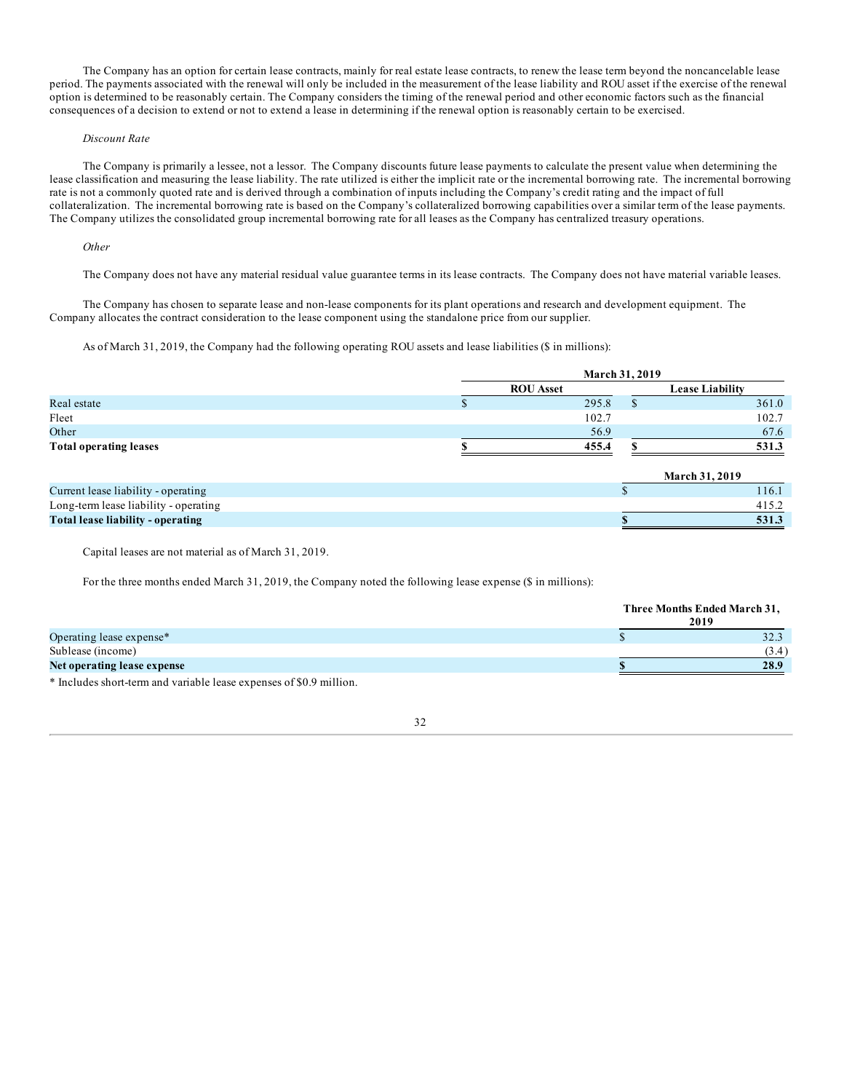The Company has an option for certain lease contracts, mainly for real estate lease contracts, to renew the lease term beyond the noncancelable lease period. The payments associated with the renewal will only be included in the measurement of the lease liability and ROU asset if the exercise of the renewal option is determined to be reasonably certain. The Company considers the timing of the renewal period and other economic factors such as the financial consequences of a decision to extend or not to extend a lease in determining if the renewal option is reasonably certain to be exercised.

#### *Discount Rate*

The Company is primarily a lessee, not a lessor. The Company discounts future lease payments to calculate the present value when determining the lease classification and measuring the lease liability. The rate utilized is either the implicit rate or the incremental borrowing rate. The incremental borrowing rate is not a commonly quoted rate and is derived through a combination of inputs including the Company's credit rating and the impact of full collateralization. The incremental borrowing rate is based on the Company's collateralized borrowing capabilities over a similar term of the lease payments. The Company utilizes the consolidated group incremental borrowing rate for all leases as the Company has centralized treasury operations.

*Other*

The Company does not have any material residual value guarantee terms in its lease contracts. The Company does not have material variable leases.

The Company has chosen to separate lease and non-lease components for its plant operations and research and development equipment. The Company allocates the contract consideration to the lease component using the standalone price from our supplier.

As of March 31, 2019, the Company had the following operating ROU assets and lease liabilities (\$ in millions):

|                               | March 31, 2019   |   |                        |
|-------------------------------|------------------|---|------------------------|
|                               | <b>ROU Asset</b> |   | <b>Lease Liability</b> |
| Real estate                   | 295.8            |   | 361.0                  |
| Fleet                         | 102.7            |   | 102.7                  |
| Other                         | 56.9             |   | 67.6                   |
| <b>Total operating leases</b> | 455.4            | c | 531.3                  |

|                                       | <b>March 31, 2019</b> |
|---------------------------------------|-----------------------|
| Current lease liability - operating   | <sup>16.1</sup>       |
| Long-term lease liability - operating | 415.2                 |
| Total lease liability - operating     | 531.3                 |

Capital leases are not material as of March 31, 2019.

For the three months ended March 31, 2019, the Company noted the following lease expense (\$ in millions):

|                             | 2019 | Three Months Ended March 31, |
|-----------------------------|------|------------------------------|
| Operating lease expense*    |      |                              |
| Sublease (income)           |      | (3.4)                        |
| Net operating lease expense |      | 28.9                         |
|                             |      |                              |

\* Includes short-term and variable lease expenses of \$0.9 million.

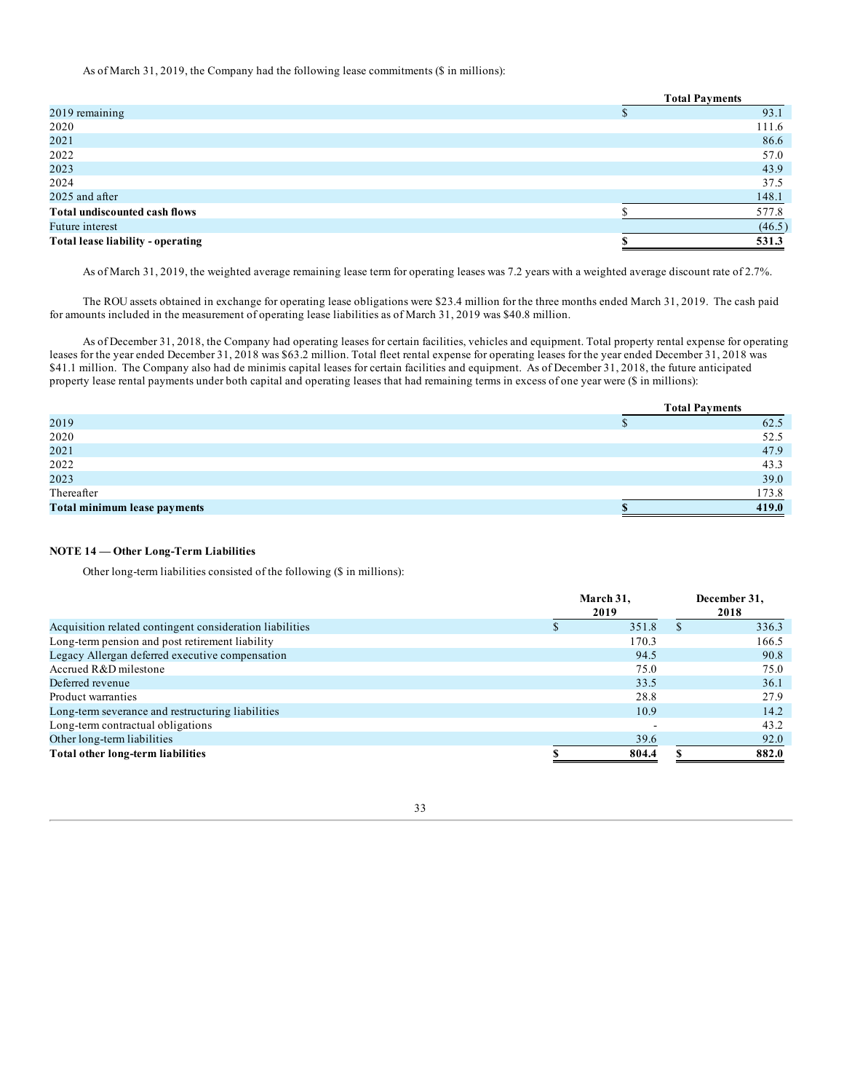As of March 31, 2019, the Company had the following lease commitments (\$ in millions):

|                                      | <b>Total Payments</b> |
|--------------------------------------|-----------------------|
| 2019 remaining                       | 93.1                  |
| 2020                                 | 111.6                 |
| 2021                                 | 86.6                  |
| 2022                                 | 57.0                  |
| 2023                                 | 43.9                  |
| 2024                                 | 37.5                  |
| 2025 and after                       | 148.1                 |
| <b>Total undiscounted cash flows</b> | 577.8                 |
| Future interest                      | (46.5)                |
| Total lease liability - operating    | 531.3                 |
|                                      |                       |

As of March 31, 2019, the weighted average remaining lease term for operating leases was 7.2 years with a weighted average discount rate of 2.7%.

The ROU assets obtained in exchange for operating lease obligations were \$23.4 million for the three months ended March 31, 2019. The cash paid for amounts included in the measurement of operating lease liabilities as of March 31, 2019 was \$40.8 million.

As of December 31, 2018, the Company had operating leases for certain facilities, vehicles and equipment. Total property rental expense for operating leases for the year ended December 31, 2018 was \$63.2 million. Total fleet rental expense for operating leases for the year ended December 31, 2018 was \$41.1 million. The Company also had de minimis capital leases for certain facilities and equipment. As of December 31, 2018, the future anticipated property lease rental payments under both capital and operating leases that had remaining terms in excess of one year were (\$ in millions):

|                              | <b>Total Payments</b> |       |
|------------------------------|-----------------------|-------|
| 2019                         |                       | 62.5  |
| 2020                         |                       | 52.5  |
| 2021                         |                       | 47.9  |
| 2022                         |                       | 43.3  |
| 2023                         |                       | 39.0  |
| Thereafter                   |                       | 173.8 |
| Total minimum lease payments |                       | 419.0 |

## **NOTE 14 — Other Long-Term Liabilities**

Other long-term liabilities consisted of the following (\$ in millions):

|                                                          | March 31,<br>2019 | December 31,<br>2018 |
|----------------------------------------------------------|-------------------|----------------------|
| Acquisition related contingent consideration liabilities | 351.8             | 336.3                |
| Long-term pension and post retirement liability          | 170.3             | 166.5                |
| Legacy Allergan deferred executive compensation          | 94.5              | 90.8                 |
| Accrued R&D milestone                                    | 75.0              | 75.0                 |
| Deferred revenue                                         | 33.5              | 36.1                 |
| Product warranties                                       | 28.8              | 27.9                 |
| Long-term severance and restructuring liabilities        | 10.9              | 14.2                 |
| Long-term contractual obligations                        |                   | 43.2                 |
| Other long-term liabilities                              | 39.6              | 92.0                 |
| Total other long-term liabilities                        | 804.4             | 882.0                |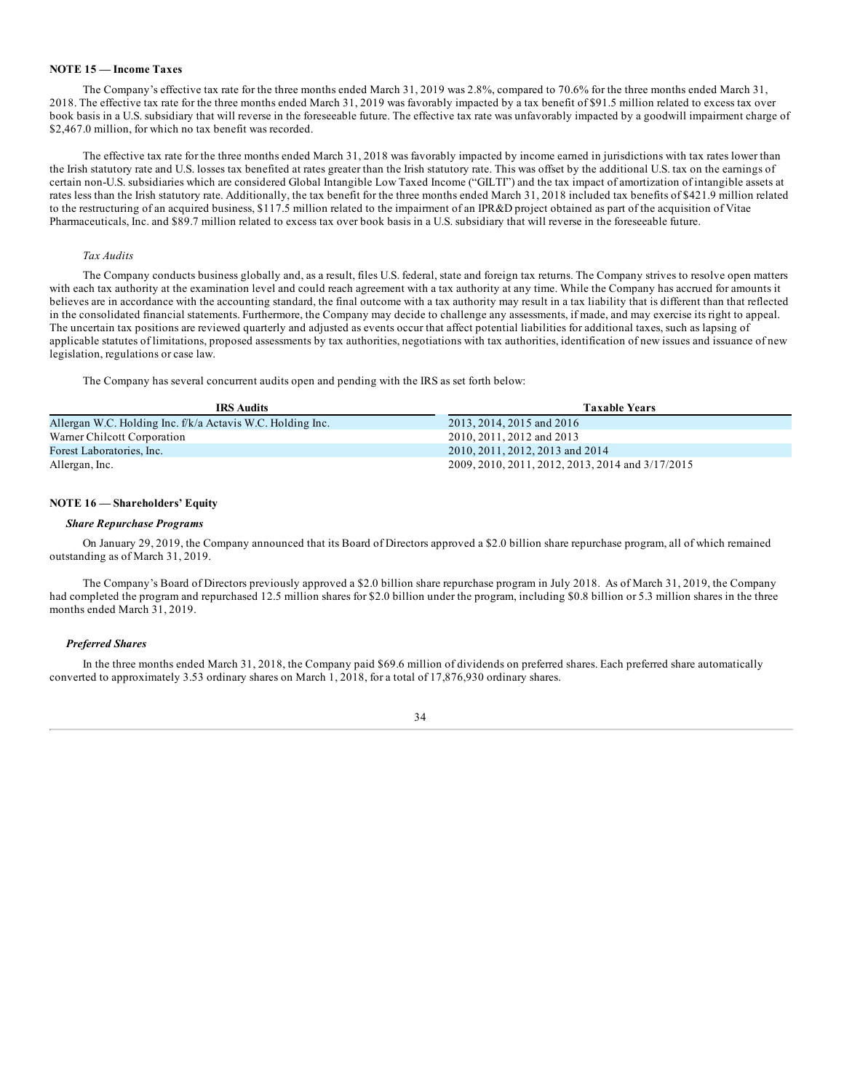## **NOTE 15 — Income Taxes**

The Company's effective tax rate for the three months ended March 31, 2019 was 2.8%, compared to 70.6% for the three months ended March 31, 2018. The effective tax rate for the three months ended March 31, 2019 was favorably impacted by a tax benefit of \$91.5 million related to excess tax over book basis in a U.S. subsidiary that will reverse in the foreseeable future. The effective tax rate was unfavorably impacted by a goodwill impairment charge of \$2,467.0 million, for which no tax benefit was recorded.

The effective tax rate for the three months ended March 31, 2018 was favorably impacted by income earned in jurisdictions with tax rates lower than the Irish statutory rate and U.S. losses tax benefited at rates greater than the Irish statutory rate. This was offset by the additional U.S. tax on the earnings of certain non-U.S. subsidiaries which are considered Global Intangible Low Taxed Income ("GILTI") and the tax impact of amortization of intangible assets at rates less than the Irish statutory rate. Additionally, the tax benefit for the three months ended March 31, 2018 included tax benefits of \$421.9 million related to the restructuring of an acquired business, \$117.5 million related to the impairment of an IPR&D project obtained as part of the acquisition of Vitae Pharmaceuticals, Inc. and \$89.7 million related to excess tax over book basis in a U.S. subsidiary that will reverse in the foreseeable future.

#### *Tax Audits*

The Company conducts business globally and, as a result, files U.S. federal, state and foreign tax returns. The Company strives to resolve open matters with each tax authority at the examination level and could reach agreement with a tax authority at any time. While the Company has accrued for amounts it believes are in accordance with the accounting standard, the final outcome with a tax authority may result in a tax liability that is different than that reflected in the consolidated financial statements. Furthermore, the Company may decide to challenge any assessments, if made, and may exercise its right to appeal. The uncertain tax positions are reviewed quarterly and adjusted as events occur that affect potential liabilities for additional taxes, such as lapsing of applicable statutes of limitations, proposed assessments by tax authorities, negotiations with tax authorities, identification of new issues and issuance of new legislation, regulations or case law.

The Company has several concurrent audits open and pending with the IRS as set forth below:

| <b>IRS Audits</b>                                          | <b>Taxable Years</b>                             |
|------------------------------------------------------------|--------------------------------------------------|
| Allergan W.C. Holding Inc. f/k/a Actavis W.C. Holding Inc. | 2013, 2014, 2015 and 2016                        |
| Warner Chilcott Corporation                                | 2010, 2011, 2012 and 2013                        |
| Forest Laboratories, Inc.                                  | $2010, 2011, 2012, 2013$ and $2014$              |
| Allergan, Inc.                                             | 2009, 2010, 2011, 2012, 2013, 2014 and 3/17/2015 |

#### **NOTE 16 — Shareholders' Equity**

#### *Share Repurchase Programs*

On January 29, 2019, the Company announced that its Board of Directors approved a \$2.0 billion share repurchase program, all of which remained outstanding as of March 31, 2019.

The Company's Board of Directors previously approved a \$2.0 billion share repurchase program in July 2018. As of March 31, 2019, the Company had completed the program and repurchased 12.5 million shares for \$2.0 billion under the program, including \$0.8 billion or 5.3 million shares in the three months ended March 31, 2019.

#### *Preferred Shares*

In the three months ended March 31, 2018, the Company paid \$69.6 million of dividends on preferred shares. Each preferred share automatically converted to approximately 3.53 ordinary shares on March 1, 2018, for a total of 17,876,930 ordinary shares.

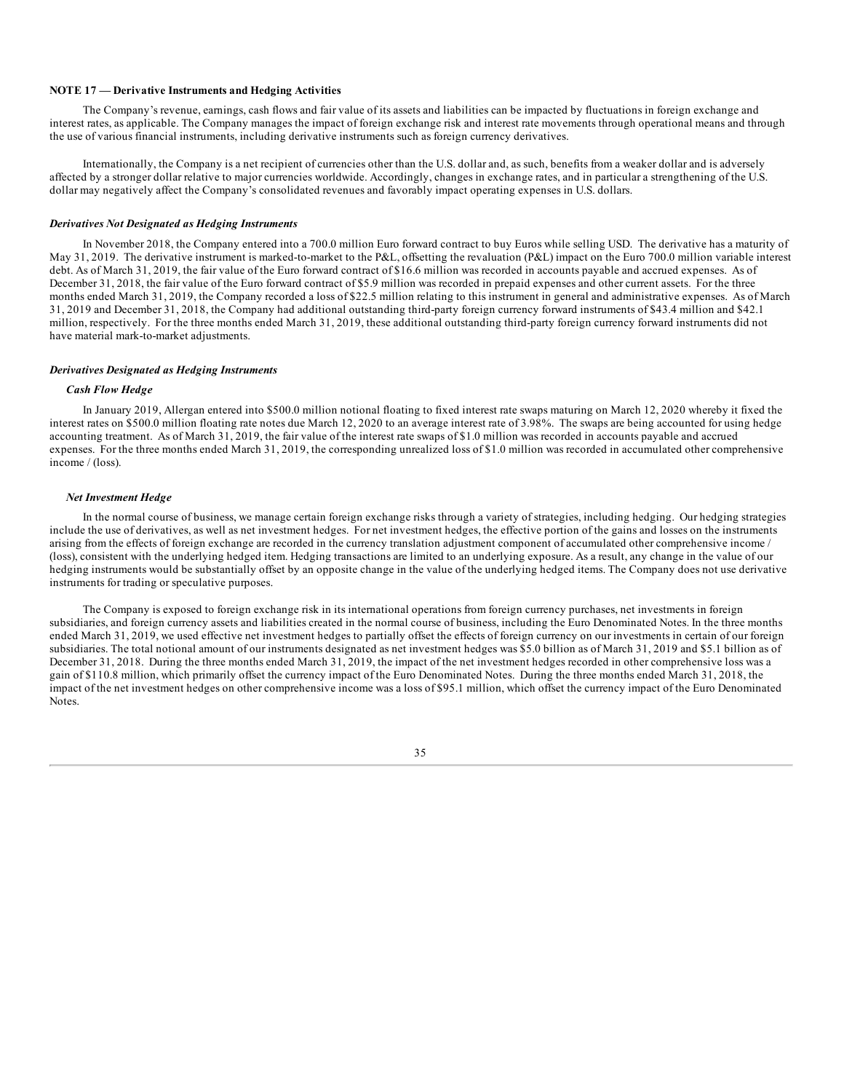#### **NOTE 17 — Derivative Instruments and Hedging Activities**

The Company's revenue, earnings, cash flows and fair value of its assets and liabilities can be impacted by fluctuations in foreign exchange and interest rates, as applicable. The Company manages the impact of foreign exchange risk and interest rate movements through operational means and through the use of various financial instruments, including derivative instruments such as foreign currency derivatives.

Internationally, the Company is a net recipient of currencies other than the U.S. dollar and, as such, benefits from a weaker dollar and is adversely affected by a stronger dollar relative to major currencies worldwide. Accordingly, changes in exchange rates, and in particular a strengthening of the U.S. dollar may negatively affect the Company's consolidated revenues and favorably impact operating expenses in U.S. dollars.

#### *Derivatives Not Designated as Hedging Instruments*

In November 2018, the Company entered into a 700.0 million Euro forward contract to buy Euros while selling USD. The derivative has a maturity of May 31, 2019. The derivative instrument is marked-to-market to the P&L, offsetting the revaluation (P&L) impact on the Euro 700.0 million variable interest debt. As of March 31, 2019, the fair value of the Euro forward contract of \$16.6 million was recorded in accounts payable and accrued expenses. As of December 31, 2018, the fair value of the Euro forward contract of \$5.9 million was recorded in prepaid expenses and other current assets. For the three months ended March 31, 2019, the Company recorded a loss of \$22.5 million relating to this instrument in general and administrative expenses. As of March 31, 2019 and December 31, 2018, the Company had additional outstanding third-party foreign currency forward instruments of \$43.4 million and \$42.1 million, respectively. For the three months ended March 31, 2019, these additional outstanding third-party foreign currency forward instruments did not have material mark-to-market adjustments.

#### *Derivatives Designated as Hedging Instruments*

#### *Cash Flow Hedge*

In January 2019, Allergan entered into \$500.0 million notional floating to fixed interest rate swaps maturing on March 12, 2020 whereby it fixed the interest rates on \$500.0 million floating rate notes due March 12, 2020 to an average interest rate of 3.98%. The swaps are being accounted for using hedge accounting treatment. As of March 31, 2019, the fair value of the interest rate swaps of \$1.0 million was recorded in accounts payable and accrued expenses. For the three months ended March 31, 2019, the corresponding unrealized loss of \$1.0 million was recorded in accumulated other comprehensive income / (loss).

#### *Net Investment Hedge*

In the normal course of business, we manage certain foreign exchange risks through a variety of strategies, including hedging. Our hedging strategies include the use of derivatives, as well as net investment hedges. For net investment hedges, the effective portion of the gains and losses on the instruments arising from the effects of foreign exchange are recorded in the currency translation adjustment component of accumulated other comprehensive income / (loss), consistent with the underlying hedged item. Hedging transactions are limited to an underlying exposure. As a result, any change in the value of our hedging instruments would be substantially offset by an opposite change in the value of the underlying hedged items. The Company does not use derivative instruments for trading or speculative purposes.

The Company is exposed to foreign exchange risk in its international operations from foreign currency purchases, net investments in foreign subsidiaries, and foreign currency assets and liabilities created in the normal course of business, including the Euro Denominated Notes. In the three months ended March 31, 2019, we used effective net investment hedges to partially offset the effects of foreign currency on our investments in certain of our foreign subsidiaries. The total notional amount of our instruments designated as net investment hedges was \$5.0 billion as of March 31, 2019 and \$5.1 billion as of December 31, 2018. During the three months ended March 31, 2019, the impact of the net investment hedges recorded in other comprehensive loss was a gain of \$110.8 million, which primarily offset the currency impact of the Euro Denominated Notes. During the three months ended March 31, 2018, the impact of the net investment hedges on other comprehensive income was a loss of \$95.1 million, which offset the currency impact of the Euro Denominated Notes.

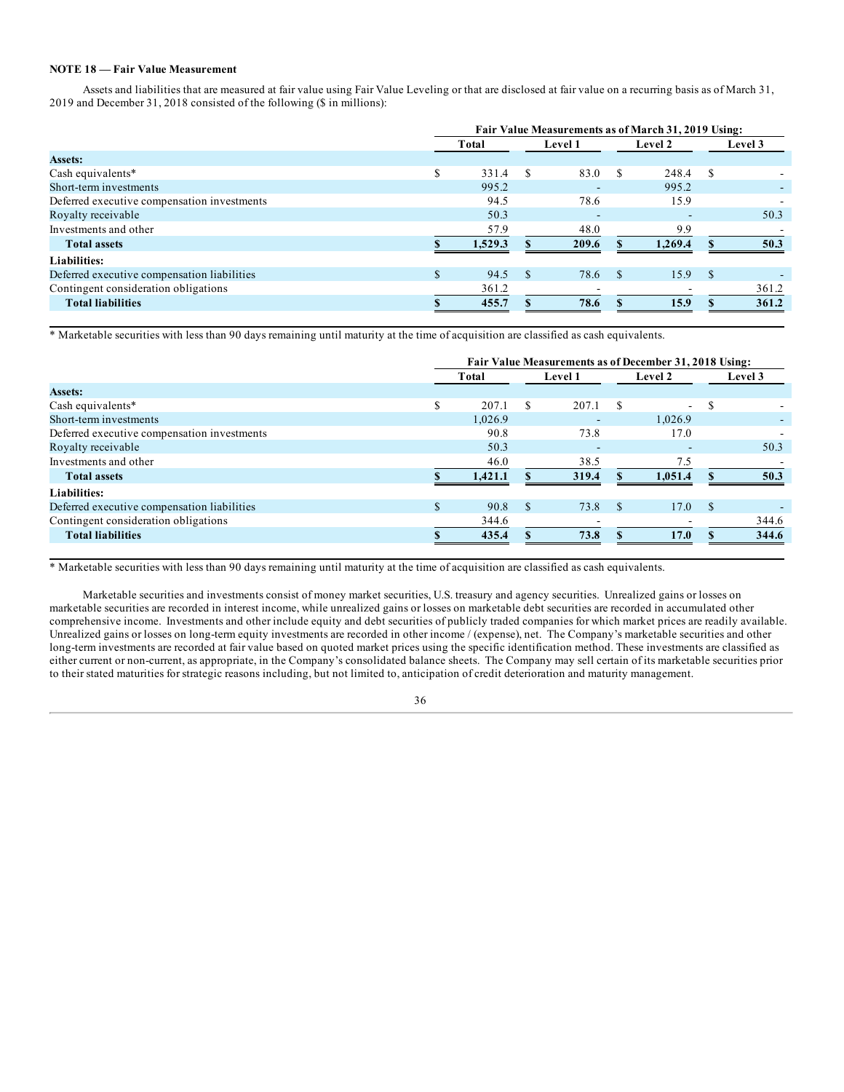# **NOTE 18 — Fair Value Measurement**

Assets and liabilities that are measured at fair value using Fair Value Leveling or that are disclosed at fair value on a recurring basis as of March 31, 2019 and December 31, 2018 consisted of the following (\$ in millions):

|                                             | Fair Value Measurements as of March 31, 2019 Using: |         |               |                          |                |         |         |       |  |  |
|---------------------------------------------|-----------------------------------------------------|---------|---------------|--------------------------|----------------|---------|---------|-------|--|--|
|                                             | Total                                               |         | Level 1       |                          | <b>Level 2</b> |         | Level 3 |       |  |  |
| <b>Assets:</b>                              |                                                     |         |               |                          |                |         |         |       |  |  |
| Cash equivalents*                           | S                                                   | 331.4   | \$.           | 83.0                     | -S             | 248.4   | -S      |       |  |  |
| Short-term investments                      |                                                     | 995.2   |               |                          |                | 995.2   |         |       |  |  |
| Deferred executive compensation investments |                                                     | 94.5    |               | 78.6                     |                | 15.9    |         |       |  |  |
| Royalty receivable                          |                                                     | 50.3    |               | $\overline{\phantom{a}}$ |                | -       |         | 50.3  |  |  |
| Investments and other                       |                                                     | 57.9    |               | 48.0                     |                | 9.9     |         |       |  |  |
| <b>Total assets</b>                         |                                                     | 1,529.3 |               | 209.6                    |                | 1,269.4 |         | 50.3  |  |  |
| Liabilities:                                |                                                     |         |               |                          |                |         |         |       |  |  |
| Deferred executive compensation liabilities | $\mathcal{S}$                                       | 94.5    | <sup>\$</sup> | 78.6                     |                | 15.9    | -S      |       |  |  |
| Contingent consideration obligations        |                                                     | 361.2   |               |                          |                |         |         | 361.2 |  |  |
| <b>Total liabilities</b>                    |                                                     | 455.7   |               | 78.6                     |                | 15.9    |         | 361.2 |  |  |

\* Marketable securities with less than 90 days remaining until maturity at the time of acquisition are classified as cash equivalents.

|                                             | Fair Value Measurements as of December 31, 2018 Using: |         |     |                          |      |                |     |         |  |  |
|---------------------------------------------|--------------------------------------------------------|---------|-----|--------------------------|------|----------------|-----|---------|--|--|
|                                             |                                                        | Total   |     | Level 1                  |      | <b>Level 2</b> |     | Level 3 |  |  |
| <b>Assets:</b>                              |                                                        |         |     |                          |      |                |     |         |  |  |
| Cash equivalents*                           | \$                                                     | 207.1   | \$. | 207.1                    | -S   | $\sim$         | S   |         |  |  |
| Short-term investments                      |                                                        | 1.026.9 |     |                          |      | 1,026.9        |     |         |  |  |
| Deferred executive compensation investments |                                                        | 90.8    |     | 73.8                     |      | 17.0           |     |         |  |  |
| Royalty receivable                          |                                                        | 50.3    |     | $\overline{\phantom{a}}$ |      |                |     | 50.3    |  |  |
| Investments and other                       |                                                        | 46.0    |     | 38.5                     |      | 7.5            |     |         |  |  |
| <b>Total assets</b>                         |                                                        | 1,421.1 |     | 319.4                    |      | 1,051.4        |     | 50.3    |  |  |
| Liabilities:                                |                                                        |         |     |                          |      |                |     |         |  |  |
| Deferred executive compensation liabilities | $\mathcal{S}$                                          | 90.8    | -S  | 73.8                     | - \$ | 17.0           | - S |         |  |  |
| Contingent consideration obligations        |                                                        | 344.6   |     |                          |      |                |     | 344.6   |  |  |
| <b>Total liabilities</b>                    |                                                        | 435.4   |     | 73.8                     |      | 17.0           |     | 344.6   |  |  |

\* Marketable securities with less than 90 days remaining until maturity at the time of acquisition are classified as cash equivalents.

Marketable securities and investments consist of money market securities, U.S. treasury and agency securities. Unrealized gains or losses on marketable securities are recorded in interest income, while unrealized gains or losses on marketable debt securities are recorded in accumulated other comprehensive income. Investments and other include equity and debt securities of publicly traded companies for which market prices are readily available. Unrealized gains or losses on long-term equity investments are recorded in other income / (expense), net. The Company's marketable securities and other long-term investments are recorded at fair value based on quoted market prices using the specific identification method. These investments are classified as either current or non-current, as appropriate, in the Company's consolidated balance sheets. The Company may sell certain of its marketable securities prior to their stated maturities for strategic reasons including, but not limited to, anticipation of credit deterioration and maturity management.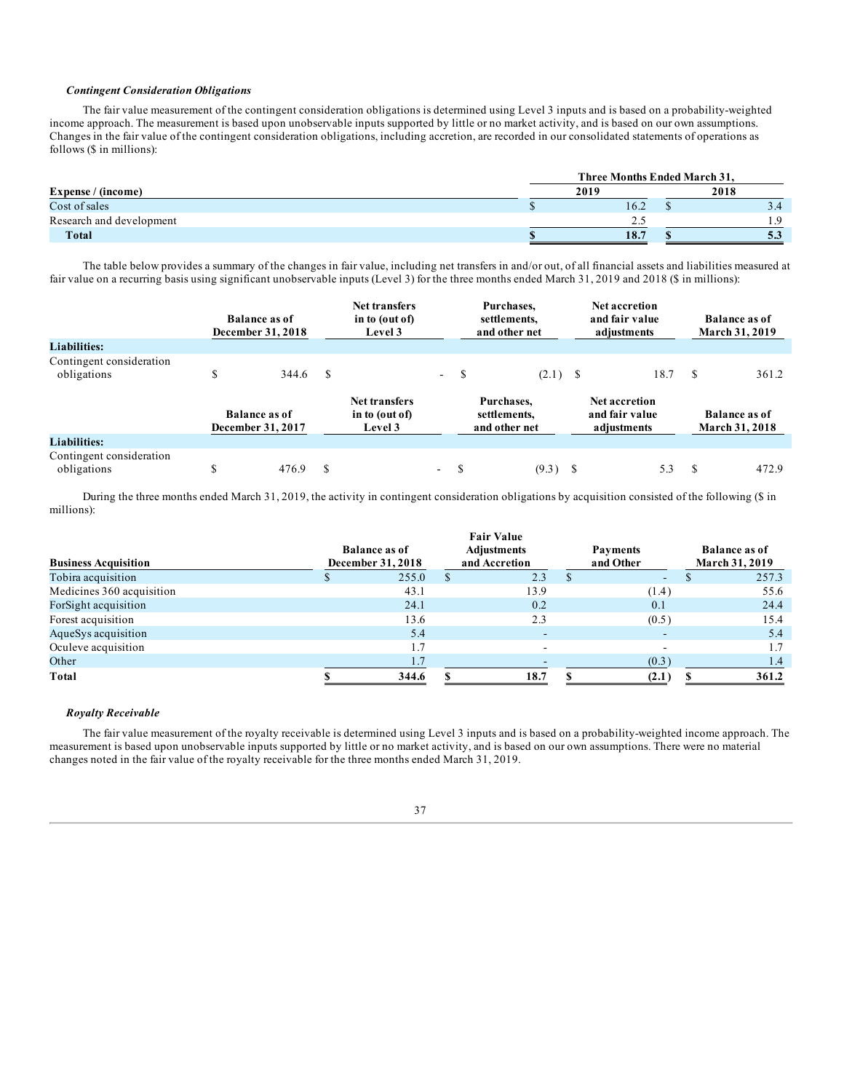## *Contingent Consideration Obligations*

The fair value measurement of the contingent consideration obligations is determined using Level 3 inputs and is based on a probability-weighted income approach. The measurement is based upon unobservable inputs supported by little or no market activity, and is based on our own assumptions. Changes in the fair value of the contingent consideration obligations, including accretion, are recorded in our consolidated statements of operations as follows (\$ in millions):

|                          | Three Months Ended March 31, |      |
|--------------------------|------------------------------|------|
| Expense / (income)       | 2019                         | 2018 |
| Cost of sales            | 16.2                         | 3.4  |
| Research and development | <u>_</u>                     | .9   |
| <b>Total</b>             | 18.7                         | 5.3  |

The table below provides a summary of the changes in fair value, including net transfers in and/or out, of all financial assets and liabilities measured at fair value on a recurring basis using significant unobservable inputs (Level 3) for the three months ended March 31, 2019 and 2018 (\$ in millions):

| Liabilities:                            |         | Balance as of<br>December 31, 2018        |               | <b>Net transfers</b><br>in to (out of)<br>Level 3 |                         | Purchases,<br>settlements.<br>and other net | Net accretion<br>and fair value<br>adjustments |   | <b>Balance as of</b><br>March 31, 2019        |
|-----------------------------------------|---------|-------------------------------------------|---------------|---------------------------------------------------|-------------------------|---------------------------------------------|------------------------------------------------|---|-----------------------------------------------|
| Contingent consideration<br>obligations | S       | 344.6                                     | S             |                                                   | $-$ \$                  | $(2.1)$ \$                                  | 18.7                                           | S | 361.2                                         |
| Liabilities:                            |         | <b>Balance as of</b><br>December 31, 2017 |               | <b>Net transfers</b><br>in to (out of)<br>Level 3 |                         | Purchases.<br>settlements,<br>and other net | Net accretion<br>and fair value<br>adjustments |   | <b>Balance as of</b><br><b>March 31, 2018</b> |
| Contingent consideration<br>obligations | ¢<br>J. | 476.9                                     | <sup>\$</sup> |                                                   | <sup>\$</sup><br>$\sim$ | $(9.3)$ \$                                  | 5.3                                            | S | 472.9                                         |

During the three months ended March 31, 2019, the activity in contingent consideration obligations by acquisition consisted of the following (\$ in millions):

|                             |                      | <b>Fair Value</b>  |                 |                      |
|-----------------------------|----------------------|--------------------|-----------------|----------------------|
|                             | <b>Balance as of</b> | <b>Adjustments</b> | <b>Payments</b> | <b>Balance as of</b> |
| <b>Business Acquisition</b> | December 31, 2018    | and Accretion      | and Other       | March 31, 2019       |
| Tobira acquisition          | 255.0                | 2.3                | ٠               | 257.3                |
| Medicines 360 acquisition   | 43.1                 | 13.9               | (1.4)           | 55.6                 |
| ForSight acquisition        | 24.1                 | 0.2                | 0.1             | 24.4                 |
| Forest acquisition          | 13.6                 | 2.3                | (0.5)           | 15.4                 |
| AqueSys acquisition         | 5.4                  |                    |                 | 5.4                  |
| Oculeve acquisition         | 1.7                  |                    |                 | 1.7                  |
| Other                       | 1.7                  |                    | (0.3)           | 1.4                  |
| Total                       | 344.6                | 18.7               | (2.1)           | 361.2                |

# *Royalty Receivable*

The fair value measurement of the royalty receivable is determined using Level 3 inputs and is based on a probability-weighted income approach. The measurement is based upon unobservable inputs supported by little or no market activity, and is based on our own assumptions. There were no material changes noted in the fair value of the royalty receivable for the three months ended March 31, 2019.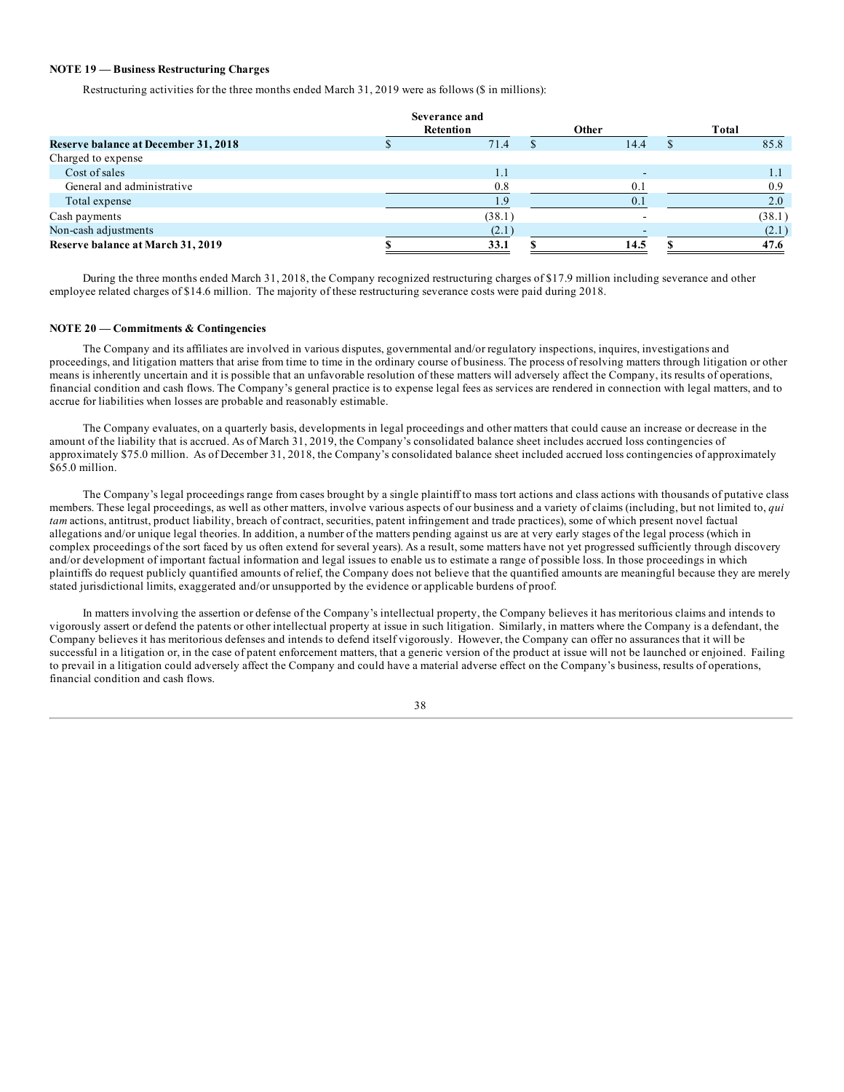# **NOTE 19 — Business Restructuring Charges**

Restructuring activities for the three months ended March 31, 2019 were as follows (\$ in millions):

|                                             | Severance and<br>Retention | Other | Total |        |  |
|---------------------------------------------|----------------------------|-------|-------|--------|--|
| <b>Reserve balance at December 31, 2018</b> | 71.4                       | 14.4  |       | 85.8   |  |
| Charged to expense                          |                            |       |       |        |  |
| Cost of sales                               |                            |       |       |        |  |
| General and administrative                  | 0.8                        | 0.    |       | 0.9    |  |
| Total expense                               |                            | 0.1   |       | 2.0    |  |
| Cash payments                               | (38.1)                     |       |       | (38.1) |  |
| Non-cash adjustments                        | (2.1)                      |       |       | (2.1)  |  |
| Reserve balance at March 31, 2019           | 33.1                       | 14.5  |       | 47.6   |  |

During the three months ended March 31, 2018, the Company recognized restructuring charges of \$17.9 million including severance and other employee related charges of \$14.6 million. The majority of these restructuring severance costs were paid during 2018.

## **NOTE 20 — Commitments & Contingencies**

The Company and its affiliates are involved in various disputes, governmental and/or regulatory inspections, inquires, investigations and proceedings, and litigation matters that arise from time to time in the ordinary course of business. The process of resolving matters through litigation or other means is inherently uncertain and it is possible that an unfavorable resolution of these matters will adversely affect the Company, its results of operations, financial condition and cash flows. The Company's general practice is to expense legal fees as services are rendered in connection with legal matters, and to accrue for liabilities when losses are probable and reasonably estimable.

The Company evaluates, on a quarterly basis, developments in legal proceedings and other matters that could cause an increase or decrease in the amount of the liability that is accrued. As of March 31, 2019, the Company's consolidated balance sheet includes accrued loss contingencies of approximately \$75.0 million. As of December 31, 2018, the Company's consolidated balance sheet included accrued loss contingencies of approximately \$65.0 million.

The Company's legal proceedings range from cases brought by a single plaintiff to mass tort actions and class actions with thousands of putative class members. These legal proceedings, as well as other matters, involve various aspects of our business and a variety of claims (including, but not limited to, *qui tam* actions, antitrust, product liability, breach of contract, securities, patent infringement and trade practices), some of which present novel factual allegations and/or unique legal theories. In addition, a number of the matters pending against us are at very early stages of the legal process (which in complex proceedings of the sort faced by us often extend for several years). As a result, some matters have not yet progressed sufficiently through discovery and/or development of important factual information and legal issues to enable us to estimate a range of possible loss. In those proceedings in which plaintiffs do request publicly quantified amounts of relief, the Company does not believe that the quantified amounts are meaningful because they are merely stated jurisdictional limits, exaggerated and/or unsupported by the evidence or applicable burdens of proof.

In matters involving the assertion or defense of the Company's intellectual property, the Company believes it has meritorious claims and intends to vigorously assert or defend the patents or other intellectual property at issue in such litigation. Similarly, in matters where the Company is a defendant, the Company believes it has meritorious defenses and intends to defend itself vigorously. However, the Company can offer no assurances that it will be successful in a litigation or, in the case of patent enforcement matters, that a generic version of the product at issue will not be launched or enjoined. Failing to prevail in a litigation could adversely affect the Company and could have a material adverse effect on the Company's business, results of operations, financial condition and cash flows.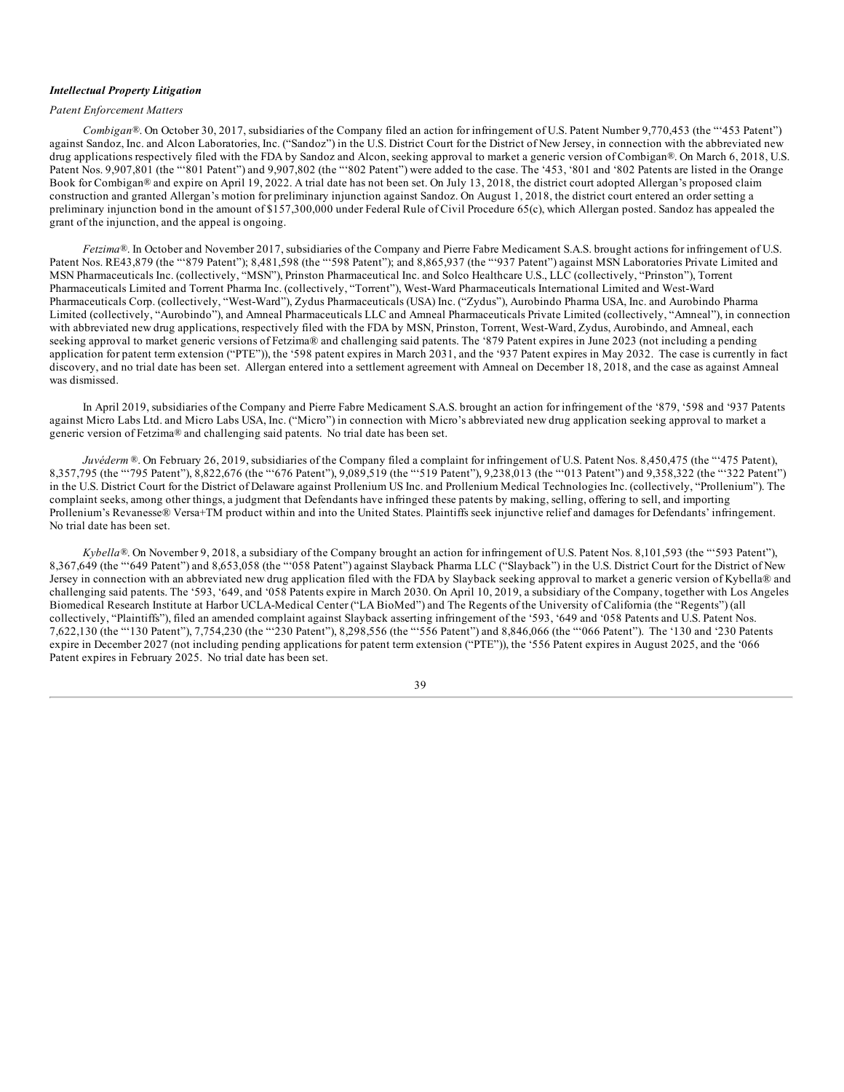# *Intellectual Property Litigation*

## *Patent Enforcement Matters*

*Combigan*®. On October 30, 2017, subsidiaries of the Company filed an action for infringement of U.S. Patent Number 9,770,453 (the "'453 Patent") against Sandoz, Inc. and Alcon Laboratories, Inc. ("Sandoz") in the U.S. District Court for the District of New Jersey, in connection with the abbreviated new drug applications respectively filed with the FDA by Sandoz and Alcon, seeking approval to market a generic version of Combigan®. On March 6, 2018, U.S. Patent Nos. 9,907,801 (the "'801 Patent") and 9,907,802 (the "'802 Patent") were added to the case. The '453, '801 and '802 Patents are listed in the Orange Book for Combigan® and expire on April 19, 2022. A trial date has not been set. On July 13, 2018, the district court adopted Allergan's proposed claim construction and granted Allergan's motion for preliminary injunction against Sandoz. On August 1, 2018, the district court entered an order setting a preliminary injunction bond in the amount of \$157,300,000 under Federal Rule of Civil Procedure 65(c), which Allergan posted. Sandoz has appealed the grant of the injunction, and the appeal is ongoing.

*Fetzima*®. In October and November 2017, subsidiaries of the Company and Pierre Fabre Medicament S.A.S. brought actions for infringement of U.S. Patent Nos. RE43,879 (the "'879 Patent"); 8,481,598 (the "'598 Patent"); and 8,865,937 (the "'937 Patent") against MSN Laboratories Private Limited and MSN Pharmaceuticals Inc. (collectively, "MSN"), Prinston Pharmaceutical Inc. and Solco Healthcare U.S., LLC (collectively, "Prinston"), Torrent Pharmaceuticals Limited and Torrent Pharma Inc. (collectively, "Torrent"), West-Ward Pharmaceuticals International Limited and West-Ward Pharmaceuticals Corp. (collectively, "West-Ward"), Zydus Pharmaceuticals (USA) Inc. ("Zydus"), Aurobindo Pharma USA, Inc. and Aurobindo Pharma Limited (collectively, "Aurobindo"), and Amneal Pharmaceuticals LLC and Amneal Pharmaceuticals Private Limited (collectively, "Amneal"), in connection with abbreviated new drug applications, respectively filed with the FDA by MSN, Prinston, Torrent, West-Ward, Zydus, Aurobindo, and Amneal, each seeking approval to market generic versions of Fetzima® and challenging said patents. The '879 Patent expires in June 2023 (not including a pending application for patent term extension ("PTE")), the '598 patent expires in March 2031, and the '937 Patent expires in May 2032. The case is currently in fact discovery, and no trial date has been set. Allergan entered into a settlement agreement with Amneal on December 18, 2018, and the case as against Amneal was dismissed.

In April 2019, subsidiaries of the Company and Pierre Fabre Medicament S.A.S. brought an action for infringement of the '879, '598 and '937 Patents against Micro Labs Ltd. and Micro Labs USA, Inc. ("Micro") in connection with Micro's abbreviated new drug application seeking approval to market a generic version of Fetzima® and challenging said patents. No trial date has been set.

*Juvéderm* ®. On February 26, 2019, subsidiaries of the Company filed a complaint for infringement of U.S. Patent Nos. 8,450,475 (the "'475 Patent), 8,357,795 (the "'795 Patent"), 8,822,676 (the "'676 Patent"), 9,089,519 (the "'519 Patent"), 9,238,013 (the "'013 Patent") and 9,358,322 (the "'322 Patent") in the U.S. District Court for the District of Delaware against Prollenium US Inc. and Prollenium Medical Technologies Inc. (collectively, "Prollenium"). The complaint seeks, among other things, a judgment that Defendants have infringed these patents by making, selling, offering to sell, and importing Prollenium's Revanesse® Versa+TM product within and into the United States. Plaintiffs seek injunctive relief and damages for Defendants' infringement. No trial date has been set.

*Kybella*<sup>®</sup>. On November 9, 2018, a subsidiary of the Company brought an action for infringement of U.S. Patent Nos. 8,101,593 (the "593 Patent"), 8,367,649 (the "'649 Patent") and 8,653,058 (the "'058 Patent") against Slayback Pharma LLC ("Slayback") in the U.S. District Court for the District of New Jersey in connection with an abbreviated new drug application filed with the FDA by Slayback seeking approval to market a generic version of Kybella® and challenging said patents. The '593, '649, and '058 Patents expire in March 2030. On April 10, 2019, a subsidiary of the Company, together with Los Angeles Biomedical Research Institute at Harbor UCLA-Medical Center ("LA BioMed") and The Regents of the University of California (the "Regents") (all collectively, "Plaintiffs"), filed an amended complaint against Slayback asserting infringement of the '593, '649 and '058 Patents and U.S. Patent Nos. 7,622,130 (the "'130 Patent"), 7,754,230 (the "'230 Patent"), 8,298,556 (the "'556 Patent") and 8,846,066 (the "'066 Patent"). The '130 and '230 Patents expire in December 2027 (not including pending applications for patent term extension ("PTE")), the '556 Patent expires in August 2025, and the '066 Patent expires in February 2025. No trial date has been set.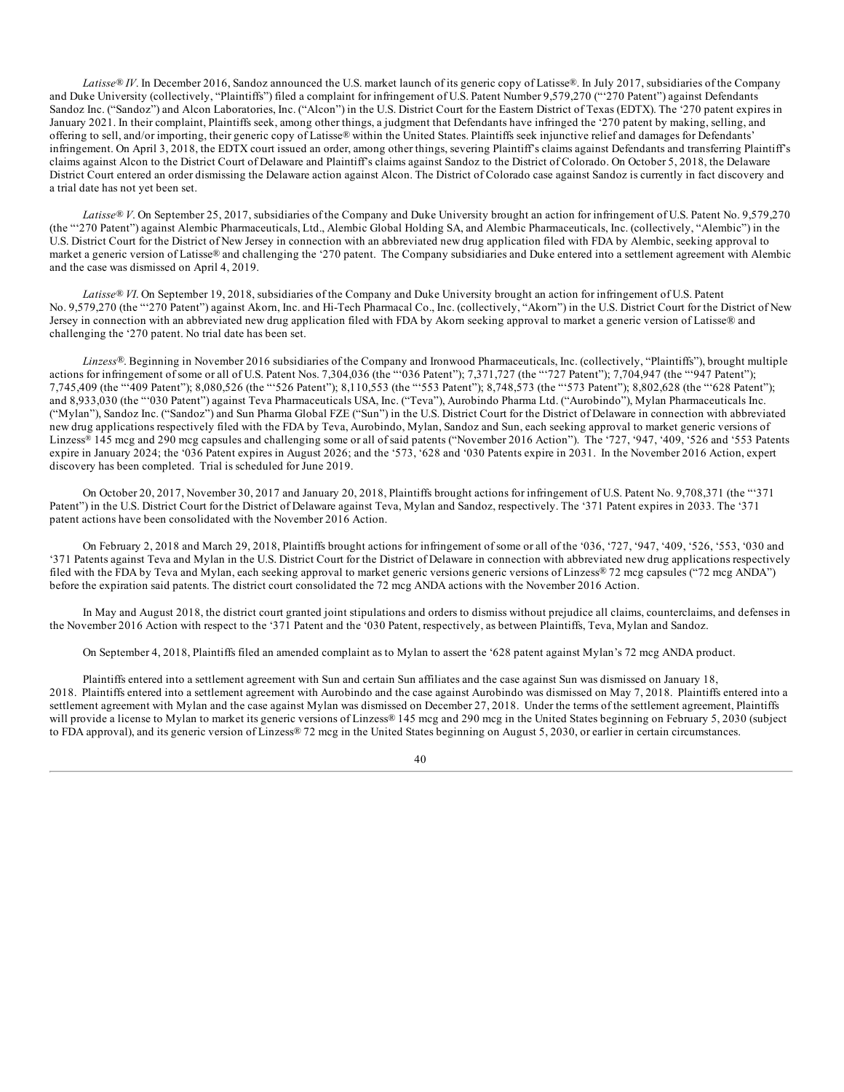*Latisse® IV*. In December 2016, Sandoz announced the U.S. market launch of its generic copy of Latisse®. In July 2017, subsidiaries of the Company and Duke University (collectively, "Plaintiffs") filed a complaint for infringement of U.S. Patent Number 9,579,270 ("'270 Patent") against Defendants Sandoz Inc. ("Sandoz") and Alcon Laboratories, Inc. ("Alcon") in the U.S. District Court for the Eastern District of Texas (EDTX). The '270 patent expires in January 2021. In their complaint, Plaintiffs seek, among other things, a judgment that Defendants have infringed the '270 patent by making, selling, and offering to sell, and/or importing, their generic copy of Latisse® within the United States. Plaintiffs seek injunctive relief and damages for Defendants' infringement. On April 3, 2018, the EDTX court issued an order, among other things, severing Plaintiff's claims against Defendants and transferring Plaintiff's claims against Alcon to the District Court of Delaware and Plaintiff's claims against Sandoz to the District of Colorado. On October 5, 2018, the Delaware District Court entered an order dismissing the Delaware action against Alcon. The District of Colorado case against Sandoz is currently in fact discovery and a trial date has not yet been set.

*Latisse® V*. On September 25, 2017, subsidiaries of the Company and Duke University brought an action for infringement of U.S. Patent No. 9,579,270 (the "'270 Patent") against Alembic Pharmaceuticals, Ltd., Alembic Global Holding SA, and Alembic Pharmaceuticals, Inc. (collectively, "Alembic") in the U.S. District Court for the District of New Jersey in connection with an abbreviated new drug application filed with FDA by Alembic, seeking approval to market a generic version of Latisse® and challenging the '270 patent. The Company subsidiaries and Duke entered into a settlement agreement with Alembic and the case was dismissed on April 4, 2019.

*Latisse® VI*. On September 19, 2018, subsidiaries of the Company and Duke University brought an action for infringement of U.S. Patent No. 9,579,270 (the "'270 Patent") against Akorn, Inc. and Hi-Tech Pharmacal Co., Inc. (collectively, "Akorn") in the U.S. District Court for the District of New Jersey in connection with an abbreviated new drug application filed with FDA by Akorn seeking approval to market a generic version of Latisse® and challenging the '270 patent. No trial date has been set.

*Linzess®*. Beginning in November 2016 subsidiaries of the Company and Ironwood Pharmaceuticals, Inc. (collectively, "Plaintiffs"), brought multiple actions for infringement of some or all of U.S. Patent Nos. 7,304,036 (the "'036 Patent"); 7,371,727 (the "'727 Patent"); 7,704,947 (the "'947 Patent"); 7,745,409 (the "'409 Patent"); 8,080,526 (the "'526 Patent"); 8,110,553 (the "'553 Patent"); 8,748,573 (the "'573 Patent"); 8,802,628 (the "'628 Patent"); and 8,933,030 (the "'030 Patent") against Teva Pharmaceuticals USA, Inc. ("Teva"), Aurobindo Pharma Ltd. ("Aurobindo"), Mylan Pharmaceuticals Inc. ("Mylan"), Sandoz Inc. ("Sandoz") and Sun Pharma Global FZE ("Sun") in the U.S. District Court for the District of Delaware in connection with abbreviated new drug applications respectively filed with the FDA by Teva, Aurobindo, Mylan, Sandoz and Sun, each seeking approval to market generic versions of Linzess® 145 mcg and 290 mcg capsules and challenging some or all of said patents ("November 2016 Action"). The '727, '947, '409, '526 and '553 Patents expire in January 2024; the '036 Patent expires in August 2026; and the '573, '628 and '030 Patents expire in 2031. In the November 2016 Action, expert discovery has been completed. Trial is scheduled for June 2019.

On October 20, 2017, November 30, 2017 and January 20, 2018, Plaintiffs brought actions for infringement of U.S. Patent No. 9,708,371 (the "'371 Patent") in the U.S. District Court for the District of Delaware against Teva, Mylan and Sandoz, respectively. The '371 Patent expires in 2033. The '371 patent actions have been consolidated with the November 2016 Action.

On February 2, 2018 and March 29, 2018, Plaintiffs brought actions for infringement of some or all of the '036, '727, '947, '409, '526, '553, '030 and '371 Patents against Teva and Mylan in the U.S. District Court for the District of Delaware in connection with abbreviated new drug applications respectively filed with the FDA by Teva and Mylan, each seeking approval to market generic versions generic versions of Linzess® 72 mcg capsules ("72 mcg ANDA") before the expiration said patents. The district court consolidated the 72 mcg ANDA actions with the November 2016 Action.

In May and August 2018, the district court granted joint stipulations and orders to dismiss without prejudice all claims, counterclaims, and defenses in the November 2016 Action with respect to the '371 Patent and the '030 Patent, respectively, as between Plaintiffs, Teva, Mylan and Sandoz.

On September 4, 2018, Plaintiffs filed an amended complaint as to Mylan to assert the '628 patent against Mylan's 72 mcg ANDA product.

Plaintiffs entered into a settlement agreement with Sun and certain Sun affiliates and the case against Sun was dismissed on January 18, 2018. Plaintiffs entered into a settlement agreement with Aurobindo and the case against Aurobindo was dismissed on May 7, 2018. Plaintiffs entered into a settlement agreement with Mylan and the case against Mylan was dismissed on December 27, 2018. Under the terms of the settlement agreement, Plaintiffs will provide a license to Mylan to market its generic versions of Linzess® 145 mcg and 290 mcg in the United States beginning on February 5, 2030 (subject to FDA approval), and its generic version of Linzess® 72 mcg in the United States beginning on August 5, 2030, or earlier in certain circumstances.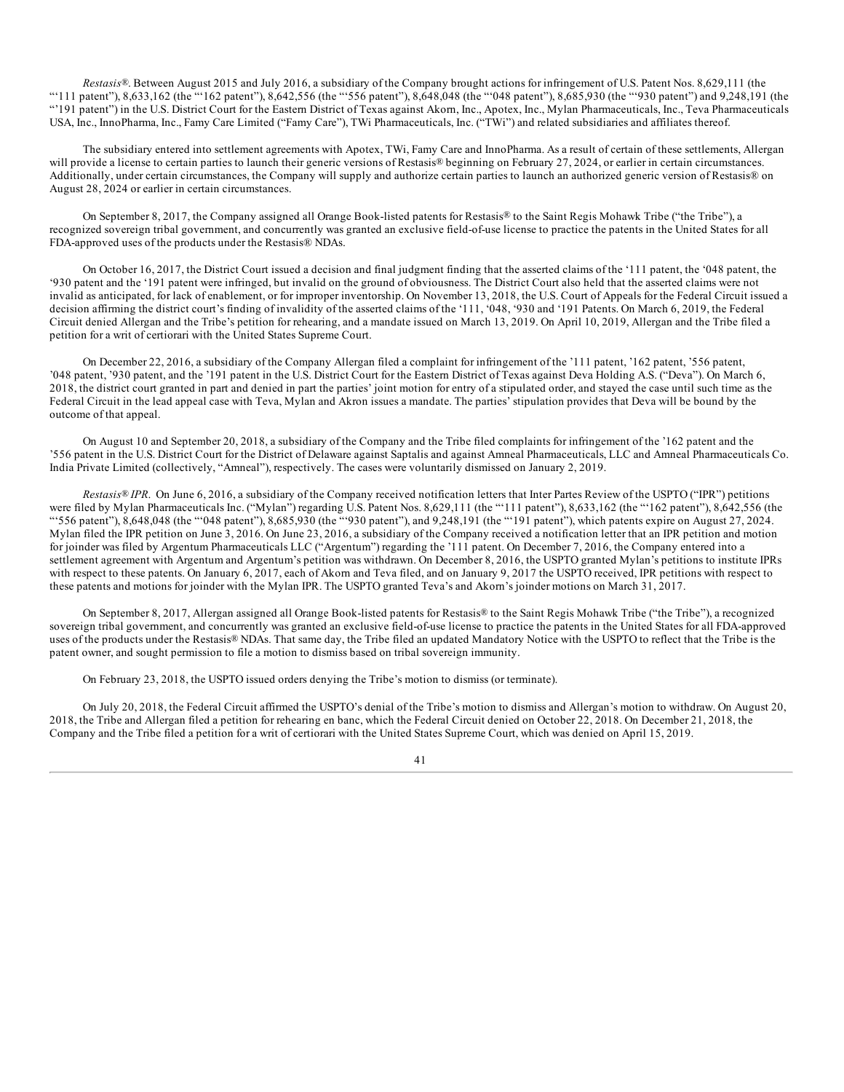*Restasis®*. Between August 2015 and July 2016, a subsidiary of the Company brought actions for infringement of U.S. Patent Nos. 8,629,111 (the "'111 patent"), 8,633,162 (the "'162 patent"), 8,642,556 (the "'556 patent"), 8,648,048 (the "'048 patent"), 8,685,930 (the "'930 patent") and 9,248,191 (the "'191 patent") in the U.S. District Court for the Eastern District of Texas against Akorn, Inc., Apotex, Inc., Mylan Pharmaceuticals, Inc., Teva Pharmaceuticals USA, Inc., InnoPharma, Inc., Famy Care Limited ("Famy Care"), TWi Pharmaceuticals, Inc. ("TWi") and related subsidiaries and affiliates thereof.

The subsidiary entered into settlement agreements with Apotex, TWi, Famy Care and InnoPharma. As a result of certain of these settlements, Allergan will provide a license to certain parties to launch their generic versions of Restasis® beginning on February 27, 2024, or earlier in certain circumstances. Additionally, under certain circumstances, the Company will supply and authorize certain parties to launch an authorized generic version of Restasis® on August 28, 2024 or earlier in certain circumstances.

On September 8, 2017, the Company assigned all Orange Book-listed patents for Restasis® to the Saint Regis Mohawk Tribe ("the Tribe"), a recognized sovereign tribal government, and concurrently was granted an exclusive field-of-use license to practice the patents in the United States for all FDA-approved uses of the products under the Restasis® NDAs.

On October 16, 2017, the District Court issued a decision and final judgment finding that the asserted claims of the '111 patent, the '048 patent, the '930 patent and the '191 patent were infringed, but invalid on the ground of obviousness. The District Court also held that the asserted claims were not invalid as anticipated, for lack of enablement, or for improper inventorship. On November 13, 2018, the U.S. Court of Appeals for the Federal Circuit issued a decision affirming the district court's finding of invalidity of the asserted claims of the '111, '048, '930 and '191 Patents. On March 6, 2019, the Federal Circuit denied Allergan and the Tribe's petition for rehearing, and a mandate issued on March 13, 2019. On April 10, 2019, Allergan and the Tribe filed a petition for a writ of certiorari with the United States Supreme Court.

On December 22, 2016, a subsidiary of the Company Allergan filed a complaint for infringement of the '111 patent, '162 patent, '556 patent, '048 patent, '930 patent, and the '191 patent in the U.S. District Court for the Eastern District of Texas against Deva Holding A.S. ("Deva"). On March 6, 2018, the district court granted in part and denied in part the parties' joint motion for entry of a stipulated order, and stayed the case until such time as the Federal Circuit in the lead appeal case with Teva, Mylan and Akron issues a mandate. The parties' stipulation provides that Deva will be bound by the outcome of that appeal.

On August 10 and September 20, 2018, a subsidiary of the Company and the Tribe filed complaints for infringement of the '162 patent and the '556 patent in the U.S. District Court for the District of Delaware against Saptalis and against Amneal Pharmaceuticals, LLC and Amneal Pharmaceuticals Co. India Private Limited (collectively, "Amneal"), respectively. The cases were voluntarily dismissed on January 2, 2019.

*Restasis® IPR*. On June 6, 2016, a subsidiary of the Company received notification letters that Inter Partes Review of the USPTO ("IPR") petitions were filed by Mylan Pharmaceuticals Inc. ("Mylan") regarding U.S. Patent Nos. 8,629,111 (the "'111 patent"), 8,633,162 (the "'162 patent"), 8,642,556 (the "'556 patent"), 8,648,048 (the "'048 patent"), 8,685,930 (the "'930 patent"), and 9,248,191 (the "'191 patent"), which patents expire on August 27, 2024. Mylan filed the IPR petition on June 3, 2016. On June 23, 2016, a subsidiary of the Company received a notification letter that an IPR petition and motion for joinder was filed by Argentum Pharmaceuticals LLC ("Argentum") regarding the '111 patent. On December 7, 2016, the Company entered into a settlement agreement with Argentum and Argentum's petition was withdrawn. On December 8, 2016, the USPTO granted Mylan's petitions to institute IPRs with respect to these patents. On January 6, 2017, each of Akorn and Teva filed, and on January 9, 2017 the USPTO received, IPR petitions with respect to these patents and motions for joinder with the Mylan IPR. The USPTO granted Teva's and Akorn's joinder motions on March 31, 2017.

On September 8, 2017, Allergan assigned all Orange Book-listed patents for Restasis® to the Saint Regis Mohawk Tribe ("the Tribe"), a recognized sovereign tribal government, and concurrently was granted an exclusive field-of-use license to practice the patents in the United States for all FDA-approved uses of the products under the Restasis® NDAs. That same day, the Tribe filed an updated Mandatory Notice with the USPTO to reflect that the Tribe is the patent owner, and sought permission to file a motion to dismiss based on tribal sovereign immunity.

On February 23, 2018, the USPTO issued orders denying the Tribe's motion to dismiss (or terminate).

On July 20, 2018, the Federal Circuit affirmed the USPTO's denial of the Tribe's motion to dismiss and Allergan's motion to withdraw. On August 20, 2018, the Tribe and Allergan filed a petition for rehearing en banc, which the Federal Circuit denied on October 22, 2018. On December 21, 2018, the Company and the Tribe filed a petition for a writ of certiorari with the United States Supreme Court, which was denied on April 15, 2019.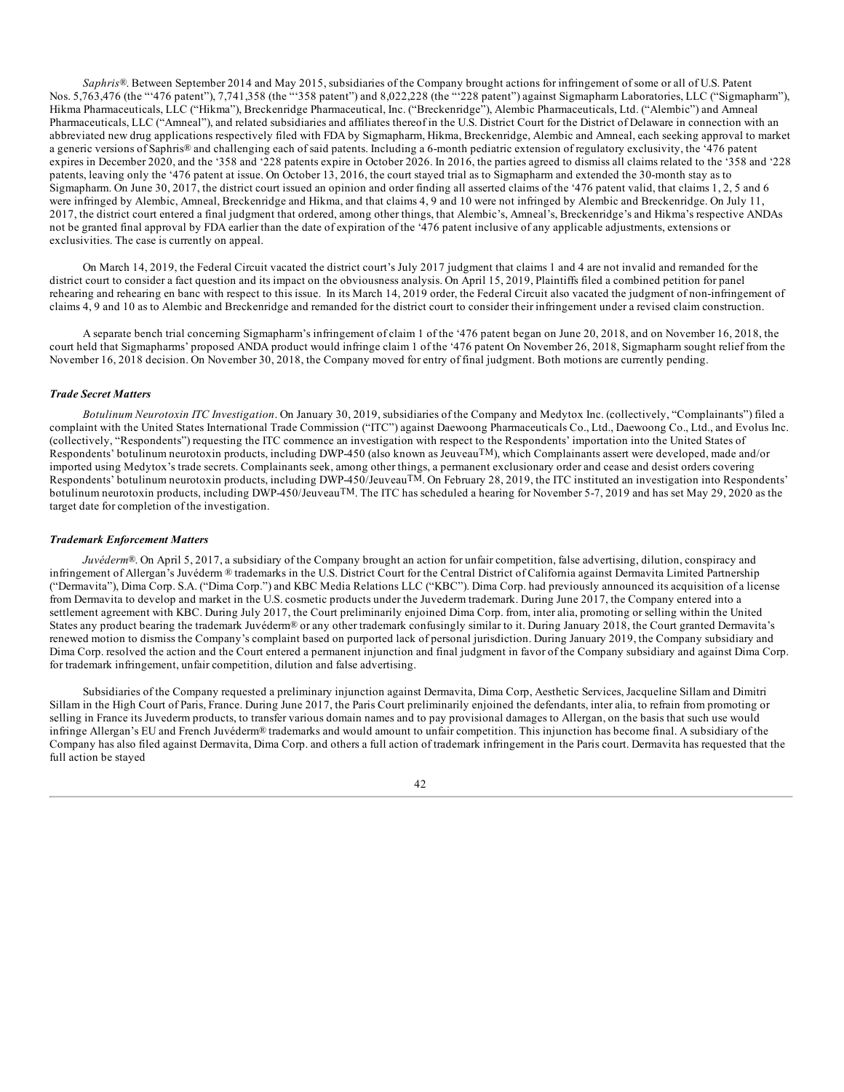*Saphris®*. Between September 2014 and May 2015, subsidiaries of the Company brought actions for infringement of some or all of U.S. Patent Nos. 5,763,476 (the "'476 patent"), 7,741,358 (the "'358 patent") and 8,022,228 (the "'228 patent") against Sigmapharm Laboratories, LLC ("Sigmapharm"), Hikma Pharmaceuticals, LLC ("Hikma"), Breckenridge Pharmaceutical, Inc. ("Breckenridge"), Alembic Pharmaceuticals, Ltd. ("Alembic") and Amneal Pharmaceuticals, LLC ("Amneal"), and related subsidiaries and affiliates thereof in the U.S. District Court for the District of Delaware in connection with an abbreviated new drug applications respectively filed with FDA by Sigmapharm, Hikma, Breckenridge, Alembic and Amneal, each seeking approval to market a generic versions of Saphris® and challenging each of said patents. Including a 6-month pediatric extension of regulatory exclusivity, the '476 patent expires in December 2020, and the '358 and '228 patents expire in October 2026. In 2016, the parties agreed to dismiss all claims related to the '358 and '228 patents, leaving only the '476 patent at issue. On October 13, 2016, the court stayed trial as to Sigmapharm and extended the 30-month stay as to Sigmapharm. On June 30, 2017, the district court issued an opinion and order finding all asserted claims of the '476 patent valid, that claims 1, 2, 5 and 6 were infringed by Alembic, Amneal, Breckenridge and Hikma, and that claims 4, 9 and 10 were not infringed by Alembic and Breckenridge. On July 11, 2017, the district court entered a final judgment that ordered, among other things, that Alembic's, Amneal's, Breckenridge's and Hikma's respective ANDAs not be granted final approval by FDA earlier than the date of expiration of the '476 patent inclusive of any applicable adjustments, extensions or exclusivities. The case is currently on appeal.

On March 14, 2019, the Federal Circuit vacated the district court's July 2017 judgment that claims 1 and 4 are not invalid and remanded for the district court to consider a fact question and its impact on the obviousness analysis. On April 15, 2019, Plaintiffs filed a combined petition for panel rehearing and rehearing en banc with respect to this issue. In its March 14, 2019 order, the Federal Circuit also vacated the judgment of non-infringement of claims 4, 9 and 10 as to Alembic and Breckenridge and remanded for the district court to consider their infringement under a revised claim construction.

A separate bench trial concerning Sigmapharm's infringement of claim 1 of the '476 patent began on June 20, 2018, and on November 16, 2018, the court held that Sigmapharms' proposed ANDA product would infringe claim 1 of the '476 patent On November 26, 2018, Sigmapharm sought relief from the November 16, 2018 decision. On November 30, 2018, the Company moved for entry of final judgment. Both motions are currently pending.

## *Trade Secret Matters*

*Botulinum Neurotoxin ITC Investigation*. On January 30, 2019, subsidiaries of the Company and Medytox Inc. (collectively, "Complainants") filed a complaint with the United States International Trade Commission ("ITC") against Daewoong Pharmaceuticals Co., Ltd., Daewoong Co., Ltd., and Evolus Inc. (collectively, "Respondents") requesting the ITC commence an investigation with respect to the Respondents' importation into the United States of Respondents' botulinum neurotoxin products, including DWP-450 (also known as JeuveauTM), which Complainants assert were developed, made and/or imported using Medytox's trade secrets. Complainants seek, among other things, a permanent exclusionary order and cease and desist orders covering Respondents' botulinum neurotoxin products, including DWP-450/JeuveauTM. On February 28, 2019, the ITC instituted an investigation into Respondents' botulinum neurotoxin products, including DWP-450/JeuveauTM. The ITC has scheduled a hearing for November 5-7, 2019 and has set May 29, 2020 as the target date for completion of the investigation.

### *Trademark Enforcement Matters*

*Juvéderm<sup>®</sup>*. On April 5, 2017, a subsidiary of the Company brought an action for unfair competition, false advertising, dilution, conspiracy and infringement of Allergan's Juvéderm ® trademarks in the U.S. District Court for the Central District of California against Dermavita Limited Partnership ("Dermavita"), Dima Corp. S.A. ("Dima Corp.") and KBC Media Relations LLC ("KBC"). Dima Corp. had previously announced its acquisition of a license from Dermavita to develop and market in the U.S. cosmetic products under the Juvederm trademark. During June 2017, the Company entered into a settlement agreement with KBC. During July 2017, the Court preliminarily enjoined Dima Corp. from, inter alia, promoting or selling within the United States any product bearing the trademark Juvéderm® or any other trademark confusingly similar to it. During January 2018, the Court granted Dermavita's renewed motion to dismiss the Company's complaint based on purported lack of personal jurisdiction. During January 2019, the Company subsidiary and Dima Corp. resolved the action and the Court entered a permanent injunction and final judgment in favor of the Company subsidiary and against Dima Corp. for trademark infringement, unfair competition, dilution and false advertising.

Subsidiaries of the Company requested a preliminary injunction against Dermavita, Dima Corp, Aesthetic Services, Jacqueline Sillam and Dimitri Sillam in the High Court of Paris, France. During June 2017, the Paris Court preliminarily enjoined the defendants, inter alia, to refrain from promoting or selling in France its Juvederm products, to transfer various domain names and to pay provisional damages to Allergan, on the basis that such use would infringe Allergan's EU and French Juvéderm<sup>®</sup> trademarks and would amount to unfair competition. This injunction has become final. A subsidiary of the Company has also filed against Dermavita, Dima Corp. and others a full action of trademark infringement in the Paris court. Dermavita has requested that the full action be stayed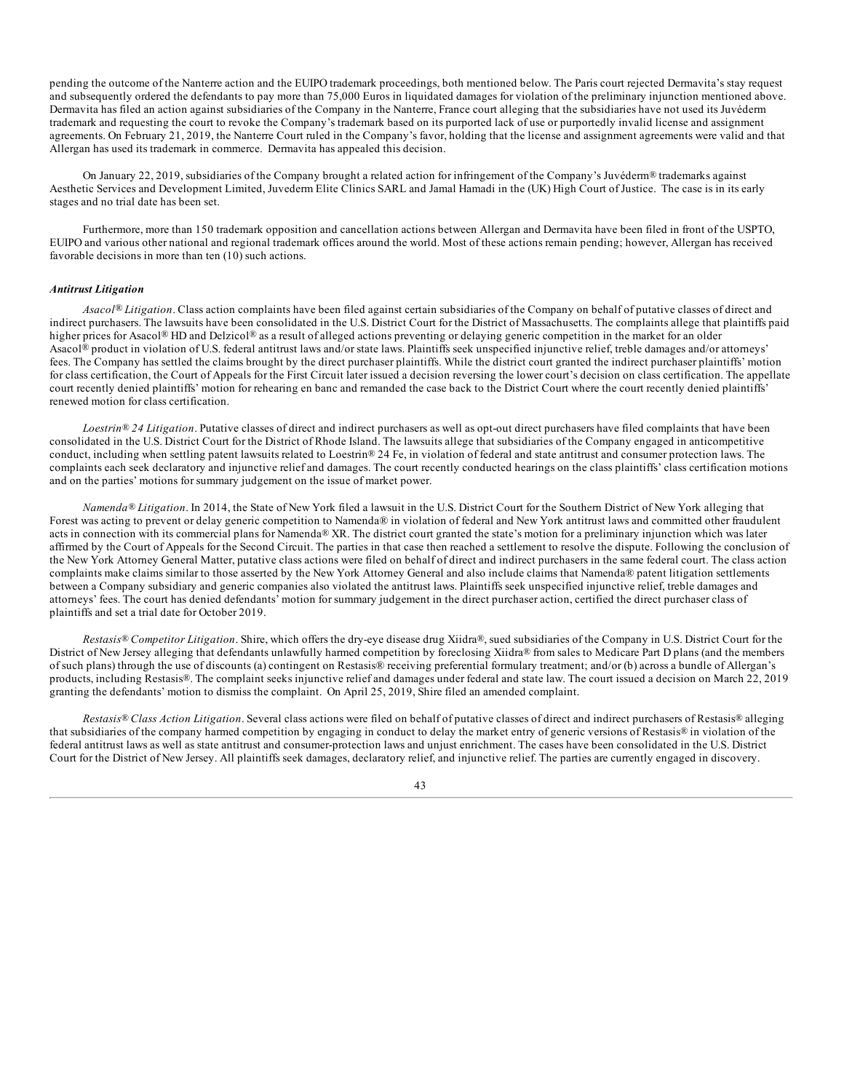pending the outcome of the Nanterre action and the EUIPO trademark proceedings, both mentioned below. The Paris court rejected Dermavita's stay request and subsequently ordered the defendants to pay more than 75,000 Euros in liquidated damages for violation of the preliminary injunction mentioned above. Dermavita has filed an action against subsidiaries of the Company in the Nanterre, France court alleging that the subsidiaries have not used its Juvéderm trademark and requesting the court to revoke the Company's trademark based on its purported lack of use or purportedly invalid license and assignment agreements. On February 21, 2019, the Nanterre Court ruled in the Company's favor, holding that the license and assignment agreements were valid and that Allergan has used its trademark in commerce. Dermavita has appealed this decision.

On January 22, 2019, subsidiaries of the Company brought a related action for infringement of the Company's Juvéderm*®* trademarks against Aesthetic Services and Development Limited, Juvederm Elite Clinics SARL and Jamal Hamadi in the (UK) High Court of Justice. The case is in its early stages and no trial date has been set.

Furthermore, more than 150 trademark opposition and cancellation actions between Allergan and Dermavita have been filed in front of the USPTO, EUIPO and various other national and regional trademark offices around the world. Most of these actions remain pending; however, Allergan has received favorable decisions in more than ten (10) such actions.

### *Antitrust Litigation*

*Asacol® Litigation*. Class action complaints have been filed against certain subsidiaries of the Company on behalf of putative classes of direct and indirect purchasers. The lawsuits have been consolidated in the U.S. District Court for the District of Massachusetts. The complaints allege that plaintiffs paid higher prices for Asacol® HD and Delzicol® as a result of alleged actions preventing or delaying generic competition in the market for an older Asacol® product in violation of U.S. federal antitrust laws and/or state laws. Plaintiffs seek unspecified injunctive relief, treble damages and/or attorneys' fees. The Company has settled the claims brought by the direct purchaser plaintiffs. While the district court granted the indirect purchaser plaintiffs' motion for class certification, the Court of Appeals for the First Circuit later issued a decision reversing the lower court's decision on class certification. The appellate court recently denied plaintiffs' motion for rehearing en banc and remanded the case back to the District Court where the court recently denied plaintiffs' renewed motion for class certification.

*Loestrin® 24 Litigation*. Putative classes of direct and indirect purchasers as well as opt-out direct purchasers have filed complaints that have been consolidated in the U.S. District Court for the District of Rhode Island. The lawsuits allege that subsidiaries of the Company engaged in anticompetitive conduct, including when settling patent lawsuits related to Loestrin® 24 Fe, in violation of federal and state antitrust and consumer protection laws. The complaints each seek declaratory and injunctive relief and damages. The court recently conducted hearings on the class plaintiffs' class certification motions and on the parties' motions for summary judgement on the issue of market power.

*Namenda® Litigation*. In 2014, the State of New York filed a lawsuit in the U.S. District Court for the Southern District of New York alleging that Forest was acting to prevent or delay generic competition to Namenda® in violation of federal and New York antitrust laws and committed other fraudulent acts in connection with its commercial plans for Namenda® XR. The district court granted the state's motion for a preliminary injunction which was later affirmed by the Court of Appeals for the Second Circuit. The parties in that case then reached a settlement to resolve the dispute. Following the conclusion of the New York Attorney General Matter, putative class actions were filed on behalf of direct and indirect purchasers in the same federal court. The class action complaints make claims similar to those asserted by the New York Attorney General and also include claims that Namenda® patent litigation settlements between a Company subsidiary and generic companies also violated the antitrust laws. Plaintiffs seek unspecified injunctive relief, treble damages and attorneys' fees. The court has denied defendants' motion for summary judgement in the direct purchaser action, certified the direct purchaser class of plaintiffs and set a trial date for October 2019.

*Restasis® Competitor Litigation*. Shire, which offers the dry-eye disease drug Xiidra®, sued subsidiaries of the Company in U.S. District Court for the District of New Jersey alleging that defendants unlawfully harmed competition by foreclosing Xiidra® from sales to Medicare Part D plans (and the members of such plans) through the use of discounts (a) contingent on Restasis® receiving preferential formulary treatment; and/or (b) across a bundle of Allergan's products, including Restasis®. The complaint seeks injunctive relief and damages under federal and state law. The court issued a decision on March 22, 2019 granting the defendants' motion to dismiss the complaint. On April 25, 2019, Shire filed an amended complaint.

*Restasis® Class Action Litigation*. Several class actions were filed on behalf of putative classes of direct and indirect purchasers of Restasis® alleging that subsidiaries of the company harmed competition by engaging in conduct to delay the market entry of generic versions of Restasis® in violation of the federal antitrust laws as well as state antitrust and consumer-protection laws and unjust enrichment. The cases have been consolidated in the U.S. District Court for the District of New Jersey. All plaintiffs seek damages, declaratory relief, and injunctive relief. The parties are currently engaged in discovery.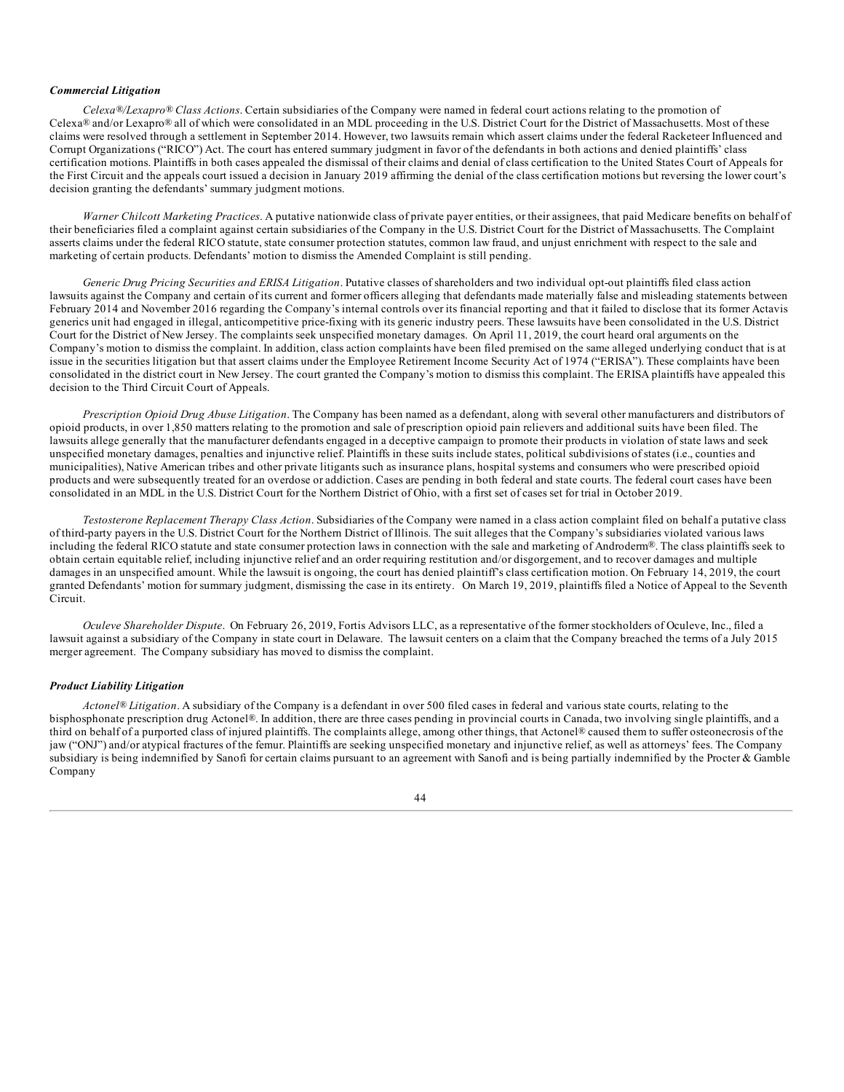# *Commercial Litigation*

*Celexa®/Lexapro® Class Actions*. Certain subsidiaries of the Company were named in federal court actions relating to the promotion of Celexa® and/or Lexapro® all of which were consolidated in an MDL proceeding in the U.S. District Court for the District of Massachusetts. Most of these claims were resolved through a settlement in September 2014. However, two lawsuits remain which assert claims under the federal Racketeer Influenced and Corrupt Organizations ("RICO") Act. The court has entered summary judgment in favor of the defendants in both actions and denied plaintiffs' class certification motions. Plaintiffs in both cases appealed the dismissal of their claims and denial of class certification to the United States Court of Appeals for the First Circuit and the appeals court issued a decision in January 2019 affirming the denial of the class certification motions but reversing the lower court's decision granting the defendants' summary judgment motions.

*Warner Chilcott Marketing Practices*. A putative nationwide class of private payer entities, or their assignees, that paid Medicare benefits on behalf of their beneficiaries filed a complaint against certain subsidiaries of the Company in the U.S. District Court for the District of Massachusetts. The Complaint asserts claims under the federal RICO statute, state consumer protection statutes, common law fraud, and unjust enrichment with respect to the sale and marketing of certain products. Defendants' motion to dismiss the Amended Complaint is still pending.

*Generic Drug Pricing Securities and ERISA Litigation*. Putative classes of shareholders and two individual opt-out plaintiffs filed class action lawsuits against the Company and certain of its current and former officers alleging that defendants made materially false and misleading statements between February 2014 and November 2016 regarding the Company's internal controls over its financial reporting and that it failed to disclose that its former Actavis generics unit had engaged in illegal, anticompetitive price-fixing with its generic industry peers. These lawsuits have been consolidated in the U.S. District Court for the District of New Jersey. The complaints seek unspecified monetary damages. On April 11, 2019, the court heard oral arguments on the Company's motion to dismiss the complaint. In addition, class action complaints have been filed premised on the same alleged underlying conduct that is at issue in the securities litigation but that assert claims under the Employee Retirement Income Security Act of 1974 ("ERISA"). These complaints have been consolidated in the district court in New Jersey. The court granted the Company's motion to dismiss this complaint. The ERISA plaintiffs have appealed this decision to the Third Circuit Court of Appeals.

*Prescription Opioid Drug Abuse Litigation*. The Company has been named as a defendant, along with several other manufacturers and distributors of opioid products, in over 1,850 matters relating to the promotion and sale of prescription opioid pain relievers and additional suits have been filed. The lawsuits allege generally that the manufacturer defendants engaged in a deceptive campaign to promote their products in violation of state laws and seek unspecified monetary damages, penalties and injunctive relief. Plaintiffs in these suits include states, political subdivisions of states (i.e., counties and municipalities), Native American tribes and other private litigants such as insurance plans, hospital systems and consumers who were prescribed opioid products and were subsequently treated for an overdose or addiction. Cases are pending in both federal and state courts. The federal court cases have been consolidated in an MDL in the U.S. District Court for the Northern District of Ohio, with a first set of cases set for trial in October 2019.

*Testosterone Replacement Therapy Class Action*. Subsidiaries of the Company were named in a class action complaint filed on behalf a putative class of third-party payers in the U.S. District Court for the Northern District of Illinois. The suit alleges that the Company's subsidiaries violated various laws including the federal RICO statute and state consumer protection laws in connection with the sale and marketing of Androderm®. The class plaintiffs seek to obtain certain equitable relief, including injunctive relief and an order requiring restitution and/or disgorgement, and to recover damages and multiple damages in an unspecified amount. While the lawsuit is ongoing, the court has denied plaintiff's class certification motion. On February 14, 2019, the court granted Defendants' motion for summary judgment, dismissing the case in its entirety. On March 19, 2019, plaintiffs filed a Notice of Appeal to the Seventh Circuit.

*Oculeve Shareholder Dispute*. On February 26, 2019, Fortis Advisors LLC, as a representative of the former stockholders of Oculeve, Inc., filed a lawsuit against a subsidiary of the Company in state court in Delaware. The lawsuit centers on a claim that the Company breached the terms of a July 2015 merger agreement. The Company subsidiary has moved to dismiss the complaint.

## *Product Liability Litigation*

*Actonel® Litigation*. A subsidiary of the Company is a defendant in over 500 filed cases in federal and various state courts, relating to the bisphosphonate prescription drug Actonel®. In addition, there are three cases pending in provincial courts in Canada, two involving single plaintiffs, and a third on behalf of a purported class of injured plaintiffs. The complaints allege, among other things, that Actonel® caused them to suffer osteonecrosis of the jaw ("ONJ") and/or atypical fractures of the femur. Plaintiffs are seeking unspecified monetary and injunctive relief, as well as attorneys' fees. The Company subsidiary is being indemnified by Sanofi for certain claims pursuant to an agreement with Sanofi and is being partially indemnified by the Procter & Gamble Company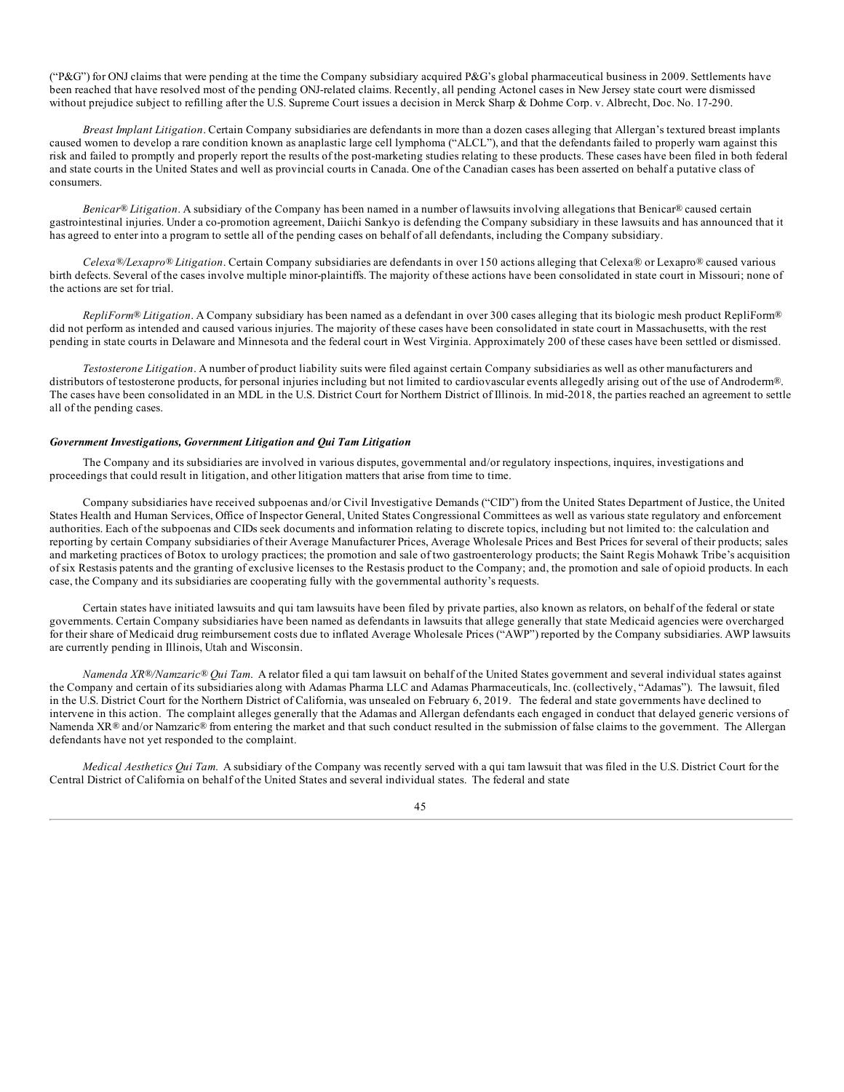("P&G") for ONJ claims that were pending at the time the Company subsidiary acquired P&G's global pharmaceutical business in 2009. Settlements have been reached that have resolved most of the pending ONJ-related claims. Recently, all pending Actonel cases in New Jersey state court were dismissed without prejudice subject to refilling after the U.S. Supreme Court issues a decision in Merck Sharp & Dohme Corp. v. Albrecht, Doc. No. 17-290.

*Breast Implant Litigation*. Certain Company subsidiaries are defendants in more than a dozen cases alleging that Allergan's textured breast implants caused women to develop a rare condition known as anaplastic large cell lymphoma ("ALCL"), and that the defendants failed to properly warn against this risk and failed to promptly and properly report the results of the post-marketing studies relating to these products. These cases have been filed in both federal and state courts in the United States and well as provincial courts in Canada. One of the Canadian cases has been asserted on behalf a putative class of consumers.

*Benicar® Litigation*. A subsidiary of the Company has been named in a number of lawsuits involving allegations that Benicar® caused certain gastrointestinal injuries. Under a co-promotion agreement, Daiichi Sankyo is defending the Company subsidiary in these lawsuits and has announced that it has agreed to enter into a program to settle all of the pending cases on behalf of all defendants, including the Company subsidiary.

*Celexa®/Lexapro® Litigation*. Certain Company subsidiaries are defendants in over 150 actions alleging that Celexa® or Lexapro® caused various birth defects. Several of the cases involve multiple minor-plaintiffs. The majority of these actions have been consolidated in state court in Missouri; none of the actions are set for trial.

*RepliForm® Litigation*. A Company subsidiary has been named as a defendant in over 300 cases alleging that its biologic mesh product RepliForm® did not perform as intended and caused various injuries. The majority of these cases have been consolidated in state court in Massachusetts, with the rest pending in state courts in Delaware and Minnesota and the federal court in West Virginia. Approximately 200 of these cases have been settled or dismissed.

*Testosterone Litigation*. A number of product liability suits were filed against certain Company subsidiaries as well as other manufacturers and distributors of testosterone products, for personal injuries including but not limited to cardiovascular events allegedly arising out of the use of Androderm®. The cases have been consolidated in an MDL in the U.S. District Court for Northern District of Illinois. In mid-2018, the parties reached an agreement to settle all of the pending cases.

# *Government Investigations, Government Litigation and Qui Tam Litigation*

The Company and its subsidiaries are involved in various disputes, governmental and/or regulatory inspections, inquires, investigations and proceedings that could result in litigation, and other litigation matters that arise from time to time.

Company subsidiaries have received subpoenas and/or Civil Investigative Demands ("CID") from the United States Department of Justice, the United States Health and Human Services, Office of Inspector General, United States Congressional Committees as well as various state regulatory and enforcement authorities. Each of the subpoenas and CIDs seek documents and information relating to discrete topics, including but not limited to: the calculation and reporting by certain Company subsidiaries of their Average Manufacturer Prices, Average Wholesale Prices and Best Prices for several of their products; sales and marketing practices of Botox to urology practices; the promotion and sale of two gastroenterology products; the Saint Regis Mohawk Tribe's acquisition of six Restasis patents and the granting of exclusive licenses to the Restasis product to the Company; and, the promotion and sale of opioid products. In each case, the Company and its subsidiaries are cooperating fully with the governmental authority's requests.

Certain states have initiated lawsuits and qui tam lawsuits have been filed by private parties, also known as relators, on behalf of the federal or state governments. Certain Company subsidiaries have been named as defendants in lawsuits that allege generally that state Medicaid agencies were overcharged for their share of Medicaid drug reimbursement costs due to inflated Average Wholesale Prices ("AWP") reported by the Company subsidiaries. AWP lawsuits are currently pending in Illinois, Utah and Wisconsin.

*Namenda XR®/Namzaric® Qui Tam*. A relator filed a qui tam lawsuit on behalf of the United States government and several individual states against the Company and certain of its subsidiaries along with Adamas Pharma LLC and Adamas Pharmaceuticals, Inc. (collectively, "Adamas"). The lawsuit, filed in the U.S. District Court for the Northern District of California, was unsealed on February 6, 2019. The federal and state governments have declined to intervene in this action. The complaint alleges generally that the Adamas and Allergan defendants each engaged in conduct that delayed generic versions of Namenda XR® and/or Namzaric® from entering the market and that such conduct resulted in the submission of false claims to the government. The Allergan defendants have not yet responded to the complaint.

*Medical Aesthetics Qui Tam*. A subsidiary of the Company was recently served with a qui tam lawsuit that was filed in the U.S. District Court for the Central District of California on behalf of the United States and several individual states. The federal and state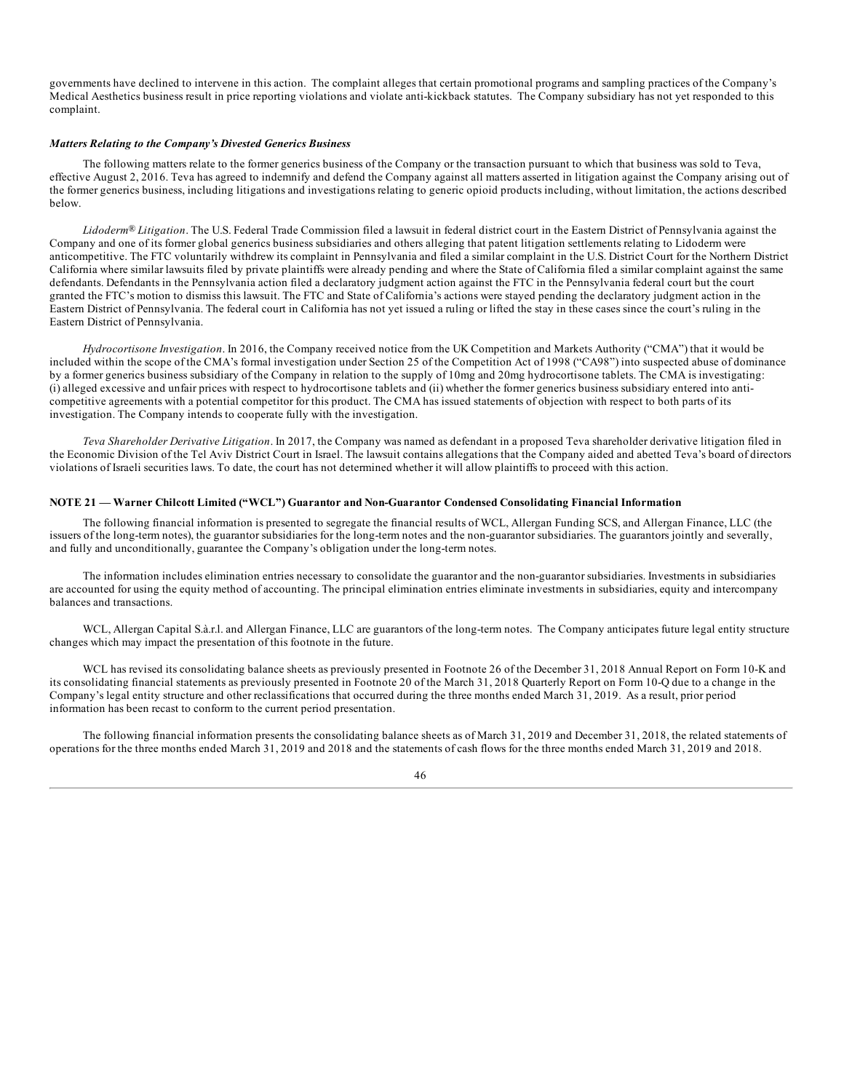governments have declined to intervene in this action. The complaint alleges that certain promotional programs and sampling practices of the Company's Medical Aesthetics business result in price reporting violations and violate anti-kickback statutes. The Company subsidiary has not yet responded to this complaint.

### *Matters Relating to the Company's Divested Generics Business*

The following matters relate to the former generics business of the Company or the transaction pursuant to which that business was sold to Teva, effective August 2, 2016. Teva has agreed to indemnify and defend the Company against all matters asserted in litigation against the Company arising out of the former generics business, including litigations and investigations relating to generic opioid products including, without limitation, the actions described below.

*Lidoderm® Litigation*. The U.S. Federal Trade Commission filed a lawsuit in federal district court in the Eastern District of Pennsylvania against the Company and one of its former global generics business subsidiaries and others alleging that patent litigation settlements relating to Lidoderm were anticompetitive. The FTC voluntarily withdrew its complaint in Pennsylvania and filed a similar complaint in the U.S. District Court for the Northern District California where similar lawsuits filed by private plaintiffs were already pending and where the State of California filed a similar complaint against the same defendants. Defendants in the Pennsylvania action filed a declaratory judgment action against the FTC in the Pennsylvania federal court but the court granted the FTC's motion to dismiss this lawsuit. The FTC and State of California's actions were stayed pending the declaratory judgment action in the Eastern District of Pennsylvania. The federal court in California has not yet issued a ruling or lifted the stay in these cases since the court's ruling in the Eastern District of Pennsylvania.

*Hydrocortisone Investigation*. In 2016, the Company received notice from the UK Competition and Markets Authority ("CMA") that it would be included within the scope of the CMA's formal investigation under Section 25 of the Competition Act of 1998 ("CA98") into suspected abuse of dominance by a former generics business subsidiary of the Company in relation to the supply of 10mg and 20mg hydrocortisone tablets. The CMA is investigating: (i) alleged excessive and unfair prices with respect to hydrocortisone tablets and (ii) whether the former generics business subsidiary entered into anticompetitive agreements with a potential competitor for this product. The CMA has issued statements of objection with respect to both parts of its investigation. The Company intends to cooperate fully with the investigation.

*Teva Shareholder Derivative Litigation*. In 2017, the Company was named as defendant in a proposed Teva shareholder derivative litigation filed in the Economic Division of the Tel Aviv District Court in Israel. The lawsuit contains allegations that the Company aided and abetted Teva's board of directors violations of Israeli securities laws. To date, the court has not determined whether it will allow plaintiffs to proceed with this action.

## **NOTE 21 — Warner Chilcott Limited ("WCL") Guarantor and Non-Guarantor Condensed Consolidating Financial Information**

The following financial information is presented to segregate the financial results of WCL, Allergan Funding SCS, and Allergan Finance, LLC (the issuers of the long-term notes), the guarantor subsidiaries for the long-term notes and the non-guarantor subsidiaries. The guarantors jointly and severally, and fully and unconditionally, guarantee the Company's obligation under the long-term notes.

The information includes elimination entries necessary to consolidate the guarantor and the non-guarantor subsidiaries. Investments in subsidiaries are accounted for using the equity method of accounting. The principal elimination entries eliminate investments in subsidiaries, equity and intercompany balances and transactions.

WCL, Allergan Capital S.à.r.l. and Allergan Finance, LLC are guarantors of the long-term notes. The Company anticipates future legal entity structure changes which may impact the presentation of this footnote in the future.

WCL has revised its consolidating balance sheets as previously presented in Footnote 26 of the December 31, 2018 Annual Report on Form 10-K and its consolidating financial statements as previously presented in Footnote 20 of the March 31, 2018 Quarterly Report on Form 10-Q due to a change in the Company's legal entity structure and other reclassifications that occurred during the three months ended March 31, 2019. As a result, prior period information has been recast to conform to the current period presentation.

The following financial information presents the consolidating balance sheets as of March 31, 2019 and December 31, 2018, the related statements of operations for the three months ended March 31, 2019 and 2018 and the statements of cash flows for the three months ended March 31, 2019 and 2018.

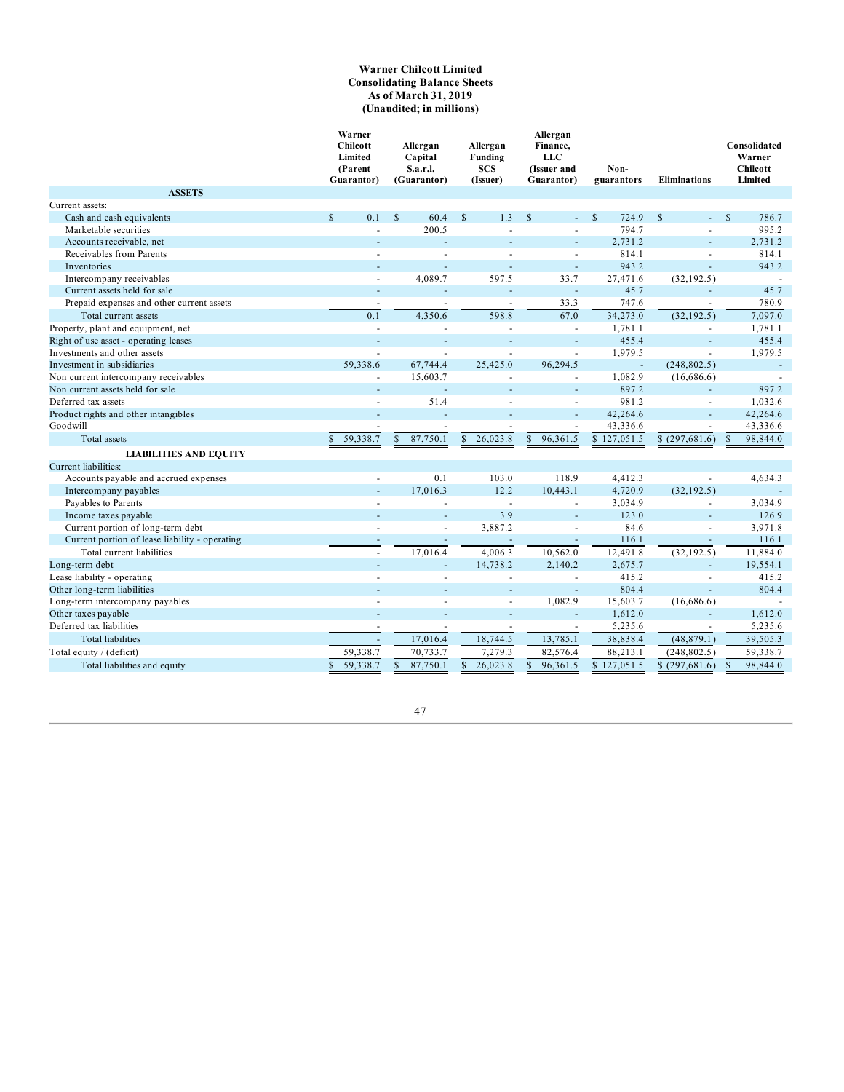# **Warner Chilcott Limited Consolidating Balance Sheets As of March 31, 2019 (Unaudited; in millions)**

|                                                       | Warner<br><b>Chilcott</b><br>Limited<br>(Parent<br>Guarantor) | Allergan<br>Capital<br>S.a.r.l.<br>(Guarantor) | Allergan<br>Funding<br><b>SCS</b><br>(Issuer) | Allergan<br>Finance,<br><b>LLC</b><br>(Issuer and<br>Guarantor) | Non-<br>guarantors     | <b>Eliminations</b>                 | Consolidated<br>Warner<br><b>Chilcott</b><br>Limited |
|-------------------------------------------------------|---------------------------------------------------------------|------------------------------------------------|-----------------------------------------------|-----------------------------------------------------------------|------------------------|-------------------------------------|------------------------------------------------------|
| <b>ASSETS</b>                                         |                                                               |                                                |                                               |                                                                 |                        |                                     |                                                      |
| Current assets:                                       |                                                               |                                                |                                               |                                                                 |                        |                                     |                                                      |
| Cash and cash equivalents                             | $\mathbf S$<br>0.1                                            | $\mathbf S$<br>60.4                            | $\mathbf{s}$<br>1.3                           | $\mathcal{S}$                                                   | <sup>\$</sup><br>724.9 | $\mathbf{s}$<br>$\omega_{\rm{eff}}$ | $\mathcal{S}$<br>786.7                               |
| Marketable securities                                 |                                                               | 200.5                                          |                                               | ÷.                                                              | 794.7                  |                                     | 995.2                                                |
| Accounts receivable, net                              | ÷                                                             | $\overline{a}$                                 | $\overline{\phantom{a}}$                      | ÷                                                               | 2,731.2                | ÷                                   | 2,731.2                                              |
| Receivables from Parents                              | ÷                                                             |                                                | $\overline{a}$                                | $\sim$                                                          | 814.1                  | $\sim$                              | 814.1                                                |
| Inventories                                           |                                                               |                                                |                                               | ÷.                                                              | 943.2                  |                                     | 943.2                                                |
| Intercompany receivables                              | ä,                                                            | 4,089.7                                        | 597.5                                         | 33.7                                                            | 27,471.6               | (32, 192.5)                         |                                                      |
| Current assets held for sale                          | ÷                                                             |                                                |                                               | $\Box$                                                          | 45.7                   | ÷.                                  | 45.7                                                 |
| Prepaid expenses and other current assets             |                                                               |                                                | ÷,                                            | 33.3                                                            | 747.6                  |                                     | 780.9                                                |
| Total current assets                                  | 0.1                                                           | 4,350.6                                        | 598.8                                         | 67.0                                                            | 34,273.0               | (32, 192.5)                         | 7,097.0                                              |
| Property, plant and equipment, net                    | ÷,                                                            |                                                |                                               |                                                                 | 1,781.1                | $\sim$                              | 1,781.1                                              |
| Right of use asset - operating leases                 |                                                               |                                                |                                               |                                                                 | 455.4                  |                                     | 455.4                                                |
| Investments and other assets                          |                                                               |                                                |                                               | $\bar{a}$                                                       | 1,979.5                |                                     | 1,979.5                                              |
| Investment in subsidiaries                            | 59,338.6                                                      | 67,744.4                                       | 25,425.0                                      | 96,294.5                                                        | $\omega$               | (248, 802.5)                        | $\mathbf{r}$                                         |
| Non current intercompany receivables                  | ÷                                                             | 15,603.7                                       |                                               | ÷.                                                              | 1,082.9                | (16,686.6)                          |                                                      |
| Non current assets held for sale                      |                                                               |                                                |                                               |                                                                 | 897.2                  |                                     | 897.2                                                |
| Deferred tax assets                                   | ÷.                                                            | 51.4                                           | L.                                            | $\overline{a}$                                                  | 981.2                  | $\sim$                              | 1,032.6                                              |
| Product rights and other intangibles                  | $\overline{a}$                                                |                                                | $\overline{a}$                                | ÷,                                                              | 42,264.6               | $\sim$                              | 42,264.6                                             |
| Goodwill                                              |                                                               |                                                |                                               |                                                                 | 43,336.6               |                                     | 43,336.6                                             |
| <b>Total</b> assets                                   | $\mathbf{s}$<br>59,338.7                                      | \$<br>87,750.1                                 | 26,023.8<br>\$                                | 96,361.5<br>$\mathbf{s}$                                        | \$127,051.5            | \$ (297,681.6)                      | 98,844.0<br>\$                                       |
| <b>LIABILITIES AND EQUITY</b><br>Current liabilities: |                                                               |                                                |                                               |                                                                 |                        |                                     |                                                      |
| Accounts payable and accrued expenses                 |                                                               | 0.1                                            | 103.0                                         | 118.9                                                           | 4.412.3                |                                     | 4,634.3                                              |
| Intercompany payables                                 |                                                               | 17,016.3                                       | 12.2                                          | 10,443.1                                                        | 4,720.9                | (32, 192.5)                         |                                                      |
| Payables to Parents                                   |                                                               |                                                |                                               |                                                                 | 3,034.9                | ÷.                                  | 3,034.9                                              |
| Income taxes payable                                  |                                                               |                                                | 3.9                                           |                                                                 | 123.0                  | $\overline{\phantom{a}}$            | 126.9                                                |
| Current portion of long-term debt                     | ÷                                                             |                                                | 3,887.2                                       | $\bar{a}$                                                       | 84.6                   | ä,                                  | 3,971.8                                              |
| Current portion of lease liability - operating        | $\overline{a}$                                                | ÷.                                             | $\overline{\phantom{a}}$                      | $\blacksquare$                                                  | 116.1                  | $\overline{\phantom{a}}$            | 116.1                                                |
| Total current liabilities                             | $\sim$                                                        | 17,016.4                                       | 4,006.3                                       | 10,562.0                                                        | 12,491.8               | (32, 192.5)                         | 11,884.0                                             |
| Long-term debt                                        | $\overline{a}$                                                | ÷.                                             | 14,738.2                                      | 2,140.2                                                         | 2,675.7                | ÷                                   | 19,554.1                                             |
| Lease liability - operating                           |                                                               |                                                |                                               | $\sim$                                                          | 415.2                  | $\sim$                              | 415.2                                                |
| Other long-term liabilities                           |                                                               |                                                | ÷.                                            | $\overline{\phantom{a}}$                                        | 804.4                  | ÷                                   | 804.4                                                |
| Long-term intercompany payables                       |                                                               |                                                | $\sim$                                        | 1,082.9                                                         | 15,603.7               | (16,686.6)                          |                                                      |
| Other taxes payable                                   |                                                               |                                                | ÷.                                            | ÷,                                                              | 1,612.0                | $\overline{\phantom{a}}$            | 1,612.0                                              |
| Deferred tax liabilities                              | ä,                                                            |                                                | $\overline{a}$                                | $\blacksquare$                                                  | 5,235.6                |                                     | 5,235.6                                              |
| <b>Total liabilities</b>                              | ÷,                                                            | 17,016.4                                       | 18,744.5                                      | 13,785.1                                                        | 38,838.4               | (48, 879.1)                         | 39,505.3                                             |
| Total equity / (deficit)                              | 59,338.7                                                      | 70,733.7                                       | 7,279.3                                       | 82,576.4                                                        | 88,213.1               | (248, 802.5)                        | 59,338.7                                             |
| Total liabilities and equity                          | \$<br>59,338.7                                                | 87,750.1<br>$\mathbf S$                        | 26,023.8<br>$\mathbf{\hat{S}}$                | 96,361.5<br>$\mathbf{s}$                                        | \$127,051.5            | (297, 681.6)<br>S.                  | \$<br>98,844.0                                       |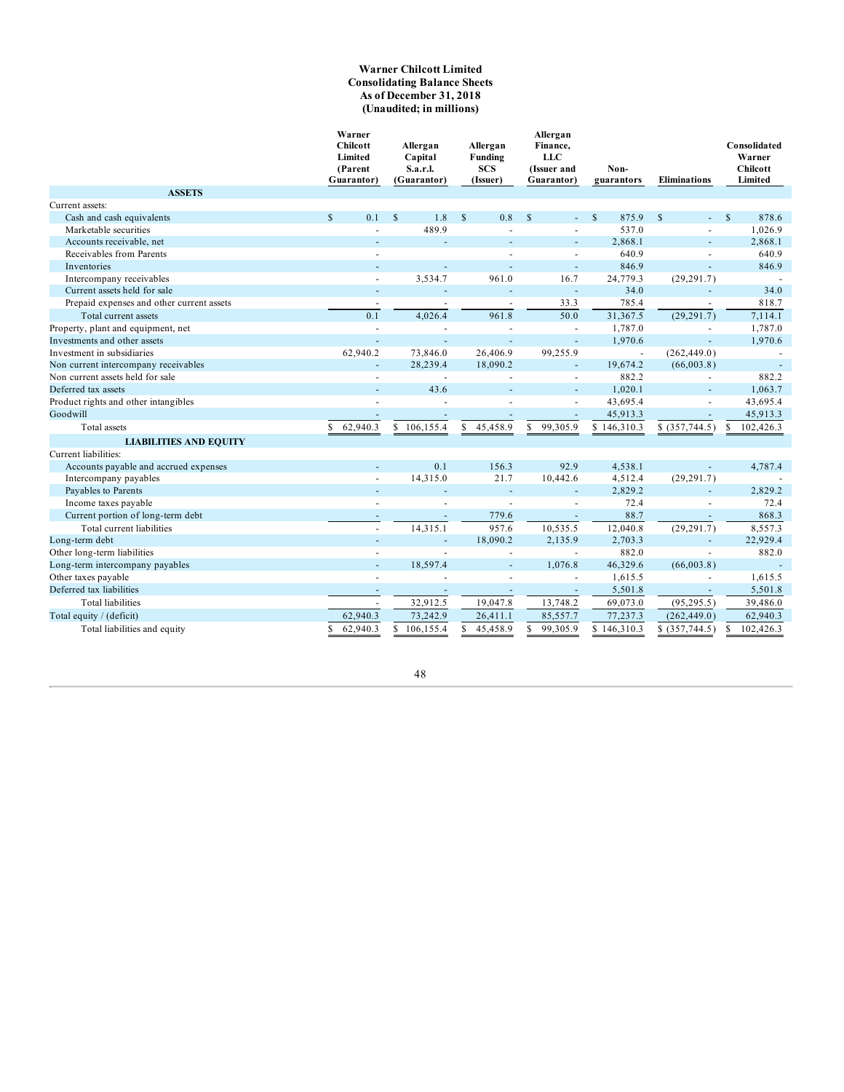# **Warner Chilcott Limited Consolidating Balance Sheets As of December 31, 2018 (Unaudited; in millions)**

|                                           | Warner<br><b>Chilcott</b><br>Limited<br>(Parent<br>Guarantor) | Allergan<br>Capital<br>S.a.r.l.<br>(Guarantor) | Allergan<br><b>Funding</b><br><b>SCS</b><br>(Issuer) | Allergan<br>Finance,<br><b>LLC</b><br>(Issuer and<br>Guarantor) | Non-<br>guarantors     | <b>Eliminations</b>                         | Consolidated<br>Warner<br><b>Chilcott</b><br>Limited |
|-------------------------------------------|---------------------------------------------------------------|------------------------------------------------|------------------------------------------------------|-----------------------------------------------------------------|------------------------|---------------------------------------------|------------------------------------------------------|
| <b>ASSETS</b>                             |                                                               |                                                |                                                      |                                                                 |                        |                                             |                                                      |
| Current assets:                           |                                                               |                                                |                                                      |                                                                 |                        |                                             |                                                      |
| Cash and cash equivalents                 | $\mathbb{S}$<br>0.1                                           | <sup>\$</sup><br>1.8                           | 0.8<br>$\mathbf{s}$                                  | $\mathcal{S}$                                                   | <sup>\$</sup><br>875.9 | $\mathbf{s}$<br>$\mathcal{L}^{\mathcal{A}}$ | $\mathcal{S}$<br>878.6                               |
| Marketable securities                     |                                                               | 489.9                                          |                                                      |                                                                 | 537.0                  |                                             | 1,026.9                                              |
| Accounts receivable, net                  |                                                               |                                                | $\overline{a}$                                       | $\overline{a}$                                                  | 2,868.1                |                                             | 2,868.1                                              |
| Receivables from Parents                  |                                                               |                                                |                                                      |                                                                 | 640.9                  |                                             | 640.9                                                |
| Inventories                               |                                                               |                                                |                                                      |                                                                 | 846.9                  |                                             | 846.9                                                |
| Intercompany receivables                  | $\sim$                                                        | 3,534.7                                        | 961.0                                                | 16.7                                                            | 24,779.3               | (29, 291.7)                                 |                                                      |
| Current assets held for sale              | ÷,                                                            |                                                | ÷.                                                   | $\mathbf{r}$                                                    | 34.0                   |                                             | 34.0                                                 |
| Prepaid expenses and other current assets | $\sim$                                                        | $\overline{a}$                                 | $\sim$                                               | 33.3                                                            | 785.4                  | $\blacksquare$                              | 818.7                                                |
| Total current assets                      | 0.1                                                           | 4,026.4                                        | 961.8                                                | 50.0                                                            | 31,367.5               | (29, 291.7)                                 | 7,114.1                                              |
| Property, plant and equipment, net        | ÷.                                                            |                                                |                                                      | $\overline{\phantom{a}}$                                        | 1,787.0                | $\overline{\phantom{a}}$                    | 1,787.0                                              |
| Investments and other assets              | $\overline{a}$                                                |                                                | ÷.                                                   | $\overline{a}$                                                  | 1,970.6                | ÷.                                          | 1,970.6                                              |
| Investment in subsidiaries                | 62,940.2                                                      | 73,846.0                                       | 26,406.9                                             | 99,255.9                                                        | $\sim$                 | (262, 449.0)                                |                                                      |
| Non current intercompany receivables      | ä,                                                            | 28,239.4                                       | 18,090.2                                             |                                                                 | 19.674.2               | (66,003.8)                                  | $\sim$                                               |
| Non current assets held for sale          |                                                               |                                                |                                                      |                                                                 | 882.2                  |                                             | 882.2                                                |
| Deferred tax assets                       |                                                               | 43.6                                           |                                                      |                                                                 | 1,020.1                |                                             | 1,063.7                                              |
| Product rights and other intangibles      |                                                               |                                                |                                                      | ÷                                                               | 43,695.4               | ä,                                          | 43,695.4                                             |
| Goodwill                                  | ٠                                                             |                                                | ÷.                                                   |                                                                 | 45,913.3               |                                             | 45,913.3                                             |
| Total assets                              | 62,940.3<br>S                                                 | \$106,155.4                                    | 45,458.9<br>\$                                       | 99,305.9<br>S                                                   | \$146,310.3            | \$ (357,744.5)                              | 102,426.3<br>S                                       |
| <b>LIABILITIES AND EQUITY</b>             |                                                               |                                                |                                                      |                                                                 |                        |                                             |                                                      |
| Current liabilities:                      |                                                               |                                                |                                                      |                                                                 |                        |                                             |                                                      |
| Accounts payable and accrued expenses     |                                                               | 0.1                                            | 156.3                                                | 92.9                                                            | 4,538.1                |                                             | 4,787.4                                              |
| Intercompany payables                     | ÷                                                             | 14,315.0                                       | 21.7                                                 | 10,442.6                                                        | 4,512.4                | (29, 291.7)                                 |                                                      |
| Payables to Parents                       |                                                               |                                                | $\blacksquare$                                       | $\overline{\phantom{a}}$                                        | 2,829.2                | $\sim$                                      | 2,829.2                                              |
| Income taxes payable                      |                                                               |                                                | ÷.                                                   |                                                                 | 72.4                   |                                             | 72.4                                                 |
| Current portion of long-term debt         |                                                               |                                                | 779.6                                                | $\sim$                                                          | 88.7                   |                                             | 868.3                                                |
| Total current liabilities                 | ä,                                                            | 14,315.1                                       | 957.6                                                | 10,535.5                                                        | 12,040.8               | (29, 291.7)                                 | 8,557.3                                              |
| Long-term debt                            | ÷.                                                            |                                                | 18,090.2                                             | 2,135.9                                                         | 2,703.3                |                                             | 22,929.4                                             |
| Other long-term liabilities               |                                                               |                                                | ÷.                                                   | $\bar{a}$                                                       | 882.0                  |                                             | 882.0                                                |
| Long-term intercompany payables           |                                                               | 18,597.4                                       | $\overline{\phantom{a}}$                             | 1,076.8                                                         | 46,329.6               | (66,003.8)                                  |                                                      |
| Other taxes payable                       |                                                               |                                                | L.                                                   |                                                                 | 1,615.5                | $\blacksquare$                              | 1,615.5                                              |
| Deferred tax liabilities                  | $\overline{a}$                                                |                                                | $\overline{a}$                                       | $\sim$                                                          | 5,501.8                | $\sim$                                      | 5,501.8                                              |
| <b>Total liabilities</b>                  | ÷.                                                            | 32,912.5                                       | 19,047.8                                             | 13,748.2                                                        | 69,073.0               | (95, 295.5)                                 | 39,486.0                                             |
| Total equity / (deficit)                  | 62,940.3                                                      | 73,242.9                                       | 26,411.1                                             | 85,557.7                                                        | 77,237.3               | (262, 449.0)                                | 62,940.3                                             |
| Total liabilities and equity              | 62,940.3<br>S                                                 | 106,155.4<br>\$                                | 45,458.9<br>\$                                       | S<br>99,305.9                                                   | \$146,310.3            | \$ (357,744.5)                              | 102,426.3<br>S                                       |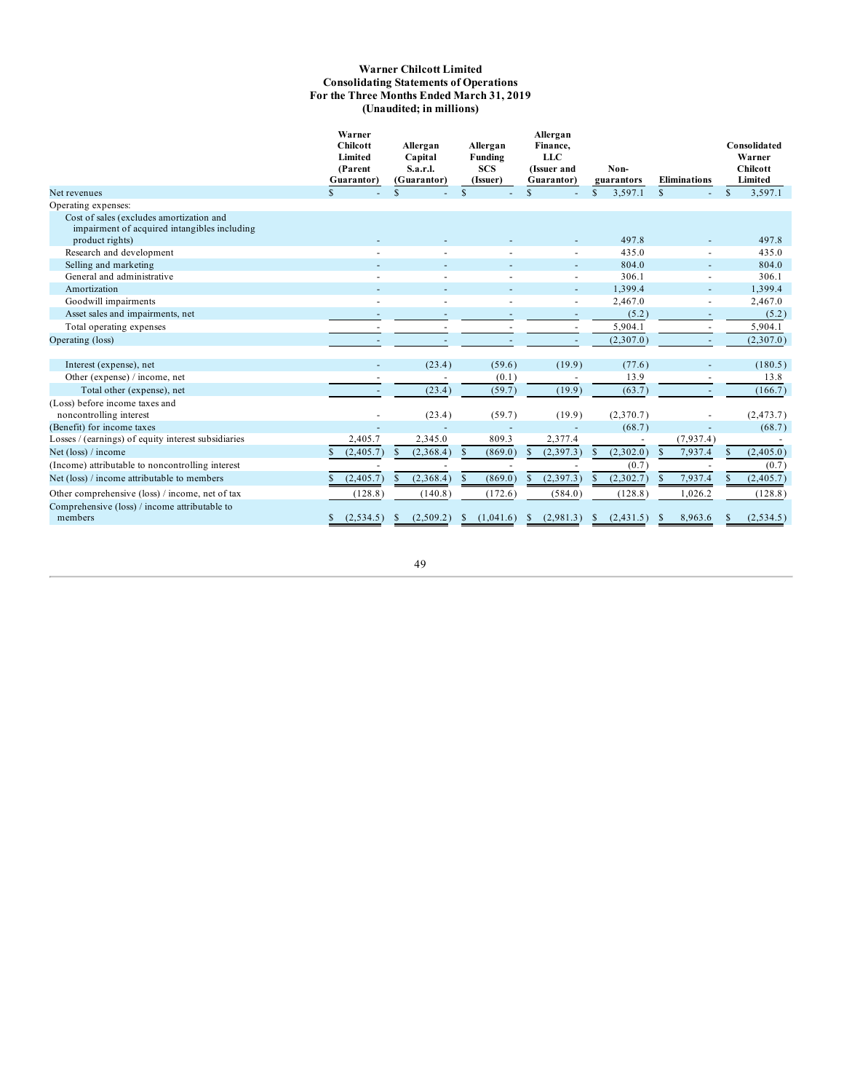# **Warner Chilcott Limited Consolidating Statements of Operations For the Three Months Ended March 31, 2019 (Unaudited; in millions)**

|                                                                                                             | Warner<br><b>Chilcott</b><br>Limited<br>(Parent<br>Guarantor) | Allergan<br>Capital<br>S.a.r.l.<br>(Guarantor) | Allergan<br>Funding<br><b>SCS</b><br>(Issuer) | Allergan<br>Finance,<br><b>LLC</b><br>(Issuer and<br>Guarantor) | Non-<br>guarantors         | <b>Eliminations</b> | Consolidated<br>Warner<br><b>Chilcott</b><br>Limited |
|-------------------------------------------------------------------------------------------------------------|---------------------------------------------------------------|------------------------------------------------|-----------------------------------------------|-----------------------------------------------------------------|----------------------------|---------------------|------------------------------------------------------|
| Net revenues                                                                                                | $\mathbf{s}$                                                  |                                                | $\mathcal{S}$                                 | \$.                                                             | 3,597.1<br>\$              | $\mathcal{S}$       | 3,597.1<br>$\mathcal{S}$                             |
| Operating expenses:                                                                                         |                                                               |                                                |                                               |                                                                 |                            |                     |                                                      |
| Cost of sales (excludes amortization and<br>impairment of acquired intangibles including<br>product rights) |                                                               |                                                |                                               |                                                                 | 497.8                      |                     | 497.8                                                |
| Research and development                                                                                    |                                                               |                                                |                                               |                                                                 | 435.0                      |                     | 435.0                                                |
| Selling and marketing                                                                                       |                                                               |                                                |                                               |                                                                 | 804.0                      |                     | 804.0                                                |
| General and administrative                                                                                  |                                                               |                                                |                                               |                                                                 | 306.1                      |                     | 306.1                                                |
| Amortization                                                                                                |                                                               |                                                |                                               |                                                                 | 1,399.4                    |                     | 1,399.4                                              |
| Goodwill impairments                                                                                        |                                                               |                                                |                                               | ٠                                                               | 2,467.0                    |                     | 2,467.0                                              |
| Asset sales and impairments, net                                                                            |                                                               |                                                |                                               |                                                                 | (5.2)                      |                     | (5.2)                                                |
| Total operating expenses                                                                                    |                                                               |                                                |                                               |                                                                 | 5,904.1                    |                     | 5,904.1                                              |
| Operating (loss)                                                                                            |                                                               |                                                |                                               |                                                                 | (2,307.0)                  |                     | (2,307.0)                                            |
|                                                                                                             |                                                               |                                                |                                               |                                                                 |                            |                     |                                                      |
| Interest (expense), net                                                                                     |                                                               | (23.4)                                         | (59.6)                                        | (19.9)                                                          | (77.6)                     |                     | (180.5)                                              |
| Other (expense) / income, net                                                                               |                                                               |                                                | (0.1)                                         |                                                                 | 13.9                       |                     | 13.8                                                 |
| Total other (expense), net                                                                                  |                                                               | (23.4)                                         | (59.7)                                        | (19.9)                                                          | (63.7)                     |                     | (166.7)                                              |
| (Loss) before income taxes and                                                                              |                                                               |                                                |                                               |                                                                 |                            |                     |                                                      |
| noncontrolling interest                                                                                     |                                                               | (23.4)                                         | (59.7)                                        | (19.9)                                                          | (2,370.7)                  |                     | (2, 473.7)                                           |
| (Benefit) for income taxes                                                                                  |                                                               |                                                |                                               |                                                                 | (68.7)                     |                     | (68.7)                                               |
| Losses / (earnings) of equity interest subsidiaries                                                         | 2,405.7                                                       | 2,345.0                                        | 809.3                                         | 2,377.4                                                         |                            | (7,937.4)           |                                                      |
| Net (loss) / income                                                                                         | (2,405.7)                                                     | (2,368.4)<br>$\mathcal{S}$                     | (869.0)<br>\$                                 | (2,397.3)<br>$\mathbf S$                                        | (2,302.0)<br>$\mathcal{S}$ | 7,937.4             | (2,405.0)<br>$\mathcal{S}$                           |
| (Income) attributable to noncontrolling interest                                                            |                                                               |                                                |                                               |                                                                 | (0.7)                      |                     | (0.7)                                                |
| Net (loss) / income attributable to members                                                                 | (2,405.7)                                                     | (2,368.4)<br>$\mathcal{S}$                     | (869.0)                                       | (2,397.3)<br>\$.                                                | (2,302.7)<br>\$            | 7,937.4             | (2,405.7)<br>$\mathcal{S}$                           |
| Other comprehensive (loss) / income, net of tax                                                             | (128.8)                                                       | (140.8)                                        | (172.6)                                       | (584.0)                                                         | (128.8)                    | 1,026.2             | (128.8)                                              |
| Comprehensive (loss) / income attributable to<br>members                                                    | \$<br>(2,534.5)                                               | (2,509.2)                                      | (1,041.6)                                     | (2,981.3)<br>S                                                  | (2, 431.5)<br>S            | 8,963.6             | (2,534.5)                                            |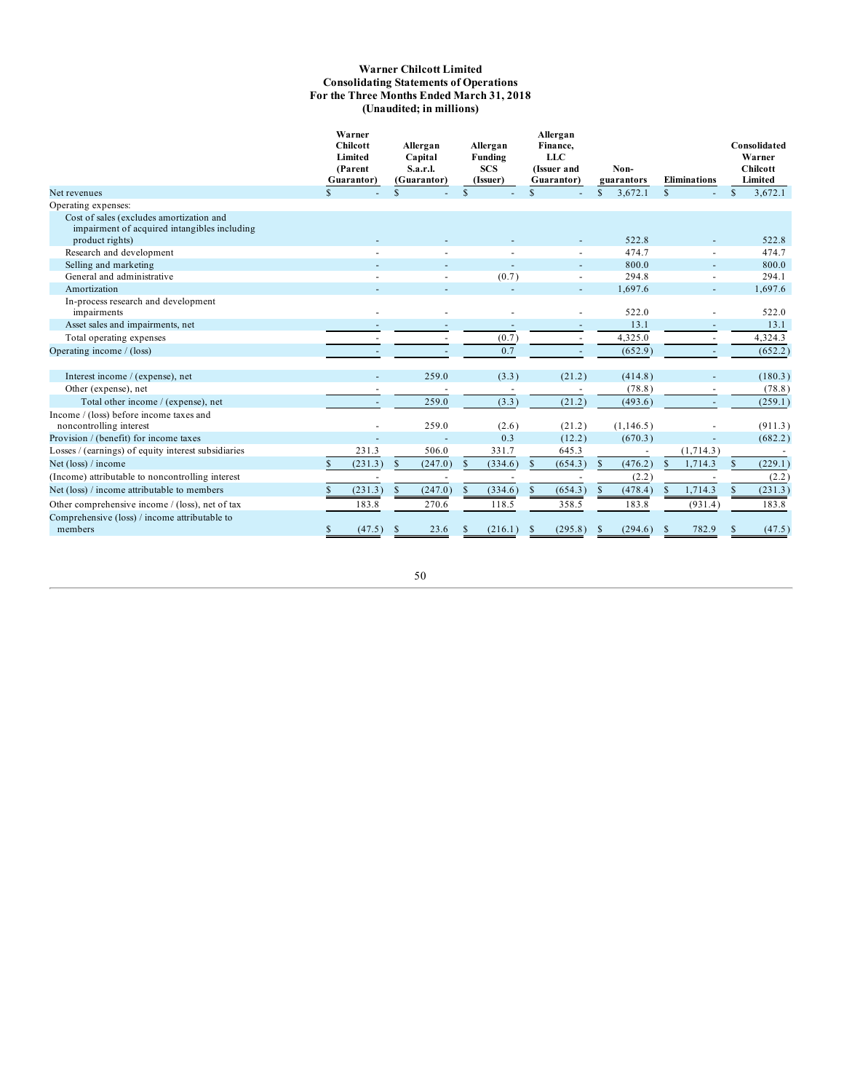## **Warner Chilcott Limited Consolidating Statements of Operations For the Three Months Ended March 31, 2018 (Unaudited; in millions)**

|                                                                                          |                    | Warner<br><b>Chilcott</b><br>Limited<br>(Parent<br>Guarantor) |              | Allergan<br>Capital<br>S.a.r.l.<br>(Guarantor) |              | Allergan<br><b>Funding</b><br><b>SCS</b><br>(Issuer) | Allergan<br>Finance,<br><b>LLC</b><br>(Issuer and<br>Guarantor) |             | Non-<br>guarantors |               | <b>Eliminations</b> |              | Consolidated<br>Warner<br><b>Chilcott</b><br>Limited |
|------------------------------------------------------------------------------------------|--------------------|---------------------------------------------------------------|--------------|------------------------------------------------|--------------|------------------------------------------------------|-----------------------------------------------------------------|-------------|--------------------|---------------|---------------------|--------------|------------------------------------------------------|
| Net revenues                                                                             | $\mathbf S$        |                                                               |              |                                                | $\mathbb{S}$ |                                                      |                                                                 | \$          | 3,672.1            | $\mathcal{S}$ |                     | $\mathbb{S}$ | 3,672.1                                              |
| Operating expenses:                                                                      |                    |                                                               |              |                                                |              |                                                      |                                                                 |             |                    |               |                     |              |                                                      |
| Cost of sales (excludes amortization and<br>impairment of acquired intangibles including |                    |                                                               |              |                                                |              |                                                      |                                                                 |             |                    |               |                     |              |                                                      |
| product rights)                                                                          |                    |                                                               |              |                                                |              |                                                      |                                                                 |             | 522.8              |               |                     |              | 522.8                                                |
| Research and development                                                                 |                    |                                                               |              |                                                |              |                                                      |                                                                 |             | 474.7              |               |                     |              | 474.7                                                |
| Selling and marketing                                                                    |                    |                                                               |              |                                                |              |                                                      |                                                                 |             | 800.0              |               |                     |              | 800.0                                                |
| General and administrative                                                               |                    |                                                               |              |                                                |              | (0.7)                                                |                                                                 |             | 294.8              |               |                     |              | 294.1                                                |
| Amortization                                                                             |                    |                                                               |              |                                                |              |                                                      |                                                                 |             | 1,697.6            |               |                     |              | 1,697.6                                              |
| In-process research and development<br>impairments                                       |                    |                                                               |              |                                                |              |                                                      |                                                                 |             | 522.0              |               |                     |              | 522.0                                                |
| Asset sales and impairments, net                                                         |                    |                                                               |              |                                                |              |                                                      |                                                                 |             | 13.1               |               |                     |              | 13.1                                                 |
| Total operating expenses                                                                 |                    |                                                               |              |                                                |              | (0.7)                                                |                                                                 |             | 4,325.0            |               |                     |              | 4,324.3                                              |
| Operating income / (loss)                                                                |                    |                                                               |              |                                                |              | 0.7                                                  |                                                                 |             | (652.9)            |               |                     |              | (652.2)                                              |
| Interest income / (expense), net                                                         |                    |                                                               |              | 259.0                                          |              | (3.3)                                                | (21.2)                                                          |             | (414.8)            |               |                     |              | (180.3)                                              |
| Other (expense), net                                                                     |                    |                                                               |              |                                                |              | $\overline{\phantom{a}}$                             |                                                                 |             | (78.8)             |               |                     |              | (78.8)                                               |
| Total other income / (expense), net                                                      |                    |                                                               |              | 259.0                                          |              | (3.3)                                                | (21.2)                                                          |             | (493.6)            |               |                     |              | (259.1)                                              |
| Income / (loss) before income taxes and<br>noncontrolling interest                       |                    |                                                               |              | 259.0                                          |              | (2.6)                                                | (21.2)                                                          |             | (1,146.5)          |               |                     |              | (911.3)                                              |
| Provision / (benefit) for income taxes                                                   |                    |                                                               |              |                                                |              | 0.3                                                  | (12.2)                                                          |             | (670.3)            |               |                     |              | (682.2)                                              |
| Losses / (earnings) of equity interest subsidiaries                                      |                    | 231.3                                                         |              | 506.0                                          |              | 331.7                                                | 645.3                                                           |             | ÷                  |               | (1,714.3)           |              |                                                      |
| Net (loss) / income                                                                      | $\mathbf{\hat{S}}$ | (231.3)                                                       | \$           | (247.0)                                        | $\mathbb{S}$ | (334.6)                                              | \$<br>(654.3)                                                   | $\mathbf S$ | (476.2)            | \$            | 1,714.3             | S.           | (229.1)                                              |
| (Income) attributable to noncontrolling interest                                         |                    |                                                               |              |                                                |              |                                                      |                                                                 |             | (2.2)              |               |                     |              | (2.2)                                                |
| Net (loss) / income attributable to members                                              |                    | (231.3)                                                       | $\mathbb{S}$ | (247.0)                                        | \$           | (334.6)                                              | \$<br>(654.3)                                                   | S           | (478.4)            | S             | 1,714.3             | S            | (231.3)                                              |
| Other comprehensive income / (loss), net of tax                                          |                    | 183.8                                                         |              | 270.6                                          |              | 118.5                                                | 358.5                                                           |             | 183.8              |               | (931.4)             |              | 183.8                                                |
| Comprehensive (loss) / income attributable to<br>members                                 | \$                 | (47.5)                                                        | S            | 23.6                                           |              | (216.1)                                              | (295.8)                                                         | S           | (294.6)            | S             | 782.9               |              | (47.5)                                               |
|                                                                                          |                    |                                                               |              |                                                |              |                                                      |                                                                 |             |                    |               |                     |              |                                                      |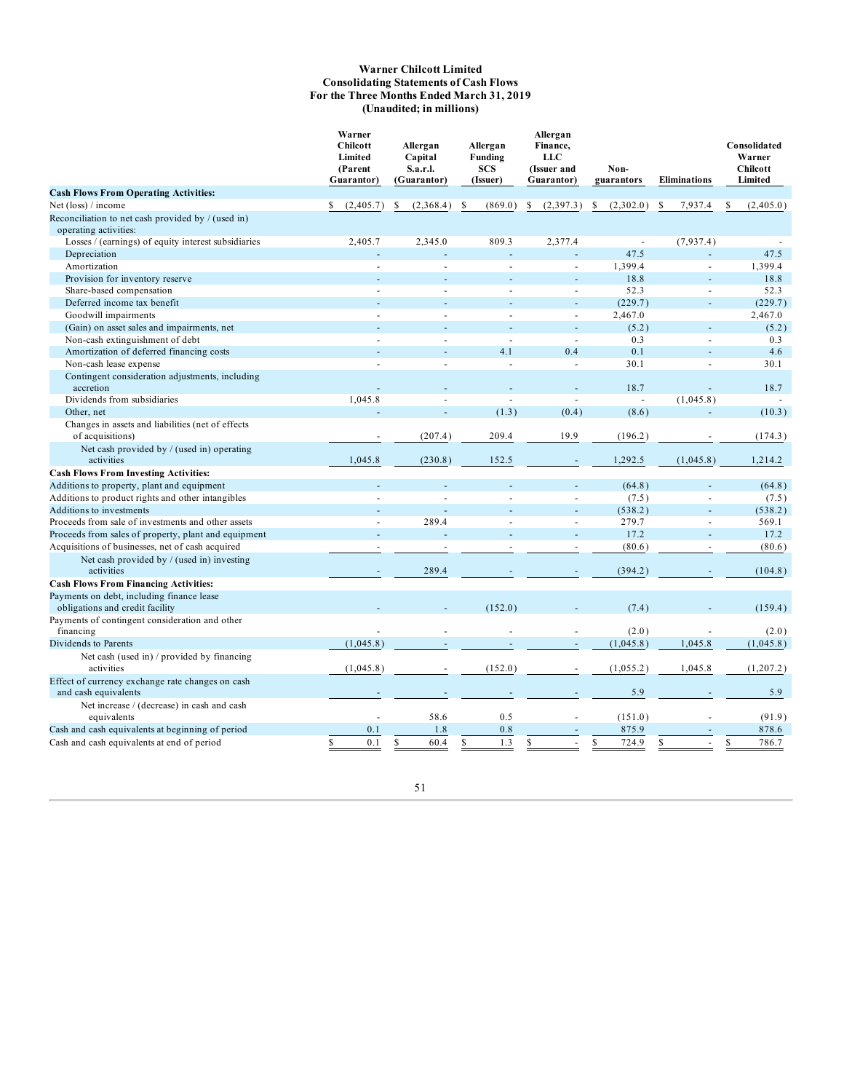# **Warner Chilcott Limited Consolidating Statements of Cash Flows For the Three Months Ended March 31, 2019 (Unaudited; in millions)**

|                                                                              | Warner<br><b>Chilcott</b><br>Limited<br>(Parent<br>Guarantor) | Allergan<br>Capital<br>S.a.r.l.<br>(Guarantor) | Allergan<br><b>Funding</b><br><b>SCS</b><br>(Issuer) | Allergan<br>Finance,<br><b>LLC</b><br>(Issuer and<br>Guarantor) | Non-<br>guarantors       | <b>Eliminations</b>         | Consolidated<br>Warner<br>Chilcott<br>Limited |
|------------------------------------------------------------------------------|---------------------------------------------------------------|------------------------------------------------|------------------------------------------------------|-----------------------------------------------------------------|--------------------------|-----------------------------|-----------------------------------------------|
| <b>Cash Flows From Operating Activities:</b>                                 |                                                               |                                                |                                                      |                                                                 |                          |                             |                                               |
| Net (loss) / income                                                          | S<br>(2,405.7)                                                | (2,368.4)<br>S                                 | \$<br>(869.0)                                        | (2,397.3)<br>S                                                  | (2,302.0)<br>\$          | 7,937.4<br>S                | S<br>(2,405.0)                                |
| Reconciliation to net cash provided by / (used in)<br>operating activities:  |                                                               |                                                |                                                      |                                                                 |                          |                             |                                               |
| Losses / (earnings) of equity interest subsidiaries                          | 2.405.7                                                       | 2,345.0                                        | 809.3                                                | 2,377.4                                                         | ÷,                       | (7,937.4)                   |                                               |
| Depreciation                                                                 |                                                               |                                                |                                                      |                                                                 | 47.5                     |                             | 47.5                                          |
| Amortization                                                                 |                                                               |                                                | ÷,                                                   | ä,                                                              | 1,399.4                  | $\mathcal{L}_{\mathcal{A}}$ | 1,399.4                                       |
| Provision for inventory reserve                                              |                                                               |                                                |                                                      |                                                                 | 18.8                     | ÷                           | 18.8                                          |
| Share-based compensation                                                     |                                                               |                                                |                                                      | ä,                                                              | 52.3                     | $\overline{\phantom{a}}$    | 52.3                                          |
| Deferred income tax benefit                                                  |                                                               |                                                |                                                      | ÷.                                                              | (229.7)                  | ÷                           | (229.7)                                       |
| Goodwill impairments                                                         |                                                               |                                                |                                                      | ÷                                                               | 2,467.0                  |                             | 2,467.0                                       |
| (Gain) on asset sales and impairments, net                                   |                                                               |                                                |                                                      | $\overline{a}$                                                  | (5.2)                    | ÷.                          | (5.2)                                         |
| Non-cash extinguishment of debt                                              |                                                               |                                                |                                                      | ÷.                                                              | 0.3                      | $\overline{a}$              | 0.3                                           |
| Amortization of deferred financing costs                                     |                                                               |                                                | 4.1                                                  | 0.4                                                             | 0.1                      |                             | 4.6                                           |
| Non-cash lease expense<br>Contingent consideration adjustments, including    |                                                               |                                                | L.                                                   | L.                                                              | 30.1                     |                             | 30.1                                          |
| accretion                                                                    |                                                               |                                                |                                                      |                                                                 | 18.7                     |                             | 18.7                                          |
| Dividends from subsidiaries                                                  | 1,045.8                                                       |                                                | L.                                                   | $\bar{a}$                                                       | $\overline{\phantom{a}}$ | (1,045.8)                   |                                               |
| Other, net                                                                   |                                                               |                                                | (1.3)                                                | (0.4)                                                           | (8.6)                    |                             | (10.3)                                        |
| Changes in assets and liabilities (net of effects<br>of acquisitions)        |                                                               | (207.4)                                        | 209.4                                                | 19.9                                                            | (196.2)                  |                             | (174.3)                                       |
| Net cash provided by $/$ (used in) operating<br>activities                   | 1,045.8                                                       | (230.8)                                        | 152.5                                                |                                                                 | 1,292.5                  | (1,045.8)                   | 1,214.2                                       |
| <b>Cash Flows From Investing Activities:</b>                                 |                                                               |                                                |                                                      |                                                                 |                          |                             |                                               |
| Additions to property, plant and equipment                                   |                                                               |                                                |                                                      |                                                                 | (64.8)                   |                             | (64.8)                                        |
| Additions to product rights and other intangibles                            |                                                               |                                                |                                                      |                                                                 | (7.5)                    |                             | (7.5)                                         |
| Additions to investments                                                     |                                                               |                                                |                                                      |                                                                 | (538.2)                  | ä,                          | (538.2)                                       |
| Proceeds from sale of investments and other assets                           |                                                               | 289.4                                          |                                                      | ä,                                                              | 279.7                    | $\overline{\phantom{a}}$    | 569.1                                         |
| Proceeds from sales of property, plant and equipment                         |                                                               |                                                |                                                      |                                                                 | 17.2                     |                             | 17.2                                          |
| Acquisitions of businesses, net of cash acquired                             |                                                               |                                                |                                                      |                                                                 | (80.6)                   | ä,                          | (80.6)                                        |
| Net cash provided by / (used in) investing<br>activities                     |                                                               | 289.4                                          |                                                      |                                                                 | (394.2)                  |                             | (104.8)                                       |
| <b>Cash Flows From Financing Activities:</b>                                 |                                                               |                                                |                                                      |                                                                 |                          |                             |                                               |
| Payments on debt, including finance lease<br>obligations and credit facility |                                                               |                                                | (152.0)                                              |                                                                 | (7.4)                    |                             | (159.4)                                       |
| Payments of contingent consideration and other<br>financing                  |                                                               |                                                |                                                      |                                                                 | (2.0)                    |                             | (2.0)                                         |
| Dividends to Parents                                                         | (1,045.8)                                                     |                                                | $\sim$                                               |                                                                 | (1,045.8)                | 1,045.8                     | (1,045.8)                                     |
| Net cash (used in) / provided by financing<br>activities                     | (1,045.8)                                                     |                                                | (152.0)                                              |                                                                 | (1,055.2)                | 1,045.8                     | (1, 207.2)                                    |
| Effect of currency exchange rate changes on cash<br>and cash equivalents     |                                                               |                                                |                                                      |                                                                 | 5.9                      |                             | 5.9                                           |
| Net increase / (decrease) in cash and cash<br>equivalents                    |                                                               | 58.6                                           | 0.5                                                  | ÷,                                                              | (151.0)                  |                             | (91.9)                                        |
| Cash and cash equivalents at beginning of period                             | 0.1                                                           | 1.8                                            | 0.8                                                  |                                                                 | 875.9                    |                             | 878.6                                         |
| Cash and cash equivalents at end of period                                   | \$<br>0.1                                                     | \$<br>60.4                                     | 1.3<br>\$                                            | \$<br>$\overline{\phantom{a}}$                                  | \$<br>724.9              | S<br>L.                     | $\mathbb{S}$<br>786.7                         |
|                                                                              |                                                               |                                                |                                                      |                                                                 |                          |                             |                                               |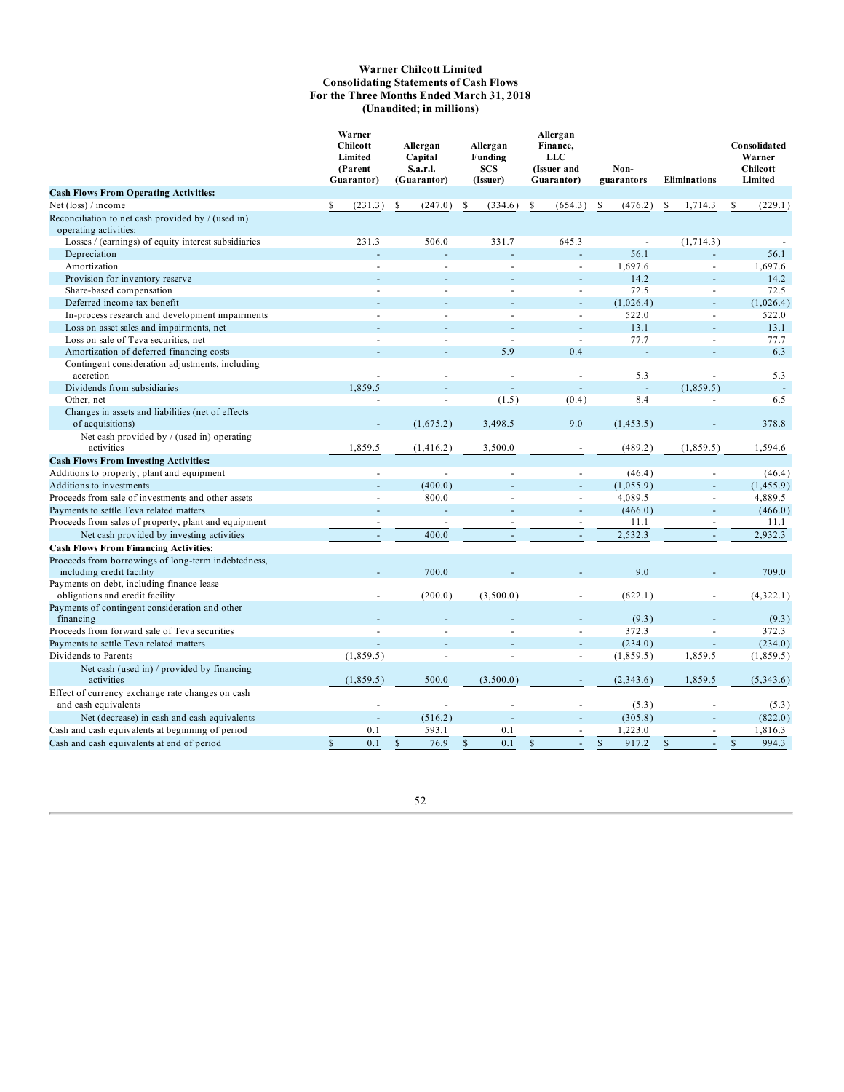# **Warner Chilcott Limited Consolidating Statements of Cash Flows For the Three Months Ended March 31, 2018 (Unaudited; in millions)**

|                                                                                  | Warner<br>Chilcott<br>Limited<br>(Parent<br>Guarantor) | Allergan<br>Capital<br>S.a.r.l.<br>(Guarantor) | Allergan<br>Funding<br><b>SCS</b><br>(Issuer) | Allergan<br>Finance,<br><b>LLC</b><br>(Issuer and<br>Guarantor) | Non-<br>guarantors   | <b>Eliminations</b> | Consolidated<br>Warner<br><b>Chilcott</b><br>Limited |
|----------------------------------------------------------------------------------|--------------------------------------------------------|------------------------------------------------|-----------------------------------------------|-----------------------------------------------------------------|----------------------|---------------------|------------------------------------------------------|
| <b>Cash Flows From Operating Activities:</b>                                     |                                                        |                                                |                                               |                                                                 |                      |                     |                                                      |
| Net (loss) / income                                                              | $\mathbb S$<br>(231.3)                                 | S<br>(247.0)                                   | \$<br>(334.6)                                 | (654.3)<br>\$.                                                  | S<br>(476.2)         | S<br>1,714.3        | S<br>(229.1)                                         |
| Reconciliation to net cash provided by / (used in)<br>operating activities:      |                                                        |                                                |                                               |                                                                 |                      |                     |                                                      |
| Losses / (earnings) of equity interest subsidiaries                              | 231.3                                                  | 506.0                                          | 331.7                                         | 645.3                                                           | ÷,                   | (1,714.3)           |                                                      |
| Depreciation                                                                     |                                                        |                                                |                                               |                                                                 | 56.1                 |                     | 56.1                                                 |
| Amortization                                                                     | L.                                                     | ä,                                             | L.                                            | ÷,                                                              | 1,697.6              | ÷.                  | 1,697.6                                              |
| Provision for inventory reserve                                                  |                                                        |                                                |                                               |                                                                 | 14.2                 |                     | 14.2                                                 |
| Share-based compensation                                                         | ä,                                                     | $\overline{\phantom{a}}$                       | ÷,                                            | ÷,                                                              | 72.5                 | $\bar{a}$           | 72.5                                                 |
| Deferred income tax benefit                                                      |                                                        |                                                | $\overline{a}$                                | ÷.                                                              | (1,026.4)            | ÷.                  | (1,026.4)                                            |
| In-process research and development impairments                                  |                                                        |                                                | $\overline{a}$                                | $\overline{a}$                                                  | 522.0                | ÷.                  | 522.0                                                |
| Loss on asset sales and impairments, net                                         |                                                        |                                                |                                               |                                                                 | 13.1                 |                     | 13.1                                                 |
| Loss on sale of Teva securities, net                                             |                                                        |                                                | L.                                            | ÷,                                                              | 77.7                 |                     | 77.7                                                 |
| Amortization of deferred financing costs                                         |                                                        |                                                | 5.9                                           | 0.4                                                             |                      |                     | 6.3                                                  |
| Contingent consideration adjustments, including<br>accretion                     | $\ddot{\phantom{1}}$                                   |                                                | ä,                                            | ä,                                                              | 5.3                  | ä,                  | 5.3                                                  |
| Dividends from subsidiaries                                                      | 1,859.5                                                |                                                |                                               |                                                                 | $\overline{a}$       | (1,859.5)           |                                                      |
| Other, net                                                                       |                                                        |                                                | (1.5)                                         | (0.4)                                                           | 8.4                  |                     | 6.5                                                  |
| Changes in assets and liabilities (net of effects<br>of acquisitions)            |                                                        | (1,675.2)                                      | 3,498.5                                       | 9.0                                                             | (1,453.5)            |                     | 378.8                                                |
| Net cash provided by / (used in) operating<br>activities                         | 1,859.5                                                | (1,416.2)                                      | 3,500.0                                       |                                                                 | (489.2)              | (1,859.5)           | 1,594.6                                              |
| <b>Cash Flows From Investing Activities:</b>                                     |                                                        |                                                |                                               |                                                                 |                      |                     |                                                      |
| Additions to property, plant and equipment                                       | ÷,                                                     |                                                |                                               |                                                                 | (46.4)               | ä,                  | (46.4)                                               |
| Additions to investments                                                         | L.                                                     | (400.0)                                        |                                               | ÷.                                                              | (1,055.9)            | ÷.                  | (1,455.9)                                            |
| Proceeds from sale of investments and other assets                               |                                                        | 800.0                                          |                                               | ÷.                                                              | 4,089.5              | ä,                  | 4,889.5                                              |
| Payments to settle Teva related matters                                          | L.                                                     |                                                |                                               | ÷.                                                              | (466.0)              | ÷.                  | (466.0)                                              |
| Proceeds from sales of property, plant and equipment                             | L.                                                     |                                                |                                               | ä,                                                              | 11.1                 | ÷.                  | 11.1                                                 |
| Net cash provided by investing activities                                        | ÷.                                                     | 400.0                                          | ÷.                                            | $\overline{\phantom{a}}$                                        | 2,532.3              | ÷.                  | 2,932.3                                              |
| <b>Cash Flows From Financing Activities:</b>                                     |                                                        |                                                |                                               |                                                                 |                      |                     |                                                      |
| Proceeds from borrowings of long-term indebtedness,<br>including credit facility |                                                        | 700.0                                          |                                               |                                                                 | 9.0                  |                     | 709.0                                                |
| Payments on debt, including finance lease<br>obligations and credit facility     |                                                        | (200.0)                                        | (3,500.0)                                     |                                                                 | (622.1)              |                     | (4,322.1)                                            |
| Payments of contingent consideration and other<br>financing                      |                                                        |                                                |                                               |                                                                 | (9.3)                |                     | (9.3)                                                |
| Proceeds from forward sale of Teva securities                                    |                                                        |                                                |                                               |                                                                 | 372.3                | ä,                  | 372.3                                                |
| Payments to settle Teva related matters                                          | $\overline{a}$                                         |                                                |                                               | ÷.                                                              | (234.0)              | ä,                  | (234.0)                                              |
| Dividends to Parents                                                             | (1,859.5)                                              | ÷.                                             | ä,                                            | $\overline{\phantom{a}}$                                        | (1,859.5)            | 1,859.5             | (1,859.5)                                            |
| Net cash (used in) / provided by financing<br>activities                         | (1,859.5)                                              | 500.0                                          | (3,500.0)                                     |                                                                 | (2,343.6)            | 1,859.5             | (5,343.6)                                            |
| Effect of currency exchange rate changes on cash                                 |                                                        |                                                |                                               |                                                                 |                      |                     |                                                      |
| and cash equivalents                                                             |                                                        |                                                |                                               |                                                                 | (5.3)                |                     | (5.3)                                                |
| Net (decrease) in cash and cash equivalents                                      |                                                        | (516.2)                                        |                                               |                                                                 | (305.8)              |                     | (822.0)                                              |
| Cash and cash equivalents at beginning of period                                 | 0.1                                                    | 593.1                                          | 0.1                                           |                                                                 | 1,223.0              |                     | 1,816.3                                              |
| Cash and cash equivalents at end of period                                       | \$<br>0.1                                              | \$<br>76.9                                     | \$<br>0.1                                     | \$<br>÷.                                                        | $\mathbb S$<br>917.2 | $\mathbb{S}$        | $\mathsf{\$}$<br>994.3                               |
|                                                                                  |                                                        |                                                |                                               |                                                                 |                      |                     |                                                      |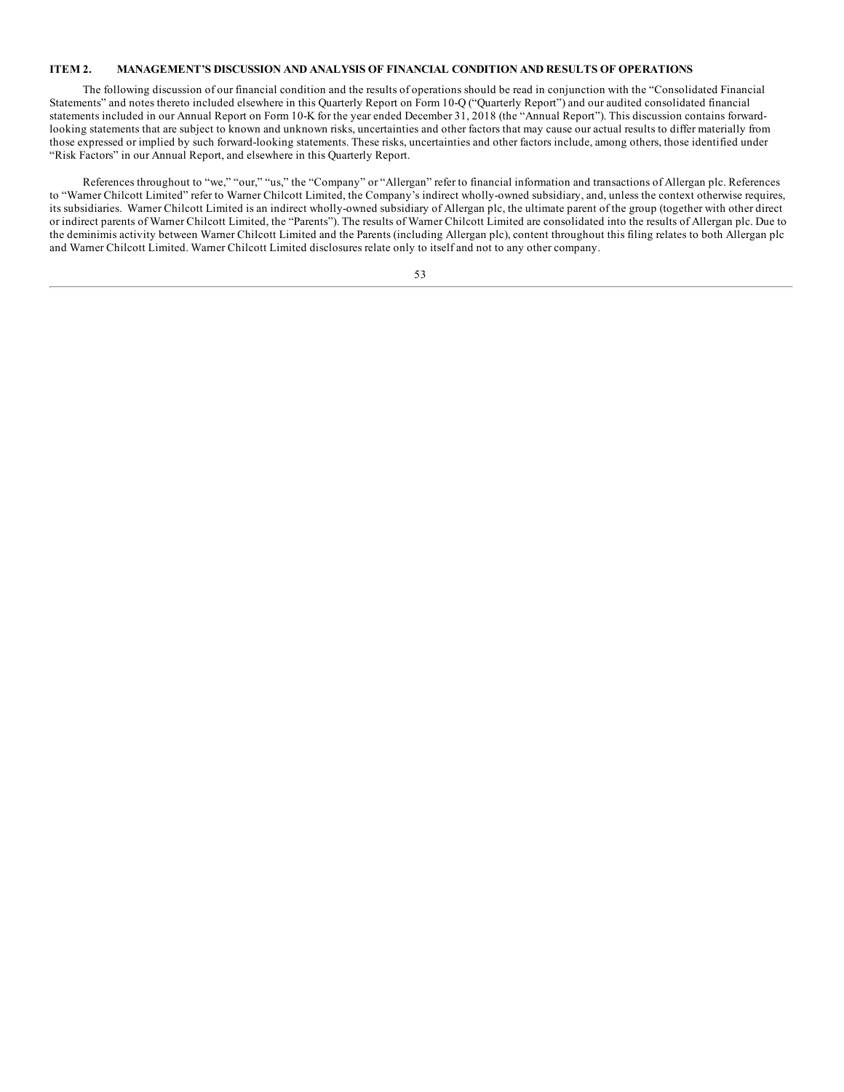# **ITEM 2. MANAGEMENT'S DISCUSSION AND ANALYSIS OF FINANCIAL CONDITION AND RESULTS OF OPERATIONS**

The following discussion of our financial condition and the results of operations should be read in conjunction with the "Consolidated Financial Statements" and notes thereto included elsewhere in this Quarterly Report on Form 10-Q ("Quarterly Report") and our audited consolidated financial statements included in our Annual Report on Form 10-K for the year ended December 31, 2018 (the "Annual Report"). This discussion contains forwardlooking statements that are subject to known and unknown risks, uncertainties and other factors that may cause our actual results to differ materially from those expressed or implied by such forward-looking statements. These risks, uncertainties and other factors include, among others, those identified under "Risk Factors" in our Annual Report, and elsewhere in this Quarterly Report.

References throughout to "we," "our," "us," the "Company" or "Allergan" refer to financial information and transactions of Allergan plc. References to "Warner Chilcott Limited" refer to Warner Chilcott Limited, the Company's indirect wholly-owned subsidiary, and, unless the context otherwise requires, its subsidiaries. Warner Chilcott Limited is an indirect wholly-owned subsidiary of Allergan plc, the ultimate parent of the group (together with other direct or indirect parents of Warner Chilcott Limited, the "Parents"). The results of Warner Chilcott Limited are consolidated into the results of Allergan plc. Due to the deminimis activity between Warner Chilcott Limited and the Parents (including Allergan plc), content throughout this filing relates to both Allergan plc and Warner Chilcott Limited. Warner Chilcott Limited disclosures relate only to itself and not to any other company.

| ۰.<br>$\sim$ | I<br>I<br>× |
|--------------|-------------|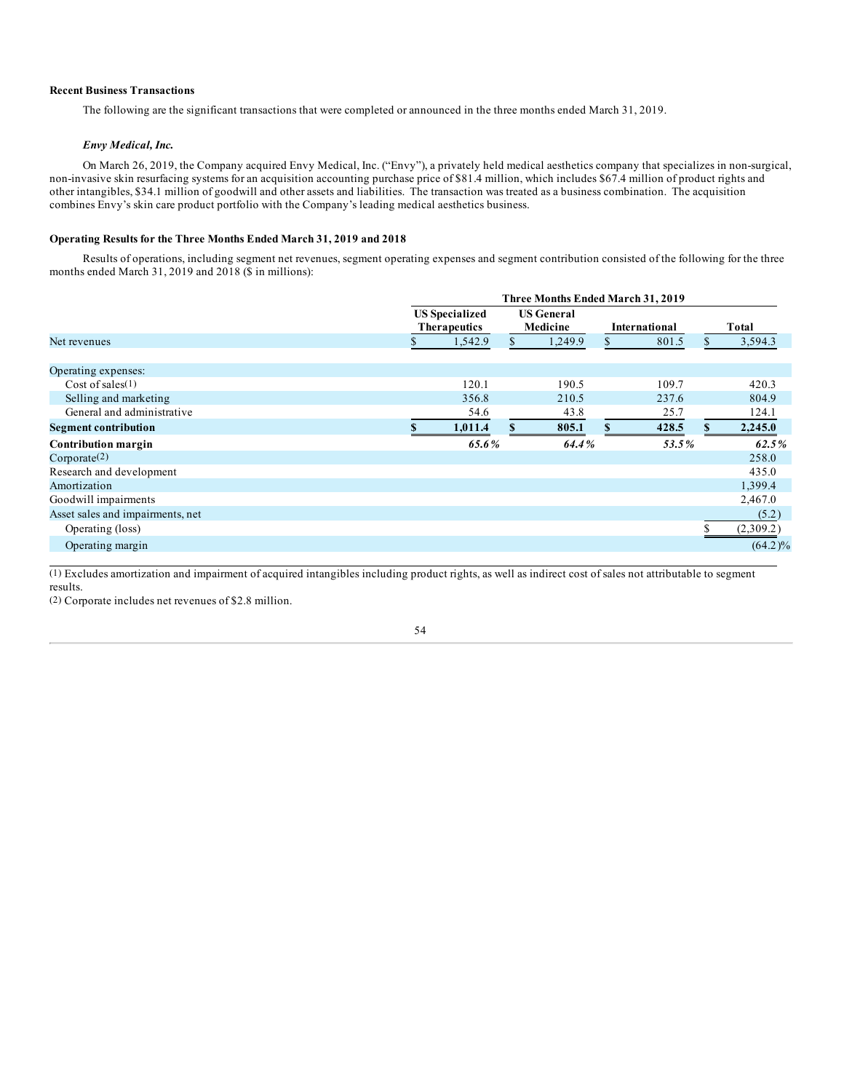## **Recent Business Transactions**

The following are the significant transactions that were completed or announced in the three months ended March 31, 2019.

## *Envy Medical, Inc.*

On March 26, 2019, the Company acquired Envy Medical, Inc. ("Envy"), a privately held medical aesthetics company that specializes in non-surgical, non-invasive skin resurfacing systems for an acquisition accounting purchase price of \$81.4 million, which includes \$67.4 million of product rights and other intangibles, \$34.1 million of goodwill and other assets and liabilities. The transaction was treated as a business combination. The acquisition combines Envy's skin care product portfolio with the Company's leading medical aesthetics business.

# **Operating Results for the Three Months Ended March 31, 2019 and 2018**

Results of operations, including segment net revenues, segment operating expenses and segment contribution consisted of the following for the three months ended March 31, 2019 and 2018 (\$ in millions):

|                                  |                                              | Three Months Ended March 31, 2019 |   |               |    |            |
|----------------------------------|----------------------------------------------|-----------------------------------|---|---------------|----|------------|
|                                  | <b>US</b> Specialized<br><b>Therapeutics</b> | <b>US General</b><br>Medicine     |   | International |    | Total      |
| Net revenues                     | 1,542.9                                      | \$<br>1,249.9                     | S | 801.5         | S. | 3,594.3    |
| Operating expenses:              |                                              |                                   |   |               |    |            |
| Cost of sales(1)                 | 120.1                                        | 190.5                             |   | 109.7         |    | 420.3      |
| Selling and marketing            | 356.8                                        | 210.5                             |   | 237.6         |    | 804.9      |
| General and administrative       | 54.6                                         | 43.8                              |   | 25.7          |    | 124.1      |
| <b>Segment contribution</b>      | 1,011.4                                      | 805.1                             |   | 428.5         |    | 2,245.0    |
| Contribution margin              | 65.6%                                        | 64.4%                             |   | 53.5%         |    | 62.5%      |
| Corporate <sup>(2)</sup>         |                                              |                                   |   |               |    | 258.0      |
| Research and development         |                                              |                                   |   |               |    | 435.0      |
| Amortization                     |                                              |                                   |   |               |    | 1,399.4    |
| Goodwill impairments             |                                              |                                   |   |               |    | 2,467.0    |
| Asset sales and impairments, net |                                              |                                   |   |               |    | (5.2)      |
| Operating (loss)                 |                                              |                                   |   |               |    | (2,309.2)  |
| Operating margin                 |                                              |                                   |   |               |    | $(64.2)\%$ |

(1) Excludes amortization and impairment of acquired intangibles including product rights, as well as indirect cost of sales not attributable to segment results.

(2) Corporate includes net revenues of \$2.8 million.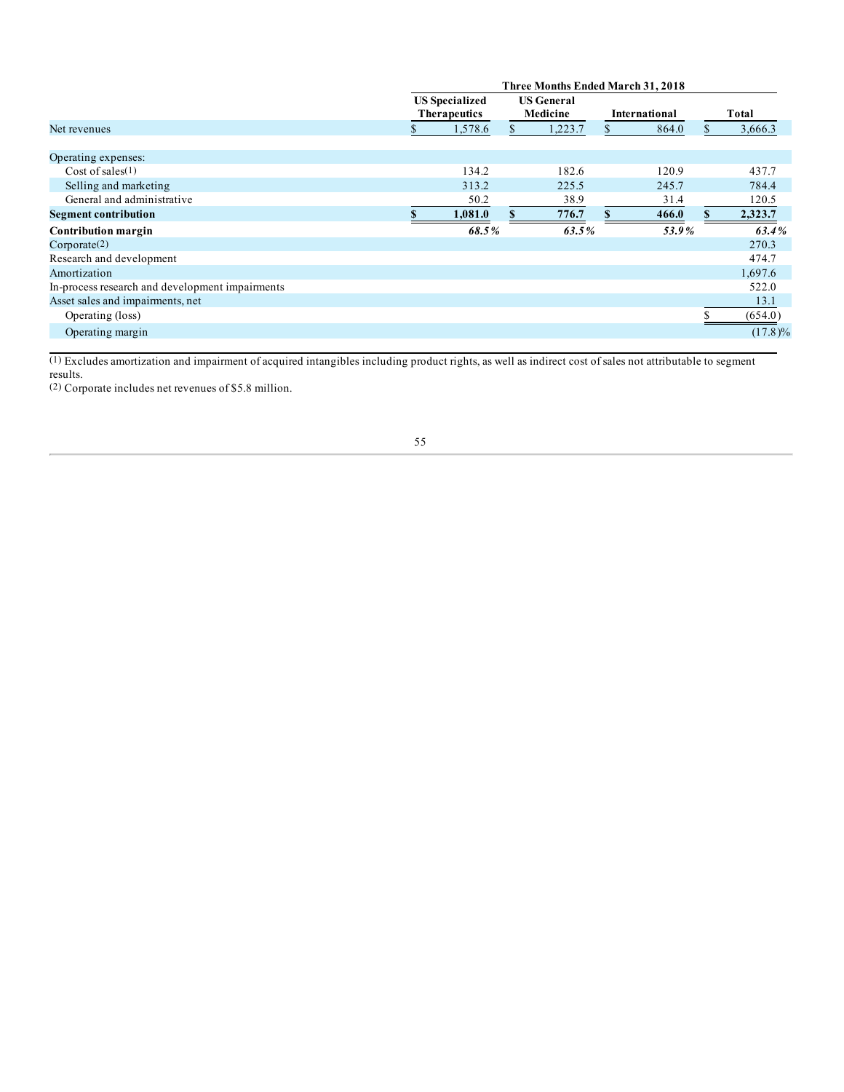|                                                 |                                              | Three Months Ended March 31, 2018 |               |            |
|-------------------------------------------------|----------------------------------------------|-----------------------------------|---------------|------------|
|                                                 | <b>US</b> Specialized<br><b>Therapeutics</b> | <b>US General</b><br>Medicine     | International | Total      |
| Net revenues                                    | 1,578.6                                      | \$<br>1,223.7                     | 864.0         | 3,666.3    |
|                                                 |                                              |                                   |               |            |
| Operating expenses:                             |                                              |                                   |               |            |
| Cost of sales(1)                                | 134.2                                        | 182.6                             | 120.9         | 437.7      |
| Selling and marketing                           | 313.2                                        | 225.5                             | 245.7         | 784.4      |
| General and administrative                      | 50.2                                         | 38.9                              | 31.4          | 120.5      |
| <b>Segment contribution</b>                     | 1,081.0                                      | \$<br>776.7                       | \$<br>466.0   | 2,323.7    |
| Contribution margin                             | 68.5%                                        | 63.5%                             | 53.9%         | 63.4%      |
| Corporate(2)                                    |                                              |                                   |               | 270.3      |
| Research and development                        |                                              |                                   |               | 474.7      |
| Amortization                                    |                                              |                                   |               | 1,697.6    |
| In-process research and development impairments |                                              |                                   |               | 522.0      |
| Asset sales and impairments, net                |                                              |                                   |               | 13.1       |
| Operating (loss)                                |                                              |                                   |               | (654.0)    |
| Operating margin                                |                                              |                                   |               | $(17.8)\%$ |

 $<sup>(1)</sup>$  Excludes amortization and impairment of acquired intangibles including product rights, as well as indirect cost of sales not attributable to segment</sup> results.

(2) Corporate includes net revenues of \$5.8 million.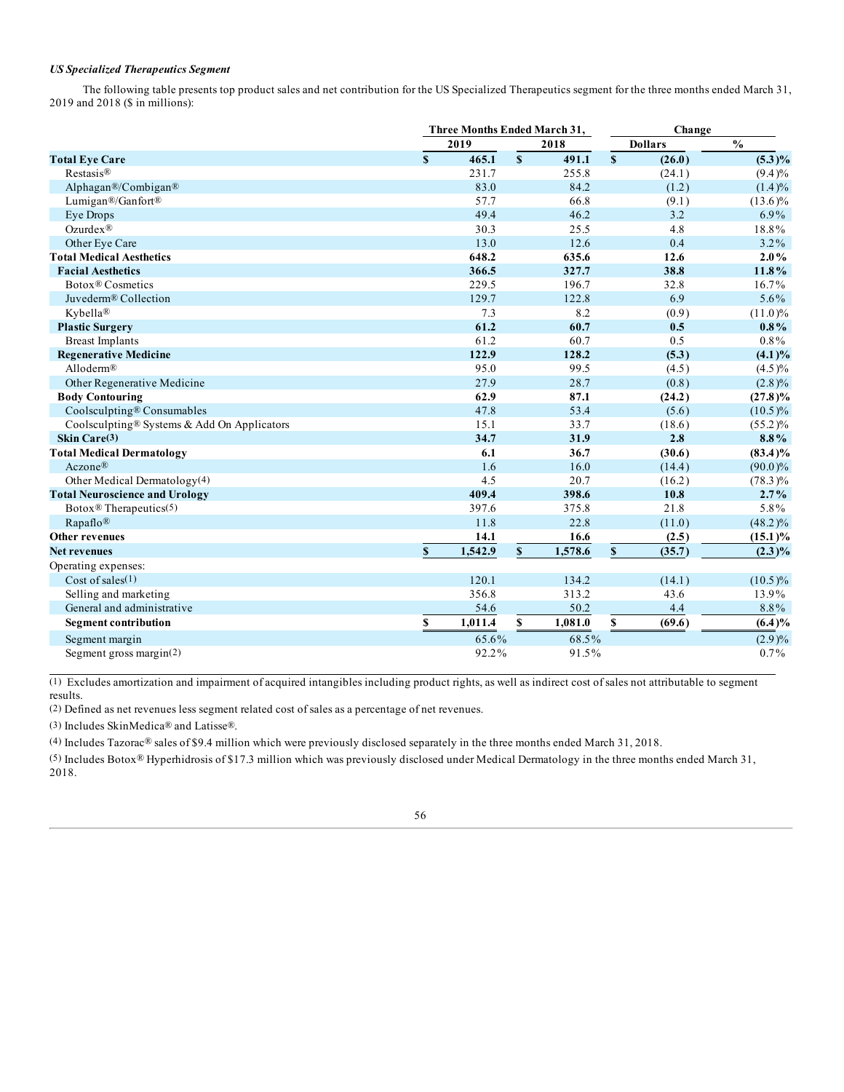# *US Specialized Therapeutics Segment*

The following table presents top product sales and net contribution for the US Specialized Therapeutics segment for the three months ended March 31, 2019 and 2018 (\$ in millions):

| 2019<br><b>Dollars</b><br>$\frac{0}{0}$<br>2018<br>$\mathbb S$<br>$\mathbf{s}$<br>465.1<br>$\mathbf{s}$<br>491.1<br>(26.0)<br>$(5.3)\%$<br>Restasis®<br>231.7<br>255.8<br>(24.1)<br>$(9.4)\%$<br>83.0<br>84.2<br>Alphagan <sup>®</sup> /Combigan <sup>®</sup><br>(1.2)<br>$(1.4)\%$<br>57.7<br>66.8<br>Lumigan <sup>®</sup> /Ganfort <sup>®</sup><br>(9.1)<br>$(13.6)\%$<br>49.4<br>46.2<br>3.2<br>$6.9\%$<br>Eye Drops<br>Ozurdex <sup>®</sup><br>30.3<br>25.5<br>4.8<br>$18.8\,\%$<br>13.0<br>12.6<br>0.4<br>$3.2\%$<br>Other Eye Care<br>648.2<br>635.6<br>12.6<br>$2.0\%$<br><b>Facial Aesthetics</b><br>366.5<br>327.7<br>38.8<br>$11.8\%$<br>Botox <sup>®</sup> Cosmetics<br>229.5<br>196.7<br>32.8<br>16.7%<br>6.9<br>Juvederm <sup>®</sup> Collection<br>129.7<br>122.8<br>$5.6\%$<br>Kybella®<br>7.3<br>8.2<br>(0.9)<br>$(11.0)\%$<br>61.2<br>60.7<br><b>Plastic Surgery</b><br>0.5<br>$0.8\%$<br>61.2<br>$0.8\%$<br>60.7<br>0.5<br><b>Breast Implants</b><br>122.9<br><b>Regenerative Medicine</b><br>128.2<br>(5.3)<br>$(4.1)\%$<br>Alloderm®<br>95.0<br>99.5<br>(4.5)<br>$(4.5)\%$<br>27.9<br>28.7<br>Other Regenerative Medicine<br>(0.8)<br>$(2.8)\%$<br>62.9<br>87.1<br><b>Body Contouring</b><br>(24.2)<br>$(27.8)\%$<br>47.8<br>53.4<br>Coolsculpting® Consumables<br>(5.6)<br>$(10.5)\%$<br>15.1<br>Coolsculpting <sup>®</sup> Systems & Add On Applicators<br>33.7<br>$(55.2)\%$<br>(18.6)<br>34.7<br>31.9<br>2.8<br>8.8%<br>Skin $Care(3)$<br>36.7<br>(30.6)<br>6.1<br>$(83.4)\%$<br>16.0<br>Aczone <sup>®</sup><br>1.6<br>(14.4)<br>$(90.0)\%$<br>4.5<br>Other Medical Dermatology(4)<br>20.7<br>(16.2)<br>$(78.3)\%$<br>409.4<br>$2.7\%$<br>398.6<br>10.8<br>Botox <sup>®</sup> Therapeutics(5)<br>397.6<br>21.8<br>5.8%<br>375.8<br>Rapaflo®<br>11.8<br>22.8<br>$(48.2)\%$<br>(11.0)<br>14.1<br>16.6<br>(2.5)<br>$(15.1)\%$<br>S<br>1,542.9<br>\$<br>1,578.6<br>\$<br>(35.7)<br>$(2.3)\%$<br>Operating expenses:<br>Cost of sales $(1)$<br>120.1<br>134.2<br>(14.1)<br>$(10.5)\%$<br>Selling and marketing<br>356.8<br>43.6<br>13.9%<br>313.2<br>General and administrative<br>54.6<br>50.2<br>4.4<br>8.8%<br>\$<br><b>Segment contribution</b><br>\$<br>1,011.4<br>\$<br>1,081.0<br>(69.6)<br>$(6.4)\%$<br>65.6%<br>68.5%<br>$(2.9)\%$<br>Segment margin<br>Segment gross margin $(2)$<br>92.2%<br>91.5%<br>$0.7\%$ |                                       | Three Months Ended March 31, |  |  |  | Change |  |  |
|---------------------------------------------------------------------------------------------------------------------------------------------------------------------------------------------------------------------------------------------------------------------------------------------------------------------------------------------------------------------------------------------------------------------------------------------------------------------------------------------------------------------------------------------------------------------------------------------------------------------------------------------------------------------------------------------------------------------------------------------------------------------------------------------------------------------------------------------------------------------------------------------------------------------------------------------------------------------------------------------------------------------------------------------------------------------------------------------------------------------------------------------------------------------------------------------------------------------------------------------------------------------------------------------------------------------------------------------------------------------------------------------------------------------------------------------------------------------------------------------------------------------------------------------------------------------------------------------------------------------------------------------------------------------------------------------------------------------------------------------------------------------------------------------------------------------------------------------------------------------------------------------------------------------------------------------------------------------------------------------------------------------------------------------------------------------------------------------------------------------------------------------------------------------------------------------------------------------------------------------------------------------------------------------------------------------------------------------|---------------------------------------|------------------------------|--|--|--|--------|--|--|
|                                                                                                                                                                                                                                                                                                                                                                                                                                                                                                                                                                                                                                                                                                                                                                                                                                                                                                                                                                                                                                                                                                                                                                                                                                                                                                                                                                                                                                                                                                                                                                                                                                                                                                                                                                                                                                                                                                                                                                                                                                                                                                                                                                                                                                                                                                                                             |                                       |                              |  |  |  |        |  |  |
|                                                                                                                                                                                                                                                                                                                                                                                                                                                                                                                                                                                                                                                                                                                                                                                                                                                                                                                                                                                                                                                                                                                                                                                                                                                                                                                                                                                                                                                                                                                                                                                                                                                                                                                                                                                                                                                                                                                                                                                                                                                                                                                                                                                                                                                                                                                                             | <b>Total Eye Care</b>                 |                              |  |  |  |        |  |  |
|                                                                                                                                                                                                                                                                                                                                                                                                                                                                                                                                                                                                                                                                                                                                                                                                                                                                                                                                                                                                                                                                                                                                                                                                                                                                                                                                                                                                                                                                                                                                                                                                                                                                                                                                                                                                                                                                                                                                                                                                                                                                                                                                                                                                                                                                                                                                             |                                       |                              |  |  |  |        |  |  |
|                                                                                                                                                                                                                                                                                                                                                                                                                                                                                                                                                                                                                                                                                                                                                                                                                                                                                                                                                                                                                                                                                                                                                                                                                                                                                                                                                                                                                                                                                                                                                                                                                                                                                                                                                                                                                                                                                                                                                                                                                                                                                                                                                                                                                                                                                                                                             |                                       |                              |  |  |  |        |  |  |
|                                                                                                                                                                                                                                                                                                                                                                                                                                                                                                                                                                                                                                                                                                                                                                                                                                                                                                                                                                                                                                                                                                                                                                                                                                                                                                                                                                                                                                                                                                                                                                                                                                                                                                                                                                                                                                                                                                                                                                                                                                                                                                                                                                                                                                                                                                                                             |                                       |                              |  |  |  |        |  |  |
|                                                                                                                                                                                                                                                                                                                                                                                                                                                                                                                                                                                                                                                                                                                                                                                                                                                                                                                                                                                                                                                                                                                                                                                                                                                                                                                                                                                                                                                                                                                                                                                                                                                                                                                                                                                                                                                                                                                                                                                                                                                                                                                                                                                                                                                                                                                                             |                                       |                              |  |  |  |        |  |  |
|                                                                                                                                                                                                                                                                                                                                                                                                                                                                                                                                                                                                                                                                                                                                                                                                                                                                                                                                                                                                                                                                                                                                                                                                                                                                                                                                                                                                                                                                                                                                                                                                                                                                                                                                                                                                                                                                                                                                                                                                                                                                                                                                                                                                                                                                                                                                             |                                       |                              |  |  |  |        |  |  |
|                                                                                                                                                                                                                                                                                                                                                                                                                                                                                                                                                                                                                                                                                                                                                                                                                                                                                                                                                                                                                                                                                                                                                                                                                                                                                                                                                                                                                                                                                                                                                                                                                                                                                                                                                                                                                                                                                                                                                                                                                                                                                                                                                                                                                                                                                                                                             |                                       |                              |  |  |  |        |  |  |
|                                                                                                                                                                                                                                                                                                                                                                                                                                                                                                                                                                                                                                                                                                                                                                                                                                                                                                                                                                                                                                                                                                                                                                                                                                                                                                                                                                                                                                                                                                                                                                                                                                                                                                                                                                                                                                                                                                                                                                                                                                                                                                                                                                                                                                                                                                                                             | <b>Total Medical Aesthetics</b>       |                              |  |  |  |        |  |  |
|                                                                                                                                                                                                                                                                                                                                                                                                                                                                                                                                                                                                                                                                                                                                                                                                                                                                                                                                                                                                                                                                                                                                                                                                                                                                                                                                                                                                                                                                                                                                                                                                                                                                                                                                                                                                                                                                                                                                                                                                                                                                                                                                                                                                                                                                                                                                             |                                       |                              |  |  |  |        |  |  |
|                                                                                                                                                                                                                                                                                                                                                                                                                                                                                                                                                                                                                                                                                                                                                                                                                                                                                                                                                                                                                                                                                                                                                                                                                                                                                                                                                                                                                                                                                                                                                                                                                                                                                                                                                                                                                                                                                                                                                                                                                                                                                                                                                                                                                                                                                                                                             |                                       |                              |  |  |  |        |  |  |
|                                                                                                                                                                                                                                                                                                                                                                                                                                                                                                                                                                                                                                                                                                                                                                                                                                                                                                                                                                                                                                                                                                                                                                                                                                                                                                                                                                                                                                                                                                                                                                                                                                                                                                                                                                                                                                                                                                                                                                                                                                                                                                                                                                                                                                                                                                                                             |                                       |                              |  |  |  |        |  |  |
|                                                                                                                                                                                                                                                                                                                                                                                                                                                                                                                                                                                                                                                                                                                                                                                                                                                                                                                                                                                                                                                                                                                                                                                                                                                                                                                                                                                                                                                                                                                                                                                                                                                                                                                                                                                                                                                                                                                                                                                                                                                                                                                                                                                                                                                                                                                                             |                                       |                              |  |  |  |        |  |  |
|                                                                                                                                                                                                                                                                                                                                                                                                                                                                                                                                                                                                                                                                                                                                                                                                                                                                                                                                                                                                                                                                                                                                                                                                                                                                                                                                                                                                                                                                                                                                                                                                                                                                                                                                                                                                                                                                                                                                                                                                                                                                                                                                                                                                                                                                                                                                             |                                       |                              |  |  |  |        |  |  |
|                                                                                                                                                                                                                                                                                                                                                                                                                                                                                                                                                                                                                                                                                                                                                                                                                                                                                                                                                                                                                                                                                                                                                                                                                                                                                                                                                                                                                                                                                                                                                                                                                                                                                                                                                                                                                                                                                                                                                                                                                                                                                                                                                                                                                                                                                                                                             |                                       |                              |  |  |  |        |  |  |
|                                                                                                                                                                                                                                                                                                                                                                                                                                                                                                                                                                                                                                                                                                                                                                                                                                                                                                                                                                                                                                                                                                                                                                                                                                                                                                                                                                                                                                                                                                                                                                                                                                                                                                                                                                                                                                                                                                                                                                                                                                                                                                                                                                                                                                                                                                                                             |                                       |                              |  |  |  |        |  |  |
|                                                                                                                                                                                                                                                                                                                                                                                                                                                                                                                                                                                                                                                                                                                                                                                                                                                                                                                                                                                                                                                                                                                                                                                                                                                                                                                                                                                                                                                                                                                                                                                                                                                                                                                                                                                                                                                                                                                                                                                                                                                                                                                                                                                                                                                                                                                                             |                                       |                              |  |  |  |        |  |  |
|                                                                                                                                                                                                                                                                                                                                                                                                                                                                                                                                                                                                                                                                                                                                                                                                                                                                                                                                                                                                                                                                                                                                                                                                                                                                                                                                                                                                                                                                                                                                                                                                                                                                                                                                                                                                                                                                                                                                                                                                                                                                                                                                                                                                                                                                                                                                             |                                       |                              |  |  |  |        |  |  |
|                                                                                                                                                                                                                                                                                                                                                                                                                                                                                                                                                                                                                                                                                                                                                                                                                                                                                                                                                                                                                                                                                                                                                                                                                                                                                                                                                                                                                                                                                                                                                                                                                                                                                                                                                                                                                                                                                                                                                                                                                                                                                                                                                                                                                                                                                                                                             |                                       |                              |  |  |  |        |  |  |
|                                                                                                                                                                                                                                                                                                                                                                                                                                                                                                                                                                                                                                                                                                                                                                                                                                                                                                                                                                                                                                                                                                                                                                                                                                                                                                                                                                                                                                                                                                                                                                                                                                                                                                                                                                                                                                                                                                                                                                                                                                                                                                                                                                                                                                                                                                                                             |                                       |                              |  |  |  |        |  |  |
|                                                                                                                                                                                                                                                                                                                                                                                                                                                                                                                                                                                                                                                                                                                                                                                                                                                                                                                                                                                                                                                                                                                                                                                                                                                                                                                                                                                                                                                                                                                                                                                                                                                                                                                                                                                                                                                                                                                                                                                                                                                                                                                                                                                                                                                                                                                                             |                                       |                              |  |  |  |        |  |  |
|                                                                                                                                                                                                                                                                                                                                                                                                                                                                                                                                                                                                                                                                                                                                                                                                                                                                                                                                                                                                                                                                                                                                                                                                                                                                                                                                                                                                                                                                                                                                                                                                                                                                                                                                                                                                                                                                                                                                                                                                                                                                                                                                                                                                                                                                                                                                             |                                       |                              |  |  |  |        |  |  |
|                                                                                                                                                                                                                                                                                                                                                                                                                                                                                                                                                                                                                                                                                                                                                                                                                                                                                                                                                                                                                                                                                                                                                                                                                                                                                                                                                                                                                                                                                                                                                                                                                                                                                                                                                                                                                                                                                                                                                                                                                                                                                                                                                                                                                                                                                                                                             | <b>Total Medical Dermatology</b>      |                              |  |  |  |        |  |  |
|                                                                                                                                                                                                                                                                                                                                                                                                                                                                                                                                                                                                                                                                                                                                                                                                                                                                                                                                                                                                                                                                                                                                                                                                                                                                                                                                                                                                                                                                                                                                                                                                                                                                                                                                                                                                                                                                                                                                                                                                                                                                                                                                                                                                                                                                                                                                             |                                       |                              |  |  |  |        |  |  |
|                                                                                                                                                                                                                                                                                                                                                                                                                                                                                                                                                                                                                                                                                                                                                                                                                                                                                                                                                                                                                                                                                                                                                                                                                                                                                                                                                                                                                                                                                                                                                                                                                                                                                                                                                                                                                                                                                                                                                                                                                                                                                                                                                                                                                                                                                                                                             |                                       |                              |  |  |  |        |  |  |
|                                                                                                                                                                                                                                                                                                                                                                                                                                                                                                                                                                                                                                                                                                                                                                                                                                                                                                                                                                                                                                                                                                                                                                                                                                                                                                                                                                                                                                                                                                                                                                                                                                                                                                                                                                                                                                                                                                                                                                                                                                                                                                                                                                                                                                                                                                                                             | <b>Total Neuroscience and Urology</b> |                              |  |  |  |        |  |  |
|                                                                                                                                                                                                                                                                                                                                                                                                                                                                                                                                                                                                                                                                                                                                                                                                                                                                                                                                                                                                                                                                                                                                                                                                                                                                                                                                                                                                                                                                                                                                                                                                                                                                                                                                                                                                                                                                                                                                                                                                                                                                                                                                                                                                                                                                                                                                             |                                       |                              |  |  |  |        |  |  |
|                                                                                                                                                                                                                                                                                                                                                                                                                                                                                                                                                                                                                                                                                                                                                                                                                                                                                                                                                                                                                                                                                                                                                                                                                                                                                                                                                                                                                                                                                                                                                                                                                                                                                                                                                                                                                                                                                                                                                                                                                                                                                                                                                                                                                                                                                                                                             |                                       |                              |  |  |  |        |  |  |
|                                                                                                                                                                                                                                                                                                                                                                                                                                                                                                                                                                                                                                                                                                                                                                                                                                                                                                                                                                                                                                                                                                                                                                                                                                                                                                                                                                                                                                                                                                                                                                                                                                                                                                                                                                                                                                                                                                                                                                                                                                                                                                                                                                                                                                                                                                                                             | Other revenues                        |                              |  |  |  |        |  |  |
|                                                                                                                                                                                                                                                                                                                                                                                                                                                                                                                                                                                                                                                                                                                                                                                                                                                                                                                                                                                                                                                                                                                                                                                                                                                                                                                                                                                                                                                                                                                                                                                                                                                                                                                                                                                                                                                                                                                                                                                                                                                                                                                                                                                                                                                                                                                                             | <b>Net revenues</b>                   |                              |  |  |  |        |  |  |
|                                                                                                                                                                                                                                                                                                                                                                                                                                                                                                                                                                                                                                                                                                                                                                                                                                                                                                                                                                                                                                                                                                                                                                                                                                                                                                                                                                                                                                                                                                                                                                                                                                                                                                                                                                                                                                                                                                                                                                                                                                                                                                                                                                                                                                                                                                                                             |                                       |                              |  |  |  |        |  |  |
|                                                                                                                                                                                                                                                                                                                                                                                                                                                                                                                                                                                                                                                                                                                                                                                                                                                                                                                                                                                                                                                                                                                                                                                                                                                                                                                                                                                                                                                                                                                                                                                                                                                                                                                                                                                                                                                                                                                                                                                                                                                                                                                                                                                                                                                                                                                                             |                                       |                              |  |  |  |        |  |  |
|                                                                                                                                                                                                                                                                                                                                                                                                                                                                                                                                                                                                                                                                                                                                                                                                                                                                                                                                                                                                                                                                                                                                                                                                                                                                                                                                                                                                                                                                                                                                                                                                                                                                                                                                                                                                                                                                                                                                                                                                                                                                                                                                                                                                                                                                                                                                             |                                       |                              |  |  |  |        |  |  |
|                                                                                                                                                                                                                                                                                                                                                                                                                                                                                                                                                                                                                                                                                                                                                                                                                                                                                                                                                                                                                                                                                                                                                                                                                                                                                                                                                                                                                                                                                                                                                                                                                                                                                                                                                                                                                                                                                                                                                                                                                                                                                                                                                                                                                                                                                                                                             |                                       |                              |  |  |  |        |  |  |
|                                                                                                                                                                                                                                                                                                                                                                                                                                                                                                                                                                                                                                                                                                                                                                                                                                                                                                                                                                                                                                                                                                                                                                                                                                                                                                                                                                                                                                                                                                                                                                                                                                                                                                                                                                                                                                                                                                                                                                                                                                                                                                                                                                                                                                                                                                                                             |                                       |                              |  |  |  |        |  |  |
|                                                                                                                                                                                                                                                                                                                                                                                                                                                                                                                                                                                                                                                                                                                                                                                                                                                                                                                                                                                                                                                                                                                                                                                                                                                                                                                                                                                                                                                                                                                                                                                                                                                                                                                                                                                                                                                                                                                                                                                                                                                                                                                                                                                                                                                                                                                                             |                                       |                              |  |  |  |        |  |  |
|                                                                                                                                                                                                                                                                                                                                                                                                                                                                                                                                                                                                                                                                                                                                                                                                                                                                                                                                                                                                                                                                                                                                                                                                                                                                                                                                                                                                                                                                                                                                                                                                                                                                                                                                                                                                                                                                                                                                                                                                                                                                                                                                                                                                                                                                                                                                             |                                       |                              |  |  |  |        |  |  |

(1) Excludes amortization and impairment of acquired intangibles including product rights, as well as indirect cost of sales not attributable to segment results.

(2) Defined as net revenues less segment related cost of sales as a percentage of net revenues.

(3) Includes SkinMedica® and Latisse®.

(4) Includes Tazorac® sales of \$9.4 million which were previously disclosed separately in the three months ended March 31, 2018.

(5) Includes Botox® Hyperhidrosis of \$17.3 million which was previously disclosed under Medical Dermatology in the three months ended March 31, 2018.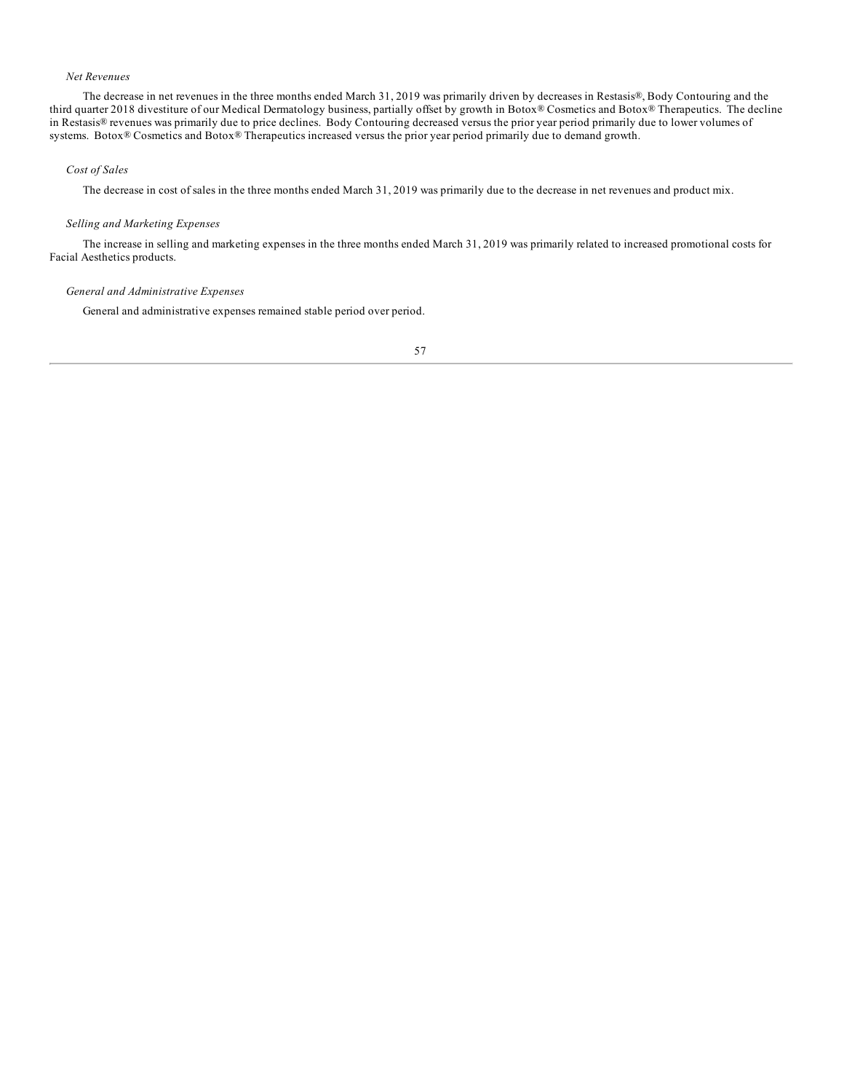# *Net Revenues*

The decrease in net revenues in the three months ended March 31, 2019 was primarily driven by decreases in Restasis®, Body Contouring and the third quarter 2018 divestiture of our Medical Dermatology business, partially offset by growth in Botox® Cosmetics and Botox® Therapeutics. The decline in Restasis® revenues was primarily due to price declines. Body Contouring decreased versus the prior year period primarily due to lower volumes of systems. Botox® Cosmetics and Botox® Therapeutics increased versus the prior year period primarily due to demand growth.

## *Cost of Sales*

The decrease in cost of sales in the three months ended March 31, 2019 was primarily due to the decrease in net revenues and product mix.

## *Selling and Marketing Expenses*

The increase in selling and marketing expenses in the three months ended March 31, 2019 was primarily related to increased promotional costs for Facial Aesthetics products.

## *General and Administrative Expenses*

General and administrative expenses remained stable period over period.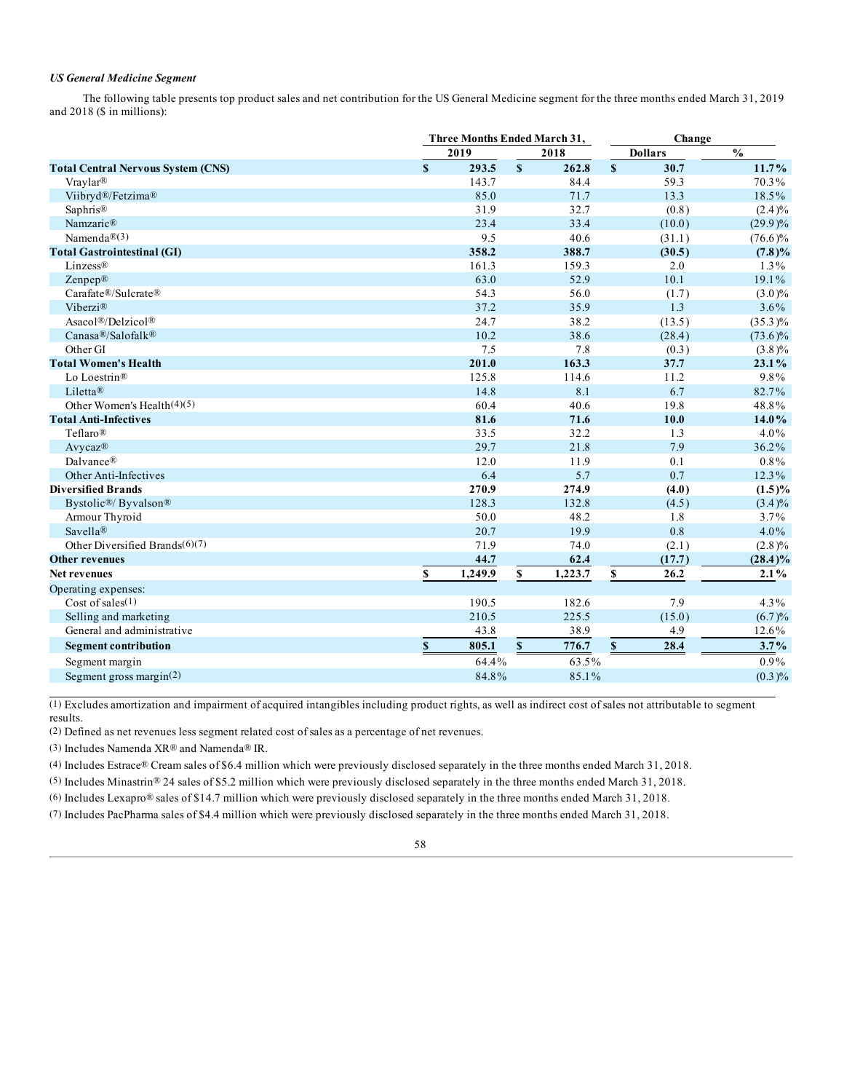# *US General Medicine Segment*

The following table presents top product sales and net contribution for the US General Medicine segment for the three months ended March 31, 2019 and 2018 (\$ in millions):

|                                              | Three Months Ended March 31, |         |              | Change  |              |                |               |
|----------------------------------------------|------------------------------|---------|--------------|---------|--------------|----------------|---------------|
|                                              |                              | 2019    |              | 2018    |              | <b>Dollars</b> | $\frac{0}{0}$ |
| <b>Total Central Nervous System (CNS)</b>    | $\mathbf{s}$                 | 293.5   | $\mathbf{s}$ | 262.8   | $\mathbf{s}$ | 30.7           | 11.7%         |
| Vraylar®                                     |                              | 143.7   |              | 84.4    |              | 59.3           | 70.3%         |
| Viibryd®/Fetzima®                            |                              | 85.0    |              | 71.7    |              | 13.3           | 18.5%         |
| Saphris®                                     |                              | 31.9    |              | 32.7    |              | (0.8)          | $(2.4)\%$     |
| Namzaric®                                    |                              | 23.4    |              | 33.4    |              | (10.0)         | $(29.9)\%$    |
| Namenda® $(3)$                               |                              | 9.5     |              | 40.6    |              | (31.1)         | $(76.6)\%$    |
| <b>Total Gastrointestinal (GI)</b>           |                              | 358.2   |              | 388.7   |              | (30.5)         | $(7.8)\%$     |
| Linzess <sup>®</sup>                         |                              | 161.3   |              | 159.3   |              | 2.0            | $1.3\%$       |
| Zenpep®                                      |                              | 63.0    |              | 52.9    |              | 10.1           | 19.1%         |
| Carafate <sup>®</sup> /Sulcrate <sup>®</sup> |                              | 54.3    |              | 56.0    |              | (1.7)          | $(3.0)\%$     |
| Viberzi®                                     |                              | 37.2    |              | 35.9    |              | 1.3            | $3.6\%$       |
| Asacol®/Delzicol®                            |                              | 24.7    |              | 38.2    |              | (13.5)         | $(35.3)\%$    |
| Canasa®/Salofalk®                            |                              | 10.2    |              | 38.6    |              | (28.4)         | $(73.6)\%$    |
| Other GI                                     |                              | 7.5     |              | 7.8     |              | (0.3)          | $(3.8)\%$     |
| <b>Total Women's Health</b>                  |                              | 201.0   |              | 163.3   |              | 37.7           | 23.1%         |
| Lo Loestrin®                                 |                              | 125.8   |              | 114.6   |              | 11.2           | 9.8%          |
| Liletta <sup>®</sup>                         |                              | 14.8    |              | 8.1     |              | 6.7            | 82.7%         |
| Other Women's Health $(4)(5)$                |                              | 60.4    |              | 40.6    |              | 19.8           | 48.8%         |
| <b>Total Anti-Infectives</b>                 |                              | 81.6    |              | 71.6    |              | 10.0           | 14.0%         |
| Teflaro <sup>®</sup>                         |                              | 33.5    |              | 32.2    |              | 1.3            | 4.0%          |
| Avycaz®                                      |                              | 29.7    |              | 21.8    |              | 7.9            | 36.2%         |
| Dalvance <sup>®</sup>                        |                              | 12.0    |              | 11.9    |              | 0.1            | $0.8\%$       |
| Other Anti-Infectives                        |                              | 6.4     |              | 5.7     |              | 0.7            | 12.3%         |
| <b>Diversified Brands</b>                    |                              | 270.9   |              | 274.9   |              | (4.0)          | $(1.5)\%$     |
| Bystolic <sup>®</sup> /Byvalson <sup>®</sup> |                              | 128.3   |              | 132.8   |              | (4.5)          | $(3.4)\%$     |
| Armour Thyroid                               |                              | 50.0    |              | 48.2    |              | 1.8            | 3.7%          |
| Savella®                                     |                              | 20.7    |              | 19.9    |              | 0.8            | $4.0\%$       |
| Other Diversified Brands(6)(7)               |                              | 71.9    |              | 74.0    |              | (2.1)          | $(2.8)\%$     |
| <b>Other revenues</b>                        |                              | 44.7    |              | 62.4    |              | (17.7)         | $(28.4)\%$    |
| <b>Net revenues</b>                          | S.                           | 1,249.9 | \$           | 1,223.7 | \$           | 26.2           | $2.1\%$       |
| Operating expenses:                          |                              |         |              |         |              |                |               |
| Cost of sales(1)                             |                              | 190.5   |              | 182.6   |              | 7.9            | $4.3\%$       |
| Selling and marketing                        |                              | 210.5   |              | 225.5   |              | (15.0)         | (6.7)%        |
| General and administrative                   |                              | 43.8    |              | 38.9    |              | 4.9            | 12.6%         |
| <b>Segment contribution</b>                  | \$                           | 805.1   | $\mathbf{s}$ | 776.7   | $\mathbf{s}$ | 28.4           | 3.7%          |
| Segment margin                               |                              | 64.4%   |              | 63.5%   |              |                | $0.9\%$       |
| Segment gross margin $(2)$                   |                              | 84.8%   |              | 85.1%   |              |                | $(0.3)\%$     |

(1) Excludes amortization and impairment of acquired intangibles including product rights, as well as indirect cost of sales not attributable to segment results.

(2) Defined as net revenues less segment related cost of sales as a percentage of net revenues.

(3) Includes Namenda XR® and Namenda® IR.

(4) Includes Estrace® Cream sales of \$6.4 million which were previously disclosed separately in the three months ended March 31, 2018.

(5) Includes Minastrin® 24 sales of \$5.2 million which were previously disclosed separately in the three months ended March 31, 2018.

(6) Includes Lexapro® sales of \$14.7 million which were previously disclosed separately in the three months ended March 31, 2018.

(7) Includes PacPharma sales of \$4.4 million which were previously disclosed separately in the three months ended March 31, 2018.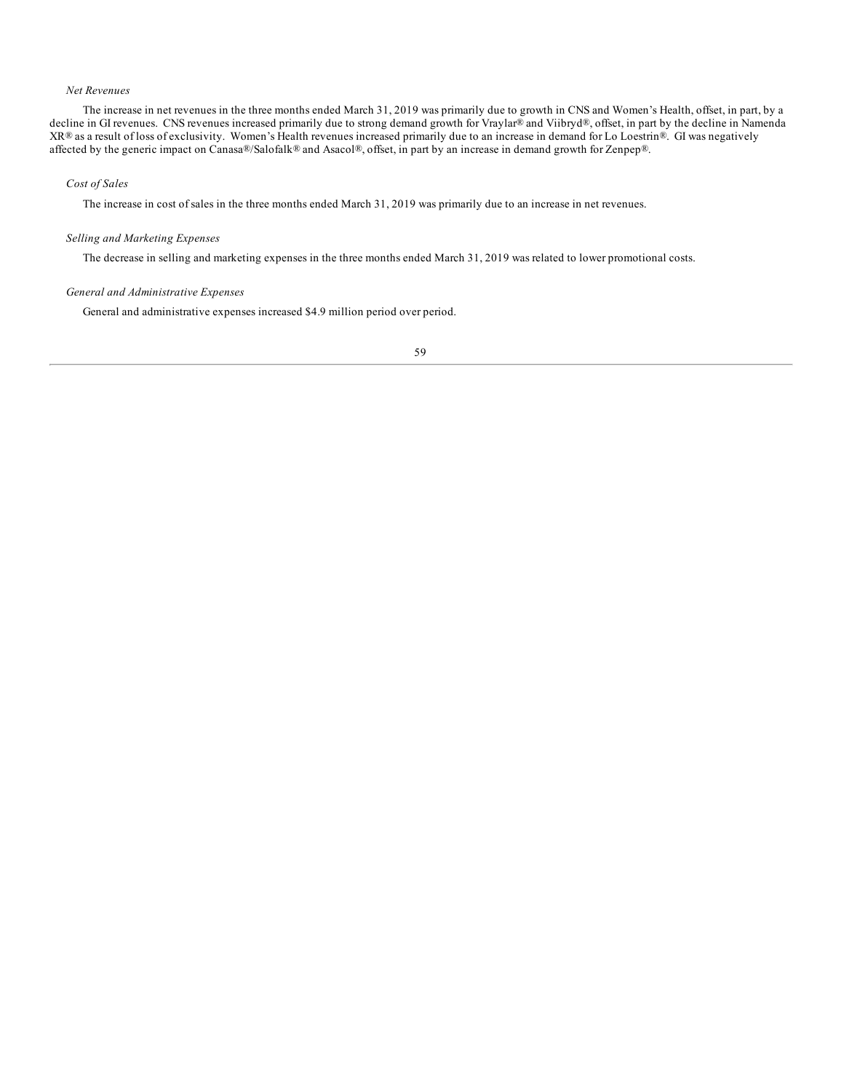# *Net Revenues*

The increase in net revenues in the three months ended March 31, 2019 was primarily due to growth in CNS and Women's Health, offset, in part, by a decline in GI revenues. CNS revenues increased primarily due to strong demand growth for Vraylar® and Viibryd®, offset, in part by the decline in Namenda XR® as a result of loss of exclusivity. Women's Health revenues increased primarily due to an increase in demand for Lo Loestrin®. GI was negatively affected by the generic impact on Canasa®/Salofalk® and Asacol®, offset, in part by an increase in demand growth for Zenpep®.

# *Cost of Sales*

The increase in cost of sales in the three months ended March 31, 2019 was primarily due to an increase in net revenues.

## *Selling and Marketing Expenses*

The decrease in selling and marketing expenses in the three months ended March 31, 2019 was related to lower promotional costs.

# *General and Administrative Expenses*

General and administrative expenses increased \$4.9 million period over period.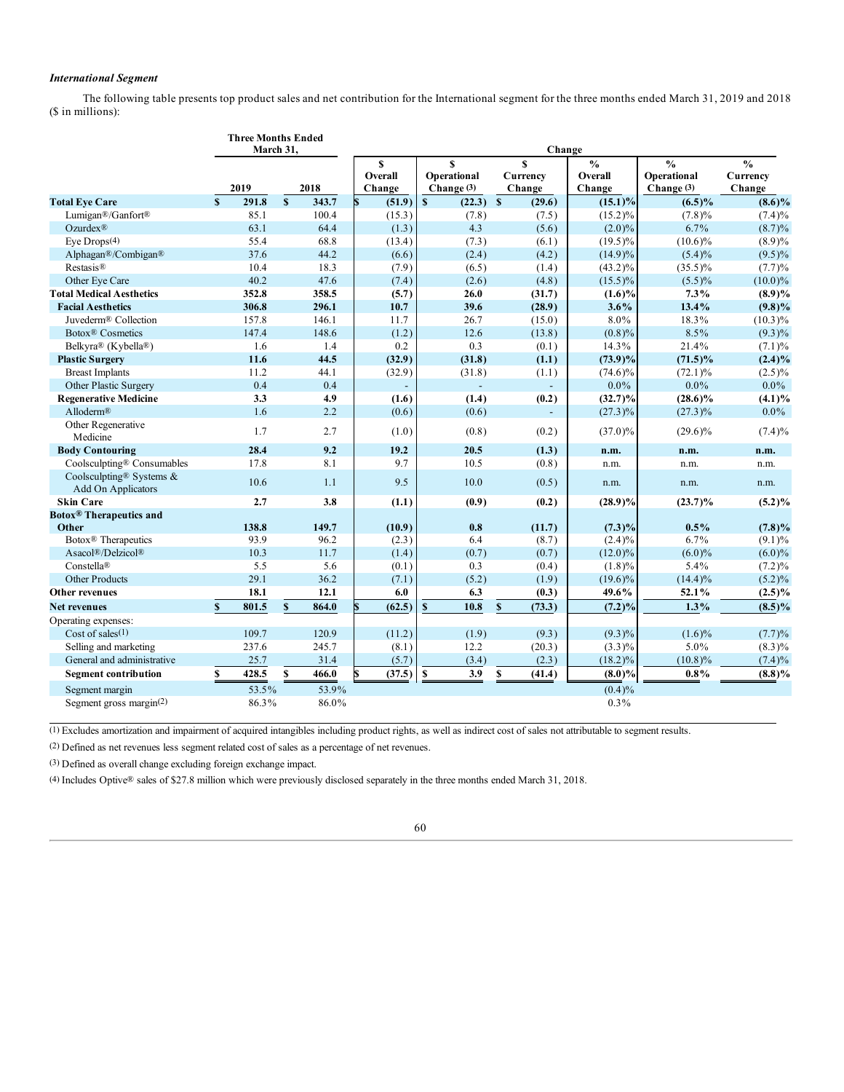# *International Segment*

The following table presents top product sales and net contribution for the International segment for the three months ended March 31, 2019 and 2018 (\$ in millions):

|                                                              |              | March 31, | <b>Three Months Ended</b> |                         | Change                 |                        |               |               |               |  |  |  |  |
|--------------------------------------------------------------|--------------|-----------|---------------------------|-------------------------|------------------------|------------------------|---------------|---------------|---------------|--|--|--|--|
|                                                              |              |           |                           | $\mathbf S$             | $\mathbf{s}$           | $\mathbf{s}$           | $\frac{0}{0}$ | $\frac{0}{0}$ | $\frac{0}{0}$ |  |  |  |  |
|                                                              |              |           |                           | Overall                 | Operational            | Currency               | Overall       | Operational   | Currency      |  |  |  |  |
|                                                              |              | 2019      | 2018                      | Change                  | Change (3)             | Change                 | Change        | Change(3)     | Change        |  |  |  |  |
| <b>Total Eve Care</b>                                        | $\mathbf{s}$ | 291.8     | $\mathbf{s}$<br>343.7     | <sup>\$</sup><br>(51.9) | $\mathbf{s}$<br>(22.3) | $\mathbf{s}$<br>(29.6) | $(15.1)\%$    | $(6.5)\%$     | $(8.6)\%$     |  |  |  |  |
| Lumigan <sup>®</sup> /Ganfort <sup>®</sup>                   |              | 85.1      | 100.4                     | (15.3)                  | (7.8)                  | (7.5)                  | $(15.2)\%$    | $(7.8)\%$     | $(7.4)\%$     |  |  |  |  |
| $Ozurdex$ <sup>®</sup>                                       |              | 63.1      | 64.4                      | (1.3)                   | 4.3                    | (5.6)                  | $(2.0)\%$     | 6.7%          | $(8.7)\%$     |  |  |  |  |
| Eye Drops(4)                                                 |              | 55.4      | 68.8                      | (13.4)                  | (7.3)                  | (6.1)                  | $(19.5)\%$    | $(10.6)\%$    | $(8.9)\%$     |  |  |  |  |
| Alphagan <sup>®</sup> /Combigan <sup>®</sup>                 |              | 37.6      | 44.2                      | (6.6)                   | (2.4)                  | (4.2)                  | (14.9)%       | $(5.4)\%$     | $(9.5)\%$     |  |  |  |  |
| Restasis®                                                    |              | 10.4      | 18.3                      | (7.9)                   | (6.5)                  | (1.4)                  | $(43.2)\%$    | $(35.5)\%$    | (7.7)%        |  |  |  |  |
| Other Eye Care                                               |              | 40.2      | 47.6                      | (7.4)                   | (2.6)                  | (4.8)                  | $(15.5)\%$    | $(5.5)\%$     | $(10.0)\%$    |  |  |  |  |
| <b>Total Medical Aesthetics</b>                              |              | 352.8     | 358.5                     | (5.7)                   | 26.0                   | (31.7)                 | $(1.6)\%$     | $7.3\%$       | $(8.9)\%$     |  |  |  |  |
| <b>Facial Aesthetics</b>                                     |              | 306.8     | 296.1                     | 10.7                    | 39.6                   | (28.9)                 | $3.6\%$       | 13.4%         | $(9.8)\%$     |  |  |  |  |
| Juvederm <sup>®</sup> Collection                             |              | 157.8     | 146.1                     | 11.7                    | 26.7                   | (15.0)                 | 8.0%          | 18.3%         | $(10.3)\%$    |  |  |  |  |
| Botox <sup>®</sup> Cosmetics                                 |              | 147.4     | 148.6                     | (1.2)                   | 12.6                   | (13.8)                 | (0.8)%        | 8.5%          | $(9.3)\%$     |  |  |  |  |
| Belkyra® (Kybella®)                                          |              | 1.6       | 1.4                       | 0.2                     | 0.3                    | (0.1)                  | 14.3%         | 21.4%         | $(7.1)\%$     |  |  |  |  |
| <b>Plastic Surgery</b>                                       |              | 11.6      | 44.5                      | (32.9)                  | (31.8)                 | (1.1)                  | $(73.9)\%$    | $(71.5)\%$    | $(2.4)\%$     |  |  |  |  |
| <b>Breast Implants</b>                                       |              | 11.2      | 44.1                      | (32.9)                  | (31.8)                 | (1.1)                  | $(74.6)\%$    | $(72.1)\%$    | $(2.5)\%$     |  |  |  |  |
| Other Plastic Surgery                                        |              | 0.4       | 0.4                       |                         | $\mathbb{L}^+$         | $\blacksquare$         | $0.0\%$       | $0.0\%$       | $0.0\%$       |  |  |  |  |
| <b>Regenerative Medicine</b>                                 |              | 3.3       | 4.9                       | (1.6)                   | (1.4)                  | (0.2)                  | $(32.7)\%$    | $(28.6)\%$    | $(4.1)\%$     |  |  |  |  |
| Alloderm <sup>®</sup>                                        |              | 1.6       | 2.2                       | (0.6)                   | (0.6)                  |                        | $(27.3)\%$    | $(27.3)\%$    | $0.0\%$       |  |  |  |  |
| Other Regenerative<br>Medicine                               |              | 1.7       | 2.7                       | (1.0)                   | (0.8)                  | (0.2)                  | $(37.0)\%$    | $(29.6)\%$    | $(7.4)\%$     |  |  |  |  |
| <b>Body Contouring</b>                                       |              | 28.4      | 9.2                       | 19.2                    | 20.5                   | (1.3)                  | n.m.          | n.m.          | n.m.          |  |  |  |  |
| Coolsculpting® Consumables                                   |              | 17.8      | 8.1                       | 9.7                     | 10.5                   | (0.8)                  | n.m.          | n.m.          | n.m.          |  |  |  |  |
| Coolsculpting <sup>®</sup> Systems $&$<br>Add On Applicators |              | 10.6      | 1.1                       | 9.5                     | 10.0                   | (0.5)                  | n.m.          | n.m.          | n.m.          |  |  |  |  |
| <b>Skin Care</b>                                             |              | 2.7       | 3.8                       | (1.1)                   | (0.9)                  | (0.2)                  | $(28.9)\%$    | $(23.7)\%$    | $(5.2)\%$     |  |  |  |  |
| <b>Botox®</b> Therapeutics and                               |              |           |                           |                         |                        |                        |               |               |               |  |  |  |  |
| Other                                                        |              | 138.8     | 149.7                     | (10.9)                  | 0.8                    | (11.7)                 | $(7.3)\%$     | $0.5\%$       | $(7.8)\%$     |  |  |  |  |
| Botox <sup>®</sup> Therapeutics                              |              | 93.9      | 96.2                      | (2.3)                   | 6.4                    | (8.7)                  | $(2.4)\%$     | 6.7%          | $(9.1)\%$     |  |  |  |  |
| Asacol®/Delzicol®                                            |              | 10.3      | 11.7                      | (1.4)                   | (0.7)                  | (0.7)                  | $(12.0)\%$    | $(6.0)\%$     | $(6.0)\%$     |  |  |  |  |
| Constella®                                                   |              | 5.5       | 5.6                       | (0.1)                   | 0.3                    | (0.4)                  | $(1.8)\%$     | 5.4%          | $(7.2)\%$     |  |  |  |  |
| Other Products                                               |              | 29.1      | 36.2                      | (7.1)                   | (5.2)                  | (1.9)                  | $(19.6)\%$    | $(14.4)\%$    | $(5.2)\%$     |  |  |  |  |
| Other revenues                                               |              | 18.1      | 12.1                      | 6.0                     | 6.3                    | (0.3)                  | 49.6%         | 52.1%         | $(2.5)\%$     |  |  |  |  |
| <b>Net revenues</b>                                          | \$           | 801.5     | $\mathbf{s}$<br>864.0     | (62.5)<br>\$            | 10.8<br>\$             | \$<br>(73.3)           | $(7.2)\%$     | $1.3\%$       | $(8.5)\%$     |  |  |  |  |
| Operating expenses:                                          |              |           |                           |                         |                        |                        |               |               |               |  |  |  |  |
| Cost of sales $(1)$                                          |              | 109.7     | 120.9                     | (11.2)                  | (1.9)                  | (9.3)                  | $(9.3)\%$     | $(1.6)\%$     | (7.7)%        |  |  |  |  |
| Selling and marketing                                        |              | 237.6     | 245.7                     | (8.1)                   | 12.2                   | (20.3)                 | $(3.3)\%$     | 5.0%          | $(8.3)\%$     |  |  |  |  |
| General and administrative                                   |              | 25.7      | 31.4                      | (5.7)                   | (3.4)                  | (2.3)                  | $(18.2)\%$    | $(10.8)\%$    | $(7.4)\%$     |  |  |  |  |
| <b>Segment contribution</b>                                  | S            | 428.5     | 466.0<br>\$               | (37.5)                  | \$<br>3.9              | \$<br>(41.4)           | $(8.0)\%$     | $0.8\%$       | $(8.8)\%$     |  |  |  |  |
| Segment margin                                               |              | 53.5%     | 53.9%                     |                         |                        |                        | (0.4)%        |               |               |  |  |  |  |
| Segment gross margin $(2)$                                   |              | 86.3%     | 86.0%                     |                         |                        |                        | $0.3\%$       |               |               |  |  |  |  |

(1) Excludes amortization and impairment of acquired intangibles including product rights, as well as indirect cost of sales not attributable to segment results.

(2) Defined as net revenues less segment related cost of sales as a percentage of net revenues.

(3) Defined as overall change excluding foreign exchange impact.

(4) Includes Optive® sales of \$27.8 million which were previously disclosed separately in the three months ended March 31, 2018.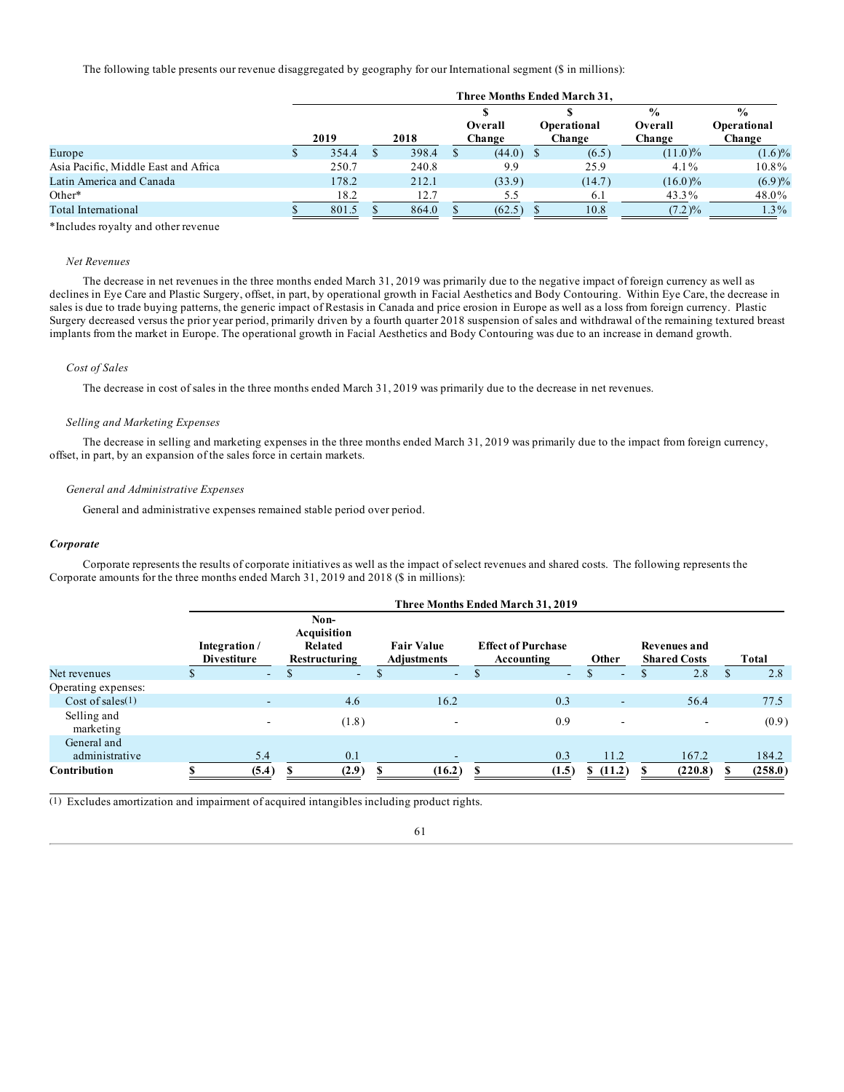The following table presents our revenue disaggregated by geography for our International segment (\$ in millions):

|                                      | Three Months Ended March 31. |  |       |  |                   |  |                       |                                    |                                        |  |  |  |
|--------------------------------------|------------------------------|--|-------|--|-------------------|--|-----------------------|------------------------------------|----------------------------------------|--|--|--|
|                                      | 2019                         |  | 2018  |  | Overall<br>Change |  | Operational<br>Change | $\frac{0}{0}$<br>Overall<br>Change | $\frac{0}{0}$<br>Operational<br>Change |  |  |  |
| Europe                               | 354.4                        |  | 398.4 |  | $(44.0)$ \$       |  | (6.5)                 | $(11.0)\%$                         | $(1.6)\%$                              |  |  |  |
| Asia Pacific, Middle East and Africa | 250.7                        |  | 240.8 |  | 9.9               |  | 25.9                  | $4.1\%$                            | 10.8%                                  |  |  |  |
| Latin America and Canada             | 178.2                        |  | 212.1 |  | (33.9)            |  | (14.7)                | $(16.0)\%$                         | $(6.9)\%$                              |  |  |  |
| Other*                               | 18.2                         |  | 12.7  |  | 5.5               |  | 6.1                   | 43.3%                              | 48.0%                                  |  |  |  |
| Total International                  | 801.5                        |  | 864.0 |  | (62.5)            |  | 10.8                  | $(7.2)\%$                          | $1.3\%$                                |  |  |  |

\*Includes royalty and other revenue

### *Net Revenues*

The decrease in net revenues in the three months ended March 31, 2019 was primarily due to the negative impact of foreign currency as well as declines in Eye Care and Plastic Surgery, offset, in part, by operational growth in Facial Aesthetics and Body Contouring. Within Eye Care, the decrease in sales is due to trade buying patterns, the generic impact of Restasis in Canada and price erosion in Europe as well as a loss from foreign currency. Plastic Surgery decreased versus the prior year period, primarily driven by a fourth quarter 2018 suspension of sales and withdrawal of the remaining textured breast implants from the market in Europe. The operational growth in Facial Aesthetics and Body Contouring was due to an increase in demand growth.

## *Cost of Sales*

The decrease in cost of sales in the three months ended March 31, 2019 was primarily due to the decrease in net revenues.

# *Selling and Marketing Expenses*

The decrease in selling and marketing expenses in the three months ended March 31, 2019 was primarily due to the impact from foreign currency, offset, in part, by an expansion of the sales force in certain markets.

## *General and Administrative Expenses*

General and administrative expenses remained stable period over period.

#### *Corporate*

Corporate represents the results of corporate initiatives as well as the impact of select revenues and shared costs. The following represents the Corporate amounts for the three months ended March 31, 2019 and 2018 (\$ in millions):

|                               |                                    |        |                                                 |   |                                  |     | Three Months Ended March 31, 2019       |       |                          |   |                                     |         |
|-------------------------------|------------------------------------|--------|-------------------------------------------------|---|----------------------------------|-----|-----------------------------------------|-------|--------------------------|---|-------------------------------------|---------|
|                               | Integration/<br><b>Divestiture</b> |        | Non-<br>Acquisition<br>Related<br>Restructuring |   | <b>Fair Value</b><br>Adjustments |     | <b>Effect of Purchase</b><br>Accounting | Other |                          |   | Revenues and<br><b>Shared Costs</b> | Total   |
| Net revenues                  | ъ                                  | $\sim$ | $\sim$                                          | S | $\sim$                           | \$. | ÷                                       | Ъ.    | $\sim$                   | S | 2.8                                 | 2.8     |
| Operating expenses:           |                                    |        |                                                 |   |                                  |     |                                         |       |                          |   |                                     |         |
| Cost of sales(1)              |                                    | ٠.     | 4.6                                             |   | 16.2                             |     | 0.3                                     |       | $\overline{\phantom{a}}$ |   | 56.4                                | 77.5    |
| Selling and<br>marketing      |                                    | -      | (1.8)                                           |   |                                  |     | 0.9                                     |       | $\overline{\phantom{a}}$ |   | $\sim$                              | (0.9)   |
| General and<br>administrative |                                    | 5.4    | 0.1                                             |   | $\overline{\phantom{a}}$         |     | 0.3                                     |       | 11.2                     |   | 167.2                               | 184.2   |
| <b>Contribution</b>           |                                    | (5.4)  | (2.9)                                           |   | (16.2)                           |     | (1.5)                                   |       | \$(11.2)                 |   | (220.8)                             | (258.0) |

(1) Excludes amortization and impairment of acquired intangibles including product rights.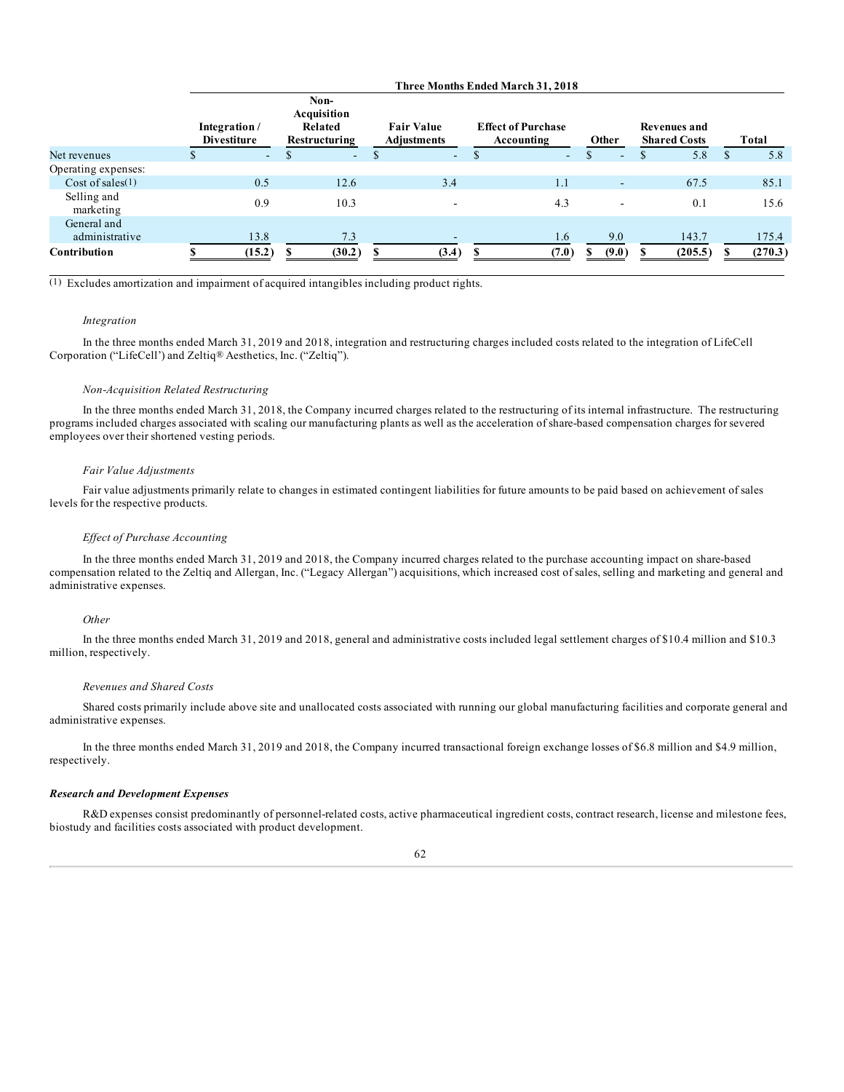|                               | Integration/<br><b>Divestiture</b> |          | Non-<br>Acquisition<br>Related<br>Restructuring |        | <b>Fair Value</b><br><b>Adjustments</b> |       | <b>Effect of Purchase</b><br>Accounting |   | Other                    | Revenues and<br><b>Shared Costs</b> |              | Total   |
|-------------------------------|------------------------------------|----------|-------------------------------------------------|--------|-----------------------------------------|-------|-----------------------------------------|---|--------------------------|-------------------------------------|--------------|---------|
| Net revenues                  | Ъ.                                 | $\sim$ . | S                                               | $\sim$ |                                         | ٠.    | \$<br>$\sim$                            | S | $\sim$                   | \$<br>5.8                           | <sup>S</sup> | 5.8     |
| Operating expenses:           |                                    |          |                                                 |        |                                         |       |                                         |   |                          |                                     |              |         |
| Cost of sales(1)              |                                    | 0.5      |                                                 | 12.6   |                                         | 3.4   | 1.1                                     |   | $\overline{\phantom{a}}$ | 67.5                                |              | 85.1    |
| Selling and<br>marketing      |                                    | 0.9      |                                                 | 10.3   |                                         |       | 4.3                                     |   |                          | 0.1                                 |              | 15.6    |
| General and<br>administrative |                                    | 13.8     |                                                 | 7.3    |                                         |       | 1.6                                     |   | 9.0                      | 143.7                               |              | 175.4   |
| Contribution                  |                                    | (15.2)   |                                                 | (30.2) |                                         | (3.4) | (7.0)                                   |   | (9.0)                    | (205.5)                             |              | (270.3) |

## **Three Months Ended March 31, 2018**

(1) Excludes amortization and impairment of acquired intangibles including product rights.

#### *Integration*

In the three months ended March 31, 2019 and 2018, integration and restructuring charges included costs related to the integration of LifeCell Corporation ("LifeCell') and Zeltiq® Aesthetics, Inc. ("Zeltiq").

## *Non-Acquisition Related Restructuring*

In the three months ended March 31, 2018, the Company incurred charges related to the restructuring of its internal infrastructure. The restructuring programs included charges associated with scaling our manufacturing plants as well as the acceleration of share-based compensation charges for severed employees over their shortened vesting periods.

### *Fair Value Adjustments*

Fair value adjustments primarily relate to changes in estimated contingent liabilities for future amounts to be paid based on achievement of sales levels for the respective products.

## *Ef ect of Purchase Accounting*

In the three months ended March 31, 2019 and 2018, the Company incurred charges related to the purchase accounting impact on share-based compensation related to the Zeltiq and Allergan, Inc. ("Legacy Allergan") acquisitions, which increased cost of sales, selling and marketing and general and administrative expenses.

## *Other*

In the three months ended March 31, 2019 and 2018, general and administrative costs included legal settlement charges of \$10.4 million and \$10.3 million, respectively.

#### *Revenues and Shared Costs*

Shared costs primarily include above site and unallocated costs associated with running our global manufacturing facilities and corporate general and administrative expenses.

In the three months ended March 31, 2019 and 2018, the Company incurred transactional foreign exchange losses of \$6.8 million and \$4.9 million, respectively.

### *Research and Development Expenses*

R&D expenses consist predominantly of personnel-related costs, active pharmaceutical ingredient costs, contract research, license and milestone fees, biostudy and facilities costs associated with product development.

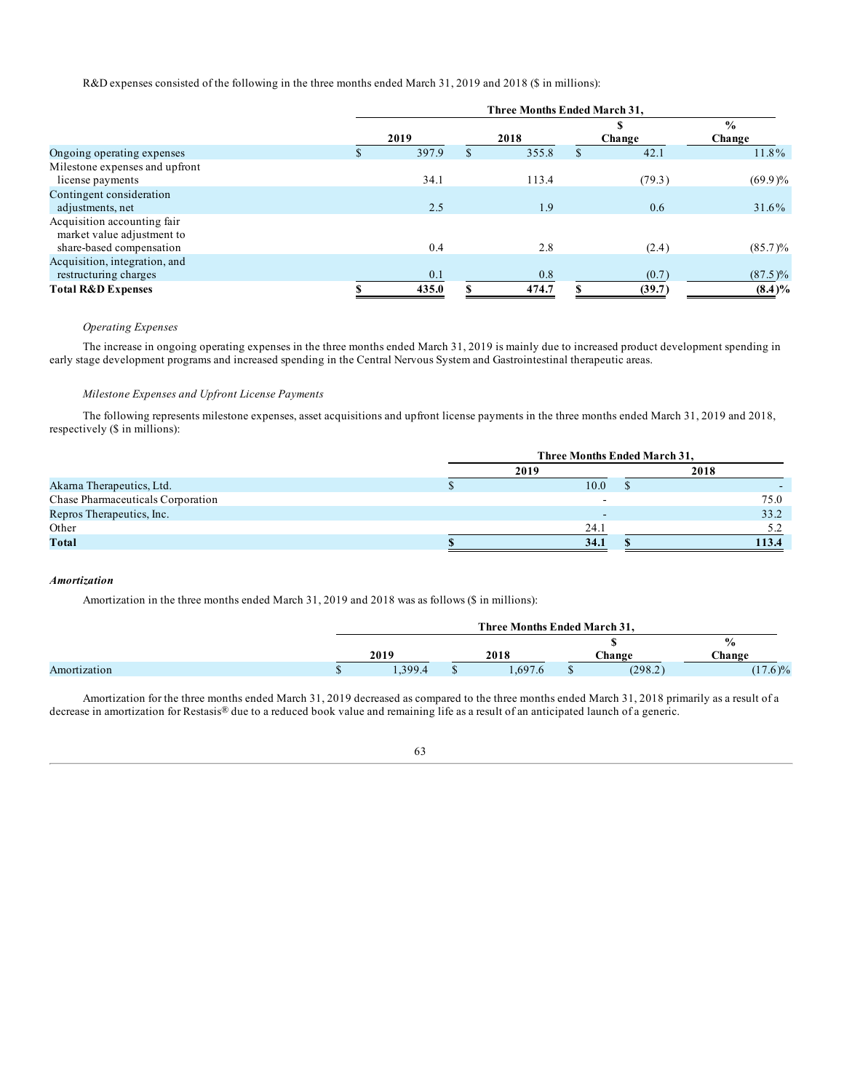R&D expenses consisted of the following in the three months ended March 31, 2019 and 2018 (\$ in millions):

|                                                                                       | Three Months Ended March 31, |  |       |  |        |                         |  |  |  |  |
|---------------------------------------------------------------------------------------|------------------------------|--|-------|--|--------|-------------------------|--|--|--|--|
|                                                                                       | 2019                         |  | 2018  |  | Change | $\frac{6}{9}$<br>Change |  |  |  |  |
| Ongoing operating expenses                                                            | 397.9                        |  | 355.8 |  | 42.1   | 11.8%                   |  |  |  |  |
| Milestone expenses and upfront<br>license payments                                    | 34.1                         |  | 113.4 |  | (79.3) | $(69.9)\%$              |  |  |  |  |
| Contingent consideration<br>adjustments, net                                          | 2.5                          |  | 1.9   |  | 0.6    | 31.6%                   |  |  |  |  |
| Acquisition accounting fair<br>market value adjustment to<br>share-based compensation | 0.4                          |  | 2.8   |  | (2.4)  | $(85.7)\%$              |  |  |  |  |
| Acquisition, integration, and<br>restructuring charges                                | 0.1                          |  | 0.8   |  | (0.7)  | $(87.5)\%$              |  |  |  |  |
| <b>Total R&amp;D Expenses</b>                                                         | 435.0                        |  | 474.7 |  | (39.7) | $(8.4)\%$               |  |  |  |  |

# *Operating Expenses*

The increase in ongoing operating expenses in the three months ended March 31, 2019 is mainly due to increased product development spending in early stage development programs and increased spending in the Central Nervous System and Gastrointestinal therapeutic areas.

# *Milestone Expenses and Upfront License Payments*

The following represents milestone expenses, asset acquisitions and upfront license payments in the three months ended March 31, 2019 and 2018, respectively (\$ in millions):

|                                   | Three Months Ended March 31, |      |      |       |  |  |  |  |  |
|-----------------------------------|------------------------------|------|------|-------|--|--|--|--|--|
|                                   | 2019                         |      | 2018 |       |  |  |  |  |  |
| Akama Therapeutics, Ltd.          |                              | 10.0 |      |       |  |  |  |  |  |
| Chase Pharmaceuticals Corporation |                              |      |      | 75.0  |  |  |  |  |  |
| Repros Therapeutics, Inc.         |                              |      |      | 33.2  |  |  |  |  |  |
| Other                             |                              | 24.1 |      | 5.2   |  |  |  |  |  |
| Total                             |                              | 34.1 |      | 113.4 |  |  |  |  |  |

## *Amortization*

Amortization in the three months ended March 31, 2019 and 2018 was as follows (\$ in millions):

|              |       | Three Months Ended March 31. |         |               |
|--------------|-------|------------------------------|---------|---------------|
|              |       |                              |         | $\frac{6}{9}$ |
|              | 2019  | 2018                         | Change  | Change        |
| Amortization | 399.4 | .697.6                       | (298.2) | $(0.6)\%$     |

Amortization for the three months ended March 31, 2019 decreased as compared to the three months ended March 31, 2018 primarily as a result of a decrease in amortization for Restasis® due to a reduced book value and remaining life as a result of an anticipated launch of a generic.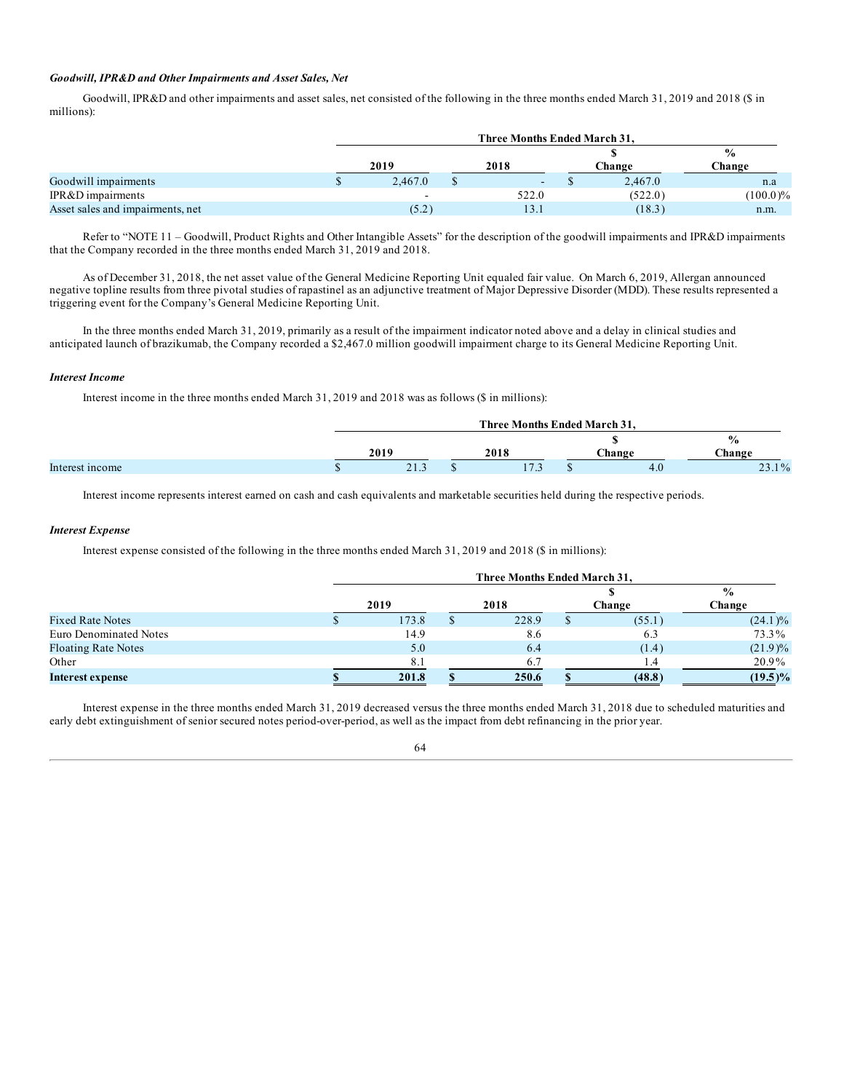# *Goodwill, IPR&D and Other Impairments and Asset Sales, Net*

Goodwill, IPR&D and other impairments and asset sales, net consisted of the following in the three months ended March 31, 2019 and 2018 (\$ in millions):

|                                  | Three Months Ended March 31. |  |       |  |         |               |  |  |  |  |  |
|----------------------------------|------------------------------|--|-------|--|---------|---------------|--|--|--|--|--|
|                                  |                              |  |       |  |         | $\frac{0}{0}$ |  |  |  |  |  |
|                                  | 2019                         |  | 2018  |  | Change  | Change        |  |  |  |  |  |
| Goodwill impairments             | 2.467.0                      |  |       |  | 2,467.0 | n.a           |  |  |  |  |  |
| IPR&D impairments                |                              |  | 522.0 |  | (522.0) | $(100.0)\%$   |  |  |  |  |  |
| Asset sales and impairments, net | (5.2)                        |  | 13.1  |  | (18.3)  | n.m.          |  |  |  |  |  |

Refer to "NOTE 11 – Goodwill, Product Rights and Other Intangible Assets" for the description of the goodwill impairments and IPR&D impairments that the Company recorded in the three months ended March 31, 2019 and 2018.

As of December 31, 2018, the net asset value of the General Medicine Reporting Unit equaled fair value. On March 6, 2019, Allergan announced negative topline results from three pivotal studies of rapastinel as an adjunctive treatment of Major Depressive Disorder (MDD). These results represented a triggering event for the Company's General Medicine Reporting Unit.

In the three months ended March 31, 2019, primarily as a result of the impairment indicator noted above and a delay in clinical studies and anticipated launch of brazikumab, the Company recorded a \$2,467.0 million goodwill impairment charge to its General Medicine Reporting Unit.

## *Interest Income*

Interest income in the three months ended March 31, 2019 and 2018 was as follows (\$ in millions):

|                 |      |                       | Three Months Ended March 31. |        |                         |
|-----------------|------|-----------------------|------------------------------|--------|-------------------------|
|                 | 2019 |                       | 2018                         | Change | $\frac{0}{0}$<br>Change |
| Interest income |      | 21<br>$\sim$ 1 $\sim$ | 1 <i>.</i>                   | 4.0    | $23.1\%$                |

Interest income represents interest earned on cash and cash equivalents and marketable securities held during the respective periods.

# *Interest Expense*

Interest expense consisted of the following in the three months ended March 31, 2019 and 2018 (\$ in millions):

|                            | Three Months Ended March 31. |  |       |  |        |                         |  |  |  |  |  |
|----------------------------|------------------------------|--|-------|--|--------|-------------------------|--|--|--|--|--|
|                            | 2019                         |  | 2018  |  | Change | $\frac{6}{9}$<br>Change |  |  |  |  |  |
| <b>Fixed Rate Notes</b>    | 173.8                        |  | 228.9 |  | (55.1) | $(24.1)\%$              |  |  |  |  |  |
| Euro Denominated Notes     | 14.9                         |  | 8.6   |  | 6.3    | 73.3%                   |  |  |  |  |  |
| <b>Floating Rate Notes</b> | 5.0                          |  | 6.4   |  | (1.4)  | (21.9)%                 |  |  |  |  |  |
| Other                      | 8.1                          |  | 6.7   |  |        | 20.9%                   |  |  |  |  |  |
| Interest expense           | 201.8                        |  | 250.6 |  | (48.8) | $(19.5)\%$              |  |  |  |  |  |

Interest expense in the three months ended March 31, 2019 decreased versus the three months ended March 31, 2018 due to scheduled maturities and early debt extinguishment of senior secured notes period-over-period, as well as the impact from debt refinancing in the prior year.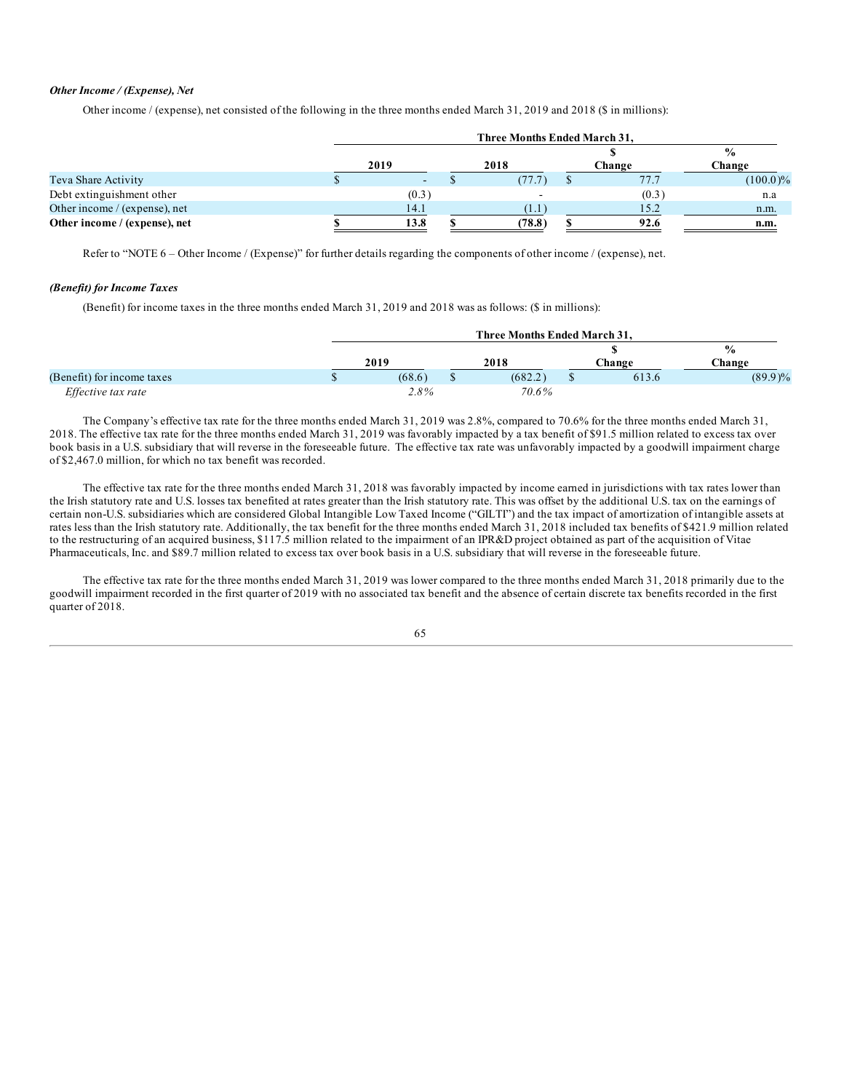# *Other Income / (Expense), Net*

Other income / (expense), net consisted of the following in the three months ended March 31, 2019 and 2018 (\$ in millions):

|                               | Three Months Ended March 31, |        |  |        |  |        |                         |  |  |  |  |
|-------------------------------|------------------------------|--------|--|--------|--|--------|-------------------------|--|--|--|--|
|                               |                              | 2019   |  | 2018   |  | Change | $\frac{6}{9}$<br>Change |  |  |  |  |
| Teva Share Activity           |                              | $\sim$ |  | (77.7) |  | 77.7   | $(100.0)\%$             |  |  |  |  |
| Debt extinguishment other     |                              | (0.3)  |  |        |  | (0.3)  | n.a                     |  |  |  |  |
| Other income / (expense), net |                              | 14.1   |  | (1.1)  |  | 15.2   | n.m.                    |  |  |  |  |
| Other income / (expense), net |                              | 13.8   |  | (78.8) |  | 92.6   | n.m.                    |  |  |  |  |

Refer to "NOTE 6 – Other Income / (Expense)" for further details regarding the components of other income / (expense), net.

### *(Benefit) for Income Taxes*

(Benefit) for income taxes in the three months ended March 31, 2019 and 2018 was as follows: (\$ in millions):

|                            | Three Months Ended March 31. |  |         |  |        |                |  |  |  |  |  |
|----------------------------|------------------------------|--|---------|--|--------|----------------|--|--|--|--|--|
|                            | 2019                         |  | 2018    |  | Change | $\%$<br>Change |  |  |  |  |  |
| (Benefit) for income taxes | (68.6)                       |  | (682.2) |  | 613.6  | $(89.9)\%$     |  |  |  |  |  |
| Effective tax rate         | $2.8\%$                      |  | 70.6%   |  |        |                |  |  |  |  |  |

The Company's effective tax rate for the three months ended March 31, 2019 was 2.8%, compared to 70.6% for the three months ended March 31, 2018. The effective tax rate for the three months ended March 31, 2019 was favorably impacted by a tax benefit of \$91.5 million related to excess tax over book basis in a U.S. subsidiary that will reverse in the foreseeable future. The effective tax rate was unfavorably impacted by a goodwill impairment charge of \$2,467.0 million, for which no tax benefit was recorded.

The effective tax rate for the three months ended March 31, 2018 was favorably impacted by income earned in jurisdictions with tax rates lower than the Irish statutory rate and U.S. losses tax benefited at rates greater than the Irish statutory rate. This was offset by the additional U.S. tax on the earnings of certain non-U.S. subsidiaries which are considered Global Intangible Low Taxed Income ("GILTI") and the tax impact of amortization of intangible assets at rates less than the Irish statutory rate. Additionally, the tax benefit for the three months ended March 31, 2018 included tax benefits of \$421.9 million related to the restructuring of an acquired business, \$117.5 million related to the impairment of an IPR&D project obtained as part of the acquisition of Vitae Pharmaceuticals, Inc. and \$89.7 million related to excess tax over book basis in a U.S. subsidiary that will reverse in the foreseeable future.

The effective tax rate for the three months ended March 31, 2019 was lower compared to the three months ended March 31, 2018 primarily due to the goodwill impairment recorded in the first quarter of 2019 with no associated tax benefit and the absence of certain discrete tax benefits recorded in the first quarter of 2018.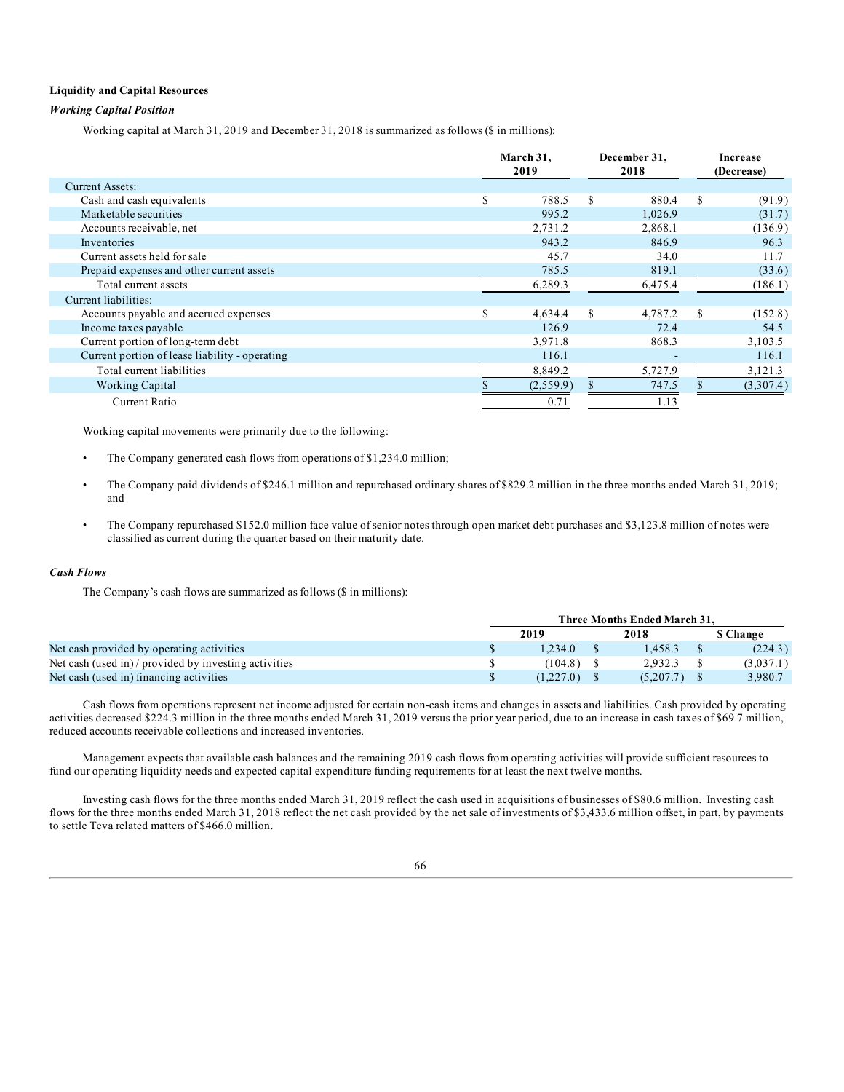# **Liquidity and Capital Resources**

# *Working Capital Position*

Working capital at March 31, 2019 and December 31, 2018 is summarized as follows (\$ in millions):

|                                                | March 31,<br>2019 |               | December 31,<br>2018 | Increase<br>(Decrease) |           |
|------------------------------------------------|-------------------|---------------|----------------------|------------------------|-----------|
| <b>Current Assets:</b>                         |                   |               |                      |                        |           |
| Cash and cash equivalents                      | \$<br>788.5       | \$.           | 880.4                | <sup>\$</sup>          | (91.9)    |
| Marketable securities                          | 995.2             |               | 1,026.9              |                        | (31.7)    |
| Accounts receivable, net                       | 2,731.2           |               | 2,868.1              |                        | (136.9)   |
| Inventories                                    | 943.2             |               | 846.9                |                        | 96.3      |
| Current assets held for sale                   | 45.7              |               | 34.0                 |                        | 11.7      |
| Prepaid expenses and other current assets      | 785.5             |               | 819.1                |                        | (33.6)    |
| Total current assets                           | 6,289.3           |               | 6,475.4              |                        | (186.1)   |
| Current liabilities:                           |                   |               |                      |                        |           |
| Accounts payable and accrued expenses          | \$<br>4,634.4     | <sup>\$</sup> | 4,787.2              | <sup>\$</sup>          | (152.8)   |
| Income taxes payable                           | 126.9             |               | 72.4                 |                        | 54.5      |
| Current portion of long-term debt              | 3,971.8           |               | 868.3                |                        | 3,103.5   |
| Current portion of lease liability - operating | 116.1             |               |                      |                        | 116.1     |
| Total current liabilities                      | 8,849.2           |               | 5,727.9              |                        | 3,121.3   |
| <b>Working Capital</b>                         | (2,559.9)         |               | 747.5                |                        | (3,307.4) |
| Current Ratio                                  | 0.71              |               | 1.13                 |                        |           |

Working capital movements were primarily due to the following:

- The Company generated cash flows from operations of \$1,234.0 million;
- The Company paid dividends of \$246.1 million and repurchased ordinary shares of \$829.2 million in the three months ended March 31, 2019; and
- The Company repurchased \$152.0 million face value of senior notes through open market debt purchases and \$3,123.8 million of notes were classified as current during the quarter based on their maturity date.

# *Cash Flows*

The Company's cash flows are summarized as follows (\$ in millions):

|                                                       | Three Months Ended March 31. |  |           |  |           |  |  |  |  |
|-------------------------------------------------------|------------------------------|--|-----------|--|-----------|--|--|--|--|
|                                                       | 2019                         |  | 2018      |  | \$ Change |  |  |  |  |
| Net cash provided by operating activities             | 1.234.0                      |  | .458.3    |  | (224.3)   |  |  |  |  |
| Net cash (used in) / provided by investing activities | (104.8)                      |  | 2.932.3   |  | (3,037.1) |  |  |  |  |
| Net cash (used in) financing activities               | (1,227.0)                    |  | (5,207.7) |  | 3,980.7   |  |  |  |  |

Cash flows from operations represent net income adjusted for certain non-cash items and changes in assets and liabilities. Cash provided by operating activities decreased \$224.3 million in the three months ended March 31, 2019 versus the prior year period, due to an increase in cash taxes of \$69.7 million, reduced accounts receivable collections and increased inventories.

Management expects that available cash balances and the remaining 2019 cash flows from operating activities will provide sufficient resources to fund our operating liquidity needs and expected capital expenditure funding requirements for at least the next twelve months.

Investing cash flows for the three months ended March 31, 2019 reflect the cash used in acquisitions of businesses of \$80.6 million. Investing cash flows for the three months ended March 31, 2018 reflect the net cash provided by the net sale of investments of \$3,433.6 million offset, in part, by payments to settle Teva related matters of \$466.0 million.

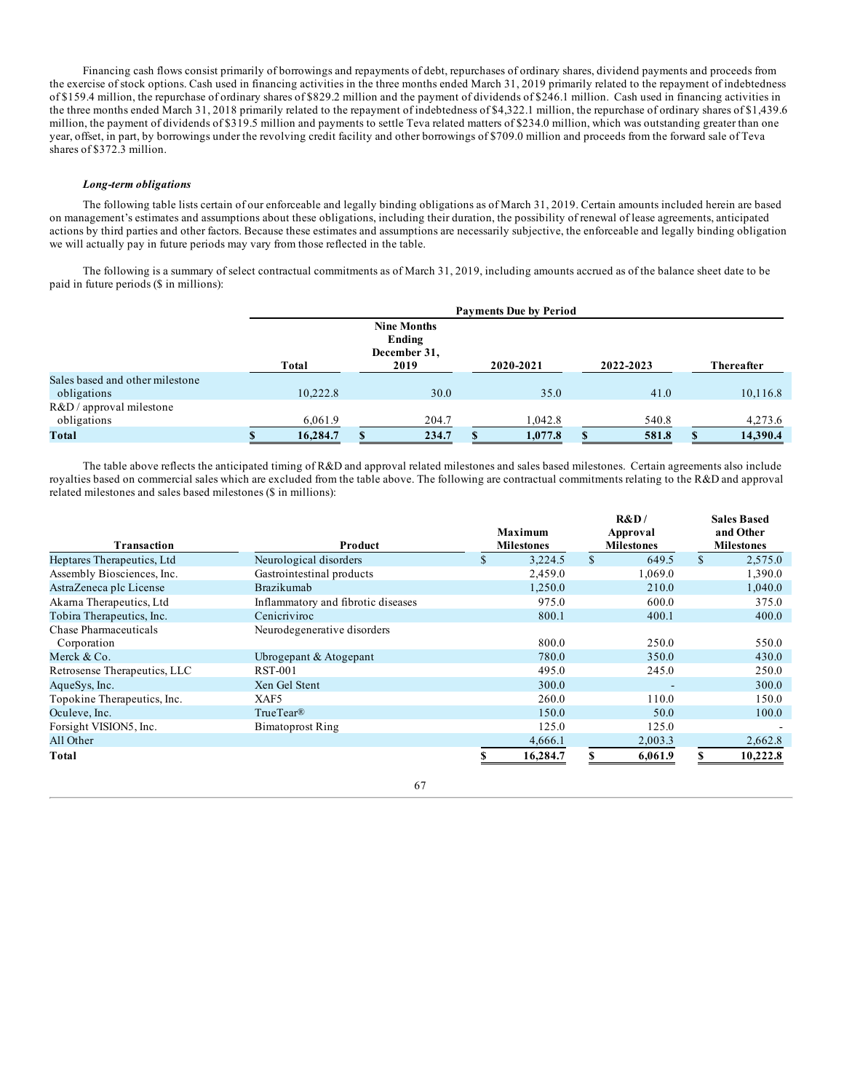Financing cash flows consist primarily of borrowings and repayments of debt, repurchases of ordinary shares, dividend payments and proceeds from the exercise of stock options. Cash used in financing activities in the three months ended March 31, 2019 primarily related to the repayment of indebtedness of \$159.4 million, the repurchase of ordinary shares of \$829.2 million and the payment of dividends of \$246.1 million. Cash used in financing activities in the three months ended March 31, 2018 primarily related to the repayment of indebtedness of \$4,322.1 million, the repurchase of ordinary shares of \$1,439.6 million, the payment of dividends of \$319.5 million and payments to settle Teva related matters of \$234.0 million, which was outstanding greater than one year, offset, in part, by borrowings under the revolving credit facility and other borrowings of \$709.0 million and proceeds from the forward sale of Teva shares of \$372.3 million.

## *Long-term obligations*

The following table lists certain of our enforceable and legally binding obligations as of March 31, 2019. Certain amounts included herein are based on management's estimates and assumptions about these obligations, including their duration, the possibility of renewal of lease agreements, anticipated actions by third parties and other factors. Because these estimates and assumptions are necessarily subjective, the enforceable and legally binding obligation we will actually pay in future periods may vary from those reflected in the table.

The following is a summary of select contractual commitments as of March 31, 2019, including amounts accrued as of the balance sheet date to be paid in future periods (\$ in millions):

|                                                | <b>Payments Due by Period</b> |  |                                                      |  |           |  |           |  |                   |  |  |
|------------------------------------------------|-------------------------------|--|------------------------------------------------------|--|-----------|--|-----------|--|-------------------|--|--|
|                                                | Total                         |  | <b>Nine Months</b><br>Ending<br>December 31,<br>2019 |  | 2020-2021 |  | 2022-2023 |  | <b>Thereafter</b> |  |  |
| Sales based and other milestone<br>obligations | 10.222.8                      |  | 30.0                                                 |  | 35.0      |  | 41.0      |  | 10,116.8          |  |  |
| R&D / approval milestone<br>obligations        | 6,061.9                       |  | 204.7                                                |  | 1.042.8   |  | 540.8     |  | 4,273.6           |  |  |
| Total                                          | 16,284.7                      |  | 234.7                                                |  | 1,077.8   |  | 581.8     |  | 14,390.4          |  |  |

The table above reflects the anticipated timing of R&D and approval related milestones and sales based milestones. Certain agreements also include royalties based on commercial sales which are excluded from the table above. The following are contractual commitments relating to the R&D and approval related milestones and sales based milestones (\$ in millions):

| Transaction                          | Product                            |       | <b>Maximum</b><br><b>Milestones</b> |    | R&D<br>Approval<br><b>Milestones</b> | <b>Sales Based</b><br>and Other<br><b>Milestones</b> |
|--------------------------------------|------------------------------------|-------|-------------------------------------|----|--------------------------------------|------------------------------------------------------|
| Heptares Therapeutics, Ltd           | Neurological disorders             | \$    | 3,224.5                             | \$ | 649.5                                | \$<br>2,575.0                                        |
| Assembly Biosciences, Inc.           | Gastrointestinal products          |       | 2,459.0                             |    | 1,069.0                              | 1,390.0                                              |
| AstraZeneca plc License              | <b>Brazikumab</b>                  |       | 1,250.0                             |    | 210.0                                | 1,040.0                                              |
| Akarna Therapeutics, Ltd             | Inflammatory and fibrotic diseases |       |                                     |    |                                      | 375.0                                                |
| Tobira Therapeutics, Inc.            | Cenicriviroc                       | 800.1 |                                     |    |                                      | 400.0                                                |
| Chase Pharmaceuticals<br>Corporation | Neurodegenerative disorders        |       | 800.0                               |    | 250.0                                | 550.0                                                |
| Merck & Co.                          | Ubrogepant & Atogepant             |       | 780.0                               |    | 350.0                                | 430.0                                                |
| Retrosense Therapeutics, LLC         | <b>RST-001</b>                     |       | 495.0                               |    | 245.0                                | 250.0                                                |
| AqueSys, Inc.                        | Xen Gel Stent                      |       | 300.0                               |    | $\overline{\phantom{0}}$             | 300.0                                                |
| Topokine Therapeutics, Inc.          | XAF5                               |       | 260.0                               |    | 110.0                                | 150.0                                                |
| Oculeve, Inc.                        | TrueTear <sup>®</sup>              |       | 150.0                               |    | 50.0                                 | 100.0                                                |
| Forsight VISION5, Inc.               | <b>Bimatoprost Ring</b>            |       | 125.0                               |    | 125.0                                |                                                      |
| All Other                            |                                    |       | 4,666.1                             |    | 2,003.3                              | 2,662.8                                              |
| Total                                |                                    |       | 16,284.7                            |    | 6,061.9                              | \$<br>10,222.8                                       |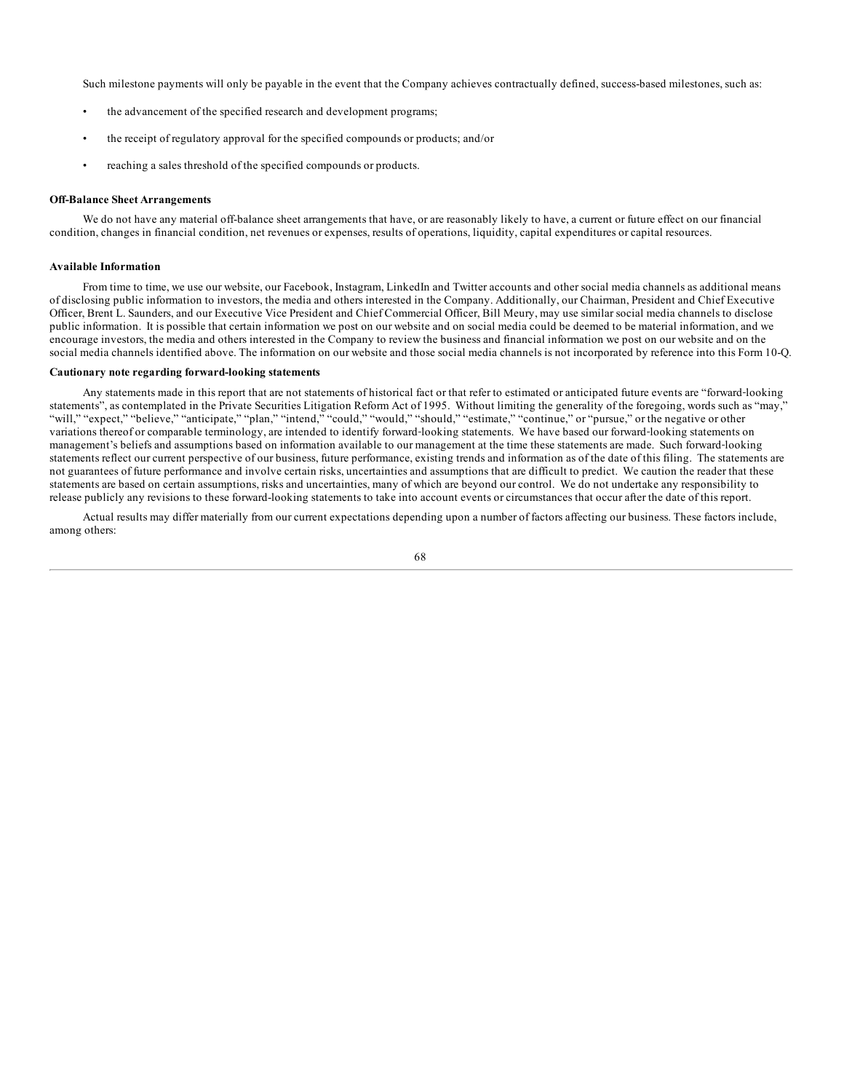Such milestone payments will only be payable in the event that the Company achieves contractually defined, success-based milestones, such as:

- the advancement of the specified research and development programs;
- the receipt of regulatory approval for the specified compounds or products; and/or
- reaching a sales threshold of the specified compounds or products.

#### **Off-Balance Sheet Arrangements**

We do not have any material off-balance sheet arrangements that have, or are reasonably likely to have, a current or future effect on our financial condition, changes in financial condition, net revenues or expenses, results of operations, liquidity, capital expenditures or capital resources.

### **Available Information**

From time to time, we use our website, our Facebook, Instagram, LinkedIn and Twitter accounts and other social media channels as additional means of disclosing public information to investors, the media and others interested in the Company. Additionally, our Chairman, President and Chief Executive Officer, Brent L. Saunders, and our Executive Vice President and Chief Commercial Officer, Bill Meury, may use similar social media channels to disclose public information. It is possible that certain information we post on our website and on social media could be deemed to be material information, and we encourage investors, the media and others interested in the Company to review the business and financial information we post on our website and on the social media channels identified above. The information on our website and those social media channels is not incorporated by reference into this Form 10-Q.

## **Cautionary note regarding forward-looking statements**

Any statements made in this report that are not statements of historical fact or that refer to estimated or anticipated future events are "forward-looking statements", as contemplated in the Private Securities Litigation Reform Act of 1995. Without limiting the generality of the foregoing, words such as "may," "will," "expect," "believe," "anticipate," "plan," "intend," "could," "would," "should," "estimate," "continue," or "pursue," or the negative or other variations thereof or comparable terminology, are intended to identify forward-looking statements. We have based our forward-looking statements on management's beliefs and assumptions based on information available to our management at the time these statements are made. Such forward-looking statements reflect our current perspective of our business, future performance, existing trends and information as of the date of this filing. The statements are not guarantees of future performance and involve certain risks, uncertainties and assumptions that are difficult to predict. We caution the reader that these statements are based on certain assumptions, risks and uncertainties, many of which are beyond our control. We do not undertake any responsibility to release publicly any revisions to these forward-looking statements to take into account events or circumstances that occur after the date of this report.

Actual results may differ materially from our current expectations depending upon a number of factors affecting our business. These factors include, among others:

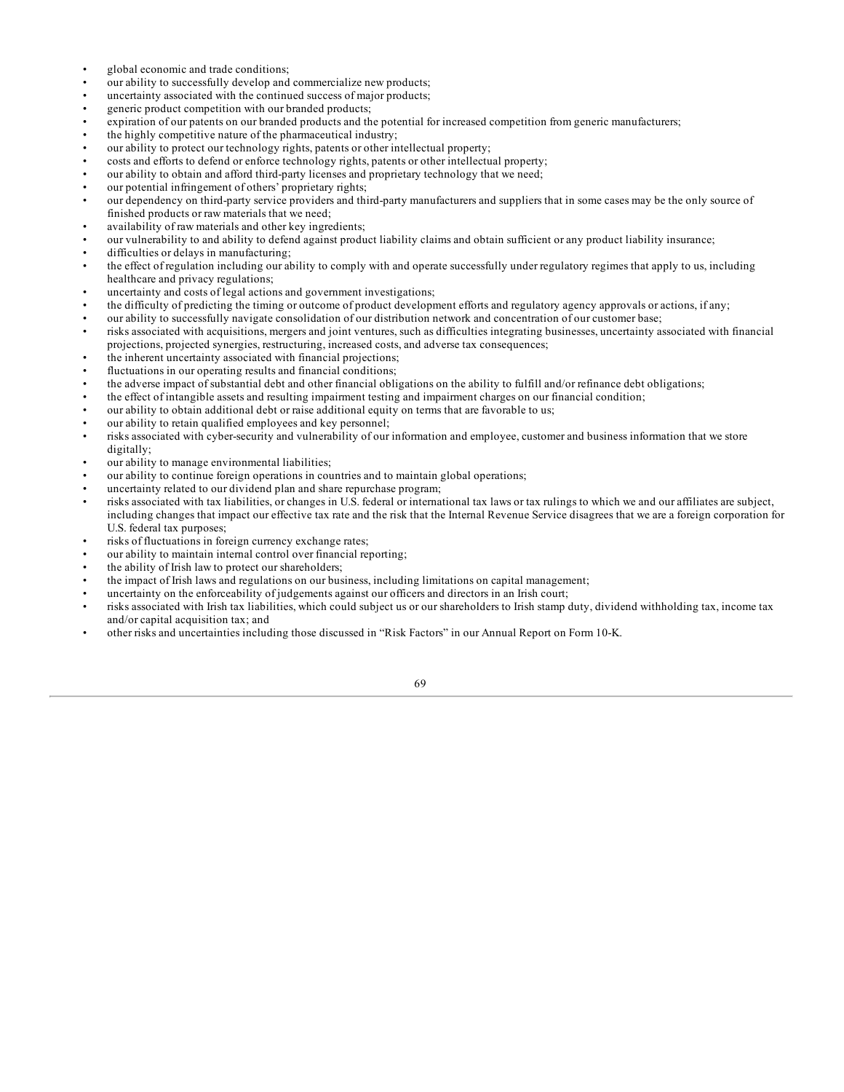- global economic and trade conditions;
- our ability to successfully develop and commercialize new products;
- uncertainty associated with the continued success of major products;
- generic product competition with our branded products;
- expiration of our patents on our branded products and the potential for increased competition from generic manufacturers;
- the highly competitive nature of the pharmaceutical industry;
- our ability to protect our technology rights, patents or other intellectual property;
- costs and efforts to defend or enforce technology rights, patents or other intellectual property;
- our ability to obtain and afford third-party licenses and proprietary technology that we need;
- our potential infringement of others' proprietary rights;
- our dependency on third-party service providers and third-party manufacturers and suppliers that in some cases may be the only source of finished products or raw materials that we need;
- availability of raw materials and other key ingredients;
- our vulnerability to and ability to defend against product liability claims and obtain sufficient or any product liability insurance;
- difficulties or delays in manufacturing;
- the effect of regulation including our ability to comply with and operate successfully under regulatory regimes that apply to us, including healthcare and privacy regulations;
- uncertainty and costs of legal actions and government investigations;
- the difficulty of predicting the timing or outcome of product development efforts and regulatory agency approvals or actions, if any;
- our ability to successfully navigate consolidation of our distribution network and concentration of our customer base;
- risks associated with acquisitions, mergers and joint ventures, such as difficulties integrating businesses, uncertainty associated with financial projections, projected synergies, restructuring, increased costs, and adverse tax consequences;
- the inherent uncertainty associated with financial projections;
- fluctuations in our operating results and financial conditions;
- the adverse impact of substantial debt and other financial obligations on the ability to fulfill and/or refinance debt obligations;
- the effect of intangible assets and resulting impairment testing and impairment charges on our financial condition;
- our ability to obtain additional debt or raise additional equity on terms that are favorable to us;
- our ability to retain qualified employees and key personnel;
- risks associated with cyber-security and vulnerability of our information and employee, customer and business information that we store digitally;
- our ability to manage environmental liabilities;
- our ability to continue foreign operations in countries and to maintain global operations;
- uncertainty related to our dividend plan and share repurchase program;
- risks associated with tax liabilities, or changes in U.S. federal or international tax laws or tax rulings to which we and our affiliates are subject, including changes that impact our effective tax rate and the risk that the Internal Revenue Service disagrees that we are a foreign corporation for U.S. federal tax purposes;
- risks of fluctuations in foreign currency exchange rates;
- our ability to maintain internal control over financial reporting;
- the ability of Irish law to protect our shareholders;
- the impact of Irish laws and regulations on our business, including limitations on capital management;
- uncertainty on the enforceability of judgements against our officers and directors in an Irish court;
- risks associated with Irish tax liabilities, which could subject us or our shareholders to Irish stamp duty, dividend withholding tax, income tax and/or capital acquisition tax; and
- other risks and uncertainties including those discussed in "Risk Factors" in our Annual Report on Form 10-K.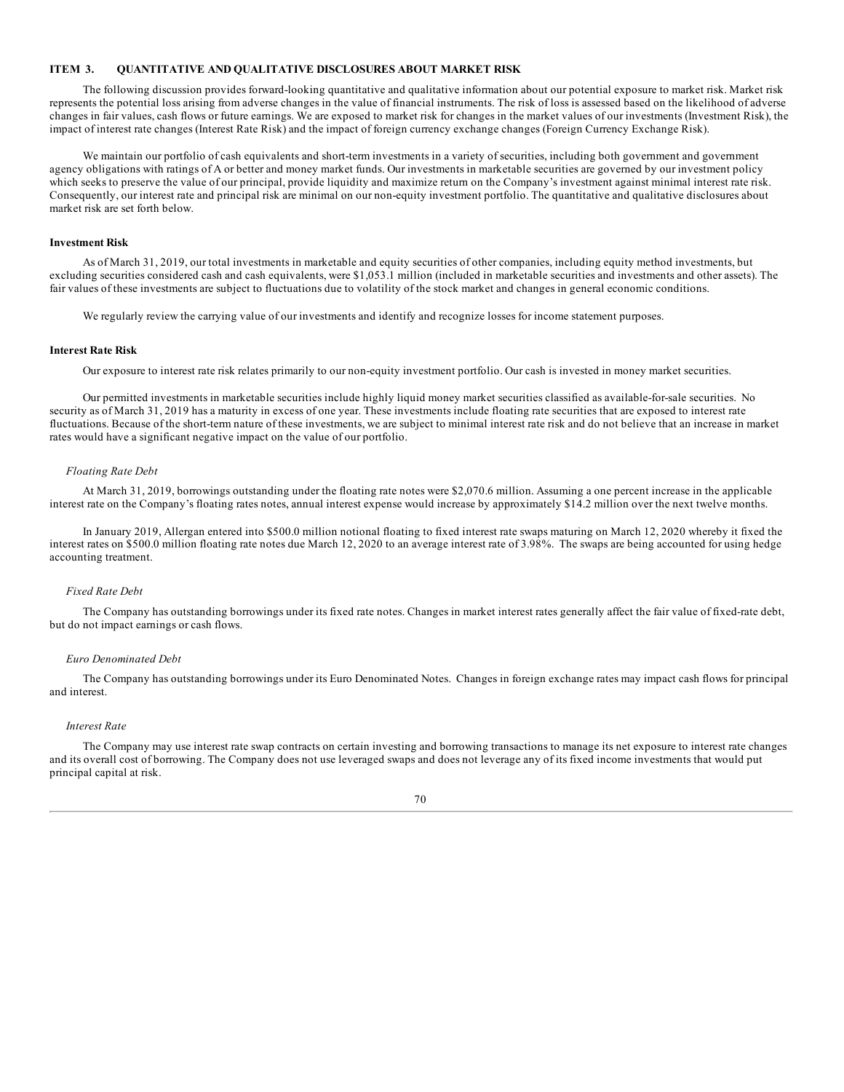# **ITEM 3. QUANTITATIVE AND QUALITATIVE DISCLOSURES ABOUT MARKET RISK**

The following discussion provides forward-looking quantitative and qualitative information about our potential exposure to market risk. Market risk represents the potential loss arising from adverse changes in the value of financial instruments. The risk of loss is assessed based on the likelihood of adverse changes in fair values, cash flows or future earnings. We are exposed to market risk for changes in the market values of our investments (Investment Risk), the impact of interest rate changes (Interest Rate Risk) and the impact of foreign currency exchange changes (Foreign Currency Exchange Risk).

We maintain our portfolio of cash equivalents and short-term investments in a variety of securities, including both government and government agency obligations with ratings of A or better and money market funds. Our investments in marketable securities are governed by our investment policy which seeks to preserve the value of our principal, provide liquidity and maximize return on the Company's investment against minimal interest rate risk. Consequently, our interest rate and principal risk are minimal on our non-equity investment portfolio. The quantitative and qualitative disclosures about market risk are set forth below.

## **Investment Risk**

As of March 31, 2019, our total investments in marketable and equity securities of other companies, including equity method investments, but excluding securities considered cash and cash equivalents, were \$1,053.1 million (included in marketable securities and investments and other assets). The fair values of these investments are subject to fluctuations due to volatility of the stock market and changes in general economic conditions.

We regularly review the carrying value of our investments and identify and recognize losses for income statement purposes.

# **Interest Rate Risk**

Our exposure to interest rate risk relates primarily to our non-equity investment portfolio. Our cash is invested in money market securities.

Our permitted investments in marketable securities include highly liquid money market securities classified as available-for-sale securities. No security as of March 31, 2019 has a maturity in excess of one year. These investments include floating rate securities that are exposed to interest rate fluctuations. Because of the short-term nature of these investments, we are subject to minimal interest rate risk and do not believe that an increase in market rates would have a significant negative impact on the value of our portfolio.

# *Floating Rate Debt*

At March 31, 2019, borrowings outstanding under the floating rate notes were \$2,070.6 million. Assuming a one percent increase in the applicable interest rate on the Company's floating rates notes, annual interest expense would increase by approximately \$14.2 million over the next twelve months.

In January 2019, Allergan entered into \$500.0 million notional floating to fixed interest rate swaps maturing on March 12, 2020 whereby it fixed the interest rates on \$500.0 million floating rate notes due March 12, 2020 to an average interest rate of 3.98%. The swaps are being accounted for using hedge accounting treatment.

### *Fixed Rate Debt*

The Company has outstanding borrowings under its fixed rate notes. Changes in market interest rates generally affect the fair value of fixed-rate debt, but do not impact earnings or cash flows.

#### *Euro Denominated Debt*

The Company has outstanding borrowings under its Euro Denominated Notes. Changes in foreign exchange rates may impact cash flows for principal and interest.

#### *Interest Rate*

The Company may use interest rate swap contracts on certain investing and borrowing transactions to manage its net exposure to interest rate changes and its overall cost of borrowing. The Company does not use leveraged swaps and does not leverage any of its fixed income investments that would put principal capital at risk.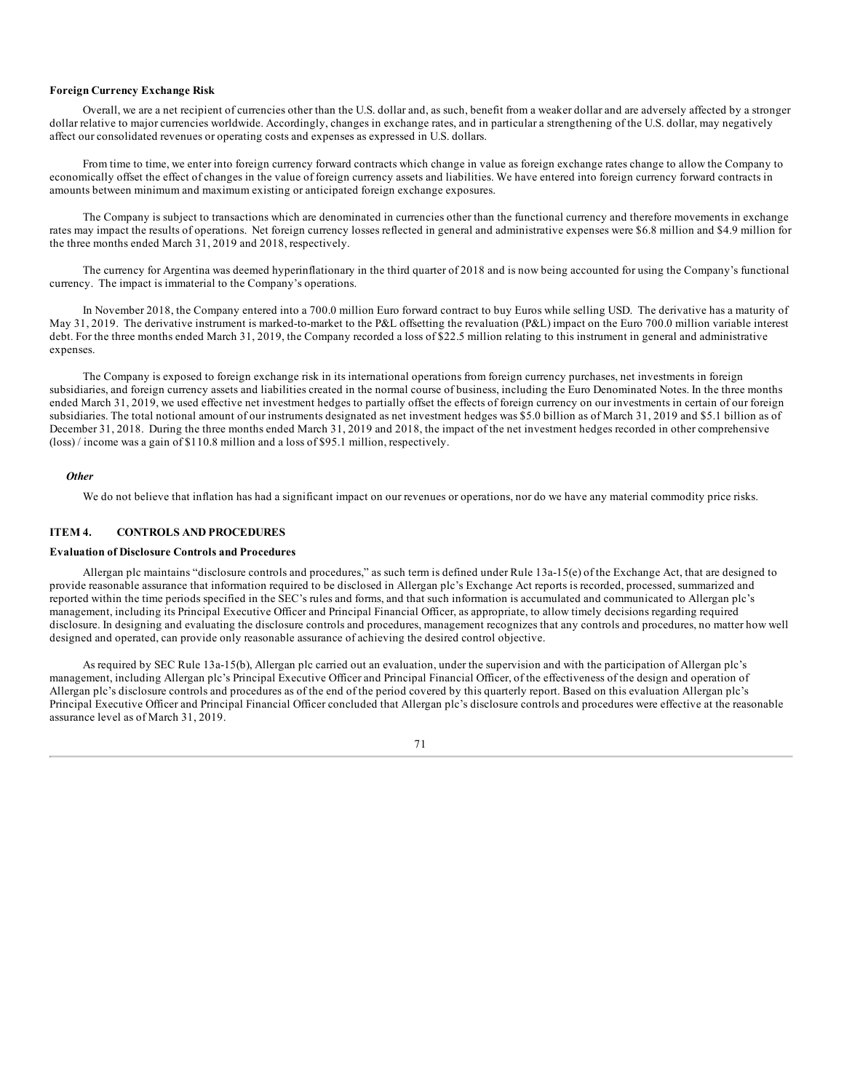## **Foreign Currency Exchange Risk**

Overall, we are a net recipient of currencies other than the U.S. dollar and, as such, benefit from a weaker dollar and are adversely affected by a stronger dollar relative to major currencies worldwide. Accordingly, changes in exchange rates, and in particular a strengthening of the U.S. dollar, may negatively affect our consolidated revenues or operating costs and expenses as expressed in U.S. dollars.

From time to time, we enter into foreign currency forward contracts which change in value as foreign exchange rates change to allow the Company to economically offset the effect of changes in the value of foreign currency assets and liabilities. We have entered into foreign currency forward contracts in amounts between minimum and maximum existing or anticipated foreign exchange exposures.

The Company is subject to transactions which are denominated in currencies other than the functional currency and therefore movements in exchange rates may impact the results of operations. Net foreign currency losses reflected in general and administrative expenses were \$6.8 million and \$4.9 million for the three months ended March 31, 2019 and 2018, respectively.

The currency for Argentina was deemed hyperinflationary in the third quarter of 2018 and is now being accounted for using the Company's functional currency. The impact is immaterial to the Company's operations.

In November 2018, the Company entered into a 700.0 million Euro forward contract to buy Euros while selling USD. The derivative has a maturity of May 31, 2019. The derivative instrument is marked-to-market to the P&L offsetting the revaluation (P&L) impact on the Euro 700.0 million variable interest debt. For the three months ended March 31, 2019, the Company recorded a loss of \$22.5 million relating to this instrument in general and administrative expenses.

The Company is exposed to foreign exchange risk in its international operations from foreign currency purchases, net investments in foreign subsidiaries, and foreign currency assets and liabilities created in the normal course of business, including the Euro Denominated Notes. In the three months ended March 31, 2019, we used effective net investment hedges to partially offset the effects of foreign currency on our investments in certain of our foreign subsidiaries. The total notional amount of our instruments designated as net investment hedges was \$5.0 billion as of March 31, 2019 and \$5.1 billion as of December 31, 2018. During the three months ended March 31, 2019 and 2018, the impact of the net investment hedges recorded in other comprehensive (loss) / income was a gain of \$110.8 million and a loss of \$95.1 million, respectively.

## *Other*

We do not believe that inflation has had a significant impact on our revenues or operations, nor do we have any material commodity price risks.

# **ITEM 4. CONTROLS AND PROCEDURES**

## **Evaluation of Disclosure Controls and Procedures**

Allergan plc maintains "disclosure controls and procedures," as such term is defined under Rule 13a-15(e) of the Exchange Act, that are designed to provide reasonable assurance that information required to be disclosed in Allergan plc's Exchange Act reports is recorded, processed, summarized and reported within the time periods specified in the SEC's rules and forms, and that such information is accumulated and communicated to Allergan plc's management, including its Principal Executive Officer and Principal Financial Officer, as appropriate, to allow timely decisions regarding required disclosure. In designing and evaluating the disclosure controls and procedures, management recognizes that any controls and procedures, no matter how well designed and operated, can provide only reasonable assurance of achieving the desired control objective.

As required by SEC Rule 13a-15(b), Allergan plc carried out an evaluation, under the supervision and with the participation of Allergan plc's management, including Allergan plc's Principal Executive Officer and Principal Financial Officer, of the effectiveness of the design and operation of Allergan plc's disclosure controls and procedures as of the end of the period covered by this quarterly report. Based on this evaluation Allergan plc's Principal Executive Officer and Principal Financial Officer concluded that Allergan plc's disclosure controls and procedures were effective at the reasonable assurance level as of March 31, 2019.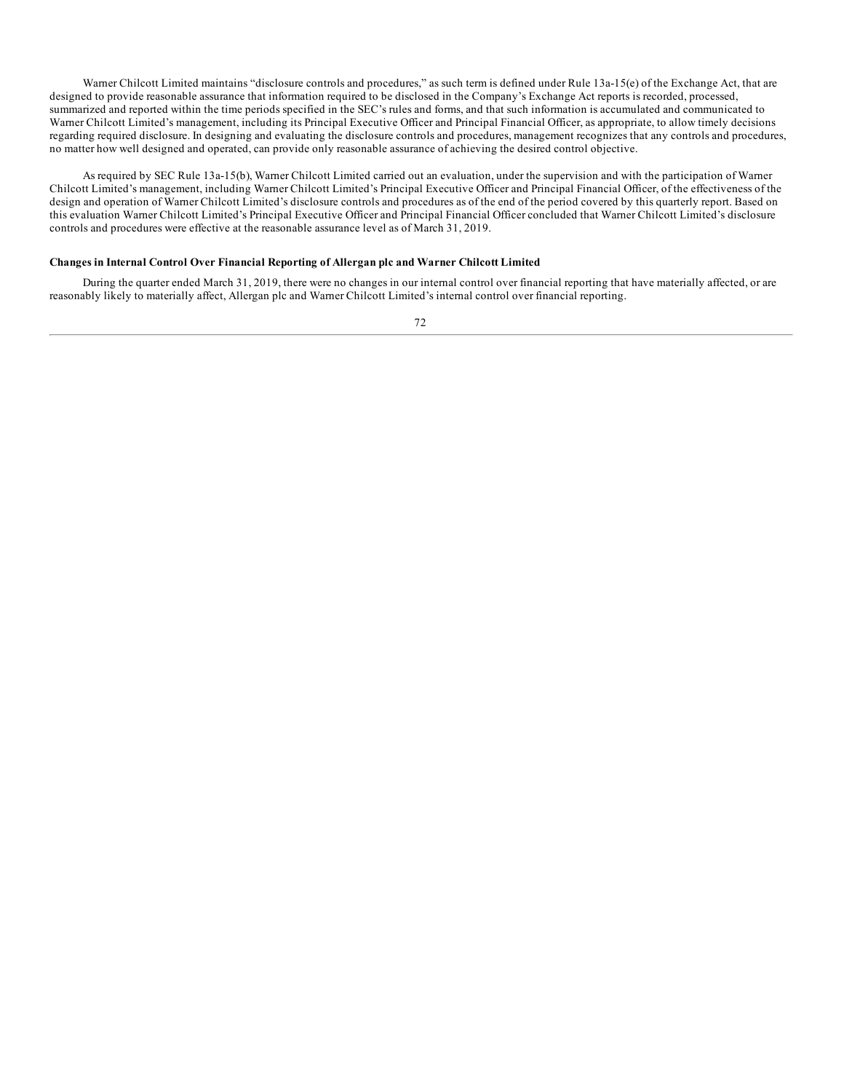Warner Chilcott Limited maintains "disclosure controls and procedures," as such term is defined under Rule 13a-15(e) of the Exchange Act, that are designed to provide reasonable assurance that information required to be disclosed in the Company's Exchange Act reports is recorded, processed, summarized and reported within the time periods specified in the SEC's rules and forms, and that such information is accumulated and communicated to Warner Chilcott Limited's management, including its Principal Executive Officer and Principal Financial Officer, as appropriate, to allow timely decisions regarding required disclosure. In designing and evaluating the disclosure controls and procedures, management recognizes that any controls and procedures, no matter how well designed and operated, can provide only reasonable assurance of achieving the desired control objective.

As required by SEC Rule 13a-15(b), Warner Chilcott Limited carried out an evaluation, under the supervision and with the participation of Warner Chilcott Limited's management, including Warner Chilcott Limited's Principal Executive Officer and Principal Financial Officer, of the effectiveness of the design and operation of Warner Chilcott Limited's disclosure controls and procedures as of the end of the period covered by this quarterly report. Based on this evaluation Warner Chilcott Limited's Principal Executive Officer and Principal Financial Officer concluded that Warner Chilcott Limited's disclosure controls and procedures were effective at the reasonable assurance level as of March 31, 2019.

# **Changes in Internal Control Over Financial Reporting of Allergan plc and Warner Chilcott Limited**

During the quarter ended March 31, 2019, there were no changes in our internal control over financial reporting that have materially affected, or are reasonably likely to materially affect, Allergan plc and Warner Chilcott Limited's internal control over financial reporting.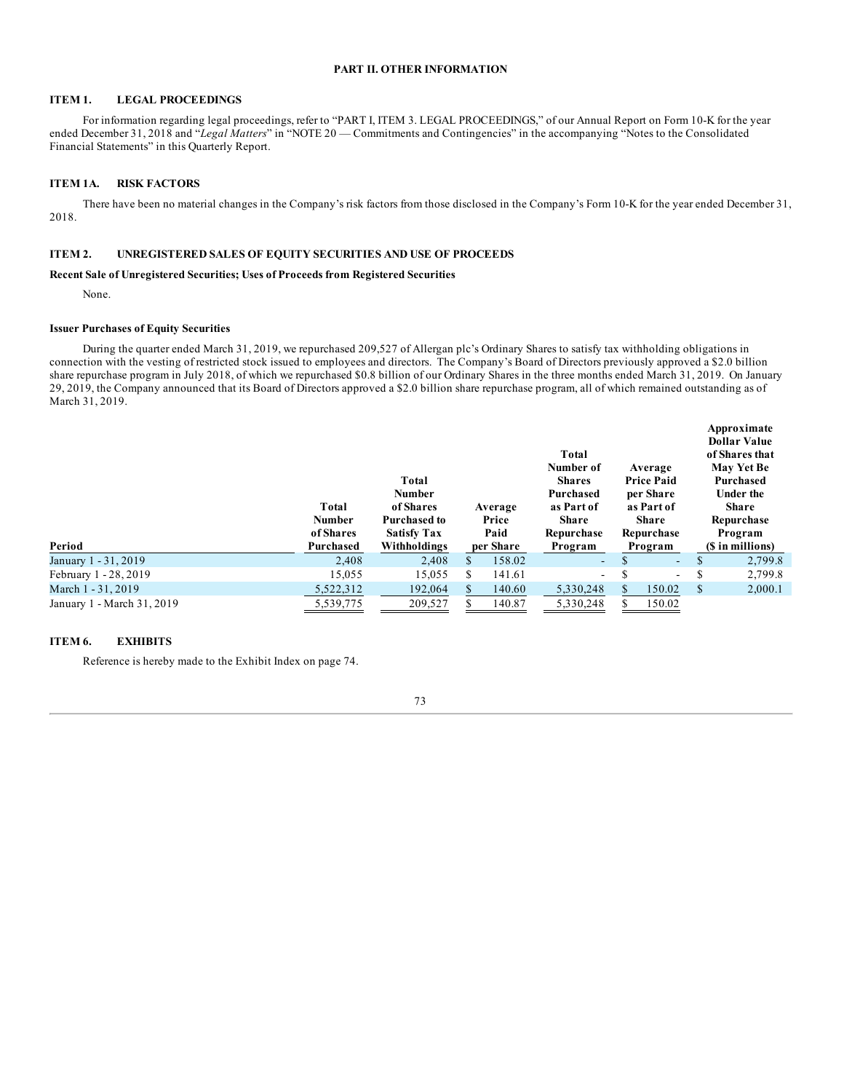## **PART II. OTHER INFORMATION**

# <span id="page-72-0"></span>**ITEM 1. LEGAL PROCEEDINGS**

For information regarding legal proceedings, refer to "PART I, ITEM 3. LEGAL PROCEEDINGS," of our Annual Report on Form 10-K for the year ended December 31, 2018 and "*Legal Matters*" in "NOTE 20 — Commitments and Contingencies" in the accompanying "Notes to the Consolidated Financial Statements" in this Quarterly Report.

### **ITEM 1A. RISK FACTORS**

There have been no material changes in the Company's risk factors from those disclosed in the Company's Form 10-K for the year ended December 31, 2018.

### **ITEM 2. UNREGISTERED SALES OF EQUITY SECURITIES AND USE OF PROCEEDS**

## **Recent Sale of Unregistered Securities; Uses of Proceeds from Registered Securities**

None.

#### **Issuer Purchases of Equity Securities**

During the quarter ended March 31, 2019, we repurchased 209,527 of Allergan plc's Ordinary Shares to satisfy tax withholding obligations in connection with the vesting of restricted stock issued to employees and directors. The Company's Board of Directors previously approved a \$2.0 billion share repurchase program in July 2018, of which we repurchased \$0.8 billion of our Ordinary Shares in the three months ended March 31, 2019. On January 29, 2019, the Company announced that its Board of Directors approved a \$2.0 billion share repurchase program, all of which remained outstanding as of March 31, 2019.

| Period                     | Total<br><b>Number</b><br>of Shares<br>Purchased | Total<br><b>Number</b><br>of Shares<br><b>Purchased to</b><br><b>Satisfy Tax</b><br>Withholdings | Average<br>Price<br>Paid |                     | Total<br>Number of<br><b>Shares</b><br>Purchased<br>as Part of<br>Share<br>Repurchase<br>Program | Average<br><b>Price Paid</b><br>per Share<br>as Part of<br>Share<br>Repurchase |              | Approximate<br><b>Dollar Value</b><br>of Shares that<br><b>May Yet Be</b><br><b>Purchased</b><br><b>Under the</b><br>Share<br>Repurchase<br>Program |                             |
|----------------------------|--------------------------------------------------|--------------------------------------------------------------------------------------------------|--------------------------|---------------------|--------------------------------------------------------------------------------------------------|--------------------------------------------------------------------------------|--------------|-----------------------------------------------------------------------------------------------------------------------------------------------------|-----------------------------|
| January 1 - 31, 2019       | 2,408                                            | 2,408                                                                                            | S                        | per Share<br>158.02 |                                                                                                  | \$                                                                             | Program<br>٠ |                                                                                                                                                     | (\$ in millions)<br>2,799.8 |
|                            |                                                  |                                                                                                  |                          |                     | $\sim$                                                                                           |                                                                                |              |                                                                                                                                                     |                             |
| February 1 - 28, 2019      | 15,055                                           | 15,055                                                                                           | \$.                      | 141.61              | $\sim$                                                                                           | S                                                                              | ۰            | \$                                                                                                                                                  | 2,799.8                     |
| March 1 - 31, 2019         | 5,522,312                                        | 192,064                                                                                          |                          | 140.60              | 5,330,248                                                                                        |                                                                                | 150.02       | <sup>\$</sup>                                                                                                                                       | 2,000.1                     |
| January 1 - March 31, 2019 | 5,539,775                                        | 209,527                                                                                          |                          | 140.87              | 5,330,248                                                                                        |                                                                                | 150.02       |                                                                                                                                                     |                             |

# **ITEM 6. EXHIBITS**

Reference is hereby made to the Exhibit Index on page 74.

73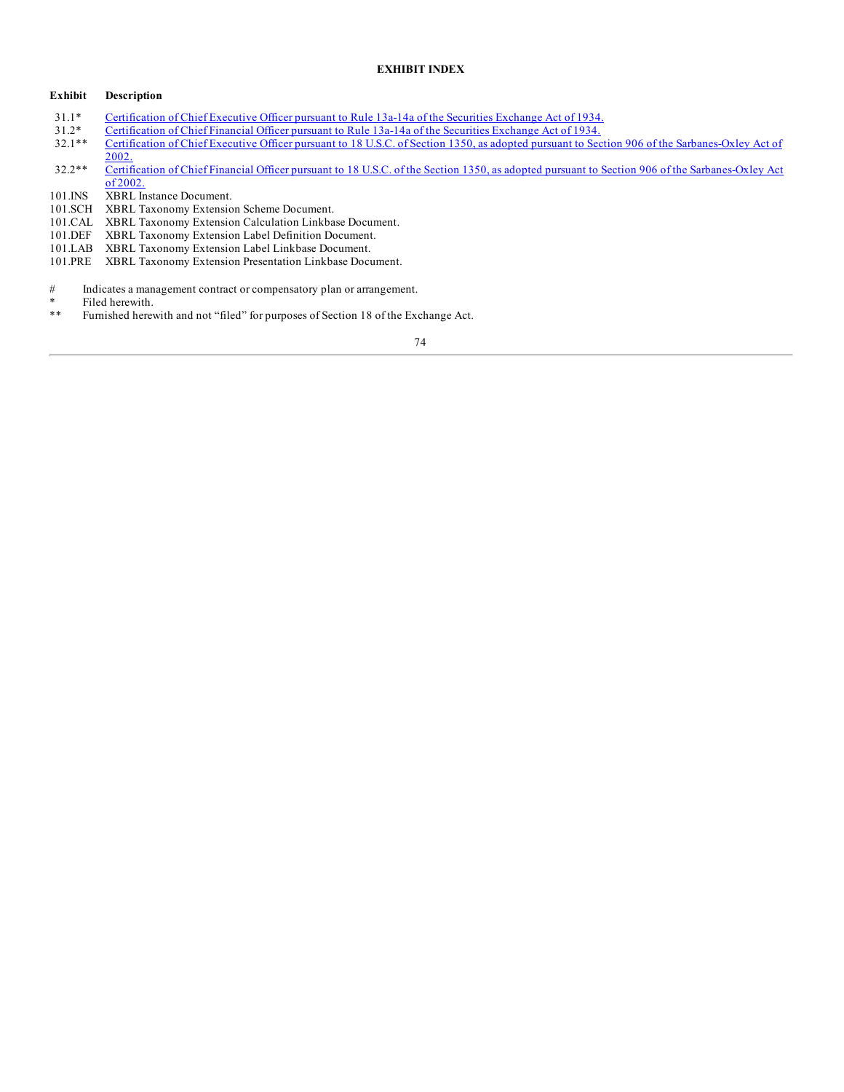# **EXHIBIT INDEX**

# **Exhibit Description**

- 31.1\* [Certification](#page-75-0) of Chief Executive Officer pursuant to Rule 13a-14a of the Securities Exchange Act of 1934.<br>31.2\* Certification of Chief Financial Officer pursuant to Rule 13a-14a of the Securities Exchange Act of 1934
- 
- 31.2\* [Certification](#page-77-0) of Chief Financial Officer pursuant to Rule 13a-14a of the Securities Exchange Act of 1934.<br>32.1\*\* Certification of Chief Executive Officer pursuant to 18 U.S.C. of Section 1350, as adopted pursuant to Certification of Chief Executive Officer pursuant to 18 U.S.C. of Section 1350, as adopted pursuant to Section 906 of the [Sarbanes-Oxley](#page-79-0) Act of 2002.
- 32.2\*\* Certification of Chief Financial Officer pursuant to 18 U.S.C. of the Section 1350, as adopted pursuant to Section 906 of the [Sarbanes-Oxley](#page-81-0) Act of 2002.

101.INS XBRL Instance Document.

- 101.SCH XBRL Taxonomy Extension Scheme Document.<br>101.CAL XBRL Taxonomy Extension Calculation Linkbas
- 101.CAL XBRL Taxonomy Extension Calculation Linkbase Document.<br>101.DEF XBRL Taxonomy Extension Label Definition Document.
- XBRL Taxonomy Extension Label Definition Document.
- 101.LAB XBRL Taxonomy Extension Label Linkbase Document.
- 101.PRE XBRL Taxonomy Extension Presentation Linkbase Document.
- # Indicates a management contract or compensatory plan or arrangement.<br>
Filed herouith
- \* Filed herewith.<br>\*\* Furnished herewith
- Furnished herewith and not "filed" for purposes of Section 18 of the Exchange Act.

74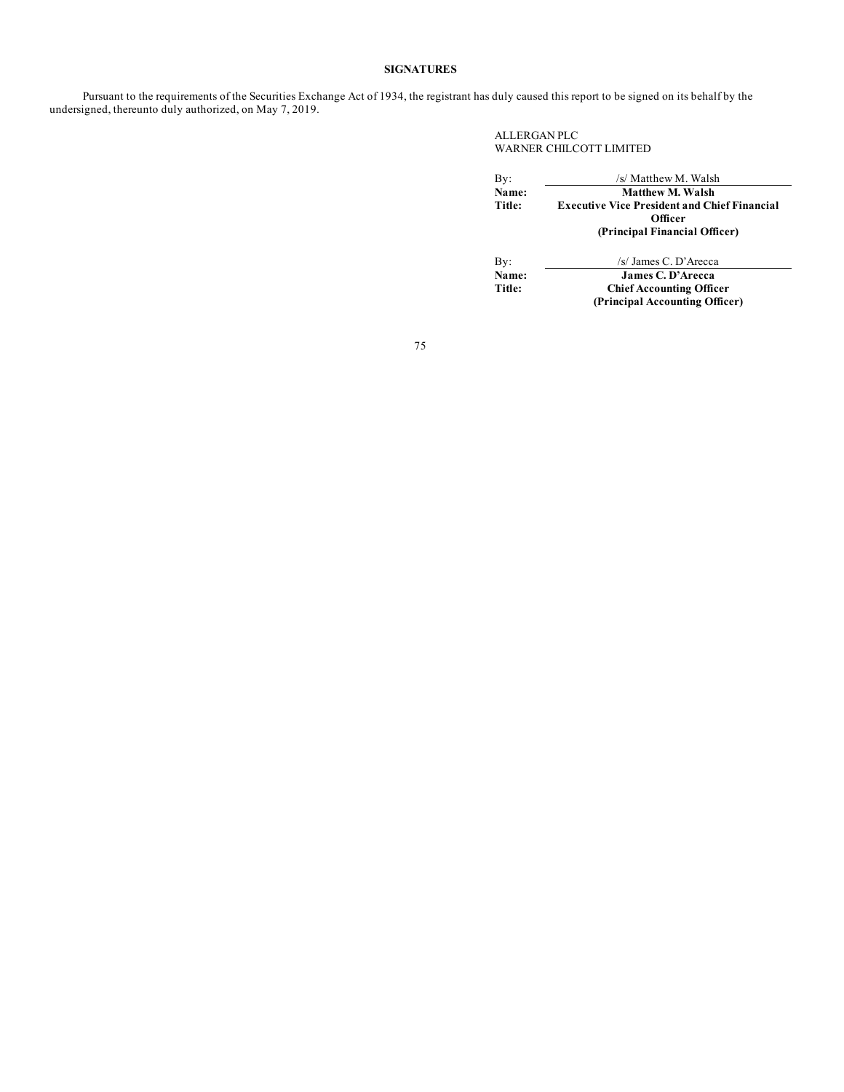# **SIGNATURES**

<span id="page-74-0"></span>Pursuant to the requirements of the Securities Exchange Act of 1934, the registrant has duly caused this report to be signed on its behalf by the undersigned, thereunto duly authorized, on May 7, 2019.

> ALLERGAN PLC WARNER CHILCOTT LIMITED

| By:    | /s/ Matthew M. Walsh                                                                            |
|--------|-------------------------------------------------------------------------------------------------|
| Name:  | <b>Matthew M. Walsh</b>                                                                         |
| Title: | <b>Executive Vice President and Chief Financial</b><br>Officer<br>(Principal Financial Officer) |
| By:    | /s/ James C. D'Arecca                                                                           |
|        |                                                                                                 |

**Name: James C. D'Arecca**<br>Title: **Chief Accounting Office Title: Chief Accounting Officer (Principal Accounting Officer)**

75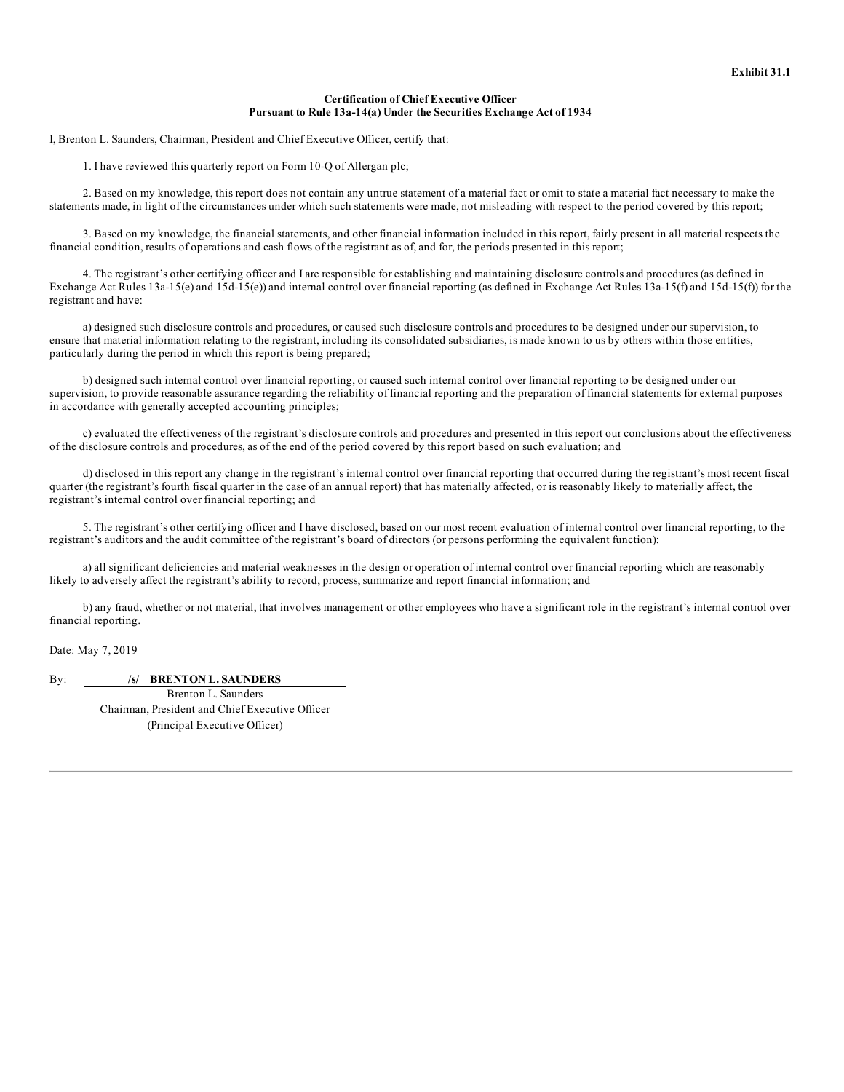### **Certification of Chief Executive Officer Pursuant to Rule 13a-14(a) Under the Securities Exchange Act of 1934**

<span id="page-75-0"></span>I, Brenton L. Saunders, Chairman, President and Chief Executive Officer, certify that:

1. I have reviewed this quarterly report on Form 10-Q of Allergan plc;

2. Based on my knowledge, this report does not contain any untrue statement of a material fact or omit to state a material fact necessary to make the statements made, in light of the circumstances under which such statements were made, not misleading with respect to the period covered by this report;

3. Based on my knowledge, the financial statements, and other financial information included in this report, fairly present in all material respects the financial condition, results of operations and cash flows of the registrant as of, and for, the periods presented in this report;

4. The registrant's other certifying officer and I are responsible for establishing and maintaining disclosure controls and procedures (as defined in Exchange Act Rules 13a-15(e) and 15d-15(e)) and internal control over financial reporting (as defined in Exchange Act Rules 13a-15(f) and 15d-15(f)) for the registrant and have:

a) designed such disclosure controls and procedures, or caused such disclosure controls and procedures to be designed under our supervision, to ensure that material information relating to the registrant, including its consolidated subsidiaries, is made known to us by others within those entities, particularly during the period in which this report is being prepared;

b) designed such internal control over financial reporting, or caused such internal control over financial reporting to be designed under our supervision, to provide reasonable assurance regarding the reliability of financial reporting and the preparation of financial statements for external purposes in accordance with generally accepted accounting principles;

c) evaluated the effectiveness of the registrant's disclosure controls and procedures and presented in this report our conclusions about the effectiveness of the disclosure controls and procedures, as of the end of the period covered by this report based on such evaluation; and

d) disclosed in this report any change in the registrant's internal control over financial reporting that occurred during the registrant's most recent fiscal quarter (the registrant's fourth fiscal quarter in the case of an annual report) that has materially affected, or is reasonably likely to materially affect, the registrant's internal control over financial reporting; and

5. The registrant's other certifying officer and I have disclosed, based on our most recent evaluation of internal control over financial reporting, to the registrant's auditors and the audit committee of the registrant's board of directors (or persons performing the equivalent function):

a) all significant deficiencies and material weaknesses in the design or operation of internal control over financial reporting which are reasonably likely to adversely affect the registrant's ability to record, process, summarize and report financial information; and

b) any fraud, whether or not material, that involves management or other employees who have a significant role in the registrant's internal control over financial reporting.

Date: May 7, 2019

By: **/s/ BRENTON L. SAUNDERS**

Brenton L. Saunders Chairman, President and Chief Executive Officer (Principal Executive Officer)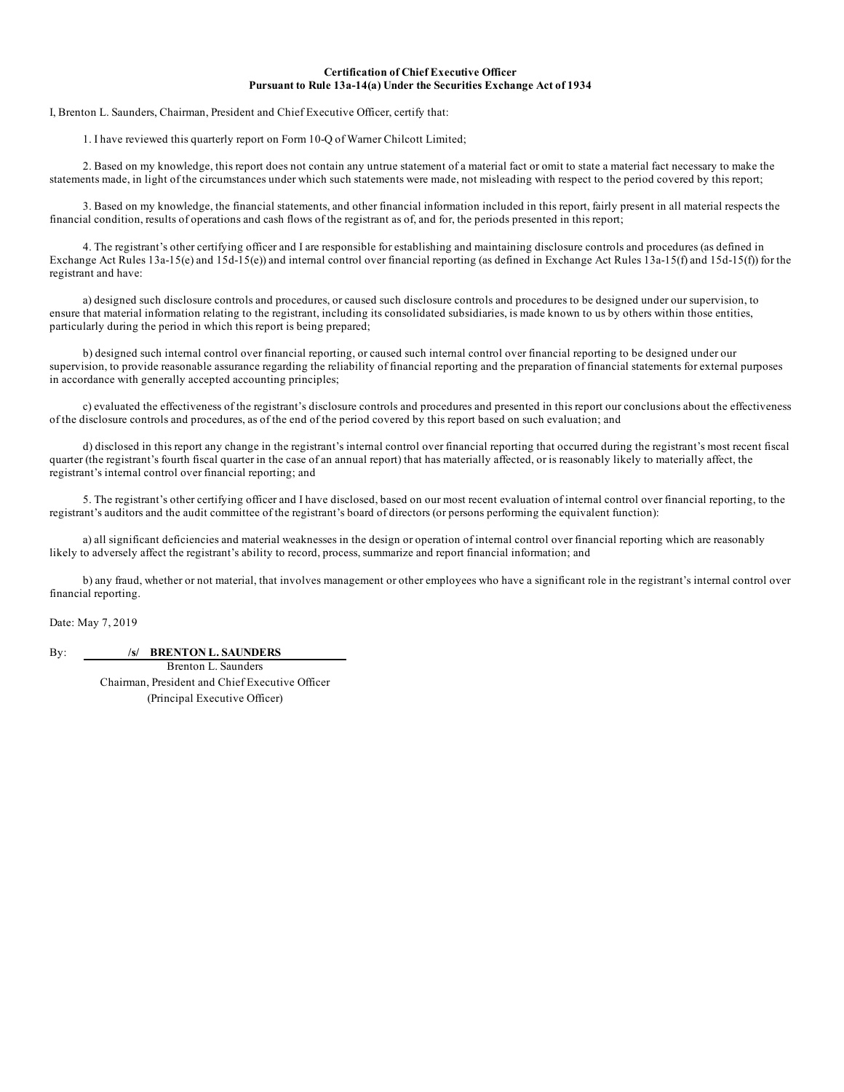### **Certification of Chief Executive Officer Pursuant to Rule 13a-14(a) Under the Securities Exchange Act of 1934**

I, Brenton L. Saunders, Chairman, President and Chief Executive Officer, certify that:

1. I have [reviewed](#page-2-0) this quarterly report on Form 10-Q of Warner Chilcott Limited;

2. Based on my [knowledge,](#page-2-0) this report does not contain any untrue statement of a material fact or omit to state a material fact necessary to make the statements made, in light of the [circumstances](#page-3-0) under which such statements were made, not misleading with respect to the period covered by this report;

3. Based on my knowledge, the financial statements, and other financial [information](#page-5-0) included in this report, fairly present in all material respects the financial condition, results of [operations](#page-6-0) and cash flows of the registrant as of, and for, the periods presented in this report;

4. The registrant's other certifying officer and I are responsible for establishing and [maintaining](#page-8-0) disclosure controls and procedures (as defined in Exchange Act Rules  $13a-15(e)$  and  $15d-15(e)$  and internal control over financial reporting (as defined in Exchange Act Rules  $13a-15(f)$ ) and  $15d-15(f)$ ) for the registrant and have:

a) designed such disclosure controls and [procedures,](#page-11-0) or caused such disclosure controls and procedures to be designed under our supervision, to ensure that material [information](#page-12-0) relating to the registrant, including its consolidated subsidiaries, is made known to us by others within those entities, particularly during the period in which this report is being [prepared;](#page-52-0)

b) [designed](#page-70-0) such internal control over financial [reporting,](#page-69-0) or caused such internal control over financial reporting to be designed under our [supervision,](#page-72-0) to provide reasonable assurance regarding the reliability of financial reporting and the preparation of financial statements for external purposes in accordance with [generally](#page-72-0) accepted accounting principles;

c) e[valuated](#page-72-0) the effectiveness of the registrant's disclosure controls and procedures and presented in this report our conclusions about the effectiveness of the disc[losure](#page-72-0) controls and [procedures,](#page-72-0) as of the end of the period covered by this report based on such evaluation; and

d) [disclosed](#page-74-0) in this report any change in the registrant's internal control over financial reporting that occurred during the registrant's most recent fiscal quarter (the registrant's fourth fiscal quarter in the case of an annual report) that has materially affected, or is reasonably likely to materially affect, the registrant's internal control over financial reporting; and

5. The registrant's other certifying officer and I have disclosed, based on our most recent evaluation of internal control over financial reporting, to the registrant's auditors and the audit committee of the registrant's board of directors (or persons performing the equivalent function):

a) all significant deficiencies and material weaknesses in the design or operation of internal control over financial reporting which are reasonably likely to adversely affect the registrant's ability to record, process, summarize and report financial information; and

b) any fraud, whether or not material, that involves management or other employees who have a significant role in the registrant's internal control over financial reporting.

Date: May 7, 2019

By: **/s/ BRENTON L. SAUNDERS**

Brenton L. Saunders Chairman, President and Chief Executive Officer (Principal Executive Officer)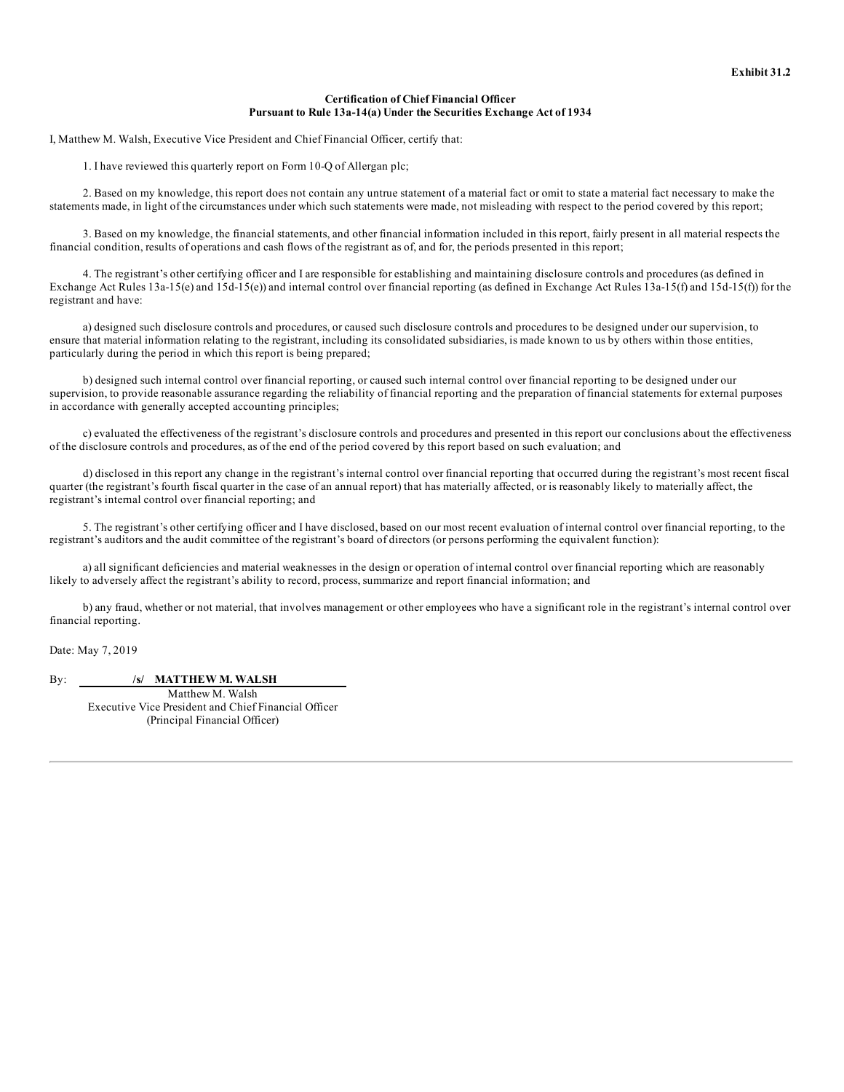### **Certification of Chief Financial Officer Pursuant to Rule 13a-14(a) Under the Securities Exchange Act of 1934**

<span id="page-77-0"></span>I, Matthew M. Walsh, Executive Vice President and Chief Financial Officer, certify that:

1. I have reviewed this quarterly report on Form 10-Q of Allergan plc;

2. Based on my knowledge, this report does not contain any untrue statement of a material fact or omit to state a material fact necessary to make the statements made, in light of the circumstances under which such statements were made, not misleading with respect to the period covered by this report;

3. Based on my knowledge, the financial statements, and other financial information included in this report, fairly present in all material respects the financial condition, results of operations and cash flows of the registrant as of, and for, the periods presented in this report;

4. The registrant's other certifying officer and I are responsible for establishing and maintaining disclosure controls and procedures (as defined in Exchange Act Rules 13a-15(e) and 15d-15(e)) and internal control over financial reporting (as defined in Exchange Act Rules 13a-15(f) and 15d-15(f)) for the registrant and have:

a) designed such disclosure controls and procedures, or caused such disclosure controls and procedures to be designed under our supervision, to ensure that material information relating to the registrant, including its consolidated subsidiaries, is made known to us by others within those entities, particularly during the period in which this report is being prepared;

b) designed such internal control over financial reporting, or caused such internal control over financial reporting to be designed under our supervision, to provide reasonable assurance regarding the reliability of financial reporting and the preparation of financial statements for external purposes in accordance with generally accepted accounting principles;

c) evaluated the effectiveness of the registrant's disclosure controls and procedures and presented in this report our conclusions about the effectiveness of the disclosure controls and procedures, as of the end of the period covered by this report based on such evaluation; and

d) disclosed in this report any change in the registrant's internal control over financial reporting that occurred during the registrant's most recent fiscal quarter (the registrant's fourth fiscal quarter in the case of an annual report) that has materially affected, or is reasonably likely to materially affect, the registrant's internal control over financial reporting; and

5. The registrant's other certifying officer and I have disclosed, based on our most recent evaluation of internal control over financial reporting, to the registrant's auditors and the audit committee of the registrant's board of directors (or persons performing the equivalent function):

a) all significant deficiencies and material weaknesses in the design or operation of internal control over financial reporting which are reasonably likely to adversely affect the registrant's ability to record, process, summarize and report financial information; and

b) any fraud, whether or not material, that involves management or other employees who have a significant role in the registrant's internal control over financial reporting.

Date: May 7, 2019

By: **/s/ MATTHEW M. WALSH**

Matthew M. Walsh Executive Vice President and Chief Financial Officer (Principal Financial Officer)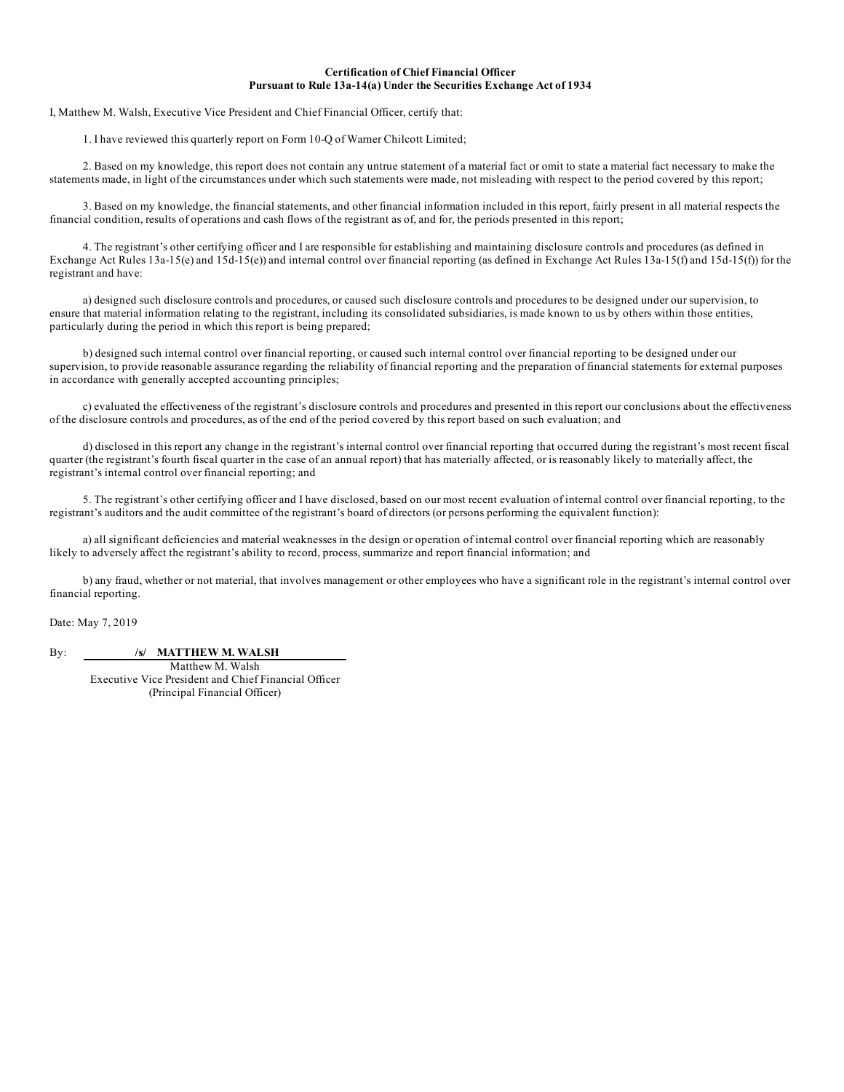### **Certification of Chief Financial Officer Pursuant to Rule 13a-14(a) Under the Securities Exchange Act of 1934**

I, Matthew M. Walsh, Executive Vice President and Chief Financial Officer, certify that:

1. I have [reviewed](#page-2-0) this quarterly report on Form 10-Q of Warner Chilcott Limited;

2. Based on my [knowledge,](#page-2-0) this report does not contain any untrue statement of a material fact or omit to state a material fact necessary to make the statements made, in light of the [circumstances](#page-3-0) under which such statements were made, not misleading with respect to the period covered by this report;

3. Based on my knowledge, the financial statements, and other financial [information](#page-5-0) included in this report, fairly present in all material respects the financial condition, results of [operations](#page-6-0) and cash flows of the registrant as of, and for, the periods presented in this report;

4. The registrant's other certifying officer and I are responsible for establishing and [maintaining](#page-8-0) disclosure controls and procedures (as defined in Exchange Act Rules  $13a-15(e)$  and  $15d-15(e)$  and internal control over financial reporting (as defined in Exchange Act Rules  $13a-15(f)$ ) and  $15d-15(f)$ ) for the registrant and have:

a) designed such disclosure controls and [procedures,](#page-11-0) or caused such disclosure controls and procedures to be designed under our supervision, to ensure that material [information](#page-12-0) relating to the registrant, including its consolidated subsidiaries, is made known to us by others within those entities, particularly during the period in which this report is being [prepared;](#page-52-0)

b) [designed](#page-70-0) such internal control over financial [reporting,](#page-69-0) or caused such internal control over financial reporting to be designed under our [supervision,](#page-72-0) to provide reasonable assurance regarding the reliability of financial reporting and the preparation of financial statements for external purposes in accordance with [generally](#page-72-0) accepted accounting principles;

c) e[valuated](#page-72-0) the effectiveness of the registrant's disclosure controls and procedures and presented in this report our conclusions about the effectiveness of the disc[losure](#page-72-0) controls and [procedures,](#page-72-0) as of the end of the period covered by this report based on such evaluation; and

d) [disclosed](#page-74-0) in this report any change in the registrant's internal control over financial reporting that occurred during the registrant's most recent fiscal quarter (the registrant's fourth fiscal quarter in the case of an annual report) that has materially affected, or is reasonably likely to materially affect, the registrant's internal control over financial reporting; and

5. The registrant's other certifying officer and I have disclosed, based on our most recent evaluation of internal control over financial reporting, to the registrant's auditors and the audit committee of the registrant's board of directors (or persons performing the equivalent function):

a) all significant deficiencies and material weaknesses in the design or operation of internal control over financial reporting which are reasonably likely to adversely affect the registrant's ability to record, process, summarize and report financial information; and

b) any fraud, whether or not material, that involves management or other employees who have a significant role in the registrant's internal control over financial reporting.

Date: May 7, 2019

By: **/s/ MATTHEW M. WALSH**

Matthew M. Walsh Executive Vice President and Chief Financial Officer (Principal Financial Officer)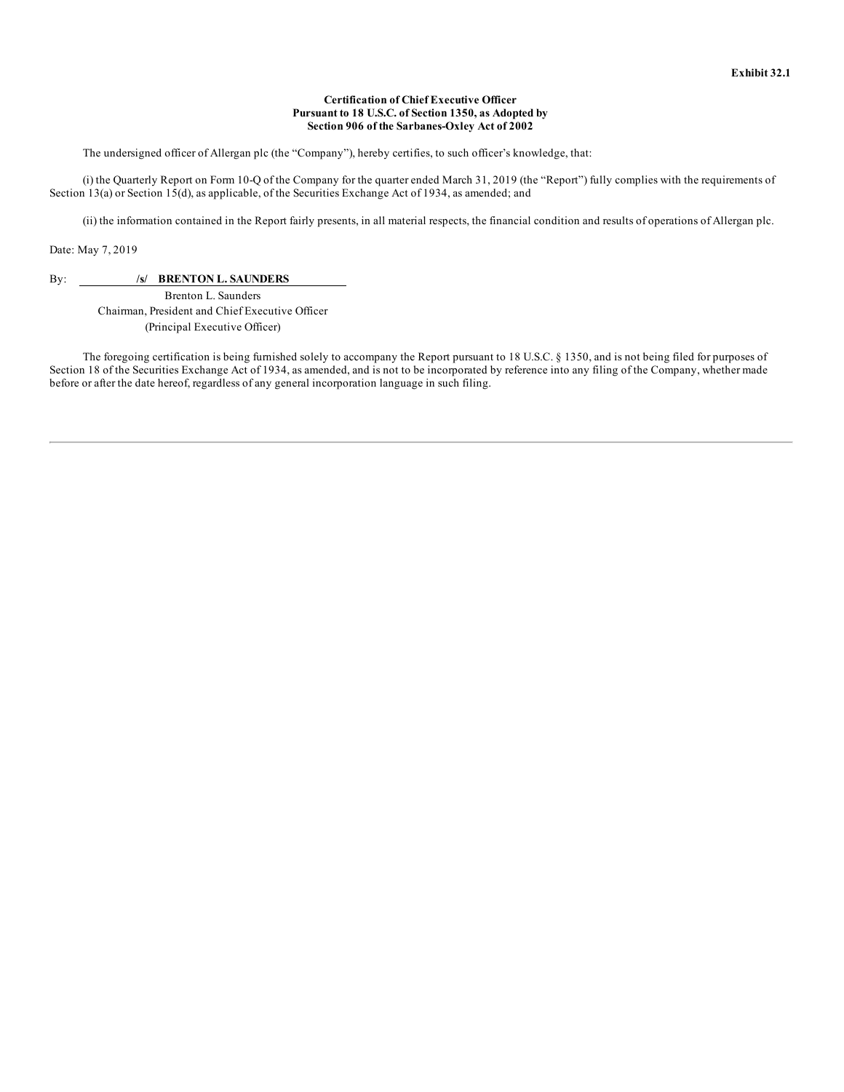### **Certification of Chief Executive Officer Pursuant to 18 U.S.C. of Section 1350, as Adopted by Section 906 of the Sarbanes-Oxley Act of 2002**

<span id="page-79-0"></span>The undersigned officer of Allergan plc (the "Company"), hereby certifies, to such officer's knowledge, that:

(i) the Quarterly Report on Form 10-Q of the Company for the quarter ended March 31, 2019 (the "Report") fully complies with the requirements of Section 13(a) or Section 15(d), as applicable, of the Securities Exchange Act of 1934, as amended; and

(ii) the information contained in the Report fairly presents, in all material respects, the financial condition and results of operations of Allergan plc.

Date: May 7, 2019

By: **/s/ BRENTON L. SAUNDERS**

Brenton L. Saunders Chairman, President and Chief Executive Officer (Principal Executive Officer)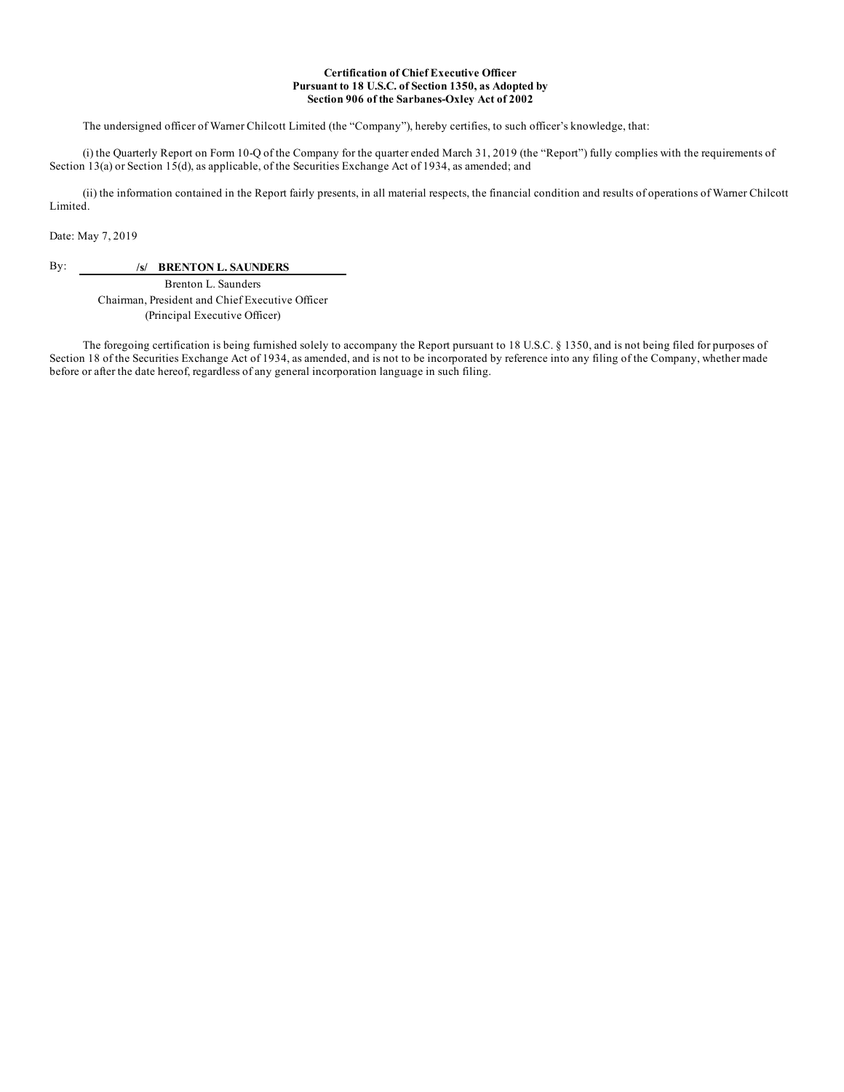### **Certification of Chief Executive Officer Pursuant to 18 U.S.C. of Section 1350, as Adopted by Section 906 of the Sarbanes-Oxley Act of 2002**

The [undersigned](#page-2-0) officer of Warner Chilcott Limited (the "Company"), hereby certifies, to such officer's knowledge, that:

(i) the [Quarterly](#page-2-0) Report on Form 10-Q of the Company for the quarter ended March 31, 2019 (the "Report") fully complies with the requirements of Section 13(a) or Section 15(d), as [applicable,](#page-2-0) of the Securities Exchange Act of 1934, as amended; and

(ii) the [information](#page-4-0) contained in the Report fairly presents, in all material respects, the financial condition and results of operations of Warner Chilcott Limited.

Date: May 7, [2019](#page-7-0)

By: **/s/ BRENTON L. [SAUNDERS](#page-9-0)**

Brenton L. [Saunders](#page-10-0) Chairman, President and Chief [Executive](#page-11-0) Officer (Principal [Executive](#page-12-0) Officer)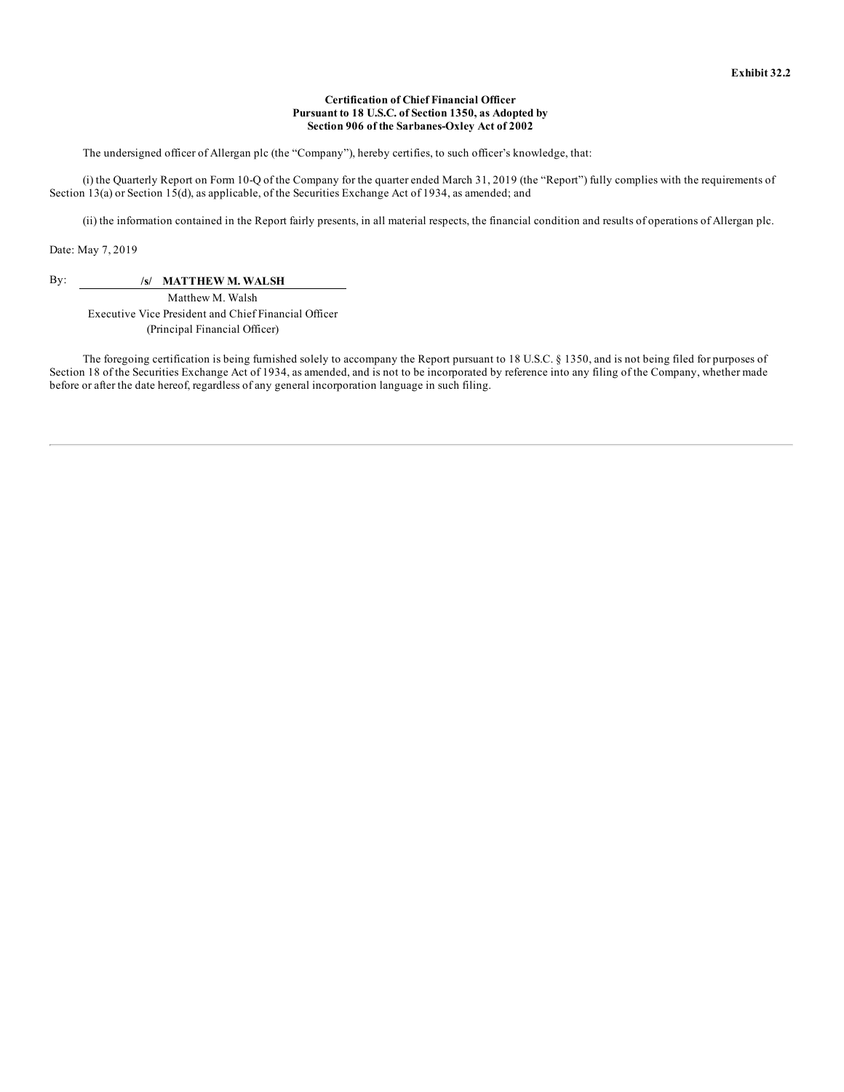### **Certification of Chief Financial Officer Pursuant to 18 U.S.C. of Section 1350, as Adopted by Section 906 of the Sarbanes-Oxley Act of 2002**

<span id="page-81-0"></span>The undersigned officer of Allergan plc (the "Company"), hereby certifies, to such officer's knowledge, that:

(i) the Quarterly Report on Form 10-Q of the Company for the quarter ended March 31, 2019 (the "Report") fully complies with the requirements of Section 13(a) or Section 15(d), as applicable, of the Securities Exchange Act of 1934, as amended; and

(ii) the information contained in the Report fairly presents, in all material respects, the financial condition and results of operations of Allergan plc.

Date: May 7, 2019

By: **/s/ MATTHEW M. WALSH**

Matthew M. Walsh Executive Vice President and Chief Financial Officer (Principal Financial Officer)